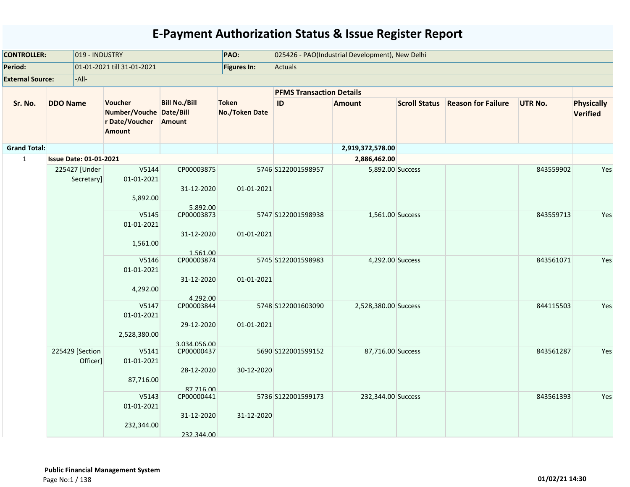| <b>CONTROLLER:</b>      |                               | 019 - INDUSTRY                                                               |                                          | PAO:                           |                                 | 025426 - PAO(Industrial Development), New Delhi |                      |                           |                |                                      |
|-------------------------|-------------------------------|------------------------------------------------------------------------------|------------------------------------------|--------------------------------|---------------------------------|-------------------------------------------------|----------------------|---------------------------|----------------|--------------------------------------|
| Period:                 |                               | 01-01-2021 till 31-01-2021                                                   |                                          | Figures In:                    | <b>Actuals</b>                  |                                                 |                      |                           |                |                                      |
| <b>External Source:</b> | -All-                         |                                                                              |                                          |                                |                                 |                                                 |                      |                           |                |                                      |
|                         |                               |                                                                              |                                          |                                | <b>PFMS Transaction Details</b> |                                                 |                      |                           |                |                                      |
| Sr. No.                 | <b>DDO Name</b>               | Voucher<br>Number/Vouche Date/Bill<br>r Date/Voucher Amount<br><b>Amount</b> | <b>Bill No./Bill</b>                     | <b>Token</b><br>No./Token Date | ID                              | <b>Amount</b>                                   | <b>Scroll Status</b> | <b>Reason for Failure</b> | <b>UTR No.</b> | <b>Physically</b><br><b>Verified</b> |
| <b>Grand Total:</b>     |                               |                                                                              |                                          |                                |                                 | 2,919,372,578.00                                |                      |                           |                |                                      |
| $\mathbf{1}$            | <b>Issue Date: 01-01-2021</b> |                                                                              |                                          |                                |                                 | 2,886,462.00                                    |                      |                           |                |                                      |
|                         | 225427 [Under<br>Secretary]   | V5144<br>01-01-2021<br>5,892.00                                              | CP00003875<br>31-12-2020<br>5.892.00     | 01-01-2021                     | 5746 S122001598957              | 5,892.00 Success                                |                      |                           | 843559902      | Yes                                  |
|                         |                               | V5145<br>01-01-2021<br>1,561.00                                              | CP00003873<br>31-12-2020<br>1.561.00     | 01-01-2021                     | 5747 S122001598938              | 1,561.00 Success                                |                      |                           | 843559713      | Yes                                  |
|                         |                               | V5146<br>01-01-2021<br>4,292.00                                              | CP00003874<br>31-12-2020<br>4.292.00     | 01-01-2021                     | 5745 S122001598983              | 4,292.00 Success                                |                      |                           | 843561071      | Yes                                  |
|                         |                               | V5147<br>01-01-2021<br>2,528,380.00                                          | CP00003844<br>29-12-2020<br>3.034.056.00 | 01-01-2021                     | 5748 S122001603090              | 2,528,380.00 Success                            |                      |                           | 844115503      | Yes                                  |
|                         | 225429 [Section               | V5141<br>Officer]<br>01-01-2021<br>87,716.00                                 | CP00000437<br>28-12-2020<br>87.716.00    | 30-12-2020                     | 5690 S122001599152              | 87,716.00 Success                               |                      |                           | 843561287      | Yes                                  |
|                         |                               | V5143<br>01-01-2021<br>232,344.00                                            | CP00000441<br>31-12-2020<br>232.344.00   | 31-12-2020                     | 5736 S122001599173              | 232,344.00 Success                              |                      |                           | 843561393      | Yes                                  |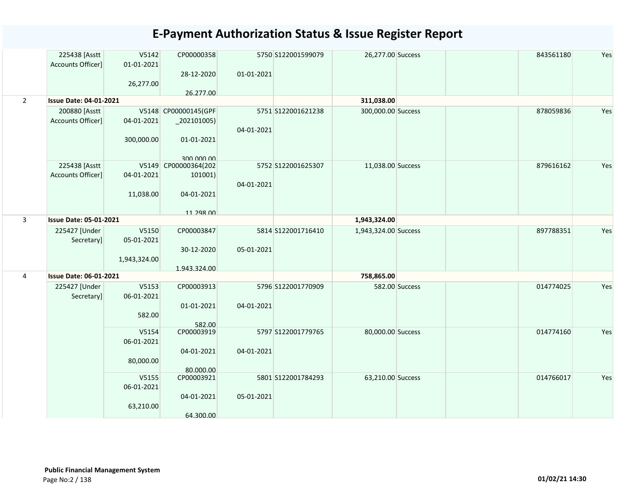|                | 225438 [Asstt<br>Accounts Officer] | V5142<br>01-01-2021 | CP00000358               |            | 5750 S122001599079 | 26,277.00 Success    | 843561180 | Yes |
|----------------|------------------------------------|---------------------|--------------------------|------------|--------------------|----------------------|-----------|-----|
|                |                                    | 26,277.00           | 28-12-2020<br>26.277.00  | 01-01-2021 |                    |                      |           |     |
| $2^{\circ}$    | <b>Issue Date: 04-01-2021</b>      |                     |                          |            |                    | 311,038.00           |           |     |
|                | 200880 [Asstt                      |                     | V5148 CP00000145(GPF     |            | 5751 S122001621238 | 300,000.00 Success   | 878059836 | Yes |
|                | Accounts Officer]                  | 04-01-2021          | $\left[202101005\right)$ |            |                    |                      |           |     |
|                |                                    |                     |                          | 04-01-2021 |                    |                      |           |     |
|                |                                    | 300,000.00          | 01-01-2021               |            |                    |                      |           |     |
|                |                                    |                     | 300,000,00               |            |                    |                      |           |     |
|                | 225438 [Asstt                      |                     | V5149 CP00000364(202     |            | 5752 S122001625307 | 11,038.00 Success    | 879616162 | Yes |
|                | Accounts Officer]                  | 04-01-2021          | 101001)                  |            |                    |                      |           |     |
|                |                                    |                     |                          | 04-01-2021 |                    |                      |           |     |
|                |                                    | 11,038.00           | 04-01-2021               |            |                    |                      |           |     |
|                |                                    |                     | 11 298 00                |            |                    |                      |           |     |
| 3              | <b>Issue Date: 05-01-2021</b>      |                     |                          |            |                    | 1,943,324.00         |           |     |
|                | 225427 [Under                      | V5150               | CP00003847               |            | 5814 S122001716410 | 1,943,324.00 Success | 897788351 | Yes |
|                | Secretary]                         | 05-01-2021          |                          |            |                    |                      |           |     |
|                |                                    |                     | 30-12-2020               | 05-01-2021 |                    |                      |           |     |
|                |                                    | 1,943,324.00        |                          |            |                    |                      |           |     |
| $\overline{4}$ | <b>Issue Date: 06-01-2021</b>      |                     | 1.943.324.00             |            |                    | 758,865.00           |           |     |
|                |                                    |                     |                          |            |                    |                      |           |     |
|                | 225427 [Under<br>Secretary]        | V5153<br>06-01-2021 | CP00003913               |            | 5796 S122001770909 | 582.00 Success       | 014774025 | Yes |
|                |                                    |                     | 01-01-2021               | 04-01-2021 |                    |                      |           |     |
|                |                                    | 582.00              |                          |            |                    |                      |           |     |
|                |                                    |                     | 582.00                   |            |                    |                      |           |     |
|                |                                    | V5154               | CP00003919               |            | 5797 S122001779765 | 80,000.00 Success    | 014774160 | Yes |
|                |                                    | 06-01-2021          |                          |            |                    |                      |           |     |
|                |                                    |                     | 04-01-2021               | 04-01-2021 |                    |                      |           |     |
|                |                                    | 80,000.00           |                          |            |                    |                      |           |     |
|                |                                    | V5155               | 80.000.00<br>CP00003921  |            | 5801 S122001784293 | 63,210.00 Success    | 014766017 | Yes |
|                |                                    | 06-01-2021          |                          |            |                    |                      |           |     |
|                |                                    |                     | 04-01-2021               | 05-01-2021 |                    |                      |           |     |
|                |                                    | 63,210.00           |                          |            |                    |                      |           |     |
|                |                                    |                     | 64.300.00                |            |                    |                      |           |     |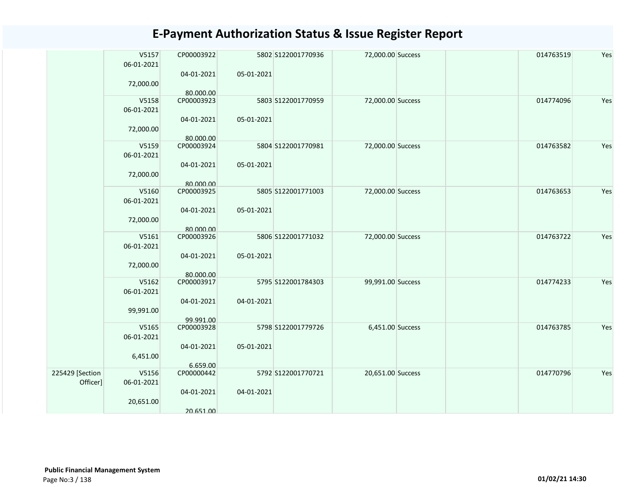|                 | V5157<br>06-01-2021 | CP00003922<br>04-01-2021 | 05-01-2021 | 5802 S122001770936 | 72,000.00 Success | 014763519 | Yes |
|-----------------|---------------------|--------------------------|------------|--------------------|-------------------|-----------|-----|
|                 | 72,000.00           | 80.000.00                |            |                    |                   |           |     |
|                 | V5158<br>06-01-2021 | CP00003923               |            | 5803 S122001770959 | 72,000.00 Success | 014774096 | Yes |
|                 | 72,000.00           | 04-01-2021               | 05-01-2021 |                    |                   |           |     |
|                 |                     | 80.000.00                |            |                    |                   |           |     |
|                 | V5159<br>06-01-2021 | CP00003924               |            | 5804 S122001770981 | 72,000.00 Success | 014763582 | Yes |
|                 | 72,000.00           | 04-01-2021               | 05-01-2021 |                    |                   |           |     |
|                 |                     | 80.000.00                |            |                    |                   |           |     |
|                 | V5160               | CP00003925               |            | 5805 S122001771003 | 72,000.00 Success | 014763653 | Yes |
|                 | 06-01-2021          |                          |            |                    |                   |           |     |
|                 |                     | 04-01-2021               | 05-01-2021 |                    |                   |           |     |
|                 | 72,000.00           |                          |            |                    |                   |           |     |
|                 |                     | 80.000.00                |            |                    |                   |           |     |
|                 | V5161               | CP00003926               |            | 5806 S122001771032 | 72,000.00 Success | 014763722 | Yes |
|                 | 06-01-2021          |                          |            |                    |                   |           |     |
|                 |                     | 04-01-2021               | 05-01-2021 |                    |                   |           |     |
|                 | 72,000.00           |                          |            |                    |                   |           |     |
|                 |                     | 80.000.00                |            |                    |                   |           |     |
|                 | V5162               | CP00003917               |            | 5795 S122001784303 | 99,991.00 Success | 014774233 | Yes |
|                 | 06-01-2021          |                          |            |                    |                   |           |     |
|                 |                     | 04-01-2021               | 04-01-2021 |                    |                   |           |     |
|                 | 99,991.00           |                          |            |                    |                   |           |     |
|                 |                     | 99.991.00                |            |                    |                   |           |     |
|                 | V5165               | CP00003928               |            | 5798 S122001779726 | 6,451.00 Success  | 014763785 | Yes |
|                 | 06-01-2021          |                          |            |                    |                   |           |     |
|                 |                     | 04-01-2021               | 05-01-2021 |                    |                   |           |     |
|                 | 6,451.00            |                          |            |                    |                   |           |     |
|                 |                     | 6.659.00                 |            |                    |                   |           | Yes |
| 225429 [Section | V5156               | CP00000442               |            | 5792 S122001770721 | 20,651.00 Success | 014770796 |     |
| Officer]        | 06-01-2021          |                          |            |                    |                   |           |     |
|                 |                     | 04-01-2021               | 04-01-2021 |                    |                   |           |     |
|                 | 20,651.00           |                          |            |                    |                   |           |     |
|                 |                     | 20.651.00                |            |                    |                   |           |     |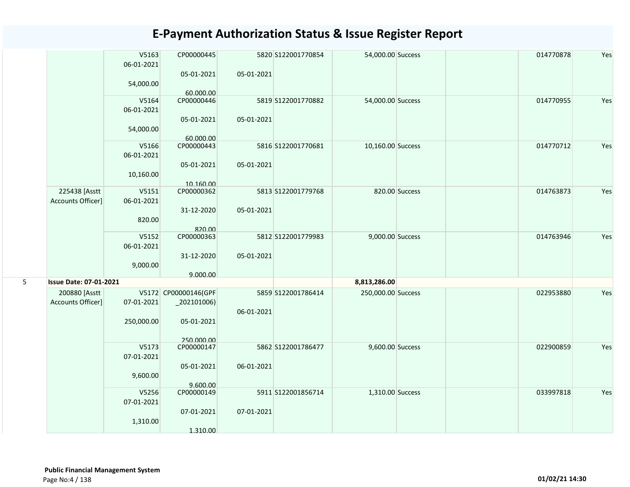|   |                                    | V5163<br>06-01-2021 | CP00000445<br>05-01-2021               | 05-01-2021 | 5820 S122001770854 | 54,000.00 Success  |                | 014770878 | Yes |
|---|------------------------------------|---------------------|----------------------------------------|------------|--------------------|--------------------|----------------|-----------|-----|
|   |                                    | 54,000.00           | 60.000.00                              |            |                    |                    |                |           |     |
|   |                                    | V5164<br>06-01-2021 | CP00000446                             |            | 5819 S122001770882 | 54,000.00 Success  |                | 014770955 | Yes |
|   |                                    | 54,000.00           | 05-01-2021<br>60.000.00                | 05-01-2021 |                    |                    |                |           |     |
|   |                                    | V5166<br>06-01-2021 | CP00000443                             |            | 5816 S122001770681 | 10,160.00 Success  |                | 014770712 | Yes |
|   |                                    | 10,160.00           | 05-01-2021<br>10.160.00                | 05-01-2021 |                    |                    |                |           |     |
|   | 225438 [Asstt<br>Accounts Officer] | V5151<br>06-01-2021 | CP00000362                             |            | 5813 S122001779768 |                    | 820.00 Success | 014763873 | Yes |
|   |                                    | 820.00              | 31-12-2020<br>820.00                   | 05-01-2021 |                    |                    |                |           |     |
|   |                                    | V5152<br>06-01-2021 | CP00000363                             |            | 5812 S122001779983 | 9,000.00 Success   |                | 014763946 | Yes |
|   |                                    | 9,000.00            | 31-12-2020<br>9.000.00                 | 05-01-2021 |                    |                    |                |           |     |
| 5 | <b>Issue Date: 07-01-2021</b>      |                     |                                        |            |                    | 8,813,286.00       |                |           |     |
|   | 200880 [Asstt<br>Accounts Officer] | 07-01-2021          | V5172 CP00000146(GPF<br>$_2$ 02101006) | 06-01-2021 | 5859 S122001786414 | 250,000.00 Success |                | 022953880 | Yes |
|   |                                    | 250,000.00          | 05-01-2021                             |            |                    |                    |                |           |     |
|   |                                    | V5173               | 250,000,00<br>CP00000147               |            | 5862 S122001786477 | 9,600.00 Success   |                | 022900859 | Yes |
|   |                                    | 07-01-2021          |                                        |            |                    |                    |                |           |     |
|   |                                    | 9,600.00            | 05-01-2021                             | 06-01-2021 |                    |                    |                |           |     |
|   |                                    |                     | 9.600.00                               |            |                    |                    |                |           |     |
|   |                                    | V5256<br>07-01-2021 | CP00000149<br>07-01-2021               | 07-01-2021 | 5911 S122001856714 | 1,310.00 Success   |                | 033997818 | Yes |
|   |                                    | 1,310.00            | 1.310.00                               |            |                    |                    |                |           |     |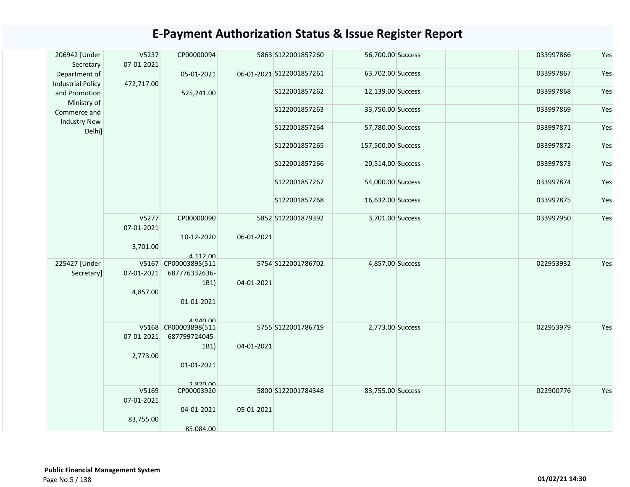| 206942 [Under<br>Secretary                | V5237<br>07-01-2021 | CP00000094                            |            | 5863 S122001857260       | 56,700.00 Success  | 033997866 | Yes |
|-------------------------------------------|---------------------|---------------------------------------|------------|--------------------------|--------------------|-----------|-----|
| Department of<br><b>Industrial Policy</b> | 472,717.00          | 05-01-2021                            |            | 06-01-2021 S122001857261 | 63,702.00 Success  | 033997867 | Yes |
| and Promotion<br>Ministry of              |                     | 525,241.00                            |            | S122001857262            | 12,139.00 Success  | 033997868 | Yes |
| Commerce and<br><b>Industry New</b>       |                     |                                       |            | S122001857263            | 33,750.00 Success  | 033997869 | Yes |
| Delhi]                                    |                     |                                       |            | S122001857264            | 57,780.00 Success  | 033997871 | Yes |
|                                           |                     |                                       |            | S122001857265            | 157,500.00 Success | 033997872 | Yes |
|                                           |                     |                                       |            | S122001857266            | 20,514.00 Success  | 033997873 | Yes |
|                                           |                     |                                       |            | S122001857267            | 54,000.00 Success  | 033997874 | Yes |
|                                           |                     |                                       |            | S122001857268            | 16,632.00 Success  | 033997875 | Yes |
|                                           | V5277<br>07-01-2021 | CP00000090                            |            | 5852 S122001879392       | 3,701.00 Success   | 033997950 | Yes |
|                                           | 3,701.00            | 10-12-2020<br>4.112.00                | 06-01-2021 |                          |                    |           |     |
| 225427 [Under<br>Secretary]               | 07-01-2021          | V5167 CP00003895(511<br>687776332636- |            | 5754 S122001786702       | 4,857.00 Success   | 022953932 | Yes |
|                                           | 4,857.00            | 1B1)                                  | 04-01-2021 |                          |                    |           |     |
|                                           |                     | 01-01-2021<br>$\triangle$ 940 00      |            |                          |                    |           |     |
|                                           | 07-01-2021          | V5168 CP00003898(511<br>687799724045- |            | 5755 S122001786719       | 2,773.00 Success   | 022953979 | Yes |
|                                           | 2,773.00            | 1B1)                                  | 04-01-2021 |                          |                    |           |     |
|                                           |                     | 01-01-2021                            |            |                          |                    |           |     |
|                                           |                     | 2820 00                               |            |                          |                    |           |     |
|                                           | V5169<br>07-01-2021 | CP00003920                            |            | 5800 S122001784348       | 83,755.00 Success  | 022900776 | Yes |
|                                           | 83,755.00           | 04-01-2021                            | 05-01-2021 |                          |                    |           |     |
|                                           |                     | 85.084.00                             |            |                          |                    |           |     |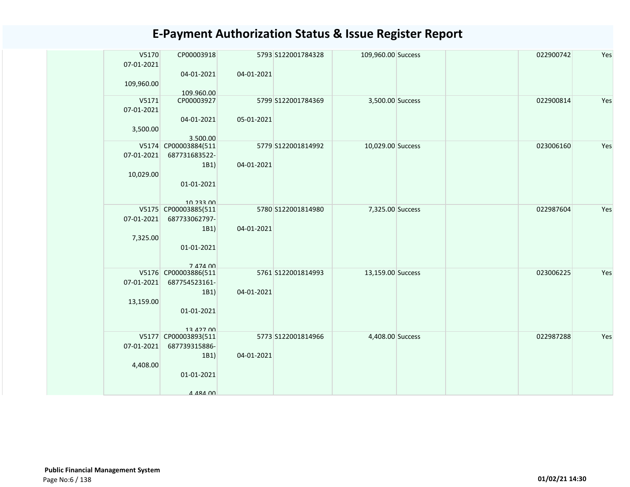| V5170<br>07-01-2021 | CP00003918                        |            | 5793 S122001784328 | 109,960.00 Success | 022900742 | Yes |
|---------------------|-----------------------------------|------------|--------------------|--------------------|-----------|-----|
|                     | 04-01-2021                        | 04-01-2021 |                    |                    |           |     |
| 109,960.00          | 109.960.00                        |            |                    |                    |           |     |
| V5171<br>07-01-2021 | CP00003927                        |            | 5799 S122001784369 | 3,500.00 Success   | 022900814 | Yes |
|                     | 04-01-2021                        | 05-01-2021 |                    |                    |           |     |
| 3,500.00            |                                   |            |                    |                    |           |     |
|                     | 3.500.00<br>V5174 CP00003884(511  |            | 5779 S122001814992 | 10,029.00 Success  | 023006160 | Yes |
| 07-01-2021          | 687731683522-                     |            |                    |                    |           |     |
| 10,029.00           | 1B1)                              | 04-01-2021 |                    |                    |           |     |
|                     | 01-01-2021                        |            |                    |                    |           |     |
|                     |                                   |            |                    |                    |           |     |
|                     | 10 233 00<br>V5175 CP00003885(511 |            | 5780 S122001814980 | 7,325.00 Success   | 022987604 | Yes |
| 07-01-2021          | 687733062797-                     |            |                    |                    |           |     |
| 7,325.00            | 1B1)                              | 04-01-2021 |                    |                    |           |     |
|                     | 01-01-2021                        |            |                    |                    |           |     |
|                     | 7 474 00                          |            |                    |                    |           |     |
|                     | V5176 CP00003886(511              |            | 5761 S122001814993 | 13,159.00 Success  | 023006225 | Yes |
| 07-01-2021          | 687754523161-<br>1B1)             | 04-01-2021 |                    |                    |           |     |
| 13,159.00           |                                   |            |                    |                    |           |     |
|                     | 01-01-2021                        |            |                    |                    |           |     |
|                     | 13 427 00                         |            |                    |                    |           |     |
|                     | V5177 CP00003893(511              |            | 5773 S122001814966 | 4,408.00 Success   | 022987288 | Yes |
| 07-01-2021          | 687739315886-<br>1B1)             | 04-01-2021 |                    |                    |           |     |
| 4,408.00            |                                   |            |                    |                    |           |     |
|                     | 01-01-2021                        |            |                    |                    |           |     |
|                     | A ARA 00                          |            |                    |                    |           |     |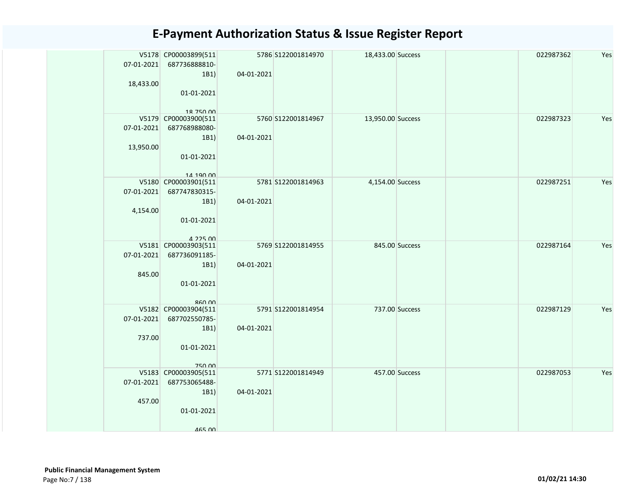| 07-01-2021<br>18,433.00 | V5178 CP00003899(511<br>687736888810-<br>1B1)<br>01-01-2021                           | 04-01-2021 | 5786 S122001814970 | 18,433.00 Success |                | 022987362 | Yes |
|-------------------------|---------------------------------------------------------------------------------------|------------|--------------------|-------------------|----------------|-----------|-----|
| 07-01-2021<br>13,950.00 | 18 750 00<br>V5179 CP00003900(511<br>687768988080-<br>1B1)<br>01-01-2021<br>14 190 00 | 04-01-2021 | 5760 S122001814967 | 13,950.00 Success |                | 022987323 | Yes |
| 07-01-2021<br>4,154.00  | V5180 CP00003901(511<br>687747830315-<br>1B1)<br>01-01-2021<br>$A$ 225 $n$            | 04-01-2021 | 5781 S122001814963 | 4,154.00 Success  |                | 022987251 | Yes |
| 07-01-2021<br>845.00    | V5181 CP00003903(511<br>687736091185-<br>1B1)<br>01-01-2021<br>RAN                    | 04-01-2021 | 5769 S122001814955 |                   | 845.00 Success | 022987164 | Yes |
| 07-01-2021<br>737.00    | V5182 CP00003904(511<br>687702550785-<br>1B1)<br>01-01-2021<br><b>750.00</b>          | 04-01-2021 | 5791 S122001814954 | 737.00 Success    |                | 022987129 | Yes |
| 07-01-2021<br>457.00    | V5183 CP00003905(511<br>687753065488-<br>1B1)<br>01-01-2021<br>465 00                 | 04-01-2021 | 5771 S122001814949 | 457.00 Success    |                | 022987053 | Yes |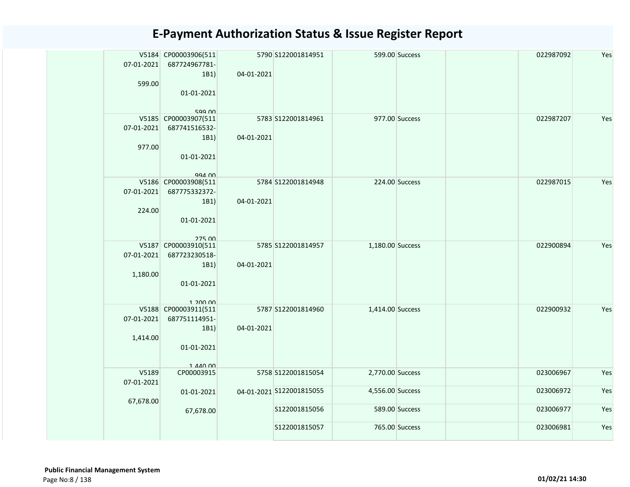| 07-01-2021 | V5184 CP00003906(511<br>687724967781-<br>1B1)<br>599.00<br>01-01-2021<br>599.00        | 04-01-2021 | 5790 S122001814951       |                  | 599.00 Success | 022987092 | Yes |
|------------|----------------------------------------------------------------------------------------|------------|--------------------------|------------------|----------------|-----------|-----|
| 07-01-2021 | V5185 CP00003907(511<br>687741516532-<br>1B1)<br>977.00<br>01-01-2021<br>$QQA$ $\cap$  | 04-01-2021 | 5783 S122001814961       |                  | 977.00 Success | 022987207 | Yes |
| 07-01-2021 | V5186 CP00003908(511<br>687775332372-<br>1B1)<br>224.00<br>01-01-2021<br><b>275 00</b> | 04-01-2021 | 5784 S122001814948       |                  | 224.00 Success | 022987015 | Yes |
| 07-01-2021 | V5187 CP00003910(511<br>687723230518-<br>1B1)<br>1,180.00<br>01-01-2021<br>1 200 00    | 04-01-2021 | 5785 S122001814957       | 1,180.00 Success |                | 022900894 | Yes |
| 07-01-2021 | V5188 CP00003911(511<br>687751114951-<br>1B1)<br>1,414.00<br>01-01-2021<br>1 440 00    | 04-01-2021 | 5787 S122001814960       | 1,414.00 Success |                | 022900932 | Yes |
| 07-01-2021 | V5189<br>CP00003915                                                                    |            | 5758 S122001815054       | 2,770.00 Success |                | 023006967 | Yes |
| 67,678.00  | 01-01-2021                                                                             |            | 04-01-2021 S122001815055 | 4,556.00 Success |                | 023006972 | Yes |
|            | 67,678.00                                                                              |            | S122001815056            |                  | 589.00 Success | 023006977 | Yes |
|            |                                                                                        |            | S122001815057            |                  | 765.00 Success | 023006981 | Yes |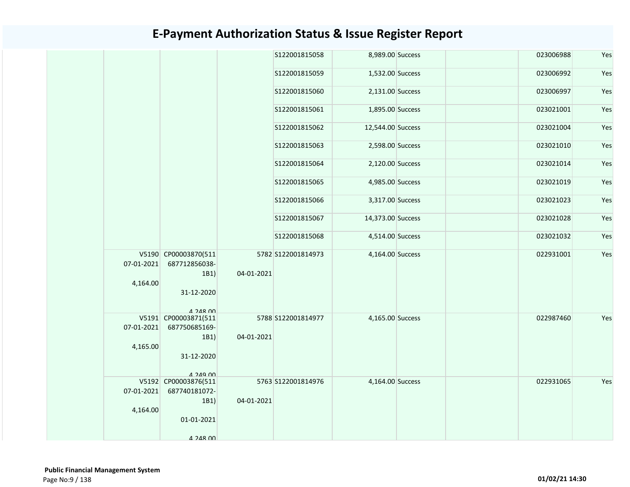|  |                  |                                               |            | S122001815058      | 8,989.00 Success  |  | 023006988 | Yes |
|--|------------------|-----------------------------------------------|------------|--------------------|-------------------|--|-----------|-----|
|  |                  |                                               |            | \$122001815059     | 1,532.00 Success  |  | 023006992 | Yes |
|  |                  |                                               |            | \$122001815060     | 2,131.00 Success  |  | 023006997 | Yes |
|  |                  |                                               |            | S122001815061      | 1,895.00 Success  |  | 023021001 | Yes |
|  |                  |                                               |            | S122001815062      | 12,544.00 Success |  | 023021004 | Yes |
|  |                  |                                               |            | \$122001815063     | 2,598.00 Success  |  | 023021010 | Yes |
|  |                  |                                               |            | \$122001815064     | 2,120.00 Success  |  | 023021014 | Yes |
|  |                  |                                               |            | \$122001815065     | 4,985.00 Success  |  | 023021019 | Yes |
|  |                  |                                               |            | \$122001815066     | 3,317.00 Success  |  | 023021023 | Yes |
|  |                  |                                               |            | \$122001815067     | 14,373.00 Success |  | 023021028 | Yes |
|  |                  |                                               |            | \$122001815068     | 4,514.00 Success  |  | 023021032 | Yes |
|  | 07-01-2021       | V5190 CP00003870(511<br>687712856038-<br>1B1) | 04-01-2021 | 5782 S122001814973 | 4,164.00 Success  |  | 022931001 | Yes |
|  | 4,164.00         | 31-12-2020                                    |            |                    |                   |  |           |     |
|  |                  | $4.248$ $00$<br>V5191 CP00003871(511          |            | 5788 S122001814977 | 4,165.00 Success  |  | 022987460 | Yes |
|  | $07 - 01 - 2021$ | 687750685169-<br>1B1)                         | 04-01-2021 |                    |                   |  |           |     |
|  | 4,165.00         |                                               |            |                    |                   |  |           |     |
|  |                  | 31-12-2020                                    |            |                    |                   |  |           |     |
|  |                  | $A$ 249 00                                    |            |                    |                   |  |           |     |
|  |                  | V5192 CP00003876(511                          |            | 5763 S122001814976 | 4,164.00 Success  |  | 022931065 | Yes |
|  | 07-01-2021       | 687740181072-                                 |            |                    |                   |  |           |     |
|  | 4,164.00         | 1B1)                                          | 04-01-2021 |                    |                   |  |           |     |
|  |                  | 01-01-2021                                    |            |                    |                   |  |           |     |
|  |                  | $A$ 2 $A$ R $\Omega$                          |            |                    |                   |  |           |     |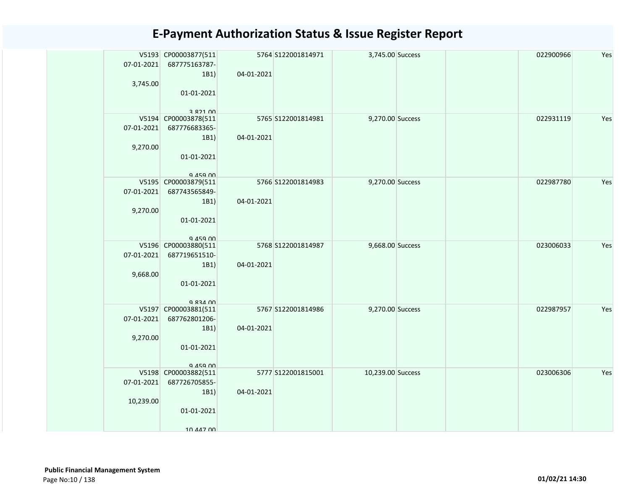| 07-01-2021 | V5193 CP00003877(511<br>687775163787- |            | 5764 S122001814971 | 3,745.00 Success  |  | 022900966 | Yes |
|------------|---------------------------------------|------------|--------------------|-------------------|--|-----------|-----|
|            | 1B1)                                  | 04-01-2021 |                    |                   |  |           |     |
| 3,745.00   | 01-01-2021                            |            |                    |                   |  |           |     |
|            |                                       |            |                    |                   |  |           |     |
|            | 282100                                |            |                    |                   |  |           |     |
|            | V5194 CP00003878(511                  |            | 5765 S122001814981 | 9,270.00 Success  |  | 022931119 | Yes |
| 07-01-2021 | 687776683365-                         |            |                    |                   |  |           |     |
|            | 1B1)                                  | 04-01-2021 |                    |                   |  |           |     |
| 9,270.00   | 01-01-2021                            |            |                    |                   |  |           |     |
|            |                                       |            |                    |                   |  |           |     |
|            | $Q$ $A$ 5 $Q$ $D$ $n$                 |            |                    |                   |  |           |     |
|            | V5195 CP00003879(511                  |            | 5766 S122001814983 | 9,270.00 Success  |  | 022987780 | Yes |
| 07-01-2021 | 687743565849-                         |            |                    |                   |  |           |     |
| 9,270.00   | 1B1)                                  | 04-01-2021 |                    |                   |  |           |     |
|            | 01-01-2021                            |            |                    |                   |  |           |     |
|            |                                       |            |                    |                   |  |           |     |
|            | $Q$ $A$ 5 $Q$ $D$ $n$                 |            |                    |                   |  |           |     |
| 07-01-2021 | V5196 CP00003880(511<br>687719651510- |            | 5768 S122001814987 | 9,668.00 Success  |  | 023006033 | Yes |
|            | 1B1)                                  | 04-01-2021 |                    |                   |  |           |     |
| 9,668.00   |                                       |            |                    |                   |  |           |     |
|            | 01-01-2021                            |            |                    |                   |  |           |     |
|            |                                       |            |                    |                   |  |           |     |
|            | Q 834 00<br>V5197 CP00003881(511      |            | 5767 S122001814986 | 9,270.00 Success  |  | 022987957 | Yes |
| 07-01-2021 | 687762801206-                         |            |                    |                   |  |           |     |
|            | 1B1)                                  | 04-01-2021 |                    |                   |  |           |     |
| 9,270.00   |                                       |            |                    |                   |  |           |     |
|            | 01-01-2021                            |            |                    |                   |  |           |     |
|            |                                       |            |                    |                   |  |           |     |
|            | 945900<br>V5198 CP00003882(511        |            | 5777 S122001815001 | 10,239.00 Success |  | 023006306 | Yes |
| 07-01-2021 | 687726705855-                         |            |                    |                   |  |           |     |
|            | 1B1)                                  | 04-01-2021 |                    |                   |  |           |     |
| 10,239.00  |                                       |            |                    |                   |  |           |     |
|            | 01-01-2021                            |            |                    |                   |  |           |     |
|            | 10 447 00                             |            |                    |                   |  |           |     |
|            |                                       |            |                    |                   |  |           |     |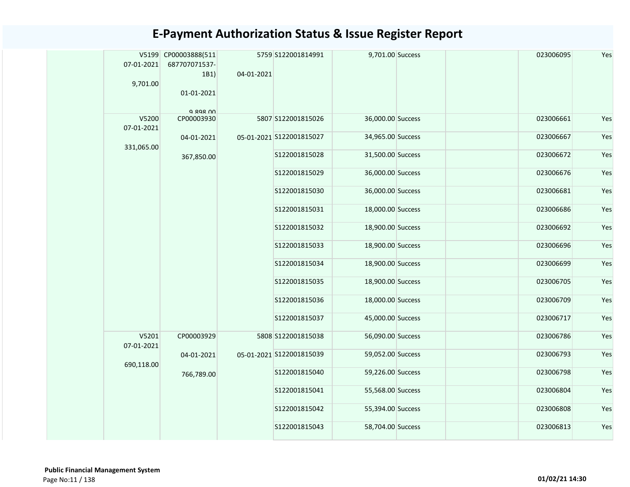| 07-01-2021<br>9,701.00 | V5199 CP00003888(511<br>687707071537-<br>1B1<br>01-01-2021<br>$Q$ $R$ $Q$ $R$ $O$ $O$ | 04-01-2021 | 5759 S122001814991       | 9,701.00 Success  | 023006095 | Yes |
|------------------------|---------------------------------------------------------------------------------------|------------|--------------------------|-------------------|-----------|-----|
| V5200<br>07-01-2021    | CP00003930                                                                            |            | 5807 S122001815026       | 36,000.00 Success | 023006661 | Yes |
| 331,065.00             | 04-01-2021                                                                            |            | 05-01-2021 S122001815027 | 34,965.00 Success | 023006667 | Yes |
|                        | 367,850.00                                                                            |            | \$122001815028           | 31,500.00 Success | 023006672 | Yes |
|                        |                                                                                       |            | S122001815029            | 36,000.00 Success | 023006676 | Yes |
|                        |                                                                                       |            | S122001815030            | 36,000.00 Success | 023006681 | Yes |
|                        |                                                                                       |            | S122001815031            | 18,000.00 Success | 023006686 | Yes |
|                        |                                                                                       |            | S122001815032            | 18,900.00 Success | 023006692 | Yes |
|                        |                                                                                       |            | S122001815033            | 18,900.00 Success | 023006696 | Yes |
|                        |                                                                                       |            | S122001815034            | 18,900.00 Success | 023006699 | Yes |
|                        |                                                                                       |            | S122001815035            | 18,900.00 Success | 023006705 | Yes |
|                        |                                                                                       |            | S122001815036            | 18,000.00 Success | 023006709 | Yes |
|                        |                                                                                       |            | S122001815037            | 45,000.00 Success | 023006717 | Yes |
| V5201<br>07-01-2021    | CP00003929                                                                            |            | 5808 S122001815038       | 56,090.00 Success | 023006786 | Yes |
| 690,118.00             | 04-01-2021                                                                            |            | 05-01-2021 S122001815039 | 59,052.00 Success | 023006793 | Yes |
|                        | 766,789.00                                                                            |            | S122001815040            | 59,226.00 Success | 023006798 | Yes |
|                        |                                                                                       |            | S122001815041            | 55,568.00 Success | 023006804 | Yes |
|                        |                                                                                       |            | S122001815042            | 55,394.00 Success | 023006808 | Yes |
|                        |                                                                                       |            | S122001815043            | 58,704.00 Success | 023006813 | Yes |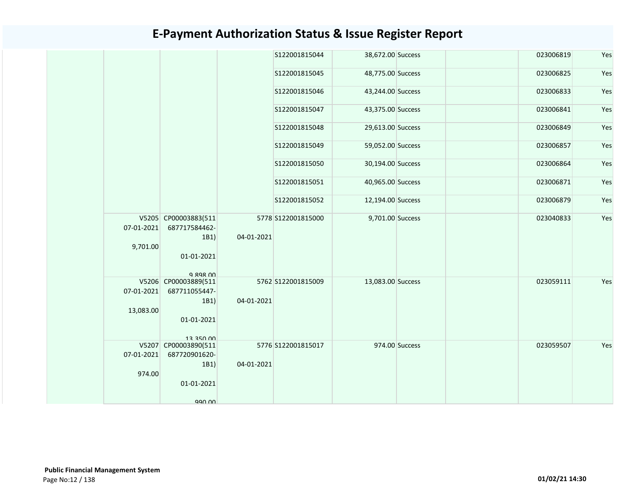|            |                                               |            | S122001815044      | 38,672.00 Success |                | 023006819 | Yes |
|------------|-----------------------------------------------|------------|--------------------|-------------------|----------------|-----------|-----|
|            |                                               |            | S122001815045      | 48,775.00 Success |                | 023006825 | Yes |
|            |                                               |            | S122001815046      | 43,244.00 Success |                | 023006833 | Yes |
|            |                                               |            | S122001815047      | 43,375.00 Success |                | 023006841 | Yes |
|            |                                               |            | S122001815048      | 29,613.00 Success |                | 023006849 | Yes |
|            |                                               |            | S122001815049      | 59,052.00 Success |                | 023006857 | Yes |
|            |                                               |            | S122001815050      | 30,194.00 Success |                | 023006864 | Yes |
|            |                                               |            | S122001815051      | 40,965.00 Success |                | 023006871 | Yes |
|            |                                               |            | S122001815052      | 12,194.00 Success |                | 023006879 | Yes |
| 07-01-2021 | V5205 CP00003883(511<br>687717584462-<br>1B1) | 04-01-2021 | 5778 S122001815000 | 9,701.00 Success  |                | 023040833 | Yes |
| 9,701.00   | 01-01-2021                                    |            |                    |                   |                |           |     |
|            | $Q$ $Q$ $Q$ $Q$ $Q$ $Q$ $Q$                   |            |                    |                   |                |           |     |
| 07-01-2021 | V5206 CP00003889(511<br>687711055447-         |            | 5762 S122001815009 | 13,083.00 Success |                | 023059111 | Yes |
|            | 1B1)                                          | 04-01-2021 |                    |                   |                |           |     |
| 13,083.00  |                                               |            |                    |                   |                |           |     |
|            | 01-01-2021                                    |            |                    |                   |                |           |     |
|            | 12 250 00                                     |            |                    |                   |                |           |     |
|            | V5207 CP00003890(511                          |            | 5776 S122001815017 |                   | 974.00 Success | 023059507 | Yes |
| 07-01-2021 | 687720901620-                                 |            |                    |                   |                |           |     |
| 974.00     | 1B1)                                          | 04-01-2021 |                    |                   |                |           |     |
|            | 01-01-2021                                    |            |                    |                   |                |           |     |
|            | 990.00                                        |            |                    |                   |                |           |     |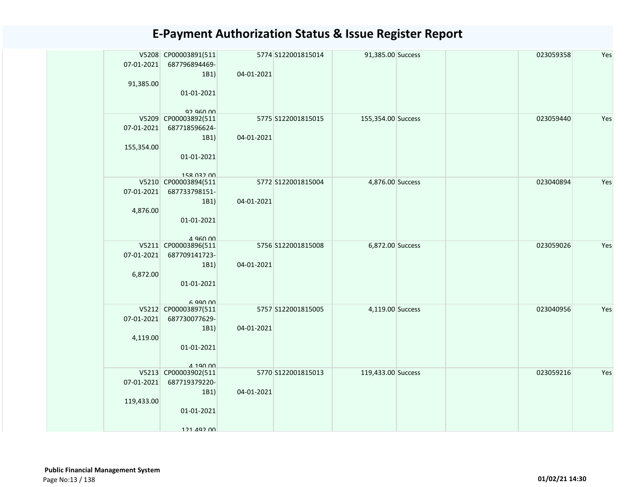| 07-01-2021<br>91,385.00  | V5208 CP00003891(511<br>687796894469-<br>1B1)<br>01-01-2021                | 04-01-2021 | 5774 S122001815014 | 91,385.00 Success  |  | 023059358 | Yes |
|--------------------------|----------------------------------------------------------------------------|------------|--------------------|--------------------|--|-----------|-----|
| 07-01-2021<br>155,354.00 | 92.960.00<br>V5209 CP00003892(511<br>687718596624-<br>1B1)                 | 04-01-2021 | 5775 S122001815015 | 155,354.00 Success |  | 023059440 | Yes |
|                          | 01-01-2021<br>158 032 00                                                   |            |                    |                    |  |           |     |
| 07-01-2021<br>4,876.00   | V5210 CP00003894(511<br>687733798151-<br>1B1)<br>01-01-2021<br>$A$ QAN $M$ | 04-01-2021 | 5772 S122001815004 | 4,876.00 Success   |  | 023040894 | Yes |
| 07-01-2021<br>6,872.00   | V5211 CP00003896(511<br>687709141723-<br>1B1)<br>01-01-2021<br>6.990.00    | 04-01-2021 | 5756 S122001815008 | 6,872.00 Success   |  | 023059026 | Yes |
| 07-01-2021<br>4,119.00   | V5212 CP00003897(511<br>687730077629-<br>1B1)<br>01-01-2021<br>4 190 00    | 04-01-2021 | 5757 S122001815005 | 4,119.00 Success   |  | 023040956 | Yes |
| 07-01-2021<br>119,433.00 | V5213 CP00003902(511<br>687719379220-<br>1B1)<br>01-01-2021<br>121 492 00  | 04-01-2021 | 5770 S122001815013 | 119,433.00 Success |  | 023059216 | Yes |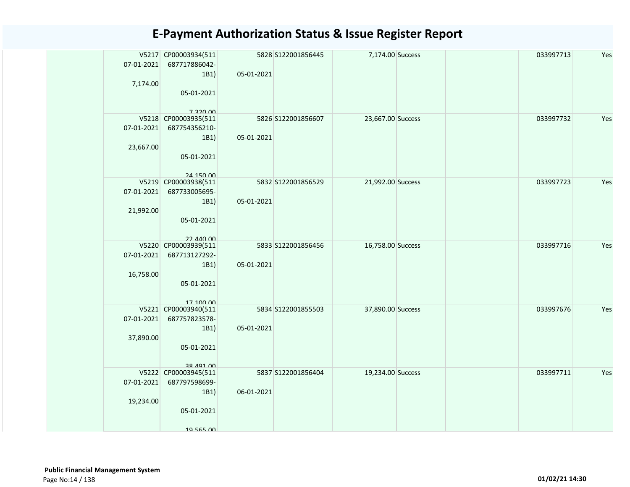| 07-01-2021<br>7,174.00  | V5217 CP00003934(511<br>687717886042-<br>1B1)<br>05-01-2021<br>7 320 DD  | 05-01-2021 | 5828 S122001856445 | 7,174.00 Success  |  | 033997713 | Yes |
|-------------------------|--------------------------------------------------------------------------|------------|--------------------|-------------------|--|-----------|-----|
| 07-01-2021<br>23,667.00 | V5218 CP00003935(511<br>687754356210-<br>1B1)<br>05-01-2021<br>24 150 00 | 05-01-2021 | 5826 S122001856607 | 23,667.00 Success |  | 033997732 | Yes |
| 07-01-2021<br>21,992.00 | V5219 CP00003938(511<br>687733005695-<br>1B1)<br>05-01-2021<br>22 AAN ON | 05-01-2021 | 5832 S122001856529 | 21,992.00 Success |  | 033997723 | Yes |
| 07-01-2021<br>16,758.00 | V5220 CP00003939(511<br>687713127292-<br>1B1)<br>05-01-2021<br>17 100 00 | 05-01-2021 | 5833 S122001856456 | 16,758.00 Success |  | 033997716 | Yes |
| 07-01-2021<br>37,890.00 | V5221 CP00003940(511<br>687757823578-<br>1B1)<br>05-01-2021<br>38 491 00 | 05-01-2021 | 5834 S122001855503 | 37,890.00 Success |  | 033997676 | Yes |
| 07-01-2021<br>19,234.00 | V5222 CP00003945(511<br>687797598699-<br>1B1)<br>05-01-2021<br>19 565 00 | 06-01-2021 | 5837 S122001856404 | 19,234.00 Success |  | 033997711 | Yes |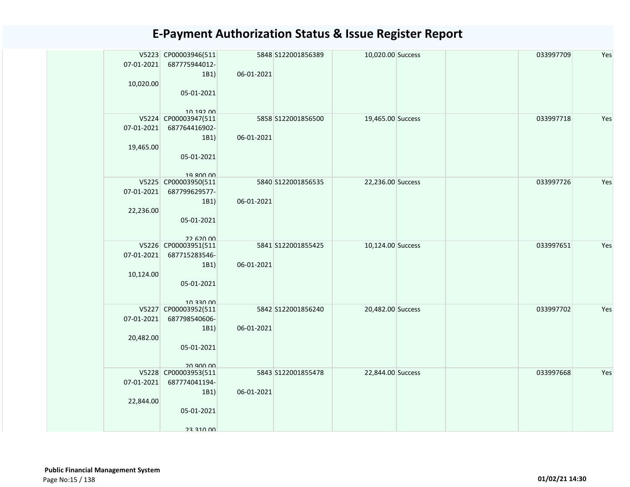| 07-01-2021<br>10,020.00 | V5223 CP00003946(511<br>687775944012-<br>1B1)<br>05-01-2021<br>10 192 00 | 06-01-2021 | 5848 S122001856389 | 10,020.00 Success |  | 033997709 | Yes |
|-------------------------|--------------------------------------------------------------------------|------------|--------------------|-------------------|--|-----------|-----|
| 07-01-2021<br>19,465.00 | V5224 CP00003947(511<br>687764416902-<br>1B1)<br>05-01-2021<br>19 800 00 | 06-01-2021 | 5858 S122001856500 | 19,465.00 Success |  | 033997718 | Yes |
| 07-01-2021<br>22,236.00 | V5225 CP00003950(511<br>687799629577-<br>1B1)<br>05-01-2021<br>22.620.00 | 06-01-2021 | 5840 S122001856535 | 22,236.00 Success |  | 033997726 | Yes |
| 07-01-2021<br>10,124.00 | V5226 CP00003951(511<br>687715283546-<br>1B1)<br>05-01-2021<br>10 330 00 | 06-01-2021 | 5841 S122001855425 | 10,124.00 Success |  | 033997651 | Yes |
| 07-01-2021<br>20,482.00 | V5227 CP00003952(511<br>687798540606-<br>1B1)<br>05-01-2021<br>20 900 00 | 06-01-2021 | 5842 S122001856240 | 20,482.00 Success |  | 033997702 | Yes |
| 07-01-2021<br>22,844.00 | V5228 CP00003953(511<br>687774041194-<br>1B1)<br>05-01-2021<br>23 310 00 | 06-01-2021 | 5843 S122001855478 | 22,844.00 Success |  | 033997668 | Yes |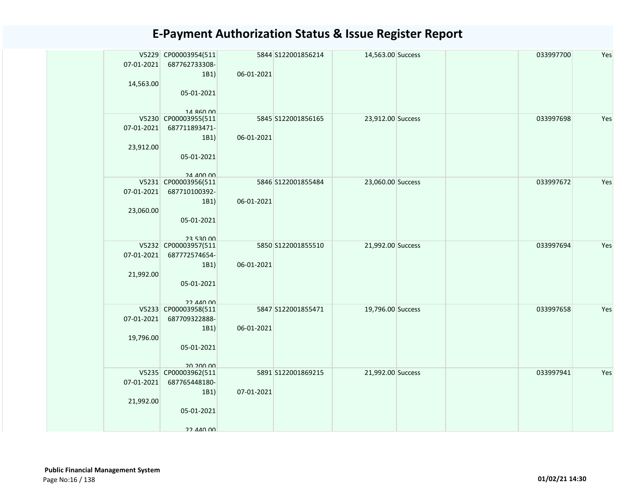| 07-01-2021<br>14,563.00 | V5229 CP00003954(511<br>687762733308-<br>1B1)<br>05-01-2021                           | 06-01-2021 | 5844 S122001856214 | 14,563.00 Success |  | 033997700 | Yes |
|-------------------------|---------------------------------------------------------------------------------------|------------|--------------------|-------------------|--|-----------|-----|
| 07-01-2021<br>23,912.00 | 14 860 00<br>V5230 CP00003955(511<br>687711893471-<br>1B1)<br>05-01-2021<br>24 400 00 | 06-01-2021 | 5845 S122001856165 | 23,912.00 Success |  | 033997698 | Yes |
| 07-01-2021<br>23,060.00 | V5231 CP00003956(511<br>687710100392-<br>1B1)<br>05-01-2021<br><b>23 530 UU</b>       | 06-01-2021 | 5846 S122001855484 | 23,060.00 Success |  | 033997672 | Yes |
| 07-01-2021<br>21,992.00 | V5232 CP00003957(511<br>687772574654-<br>1B1)<br>05-01-2021<br>22 AAN ON              | 06-01-2021 | 5850 S122001855510 | 21,992.00 Success |  | 033997694 | Yes |
| 07-01-2021<br>19,796.00 | V5233 CP00003958(511<br>687709322888-<br>1B1)<br>05-01-2021<br>20.200.00              | 06-01-2021 | 5847 S122001855471 | 19,796.00 Success |  | 033997658 | Yes |
| 07-01-2021<br>21,992.00 | V5235 CP00003962(511<br>687765448180-<br>1B1)<br>05-01-2021<br>22 440 00              | 07-01-2021 | 5891 S122001869215 | 21,992.00 Success |  | 033997941 | Yes |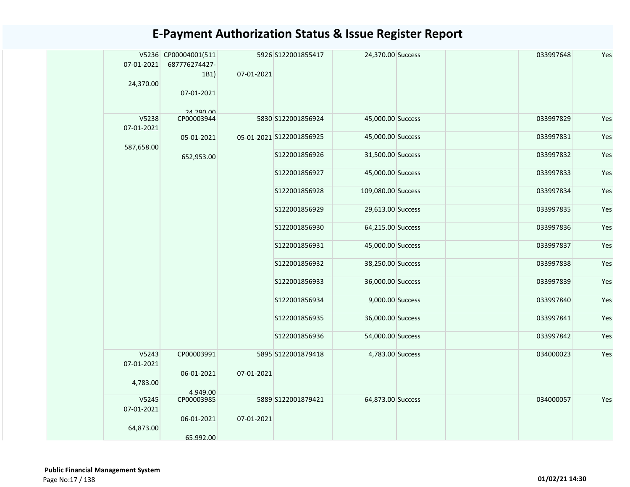| 07-01-2021<br>24,370.00 | V5236 CP00004001(511<br>687776274427-<br>1B1)<br>07-01-2021<br>24 790 00 | 07-01-2021 | 5926 S122001855417       | 24,370.00 Success  | 033997648 | Yes |
|-------------------------|--------------------------------------------------------------------------|------------|--------------------------|--------------------|-----------|-----|
| V5238<br>07-01-2021     | CP00003944                                                               |            | 5830 S122001856924       | 45,000.00 Success  | 033997829 | Yes |
| 587,658.00              | 05-01-2021                                                               |            | 05-01-2021 S122001856925 | 45,000.00 Success  | 033997831 | Yes |
|                         | 652,953.00                                                               |            | S122001856926            | 31,500.00 Success  | 033997832 | Yes |
|                         |                                                                          |            | S122001856927            | 45,000.00 Success  | 033997833 | Yes |
|                         |                                                                          |            | S122001856928            | 109,080.00 Success | 033997834 | Yes |
|                         |                                                                          |            | S122001856929            | 29,613.00 Success  | 033997835 | Yes |
|                         |                                                                          |            | S122001856930            | 64,215.00 Success  | 033997836 | Yes |
|                         |                                                                          |            | S122001856931            | 45,000.00 Success  | 033997837 | Yes |
|                         |                                                                          |            | S122001856932            | 38,250.00 Success  | 033997838 | Yes |
|                         |                                                                          |            | S122001856933            | 36,000.00 Success  | 033997839 | Yes |
|                         |                                                                          |            | S122001856934            | 9,000.00 Success   | 033997840 | Yes |
|                         |                                                                          |            | S122001856935            | 36,000.00 Success  | 033997841 | Yes |
|                         |                                                                          |            | S122001856936            | 54,000.00 Success  | 033997842 | Yes |
| V5243<br>07-01-2021     | CP00003991                                                               |            | 5895 S122001879418       | 4,783.00 Success   | 034000023 | Yes |
| 4,783.00                | 06-01-2021<br>4.949.00                                                   | 07-01-2021 |                          |                    |           |     |
| V5245<br>07-01-2021     | CP00003985<br>06-01-2021                                                 | 07-01-2021 | 5889 S122001879421       | 64,873.00 Success  | 034000057 | Yes |
| 64,873.00               | 65.992.00                                                                |            |                          |                    |           |     |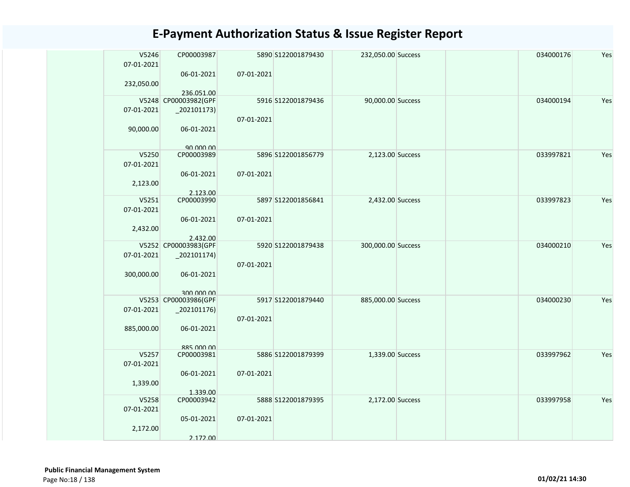| V5246<br>07-01-2021 | CP00003987               |            | 5890 S122001879430 | 232,050.00 Success |  | 034000176 | Yes |
|---------------------|--------------------------|------------|--------------------|--------------------|--|-----------|-----|
|                     | 06-01-2021               | 07-01-2021 |                    |                    |  |           |     |
| 232,050.00          | 236.051.00               |            |                    |                    |  |           |     |
|                     | V5248 CP00003982(GPF     |            | 5916 S122001879436 | 90,000.00 Success  |  | 034000194 | Yes |
| 07-01-2021          | $\left[202101173\right)$ |            |                    |                    |  |           |     |
|                     |                          | 07-01-2021 |                    |                    |  |           |     |
| 90,000.00           | 06-01-2021               |            |                    |                    |  |           |     |
|                     |                          |            |                    |                    |  |           |     |
| V5250               | 90,000,00<br>CP00003989  |            | 5896 S122001856779 | 2,123.00 Success   |  | 033997821 | Yes |
| 07-01-2021          |                          |            |                    |                    |  |           |     |
|                     | 06-01-2021               | 07-01-2021 |                    |                    |  |           |     |
| 2,123.00            |                          |            |                    |                    |  |           |     |
|                     | 2.123.00                 |            |                    |                    |  |           |     |
| V5251<br>07-01-2021 | CP00003990               |            | 5897 S122001856841 | 2,432.00 Success   |  | 033997823 | Yes |
|                     | 06-01-2021               | 07-01-2021 |                    |                    |  |           |     |
| 2,432.00            |                          |            |                    |                    |  |           |     |
|                     | 2.432.00                 |            |                    |                    |  |           |     |
|                     | V5252 CP00003983(GPF     |            | 5920 S122001879438 | 300,000.00 Success |  | 034000210 | Yes |
| 07-01-2021          | $_2$ 02101174)           |            |                    |                    |  |           |     |
|                     |                          | 07-01-2021 |                    |                    |  |           |     |
| 300,000.00          | 06-01-2021               |            |                    |                    |  |           |     |
|                     | 300,000,00               |            |                    |                    |  |           |     |
|                     | V5253 CP00003986(GPF     |            | 5917 S122001879440 | 885,000.00 Success |  | 034000230 | Yes |
| 07-01-2021          | $_2$ 02101176)           |            |                    |                    |  |           |     |
|                     |                          | 07-01-2021 |                    |                    |  |           |     |
| 885,000.00          | 06-01-2021               |            |                    |                    |  |           |     |
|                     | 885 000 00               |            |                    |                    |  |           |     |
| V5257               | CP00003981               |            | 5886 S122001879399 | 1,339.00 Success   |  | 033997962 | Yes |
| 07-01-2021          |                          |            |                    |                    |  |           |     |
|                     | 06-01-2021               | 07-01-2021 |                    |                    |  |           |     |
| 1,339.00            |                          |            |                    |                    |  |           |     |
| V5258               | 1.339.00<br>CP00003942   |            | 5888 S122001879395 | 2,172.00 Success   |  | 033997958 | Yes |
| 07-01-2021          |                          |            |                    |                    |  |           |     |
|                     | 05-01-2021               | 07-01-2021 |                    |                    |  |           |     |
| 2,172.00            |                          |            |                    |                    |  |           |     |
|                     | 2.172.00                 |            |                    |                    |  |           |     |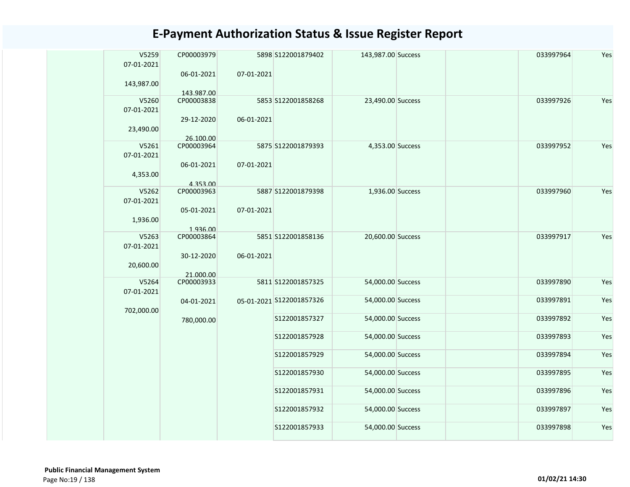| V5259      | CP00003979 |            | 5898 S122001879402       | 143,987.00 Success | 033997964 | Yes |
|------------|------------|------------|--------------------------|--------------------|-----------|-----|
| 07-01-2021 |            |            |                          |                    |           |     |
|            | 06-01-2021 | 07-01-2021 |                          |                    |           |     |
|            |            |            |                          |                    |           |     |
| 143,987.00 |            |            |                          |                    |           |     |
|            | 143.987.00 |            |                          |                    |           |     |
| V5260      | CP00003838 |            | 5853 S122001858268       | 23,490.00 Success  | 033997926 | Yes |
| 07-01-2021 |            |            |                          |                    |           |     |
|            |            |            |                          |                    |           |     |
|            | 29-12-2020 | 06-01-2021 |                          |                    |           |     |
| 23,490.00  |            |            |                          |                    |           |     |
|            | 26.100.00  |            |                          |                    |           |     |
| V5261      | CP00003964 |            | 5875 S122001879393       | 4,353.00 Success   | 033997952 | Yes |
| 07-01-2021 |            |            |                          |                    |           |     |
|            |            |            |                          |                    |           |     |
|            | 06-01-2021 | 07-01-2021 |                          |                    |           |     |
| 4,353.00   |            |            |                          |                    |           |     |
|            | 4.353.00   |            |                          |                    |           |     |
| V5262      | CP00003963 |            | 5887 S122001879398       | 1,936.00 Success   | 033997960 | Yes |
|            |            |            |                          |                    |           |     |
| 07-01-2021 |            |            |                          |                    |           |     |
|            | 05-01-2021 | 07-01-2021 |                          |                    |           |     |
| 1,936.00   |            |            |                          |                    |           |     |
|            | 1.936.00   |            |                          |                    |           |     |
|            |            |            |                          |                    |           |     |
| V5263      | CP00003864 |            | 5851 S122001858136       | 20,600.00 Success  | 033997917 | Yes |
| 07-01-2021 |            |            |                          |                    |           |     |
|            | 30-12-2020 | 06-01-2021 |                          |                    |           |     |
| 20,600.00  |            |            |                          |                    |           |     |
|            |            |            |                          |                    |           |     |
|            | 21.000.00  |            |                          |                    |           |     |
| V5264      | CP00003933 |            | 5811 S122001857325       | 54,000.00 Success  | 033997890 | Yes |
| 07-01-2021 |            |            |                          |                    |           |     |
|            | 04-01-2021 |            | 05-01-2021 S122001857326 | 54,000.00 Success  | 033997891 | Yes |
|            |            |            |                          |                    |           |     |
| 702,000.00 |            |            |                          |                    |           |     |
|            | 780,000.00 |            | S122001857327            | 54,000.00 Success  | 033997892 | Yes |
|            |            |            |                          |                    |           |     |
|            |            |            | S122001857928            | 54,000.00 Success  | 033997893 | Yes |
|            |            |            |                          |                    |           |     |
|            |            |            | S122001857929            | 54,000.00 Success  | 033997894 | Yes |
|            |            |            |                          |                    |           |     |
|            |            |            |                          |                    |           |     |
|            |            |            | S122001857930            | 54,000.00 Success  | 033997895 | Yes |
|            |            |            |                          |                    |           |     |
|            |            |            | S122001857931            | 54,000.00 Success  | 033997896 | Yes |
|            |            |            |                          |                    |           |     |
|            |            |            |                          |                    |           |     |
|            |            |            | S122001857932            | 54,000.00 Success  | 033997897 | Yes |
|            |            |            |                          |                    |           |     |
|            |            |            | S122001857933            | 54,000.00 Success  | 033997898 | Yes |
|            |            |            |                          |                    |           |     |
|            |            |            |                          |                    |           |     |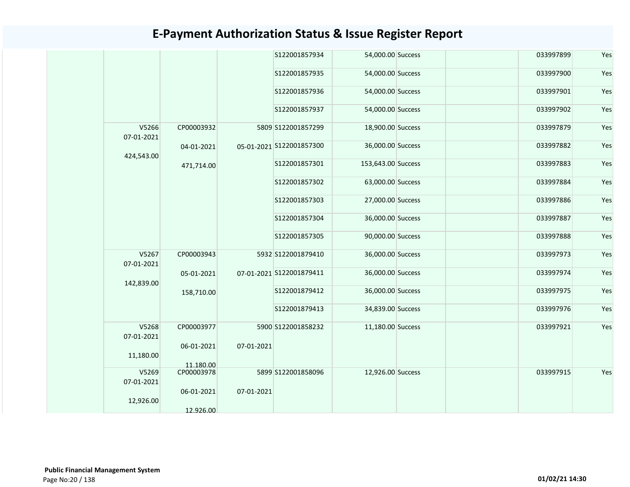|                     |            |            | S122001857934            | 54,000.00 Success  |  | 033997899 | Yes |
|---------------------|------------|------------|--------------------------|--------------------|--|-----------|-----|
|                     |            |            | S122001857935            | 54,000.00 Success  |  | 033997900 | Yes |
|                     |            |            | S122001857936            | 54,000.00 Success  |  | 033997901 | Yes |
|                     |            |            | S122001857937            | 54,000.00 Success  |  | 033997902 | Yes |
| V5266<br>07-01-2021 | CP00003932 |            | 5809 S122001857299       | 18,900.00 Success  |  | 033997879 | Yes |
| 424,543.00          | 04-01-2021 |            | 05-01-2021 S122001857300 | 36,000.00 Success  |  | 033997882 | Yes |
|                     | 471,714.00 |            | S122001857301            | 153,643.00 Success |  | 033997883 | Yes |
|                     |            |            | S122001857302            | 63,000.00 Success  |  | 033997884 | Yes |
|                     |            |            | S122001857303            | 27,000.00 Success  |  | 033997886 | Yes |
|                     |            |            | S122001857304            | 36,000.00 Success  |  | 033997887 | Yes |
|                     |            |            | S122001857305            | 90,000.00 Success  |  | 033997888 | Yes |
| V5267<br>07-01-2021 | CP00003943 |            | 5932 S122001879410       | 36,000.00 Success  |  | 033997973 | Yes |
| 142,839.00          | 05-01-2021 |            | 07-01-2021 S122001879411 | 36,000.00 Success  |  | 033997974 | Yes |
|                     | 158,710.00 |            | S122001879412            | 36,000.00 Success  |  | 033997975 | Yes |
|                     |            |            | S122001879413            | 34,839.00 Success  |  | 033997976 | Yes |
| V5268<br>07-01-2021 | CP00003977 |            | 5900 S122001858232       | 11,180.00 Success  |  | 033997921 | Yes |
| 11,180.00           | 06-01-2021 | 07-01-2021 |                          |                    |  |           |     |
| V5269<br>07-01-2021 | CP00003978 | 11.180.00  | 5899 S122001858096       | 12,926.00 Success  |  | 033997915 | Yes |
| 12,926.00           | 06-01-2021 | 07-01-2021 |                          |                    |  |           |     |
|                     | 12.926.00  |            |                          |                    |  |           |     |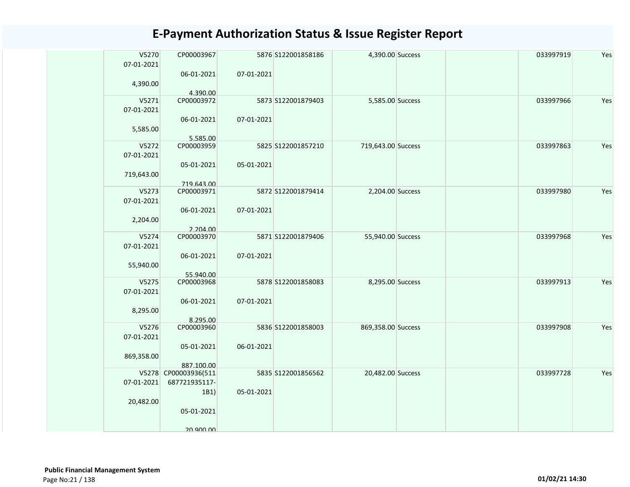| V5270<br>07-01-2021 | CP00003967             |            | 5876 S122001858186  | 4,390.00 Success   | 033997919 | Yes |
|---------------------|------------------------|------------|---------------------|--------------------|-----------|-----|
|                     | 06-01-2021             | 07-01-2021 |                     |                    |           |     |
| 4,390.00            |                        |            |                     |                    |           |     |
|                     | 4.390.00               |            |                     |                    |           |     |
| V5271               | CP00003972             |            | 5873 S122001879403  | 5,585.00 Success   | 033997966 | Yes |
| 07-01-2021          |                        |            |                     |                    |           |     |
| 5,585.00            | 06-01-2021             | 07-01-2021 |                     |                    |           |     |
| V5272               | 5.585.00<br>CP00003959 |            | 5825 \$122001857210 | 719,643.00 Success | 033997863 | Yes |
| 07-01-2021          |                        |            |                     |                    |           |     |
|                     | 05-01-2021             | 05-01-2021 |                     |                    |           |     |
| 719,643.00          |                        |            |                     |                    |           |     |
|                     | 719.643.00             |            |                     |                    |           |     |
| V5273               | CP00003971             |            | 5872 S122001879414  | 2,204.00 Success   | 033997980 | Yes |
| 07-01-2021          |                        |            |                     |                    |           |     |
|                     | 06-01-2021             | 07-01-2021 |                     |                    |           |     |
| 2,204.00            |                        |            |                     |                    |           |     |
|                     | 2.204.00               |            |                     |                    |           |     |
| V5274               | CP00003970             |            | 5871 S122001879406  | 55,940.00 Success  | 033997968 | Yes |
| 07-01-2021          |                        |            |                     |                    |           |     |
|                     | 06-01-2021             | 07-01-2021 |                     |                    |           |     |
| 55,940.00           |                        |            |                     |                    |           |     |
|                     | 55.940.00              |            |                     |                    |           |     |
| V5275               | CP00003968             |            | 5878 S122001858083  | 8,295.00 Success   | 033997913 | Yes |
| 07-01-2021          |                        |            |                     |                    |           |     |
|                     | 06-01-2021             | 07-01-2021 |                     |                    |           |     |
| 8,295.00            |                        |            |                     |                    |           |     |
|                     | 8.295.00               |            |                     |                    |           |     |
| V5276               | CP00003960             |            | 5836 S122001858003  | 869,358.00 Success | 033997908 | Yes |
| 07-01-2021          |                        |            |                     |                    |           |     |
|                     | 05-01-2021             | 06-01-2021 |                     |                    |           |     |
| 869,358.00          |                        |            |                     |                    |           |     |
|                     | 887.100.00             |            |                     |                    |           |     |
|                     | V5278 CP00003936(511   |            | 5835 \$122001856562 | 20,482.00 Success  | 033997728 | Yes |
| 07-01-2021          | 687721935117-          |            |                     |                    |           |     |
|                     | 1B1)                   | 05-01-2021 |                     |                    |           |     |
| 20,482.00           |                        |            |                     |                    |           |     |
|                     | 05-01-2021             |            |                     |                    |           |     |
|                     |                        |            |                     |                    |           |     |
|                     | 20 ann nn              |            |                     |                    |           |     |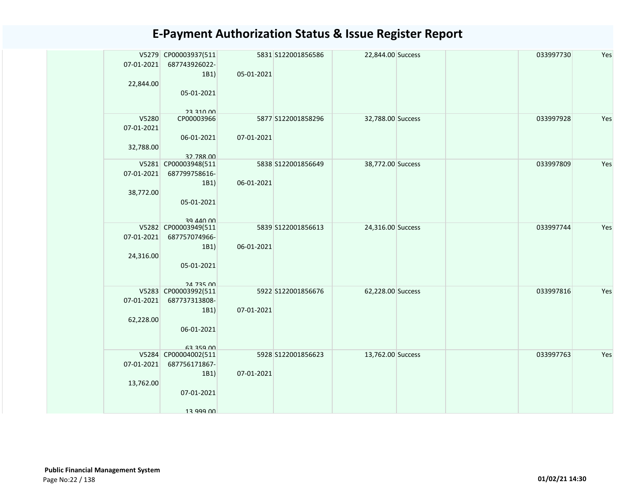| 07-01-2021<br>22,844.00          | V5279 CP00003937(511<br>687743926022-<br>1B1)<br>05-01-2021<br>23 310 00 | 05-01-2021 | 5831 S122001856586 | 22,844.00 Success |  | 033997730 | Yes |
|----------------------------------|--------------------------------------------------------------------------|------------|--------------------|-------------------|--|-----------|-----|
| V5280<br>07-01-2021<br>32,788.00 | CP00003966<br>06-01-2021<br>32.788.00                                    | 07-01-2021 | 5877 S122001858296 | 32,788.00 Success |  | 033997928 | Yes |
| 07-01-2021<br>38,772.00          | V5281 CP00003948(511<br>687799758616-<br>1B1)<br>05-01-2021<br>39 440 00 | 06-01-2021 | 5838 S122001856649 | 38,772.00 Success |  | 033997809 | Yes |
| 07-01-2021<br>24,316.00          | V5282 CP00003949(511<br>687757074966-<br>1B1)<br>05-01-2021<br>24 735 00 | 06-01-2021 | 5839 S122001856613 | 24,316.00 Success |  | 033997744 | Yes |
| 07-01-2021<br>62,228.00          | V5283 CP00003992(511<br>687737313808-<br>1B1)<br>06-01-2021<br>63 359 00 | 07-01-2021 | 5922 S122001856676 | 62,228.00 Success |  | 033997816 | Yes |
| 07-01-2021<br>13,762.00          | V5284 CP00004002(511<br>687756171867-<br>1B1)<br>07-01-2021<br>13 999 NO | 07-01-2021 | 5928 S122001856623 | 13,762.00 Success |  | 033997763 | Yes |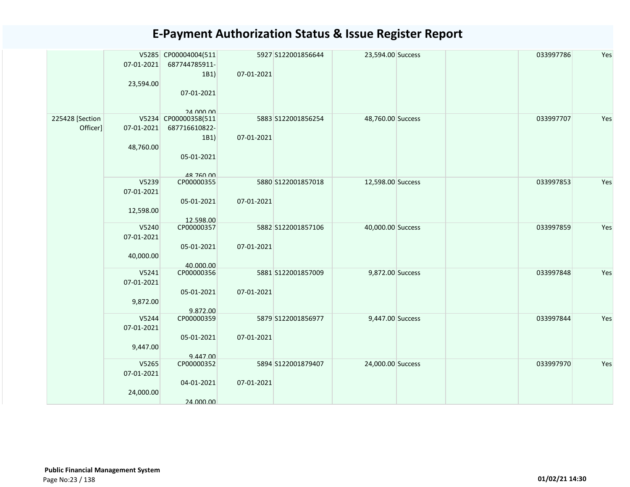|                             | 07-01-2021<br>23,594.00          | V5285 CP00004004(511<br>687744785911-<br>1B1)<br>07-01-2021<br>24 000 00 | 07-01-2021 | 5927 S122001856644 | 23,594.00 Success | 033997786 | Yes |
|-----------------------------|----------------------------------|--------------------------------------------------------------------------|------------|--------------------|-------------------|-----------|-----|
| 225428 [Section<br>Officer] | 07-01-2021<br>48,760.00          | V5234 CP00000358(511<br>687716610822-<br>1B1)<br>05-01-2021<br>48 760 00 | 07-01-2021 | 5883 S122001856254 | 48,760.00 Success | 033997707 | Yes |
|                             | V5239<br>07-01-2021<br>12,598.00 | CP00000355<br>05-01-2021<br>12.598.00                                    | 07-01-2021 | 5880 S122001857018 | 12,598.00 Success | 033997853 | Yes |
|                             | V5240<br>07-01-2021<br>40,000.00 | CP00000357<br>05-01-2021<br>40.000.00                                    | 07-01-2021 | 5882 S122001857106 | 40,000.00 Success | 033997859 | Yes |
|                             | V5241<br>07-01-2021<br>9,872.00  | CP00000356<br>05-01-2021<br>9.872.00                                     | 07-01-2021 | 5881 S122001857009 | 9,872.00 Success  | 033997848 | Yes |
|                             | V5244<br>07-01-2021<br>9,447.00  | CP00000359<br>05-01-2021<br>9.447.00                                     | 07-01-2021 | 5879 S122001856977 | 9,447.00 Success  | 033997844 | Yes |
|                             | V5265<br>07-01-2021<br>24,000.00 | CP00000352<br>04-01-2021<br>24.000.00                                    | 07-01-2021 | 5894 S122001879407 | 24,000.00 Success | 033997970 | Yes |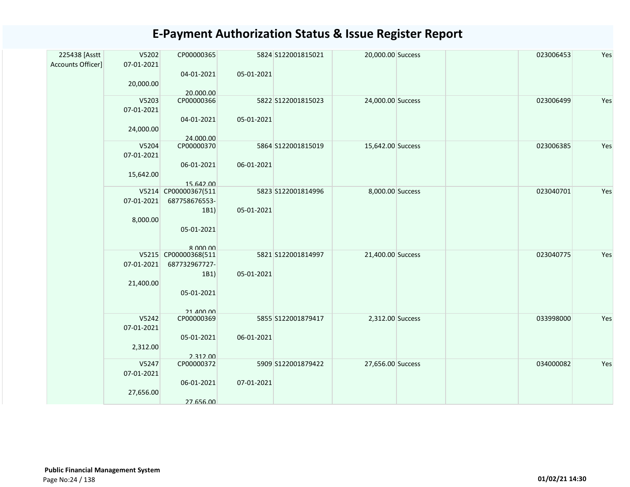| 225438 [Asstt     | V5202      | CP00000365           |            | 5824 S122001815021 | 20,000.00 Success | 023006453 | Yes |
|-------------------|------------|----------------------|------------|--------------------|-------------------|-----------|-----|
| Accounts Officer] | 07-01-2021 |                      |            |                    |                   |           |     |
|                   |            | 04-01-2021           | 05-01-2021 |                    |                   |           |     |
|                   | 20,000.00  |                      |            |                    |                   |           |     |
|                   |            | 20.000.00            |            |                    |                   |           |     |
|                   | V5203      | CP00000366           |            | 5822 S122001815023 | 24,000.00 Success | 023006499 | Yes |
|                   | 07-01-2021 |                      |            |                    |                   |           |     |
|                   |            | 04-01-2021           | 05-01-2021 |                    |                   |           |     |
|                   | 24,000.00  |                      |            |                    |                   |           |     |
|                   |            | 24.000.00            |            |                    |                   |           |     |
|                   | V5204      | CP00000370           |            | 5864 S122001815019 | 15,642.00 Success | 023006385 | Yes |
|                   | 07-01-2021 |                      |            |                    |                   |           |     |
|                   |            | 06-01-2021           | 06-01-2021 |                    |                   |           |     |
|                   | 15,642.00  |                      |            |                    |                   |           |     |
|                   |            | 15.642.00            |            |                    |                   |           |     |
|                   |            | V5214 CP00000367(511 |            | 5823 S122001814996 | 8,000.00 Success  | 023040701 | Yes |
|                   | 07-01-2021 | 687758676553-        |            |                    |                   |           |     |
|                   |            | 1B1)                 | 05-01-2021 |                    |                   |           |     |
|                   | 8,000.00   |                      |            |                    |                   |           |     |
|                   |            | 05-01-2021           |            |                    |                   |           |     |
|                   |            |                      |            |                    |                   |           |     |
|                   |            | $R$ $000$ $00$       |            |                    |                   |           |     |
|                   |            | V5215 CP00000368(511 |            | 5821 S122001814997 | 21,400.00 Success | 023040775 | Yes |
|                   | 07-01-2021 | 687732967727-        |            |                    |                   |           |     |
|                   |            | 1B1)                 | 05-01-2021 |                    |                   |           |     |
|                   | 21,400.00  |                      |            |                    |                   |           |     |
|                   |            | 05-01-2021           |            |                    |                   |           |     |
|                   |            |                      |            |                    |                   |           |     |
|                   |            | 21 400 00            |            |                    |                   |           |     |
|                   | V5242      | CP00000369           |            | 5855 S122001879417 | 2,312.00 Success  | 033998000 | Yes |
|                   | 07-01-2021 |                      |            |                    |                   |           |     |
|                   |            | 05-01-2021           | 06-01-2021 |                    |                   |           |     |
|                   | 2,312.00   |                      |            |                    |                   |           |     |
|                   |            | 2.312.00             |            |                    |                   |           |     |
|                   | V5247      | CP00000372           |            | 5909 S122001879422 | 27,656.00 Success | 034000082 | Yes |
|                   | 07-01-2021 |                      |            |                    |                   |           |     |
|                   |            | 06-01-2021           | 07-01-2021 |                    |                   |           |     |
|                   | 27,656.00  |                      |            |                    |                   |           |     |
|                   |            | 27.656.00            |            |                    |                   |           |     |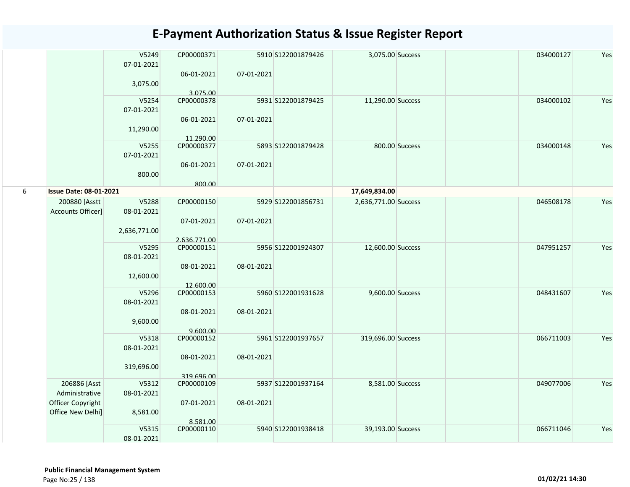|   |                                    | V5249<br>07-01-2021 | CP00000371              |            | 5910 S122001879426 | 3,075.00 Success     |                | 034000127 | Yes |
|---|------------------------------------|---------------------|-------------------------|------------|--------------------|----------------------|----------------|-----------|-----|
|   |                                    |                     | 06-01-2021              | 07-01-2021 |                    |                      |                |           |     |
|   |                                    | 3,075.00            |                         |            |                    |                      |                |           |     |
|   |                                    | V5254               | 3.075.00<br>CP00000378  |            | 5931 S122001879425 | 11,290.00 Success    |                | 034000102 | Yes |
|   |                                    | 07-01-2021          |                         |            |                    |                      |                |           |     |
|   |                                    |                     | 06-01-2021              | 07-01-2021 |                    |                      |                |           |     |
|   |                                    | 11,290.00           |                         |            |                    |                      |                |           |     |
|   |                                    | V5255               | 11.290.00<br>CP00000377 |            | 5893 S122001879428 |                      | 800.00 Success | 034000148 | Yes |
|   |                                    | 07-01-2021          |                         |            |                    |                      |                |           |     |
|   |                                    |                     | 06-01-2021              | 07-01-2021 |                    |                      |                |           |     |
|   |                                    | 800.00              |                         |            |                    |                      |                |           |     |
|   |                                    |                     | 800.00                  |            |                    |                      |                |           |     |
| 6 | <b>Issue Date: 08-01-2021</b>      |                     |                         |            |                    | 17,649,834.00        |                |           |     |
|   | 200880 [Asstt<br>Accounts Officer] | V5288<br>08-01-2021 | CP00000150              |            | 5929 S122001856731 | 2,636,771.00 Success |                | 046508178 | Yes |
|   |                                    |                     | 07-01-2021              | 07-01-2021 |                    |                      |                |           |     |
|   |                                    | 2,636,771.00        |                         |            |                    |                      |                |           |     |
|   |                                    |                     | 2.636.771.00            |            |                    |                      |                |           |     |
|   |                                    | V5295               | CP00000151              |            | 5956 S122001924307 | 12,600.00 Success    |                | 047951257 | Yes |
|   |                                    | 08-01-2021          |                         |            |                    |                      |                |           |     |
|   |                                    | 12,600.00           | 08-01-2021              | 08-01-2021 |                    |                      |                |           |     |
|   |                                    |                     | 12.600.00               |            |                    |                      |                |           |     |
|   |                                    | V5296               | CP00000153              |            | 5960 S122001931628 | 9,600.00 Success     |                | 048431607 | Yes |
|   |                                    | 08-01-2021          |                         |            |                    |                      |                |           |     |
|   |                                    |                     | 08-01-2021              | 08-01-2021 |                    |                      |                |           |     |
|   |                                    | 9,600.00            | 9.600.00                |            |                    |                      |                |           |     |
|   |                                    | V5318               | CP00000152              |            | 5961 S122001937657 | 319,696.00 Success   |                | 066711003 | Yes |
|   |                                    | 08-01-2021          |                         |            |                    |                      |                |           |     |
|   |                                    |                     | 08-01-2021              | 08-01-2021 |                    |                      |                |           |     |
|   |                                    | 319,696.00          | 319.696.00              |            |                    |                      |                |           |     |
|   | 206886 [Asst                       | V5312               | CP00000109              |            | 5937 S122001937164 | 8,581.00 Success     |                | 049077006 | Yes |
|   | Administrative                     | 08-01-2021          |                         |            |                    |                      |                |           |     |
|   | Officer Copyright                  |                     | 07-01-2021              | 08-01-2021 |                    |                      |                |           |     |
|   | Office New Delhi]                  | 8,581.00            |                         |            |                    |                      |                |           |     |
|   |                                    | V5315               | 8.581.00<br>CP00000110  |            | 5940 S122001938418 | 39,193.00 Success    |                | 066711046 | Yes |
|   |                                    | 08-01-2021          |                         |            |                    |                      |                |           |     |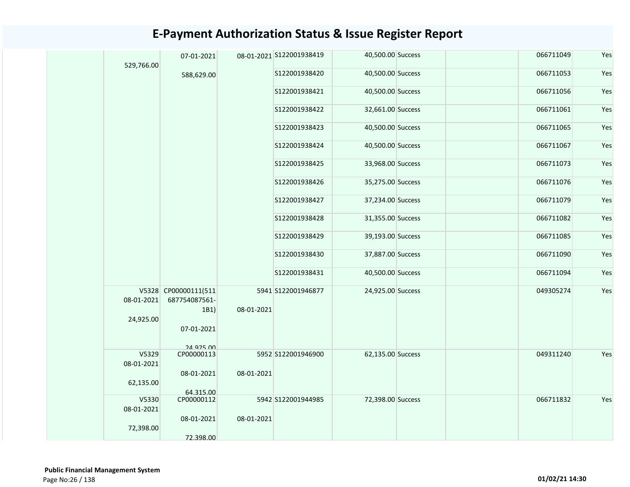| 529,766.00<br>S122001938420<br>40,500.00 Success<br>066711053<br>588,629.00<br>S122001938421<br>40,500.00 Success<br>066711056<br>S122001938422<br>32,661.00 Success<br>066711061<br>S122001938423<br>40,500.00 Success<br>066711065<br>40,500.00 Success<br>066711067<br>S122001938424<br>S122001938425<br>33,968.00 Success<br>066711073<br>S122001938426<br>35,275.00 Success<br>066711076<br>S122001938427<br>37,234.00 Success<br>066711079<br>S122001938428<br>31,355.00 Success<br>066711082<br>S122001938429<br>066711085<br>39,193.00 Success<br>37,887.00 Success<br>066711090<br>S122001938430<br>S122001938431<br>40,500.00 Success<br>066711094<br>V5328 CP00000111(511<br>5941 S122001946877<br>24,925.00 Success<br>049305274<br>08-01-2021<br>687754087561-<br>08-01-2021<br>1B1)<br>24,925.00<br>07-01-2021 | Yes |
|------------------------------------------------------------------------------------------------------------------------------------------------------------------------------------------------------------------------------------------------------------------------------------------------------------------------------------------------------------------------------------------------------------------------------------------------------------------------------------------------------------------------------------------------------------------------------------------------------------------------------------------------------------------------------------------------------------------------------------------------------------------------------------------------------------------------------|-----|
|                                                                                                                                                                                                                                                                                                                                                                                                                                                                                                                                                                                                                                                                                                                                                                                                                              | Yes |
|                                                                                                                                                                                                                                                                                                                                                                                                                                                                                                                                                                                                                                                                                                                                                                                                                              | Yes |
|                                                                                                                                                                                                                                                                                                                                                                                                                                                                                                                                                                                                                                                                                                                                                                                                                              | Yes |
|                                                                                                                                                                                                                                                                                                                                                                                                                                                                                                                                                                                                                                                                                                                                                                                                                              | Yes |
|                                                                                                                                                                                                                                                                                                                                                                                                                                                                                                                                                                                                                                                                                                                                                                                                                              | Yes |
|                                                                                                                                                                                                                                                                                                                                                                                                                                                                                                                                                                                                                                                                                                                                                                                                                              | Yes |
|                                                                                                                                                                                                                                                                                                                                                                                                                                                                                                                                                                                                                                                                                                                                                                                                                              | Yes |
|                                                                                                                                                                                                                                                                                                                                                                                                                                                                                                                                                                                                                                                                                                                                                                                                                              | Yes |
|                                                                                                                                                                                                                                                                                                                                                                                                                                                                                                                                                                                                                                                                                                                                                                                                                              | Yes |
|                                                                                                                                                                                                                                                                                                                                                                                                                                                                                                                                                                                                                                                                                                                                                                                                                              | Yes |
|                                                                                                                                                                                                                                                                                                                                                                                                                                                                                                                                                                                                                                                                                                                                                                                                                              | Yes |
|                                                                                                                                                                                                                                                                                                                                                                                                                                                                                                                                                                                                                                                                                                                                                                                                                              | Yes |
|                                                                                                                                                                                                                                                                                                                                                                                                                                                                                                                                                                                                                                                                                                                                                                                                                              | Yes |
| 24 925 00                                                                                                                                                                                                                                                                                                                                                                                                                                                                                                                                                                                                                                                                                                                                                                                                                    |     |
| V5329<br>5952 S122001946900<br>62,135.00 Success<br>049311240<br>CP00000113<br>08-01-2021                                                                                                                                                                                                                                                                                                                                                                                                                                                                                                                                                                                                                                                                                                                                    | Yes |
| 08-01-2021<br>08-01-2021<br>62,135.00<br>64.315.00                                                                                                                                                                                                                                                                                                                                                                                                                                                                                                                                                                                                                                                                                                                                                                           |     |
| V5330<br>CP00000112<br>5942 S122001944985<br>72,398.00 Success<br>066711832<br>08-01-2021                                                                                                                                                                                                                                                                                                                                                                                                                                                                                                                                                                                                                                                                                                                                    | Yes |
| 08-01-2021<br>08-01-2021<br>72,398.00<br>72.398.00                                                                                                                                                                                                                                                                                                                                                                                                                                                                                                                                                                                                                                                                                                                                                                           |     |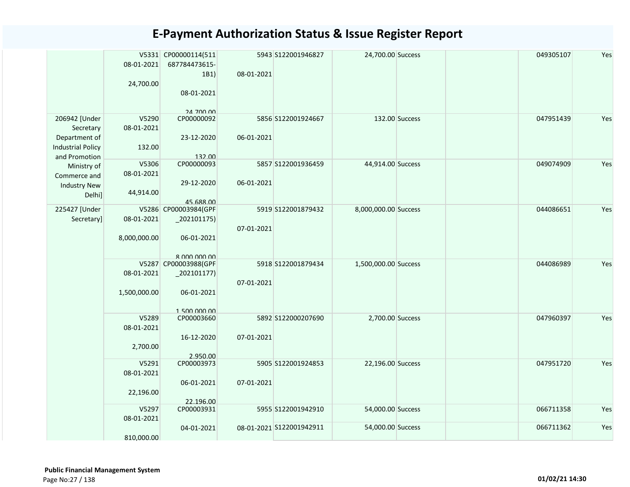|                                                                                          | 08-01-2021<br>24,700.00          | V5331 CP00000114(511<br>687784473615-<br>1B1)<br>08-01-2021<br>24 700 00 | 08-01-2021 | 5943 S122001946827                             | 24,700.00 Success                      |                | 049305107              | Yes        |
|------------------------------------------------------------------------------------------|----------------------------------|--------------------------------------------------------------------------|------------|------------------------------------------------|----------------------------------------|----------------|------------------------|------------|
| 206942 [Under<br>Secretary<br>Department of<br><b>Industrial Policy</b><br>and Promotion | V5290<br>08-01-2021<br>132.00    | CP00000092<br>23-12-2020<br>132.00                                       | 06-01-2021 | 5856 S122001924667                             |                                        | 132.00 Success | 047951439              | Yes        |
| Ministry of<br>Commerce and<br><b>Industry New</b><br>Delhi]                             | V5306<br>08-01-2021<br>44,914.00 | CP00000093<br>29-12-2020<br>45.688.00                                    | 06-01-2021 | 5857 S122001936459                             | 44,914.00 Success                      |                | 049074909              | Yes        |
| 225427 [Under<br>Secretary]                                                              | 08-01-2021<br>8,000,000.00       | V5286 CP00003984(GPF<br>$_2$ 202101175)<br>06-01-2021<br>8 000 000 00    | 07-01-2021 | 5919 S122001879432                             | 8,000,000.00 Success                   |                | 044086651              | Yes        |
|                                                                                          | 08-01-2021<br>1,500,000.00       | V5287 CP00003988(GPF<br>$_202101177)$<br>06-01-2021<br>1.500.000.00      | 07-01-2021 | 5918 S122001879434                             | 1,500,000.00 Success                   |                | 044086989              | Yes        |
|                                                                                          | V5289<br>08-01-2021<br>2,700.00  | CP00003660<br>16-12-2020<br>2.950.00                                     | 07-01-2021 | 5892 S122000207690                             | 2,700.00 Success                       |                | 047960397              | Yes        |
|                                                                                          | V5291<br>08-01-2021<br>22,196.00 | CP00003973<br>06-01-2021<br>22.196.00                                    | 07-01-2021 | 5905 S122001924853                             | 22,196.00 Success                      |                | 047951720              | Yes        |
|                                                                                          | V5297<br>08-01-2021              | CP00003931<br>04-01-2021                                                 |            | 5955 S122001942910<br>08-01-2021 S122001942911 | 54,000.00 Success<br>54,000.00 Success |                | 066711358<br>066711362 | Yes<br>Yes |
|                                                                                          | 810,000.00                       |                                                                          |            |                                                |                                        |                |                        |            |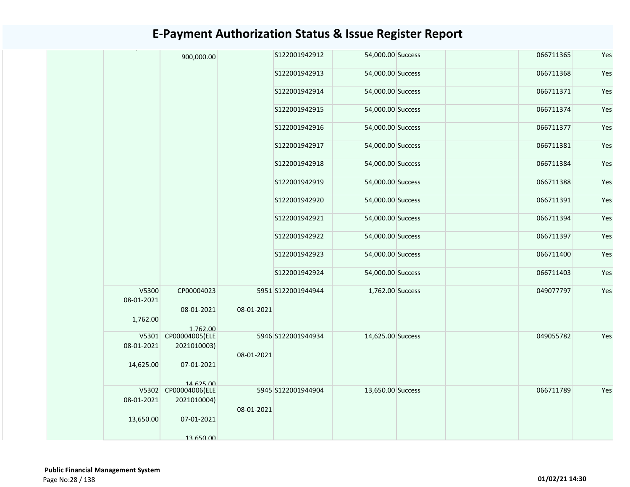|                     | 900,000.00                          |            | S122001942912      | 54,000.00 Success | 066711365 | Yes |
|---------------------|-------------------------------------|------------|--------------------|-------------------|-----------|-----|
|                     |                                     |            | S122001942913      | 54,000.00 Success | 066711368 | Yes |
|                     |                                     |            | \$122001942914     | 54,000.00 Success | 066711371 | Yes |
|                     |                                     |            | S122001942915      | 54,000.00 Success | 066711374 | Yes |
|                     |                                     |            | S122001942916      | 54,000.00 Success | 066711377 | Yes |
|                     |                                     |            | S122001942917      | 54,000.00 Success | 066711381 | Yes |
|                     |                                     |            | S122001942918      | 54,000.00 Success | 066711384 | Yes |
|                     |                                     |            | S122001942919      | 54,000.00 Success | 066711388 | Yes |
|                     |                                     |            | S122001942920      | 54,000.00 Success | 066711391 | Yes |
|                     |                                     |            | S122001942921      | 54,000.00 Success | 066711394 | Yes |
|                     |                                     |            | S122001942922      | 54,000.00 Success | 066711397 | Yes |
|                     |                                     |            | S122001942923      | 54,000.00 Success | 066711400 | Yes |
|                     |                                     |            | S122001942924      | 54,000.00 Success | 066711403 | Yes |
| V5300<br>08-01-2021 | CP00004023<br>08-01-2021            | 08-01-2021 | 5951 S122001944944 | 1,762.00 Success  | 049077797 | Yes |
| 1,762.00            | 1.762.00                            |            |                    |                   |           |     |
|                     | V5301 CP00004005(ELE                |            | 5946 S122001944934 | 14,625.00 Success | 049055782 | Yes |
| 08-01-2021          | 2021010003)                         | 08-01-2021 |                    |                   |           |     |
| 14,625.00           | 07-01-2021                          |            |                    |                   |           |     |
|                     | 14 625 00                           |            |                    |                   |           |     |
| 08-01-2021          | V5302 CP00004006(ELE<br>2021010004) |            | 5945 S122001944904 | 13,650.00 Success | 066711789 | Yes |
|                     |                                     | 08-01-2021 |                    |                   |           |     |
| 13,650.00           | 07-01-2021                          |            |                    |                   |           |     |
|                     | 13 650 00                           |            |                    |                   |           |     |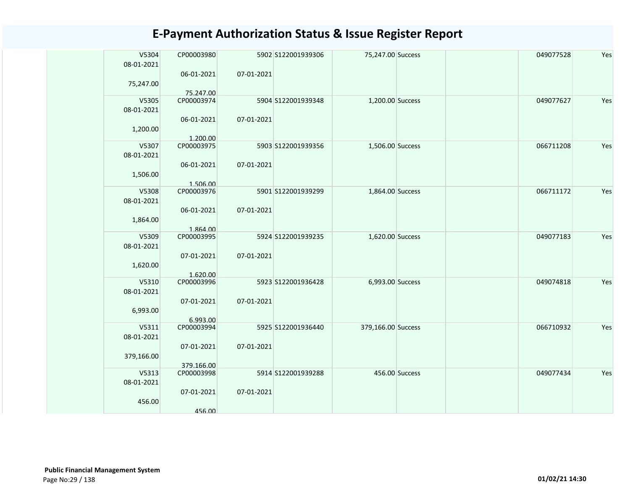| V5304               | CP00003980              |            | 5902 S122001939306 | 75,247.00 Success  |                | 049077528 | Yes |
|---------------------|-------------------------|------------|--------------------|--------------------|----------------|-----------|-----|
| 08-01-2021          |                         |            |                    |                    |                |           |     |
|                     | 06-01-2021              | 07-01-2021 |                    |                    |                |           |     |
| 75,247.00           |                         |            |                    |                    |                |           |     |
| V5305               | 75.247.00<br>CP00003974 |            | 5904 S122001939348 | 1,200.00 Success   |                | 049077627 | Yes |
| 08-01-2021          |                         |            |                    |                    |                |           |     |
|                     | 06-01-2021              | 07-01-2021 |                    |                    |                |           |     |
| 1,200.00            |                         |            |                    |                    |                |           |     |
|                     | 1.200.00                |            |                    |                    |                |           |     |
| V5307               | CP00003975              |            | 5903 S122001939356 | 1,506.00 Success   |                | 066711208 | Yes |
| 08-01-2021          | 06-01-2021              | 07-01-2021 |                    |                    |                |           |     |
| 1,506.00            |                         |            |                    |                    |                |           |     |
|                     | 1.506.00                |            |                    |                    |                |           |     |
| V5308               | CP00003976              |            | 5901 S122001939299 | 1,864.00 Success   |                | 066711172 | Yes |
| 08-01-2021          |                         |            |                    |                    |                |           |     |
|                     | 06-01-2021              | 07-01-2021 |                    |                    |                |           |     |
| 1,864.00            | 1.864.00                |            |                    |                    |                |           |     |
| V5309               | CP00003995              |            | 5924 S122001939235 | 1,620.00 Success   |                | 049077183 | Yes |
| 08-01-2021          |                         |            |                    |                    |                |           |     |
|                     | 07-01-2021              | 07-01-2021 |                    |                    |                |           |     |
| 1,620.00            |                         |            |                    |                    |                |           |     |
| V5310               | 1.620.00<br>CP00003996  |            | 5923 S122001936428 | 6,993.00 Success   |                | 049074818 | Yes |
| 08-01-2021          |                         |            |                    |                    |                |           |     |
|                     | 07-01-2021              | 07-01-2021 |                    |                    |                |           |     |
| 6,993.00            |                         |            |                    |                    |                |           |     |
|                     | 6.993.00                |            |                    |                    |                |           |     |
| V5311<br>08-01-2021 | CP00003994              |            | 5925 S122001936440 | 379,166.00 Success |                | 066710932 | Yes |
|                     | 07-01-2021              | 07-01-2021 |                    |                    |                |           |     |
| 379,166.00          |                         |            |                    |                    |                |           |     |
|                     | 379.166.00              |            |                    |                    |                |           |     |
| V5313               | CP00003998              |            | 5914 S122001939288 |                    | 456.00 Success | 049077434 | Yes |
| 08-01-2021          | 07-01-2021              | 07-01-2021 |                    |                    |                |           |     |
| 456.00              |                         |            |                    |                    |                |           |     |
|                     | 456.00                  |            |                    |                    |                |           |     |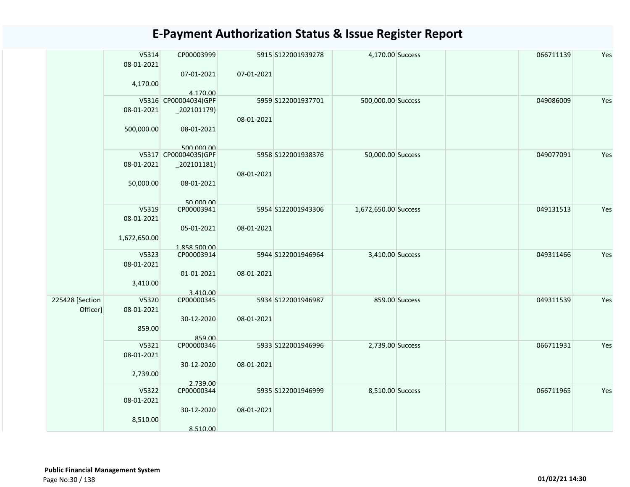|                 | V5314<br>08-01-2021 | CP00003999<br>07-01-2021                | 5915 S122001939278<br>07-01-2021 | 4,170.00 Success     |                | 066711139 | Yes |
|-----------------|---------------------|-----------------------------------------|----------------------------------|----------------------|----------------|-----------|-----|
|                 | 4,170.00            | 4.170.00                                |                                  |                      |                |           |     |
|                 | 08-01-2021          | V5316 CP00004034(GPF<br>$_2$ 202101179) | 5959 S122001937701               | 500,000.00 Success   |                | 049086009 | Yes |
|                 | 500,000.00          | 08-01-2021                              | 08-01-2021                       |                      |                |           |     |
|                 |                     | 500,000,00                              |                                  |                      |                |           |     |
|                 |                     | V5317 CP00004035(GPF                    | 5958 S122001938376               | 50,000.00 Success    |                | 049077091 | Yes |
|                 | 08-01-2021          | $_2$ 02101181)                          |                                  |                      |                |           |     |
|                 | 50,000.00           | 08-01-2021                              | 08-01-2021                       |                      |                |           |     |
|                 |                     | 50,000,00                               |                                  |                      |                |           |     |
|                 | V5319               | CP00003941                              | 5954 S122001943306               | 1,672,650.00 Success |                | 049131513 | Yes |
|                 | 08-01-2021          |                                         |                                  |                      |                |           |     |
|                 | 1,672,650.00        | 05-01-2021<br>1.858.500.00              | 08-01-2021                       |                      |                |           |     |
|                 | V5323               | CP00003914                              | 5944 S122001946964               | 3,410.00 Success     |                | 049311466 | Yes |
|                 | 08-01-2021          |                                         |                                  |                      |                |           |     |
|                 |                     | 01-01-2021                              | 08-01-2021                       |                      |                |           |     |
|                 | 3,410.00            |                                         |                                  |                      |                |           |     |
|                 |                     | 3.410.00                                |                                  |                      |                |           |     |
| 225428 [Section | V5320               | CP00000345                              | 5934 S122001946987               |                      | 859.00 Success | 049311539 | Yes |
| Officer]        | 08-01-2021          |                                         |                                  |                      |                |           |     |
|                 |                     | 30-12-2020                              | 08-01-2021                       |                      |                |           |     |
|                 | 859.00              |                                         |                                  |                      |                |           |     |
|                 |                     | 859.00                                  |                                  |                      |                |           |     |
|                 | V5321               | CP00000346                              | 5933 S122001946996               | 2,739.00 Success     |                | 066711931 | Yes |
|                 | 08-01-2021          |                                         |                                  |                      |                |           |     |
|                 |                     | 30-12-2020                              | 08-01-2021                       |                      |                |           |     |
|                 | 2,739.00            |                                         |                                  |                      |                |           |     |
|                 |                     | 2.739.00                                |                                  |                      |                |           |     |
|                 | V5322               | CP00000344                              | 5935 S122001946999               | 8,510.00 Success     |                | 066711965 | Yes |
|                 | 08-01-2021          |                                         |                                  |                      |                |           |     |
|                 |                     | 30-12-2020                              | 08-01-2021                       |                      |                |           |     |
|                 | 8,510.00            |                                         |                                  |                      |                |           |     |
|                 |                     | 8.510.00                                |                                  |                      |                |           |     |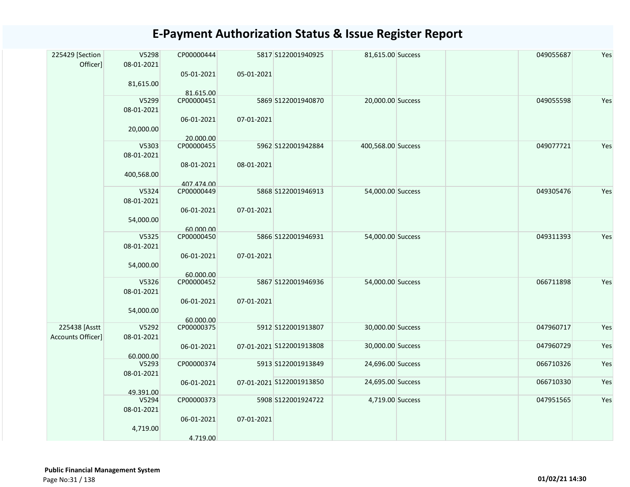| 225429 [Section<br>Officer] | V5298<br>08-01-2021 | CP00000444<br>05-01-2021 | 05-01-2021 | 5817 S122001940925       | 81,615.00 Success  | 049055687 | Yes |
|-----------------------------|---------------------|--------------------------|------------|--------------------------|--------------------|-----------|-----|
|                             | 81,615.00           | 81.615.00                |            |                          |                    |           |     |
|                             | V5299<br>08-01-2021 | CP00000451               |            | 5869 S122001940870       | 20,000.00 Success  | 049055598 | Yes |
|                             | 20,000.00           | 06-01-2021<br>20.000.00  | 07-01-2021 |                          |                    |           |     |
|                             | V5303               | CP00000455               |            | 5962 S122001942884       | 400,568.00 Success | 049077721 | Yes |
|                             | 08-01-2021          |                          |            |                          |                    |           |     |
|                             |                     | 08-01-2021               | 08-01-2021 |                          |                    |           |     |
|                             | 400,568.00          | 407.474.00               |            |                          |                    |           |     |
|                             | V5324               | CP00000449               |            | 5868 S122001946913       | 54,000.00 Success  | 049305476 | Yes |
|                             | 08-01-2021          |                          |            |                          |                    |           |     |
|                             |                     | 06-01-2021               | 07-01-2021 |                          |                    |           |     |
|                             | 54,000.00           | 60.000.00                |            |                          |                    |           |     |
|                             | V5325               | CP00000450               |            | 5866 S122001946931       | 54,000.00 Success  | 049311393 | Yes |
|                             | 08-01-2021          |                          |            |                          |                    |           |     |
|                             |                     | 06-01-2021               | 07-01-2021 |                          |                    |           |     |
|                             | 54,000.00           |                          |            |                          |                    |           |     |
|                             |                     | 60.000.00                |            |                          |                    |           |     |
|                             | V5326               | CP00000452               |            | 5867 S122001946936       | 54,000.00 Success  | 066711898 | Yes |
|                             | 08-01-2021          |                          |            |                          |                    |           |     |
|                             |                     | 06-01-2021               | 07-01-2021 |                          |                    |           |     |
|                             | 54,000.00           |                          |            |                          |                    |           |     |
|                             |                     | 60.000.00                |            |                          |                    |           |     |
| 225438 [Asstt               | V5292               | CP00000375               |            | 5912 S122001913807       | 30,000.00 Success  | 047960717 | Yes |
| Accounts Officer]           | 08-01-2021          |                          |            |                          |                    |           |     |
|                             |                     | 06-01-2021               |            | 07-01-2021 S122001913808 | 30,000.00 Success  | 047960729 | Yes |
|                             | 60.000.00           |                          |            |                          |                    |           |     |
|                             | V5293               | CP00000374               |            | 5913 S122001913849       | 24,696.00 Success  | 066710326 | Yes |
|                             | 08-01-2021          |                          |            |                          |                    |           |     |
|                             |                     | 06-01-2021               |            | 07-01-2021 S122001913850 | 24,695.00 Success  | 066710330 | Yes |
|                             | 49.391.00           |                          |            |                          |                    |           |     |
|                             | V5294               | CP00000373               |            | 5908 S122001924722       | 4,719.00 Success   | 047951565 | Yes |
|                             | 08-01-2021          |                          |            |                          |                    |           |     |
|                             |                     | 06-01-2021               | 07-01-2021 |                          |                    |           |     |
|                             | 4,719.00            |                          |            |                          |                    |           |     |
|                             |                     | 4.719.00                 |            |                          |                    |           |     |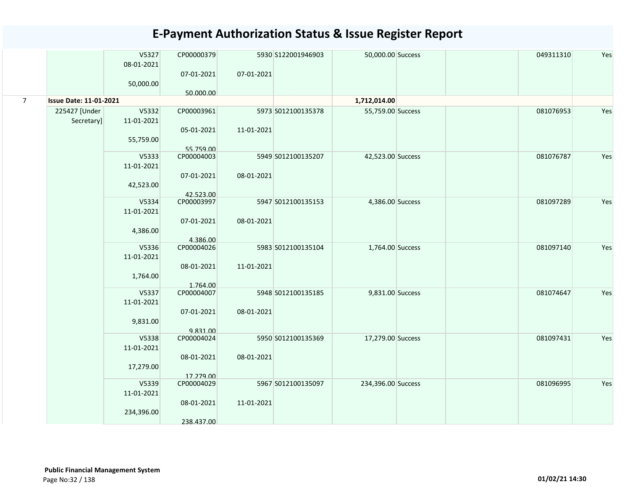|                |                               | V5327<br>08-01-2021<br>50,000.00 | CP00000379<br>07-01-2021 | 07-01-2021             | 5930 S122001946903 | 50,000.00 Success  | 049311310 | Yes |
|----------------|-------------------------------|----------------------------------|--------------------------|------------------------|--------------------|--------------------|-----------|-----|
| $\overline{7}$ | <b>Issue Date: 11-01-2021</b> |                                  | 50.000.00                |                        |                    | 1,712,014.00       |           |     |
|                |                               | V5332                            | CP00003961               |                        |                    |                    |           |     |
|                | 225427 [Under<br>Secretary]   | 11-01-2021                       | 05-01-2021               | 11-01-2021             | 5973 S012100135378 | 55,759.00 Success  | 081076953 | Yes |
|                |                               | 55,759.00                        | 55.759.00                |                        |                    |                    |           |     |
|                |                               | V5333                            | CP00004003               |                        | 5949 S012100135207 | 42,523.00 Success  | 081076787 | Yes |
|                |                               | 11-01-2021                       | 07-01-2021               | 08-01-2021             |                    |                    |           |     |
|                |                               | 42,523.00                        |                          |                        |                    |                    |           |     |
|                |                               | V5334                            | 42.523.00<br>CP00003997  |                        | 5947 S012100135153 | 4,386.00 Success   | 081097289 | Yes |
|                |                               | 11-01-2021                       |                          |                        |                    |                    |           |     |
|                |                               | 4,386.00                         | 07-01-2021<br>4.386.00   | 08-01-2021             |                    |                    |           |     |
|                |                               | V5336                            | CP00004026               |                        | 5983 S012100135104 | 1,764.00 Success   | 081097140 | Yes |
|                |                               | 11-01-2021                       |                          |                        |                    |                    |           |     |
|                |                               |                                  | 1,764.00                 | 08-01-2021<br>1.764.00 | 11-01-2021         |                    |           |     |
|                |                               | V5337                            | CP00004007               |                        | 5948 S012100135185 | 9,831.00 Success   | 081074647 | Yes |
|                |                               | 11-01-2021                       | 07-01-2021               | 08-01-2021             |                    |                    |           |     |
|                |                               | 9,831.00                         | 9.831.00                 |                        |                    |                    |           |     |
|                |                               | V5338                            | CP00004024               |                        | 5950 S012100135369 | 17,279.00 Success  | 081097431 | Yes |
|                |                               | 11-01-2021                       |                          |                        |                    |                    |           |     |
|                |                               | 17,279.00                        | 08-01-2021<br>17.279.00  | 08-01-2021             |                    |                    |           |     |
|                |                               | V5339                            | CP00004029               |                        | 5967 S012100135097 | 234,396.00 Success | 081096995 | Yes |
|                |                               | 11-01-2021                       |                          |                        |                    |                    |           |     |
|                |                               |                                  | 08-01-2021               | 11-01-2021             |                    |                    |           |     |
|                |                               | 234,396.00                       |                          |                        |                    |                    |           |     |
|                |                               |                                  | 238.437.00               |                        |                    |                    |           |     |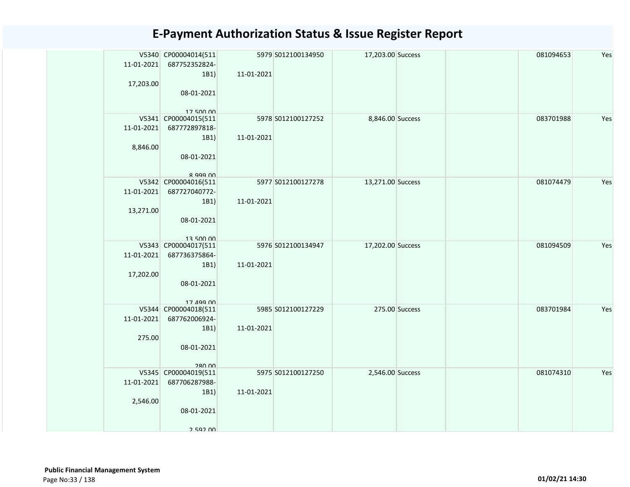| 11-01-2021<br>17,203.00      | V5340 CP00004014(511<br>687752352824-<br>1B1)<br>08-01-2021<br>1750000       | 11-01-2021 | 5979 S012100134950 | 17,203.00 Success |                | 081094653 | Yes |
|------------------------------|------------------------------------------------------------------------------|------------|--------------------|-------------------|----------------|-----------|-----|
| 11-01-2021<br>8,846.00       | V5341 CP00004015(511<br>687772897818-<br>1B1)<br>08-01-2021<br>$R$ aga $M$   | 11-01-2021 | 5978 S012100127252 | 8,846.00 Success  |                | 083701988 | Yes |
| 11-01-2021<br>13,271.00      | V5342 CP00004016(511<br>687727040772-<br>1B1)<br>08-01-2021<br>13 500 00     | 11-01-2021 | 5977 S012100127278 | 13,271.00 Success |                | 081074479 | Yes |
| 11-01-2021<br>17,202.00      | V5343 CP00004017(511<br>687736375864-<br>1B1)<br>08-01-2021<br>17 499 00     | 11-01-2021 | 5976 S012100134947 | 17,202.00 Success |                | 081094509 | Yes |
| 11-01-2021<br>275.00         | V5344 CP00004018(511<br>687762006924-<br>1B1)<br>08-01-2021<br><b>280.00</b> | 11-01-2021 | 5985 S012100127229 |                   | 275.00 Success | 083701984 | Yes |
| $11 - 01 - 2021$<br>2,546.00 | V5345 CP00004019(511<br>687706287988-<br>1B1)<br>08-01-2021<br>2 592 NO      | 11-01-2021 | 5975 S012100127250 | 2,546.00 Success  |                | 081074310 | Yes |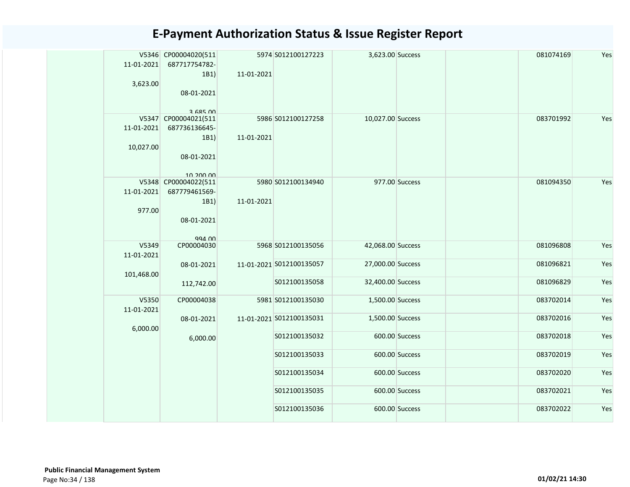|  | $11-01-2021$<br>3,623.00          | V5346 CP00004020(511<br>687717754782-<br>1B1)<br>08-01-2021<br>3 685 NO  | 11-01-2021 | 5974 S012100127223       | 3,623.00 Success  |                | 081074169 | Yes |
|--|-----------------------------------|--------------------------------------------------------------------------|------------|--------------------------|-------------------|----------------|-----------|-----|
|  | $11-01-2021$<br>10,027.00         | V5347 CP00004021(511<br>687736136645-<br>1B1)<br>08-01-2021<br>10.200.00 | 11-01-2021 | 5986 S012100127258       | 10,027.00 Success |                | 083701992 | Yes |
|  | 11-01-2021<br>977.00              | V5348 CP00004022(511<br>687779461569-<br>1B1)<br>08-01-2021<br>994.00    | 11-01-2021 | 5980 S012100134940       |                   | 977.00 Success | 081094350 | Yes |
|  | V5349<br>11-01-2021<br>101,468.00 | CP00004030                                                               |            | 5968 S012100135056       | 42,068.00 Success |                | 081096808 | Yes |
|  |                                   | 08-01-2021                                                               |            | 11-01-2021 S012100135057 | 27,000.00 Success |                | 081096821 | Yes |
|  |                                   | 112,742.00                                                               |            | S012100135058            | 32,400.00 Success |                | 081096829 | Yes |
|  | V5350<br>11-01-2021               | CP00004038                                                               |            | 5981 S012100135030       | 1,500.00 Success  |                | 083702014 | Yes |
|  | 6,000.00                          | 08-01-2021                                                               |            | 11-01-2021 S012100135031 | 1,500.00 Success  |                | 083702016 | Yes |
|  |                                   | 6,000.00                                                                 |            | S012100135032            |                   | 600.00 Success | 083702018 | Yes |
|  |                                   |                                                                          |            | S012100135033            |                   | 600.00 Success | 083702019 | Yes |
|  |                                   |                                                                          |            | S012100135034            |                   | 600.00 Success | 083702020 | Yes |
|  |                                   |                                                                          |            | S012100135035            |                   | 600.00 Success | 083702021 | Yes |
|  |                                   |                                                                          |            | S012100135036            |                   | 600.00 Success | 083702022 | Yes |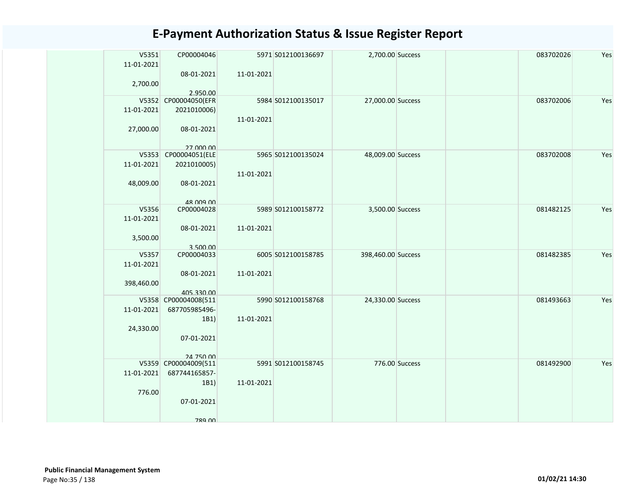| V5351<br>11-01-2021 | CP00004046                  |            | 5971 S012100136697 | 2,700.00 Success   |                | 083702026 | Yes |
|---------------------|-----------------------------|------------|--------------------|--------------------|----------------|-----------|-----|
|                     | 08-01-2021                  | 11-01-2021 |                    |                    |                |           |     |
| 2,700.00            | 2.950.00                    |            |                    |                    |                |           |     |
|                     | V5352 CP00004050(EFR        |            | 5984 S012100135017 | 27,000.00 Success  |                | 083702006 | Yes |
| 11-01-2021          | 2021010006)                 |            |                    |                    |                |           |     |
| 27,000.00           | 08-01-2021                  | 11-01-2021 |                    |                    |                |           |     |
|                     |                             |            |                    |                    |                |           |     |
| V5353               | 27 000 00<br>CP00004051(ELE |            | 5965 S012100135024 | 48,009.00 Success  |                | 083702008 | Yes |
| 11-01-2021          | 2021010005)                 |            |                    |                    |                |           |     |
|                     |                             | 11-01-2021 |                    |                    |                |           |     |
| 48,009.00           | 08-01-2021                  |            |                    |                    |                |           |     |
|                     | 48 009 00                   |            |                    |                    |                |           |     |
| V5356               | CP00004028                  |            | 5989 S012100158772 | 3,500.00 Success   |                | 081482125 | Yes |
| 11-01-2021          |                             |            |                    |                    |                |           |     |
|                     | 08-01-2021                  | 11-01-2021 |                    |                    |                |           |     |
| 3,500.00            |                             |            |                    |                    |                |           |     |
|                     | 3.500.00                    |            |                    |                    |                |           |     |
| V5357<br>11-01-2021 | CP00004033                  |            | 6005 S012100158785 | 398,460.00 Success |                | 081482385 | Yes |
|                     | 08-01-2021                  | 11-01-2021 |                    |                    |                |           |     |
| 398,460.00          |                             |            |                    |                    |                |           |     |
|                     | 405.330.00                  |            |                    |                    |                |           |     |
|                     | V5358 CP00004008(511        |            | 5990 S012100158768 | 24,330.00 Success  |                | 081493663 | Yes |
| 11-01-2021          | 687705985496-               |            |                    |                    |                |           |     |
|                     | 1B1)                        | 11-01-2021 |                    |                    |                |           |     |
| 24,330.00           |                             |            |                    |                    |                |           |     |
|                     | 07-01-2021                  |            |                    |                    |                |           |     |
|                     | 24 750 00                   |            |                    |                    |                |           |     |
|                     | V5359 CP00004009(511        |            | 5991 S012100158745 |                    | 776.00 Success | 081492900 | Yes |
| 11-01-2021          | 687744165857-               |            |                    |                    |                |           |     |
|                     | 1B1)                        | 11-01-2021 |                    |                    |                |           |     |
| 776.00              |                             |            |                    |                    |                |           |     |
|                     | 07-01-2021                  |            |                    |                    |                |           |     |
|                     |                             |            |                    |                    |                |           |     |
|                     | 789 NO                      |            |                    |                    |                |           |     |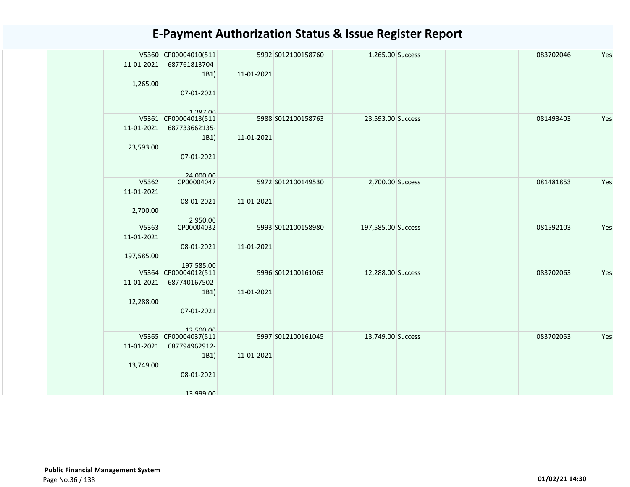| 11-01-2021 | V5360 CP00004010(511<br>687761813704- |            | 5992 S012100158760 | 1,265.00 Success   |  | 083702046 | Yes |
|------------|---------------------------------------|------------|--------------------|--------------------|--|-----------|-----|
|            | 1B1)                                  | 11-01-2021 |                    |                    |  |           |     |
| 1,265.00   |                                       |            |                    |                    |  |           |     |
|            | 07-01-2021                            |            |                    |                    |  |           |     |
|            |                                       |            |                    |                    |  |           |     |
|            | 1 287 00                              |            |                    |                    |  |           |     |
|            | V5361 CP00004013(511                  |            | 5988 S012100158763 | 23,593.00 Success  |  | 081493403 | Yes |
| 11-01-2021 | 687733662135-                         |            |                    |                    |  |           |     |
|            | 1B1)                                  | 11-01-2021 |                    |                    |  |           |     |
| 23,593.00  |                                       |            |                    |                    |  |           |     |
|            | 07-01-2021                            |            |                    |                    |  |           |     |
|            | 24 000 00                             |            |                    |                    |  |           |     |
| V5362      | CP00004047                            |            | 5972 S012100149530 | 2,700.00 Success   |  | 081481853 | Yes |
| 11-01-2021 |                                       |            |                    |                    |  |           |     |
|            | 08-01-2021                            | 11-01-2021 |                    |                    |  |           |     |
| 2,700.00   |                                       |            |                    |                    |  |           |     |
|            | 2.950.00                              |            |                    |                    |  |           |     |
| V5363      | CP00004032                            |            | 5993 S012100158980 | 197,585.00 Success |  | 081592103 | Yes |
| 11-01-2021 |                                       |            |                    |                    |  |           |     |
|            | 08-01-2021                            | 11-01-2021 |                    |                    |  |           |     |
| 197,585.00 |                                       |            |                    |                    |  |           |     |
|            | 197.585.00                            |            |                    |                    |  | 083702063 | Yes |
| 11-01-2021 | V5364 CP00004012(511<br>687740167502- |            | 5996 S012100161063 | 12,288.00 Success  |  |           |     |
|            | 1B1)                                  | 11-01-2021 |                    |                    |  |           |     |
| 12,288.00  |                                       |            |                    |                    |  |           |     |
|            | 07-01-2021                            |            |                    |                    |  |           |     |
|            |                                       |            |                    |                    |  |           |     |
|            | 1250000                               |            |                    |                    |  |           |     |
|            | V5365 CP00004037(511                  |            | 5997 S012100161045 | 13,749.00 Success  |  | 083702053 | Yes |
| 11-01-2021 | 687794962912-                         |            |                    |                    |  |           |     |
|            | 1B1)                                  | 11-01-2021 |                    |                    |  |           |     |
| 13,749.00  |                                       |            |                    |                    |  |           |     |
|            | 08-01-2021                            |            |                    |                    |  |           |     |
|            |                                       |            |                    |                    |  |           |     |
|            | 12 000 nn                             |            |                    |                    |  |           |     |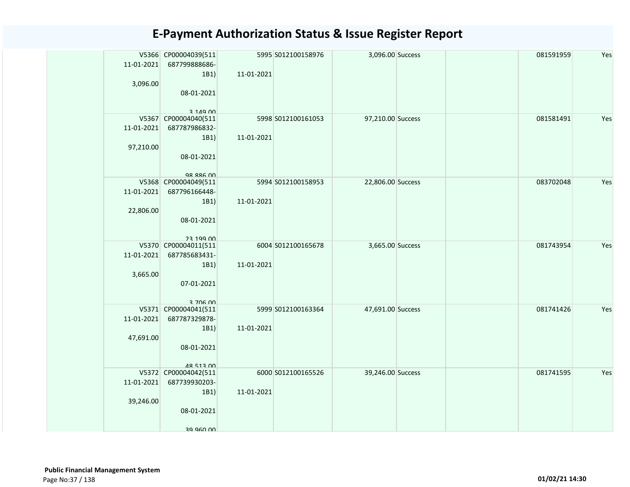| 11-01-2021<br>3,096.00          | V5366 CP00004039(511<br>687799888686-<br>1B1)<br>08-01-2021<br>3 1 4 9 0 0 1 | 11-01-2021 | 5995 S012100158976 | 3,096.00 Success  |  | 081591959 | Yes |
|---------------------------------|------------------------------------------------------------------------------|------------|--------------------|-------------------|--|-----------|-----|
| 11-01-2021<br>97,210.00         | V5367 CP00004040(511<br>687787986832-<br>1B1)<br>08-01-2021<br>QR RRA 00     | 11-01-2021 | 5998 S012100161053 | 97,210.00 Success |  | 081581491 | Yes |
| 11-01-2021<br>22,806.00         | V5368 CP00004049(511<br>687796166448-<br>1B1)<br>08-01-2021<br>23 199 DD     | 11-01-2021 | 5994 S012100158953 | 22,806.00 Success |  | 083702048 | Yes |
| V5370<br>11-01-2021<br>3,665.00 | CP00004011(511<br>687785683431-<br>1B1)<br>07-01-2021<br>3 706 00            | 11-01-2021 | 6004 S012100165678 | 3,665.00 Success  |  | 081743954 | Yes |
| 11-01-2021<br>47,691.00         | V5371 CP00004041(511<br>687787329878-<br>1B1)<br>08-01-2021<br>48 513 00     | 11-01-2021 | 5999 S012100163364 | 47,691.00 Success |  | 081741426 | Yes |
| 11-01-2021<br>39,246.00         | V5372 CP00004042(511<br>687739930203-<br>1B1)<br>08-01-2021<br>00 060 PF     | 11-01-2021 | 6000 S012100165526 | 39,246.00 Success |  | 081741595 | Yes |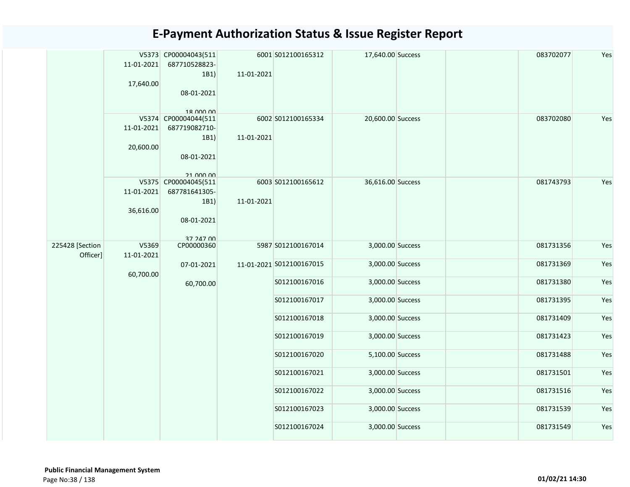|                             | 11-01-2021<br>17,640.00 | V5373 CP00004043(511<br>687710528823-<br>1B1)<br>08-01-2021<br>18 000 00 | 11-01-2021 | 6001 S012100165312       | 17,640.00 Success |  | 083702077 | Yes |
|-----------------------------|-------------------------|--------------------------------------------------------------------------|------------|--------------------------|-------------------|--|-----------|-----|
|                             | 11-01-2021<br>20,600.00 | V5374 CP00004044(511<br>687719082710-<br>1B1)<br>08-01-2021<br>21 000 00 | 11-01-2021 | 6002 S012100165334       | 20,600.00 Success |  | 083702080 | Yes |
|                             | 11-01-2021<br>36,616.00 | V5375 CP00004045(511<br>687781641305-<br>1B1)<br>08-01-2021<br>27 247 00 | 11-01-2021 | 6003 S012100165612       | 36,616.00 Success |  | 081743793 | Yes |
| 225428 [Section<br>Officer] | V5369<br>11-01-2021     | CP00000360                                                               |            | 5987 S012100167014       | 3,000.00 Success  |  | 081731356 | Yes |
|                             | 60,700.00               | 07-01-2021                                                               |            | 11-01-2021 S012100167015 | 3,000.00 Success  |  | 081731369 | Yes |
|                             |                         | 60,700.00                                                                |            | S012100167016            | 3,000.00 Success  |  | 081731380 | Yes |
|                             |                         |                                                                          |            | S012100167017            | 3,000.00 Success  |  | 081731395 | Yes |
|                             |                         |                                                                          |            | S012100167018            | 3,000.00 Success  |  | 081731409 | Yes |
|                             |                         |                                                                          |            | S012100167019            | 3,000.00 Success  |  | 081731423 | Yes |
|                             |                         |                                                                          |            | S012100167020            | 5,100.00 Success  |  | 081731488 | Yes |
|                             |                         |                                                                          |            | S012100167021            | 3,000.00 Success  |  | 081731501 | Yes |
|                             |                         |                                                                          |            | S012100167022            | 3,000.00 Success  |  | 081731516 | Yes |
|                             |                         |                                                                          |            | S012100167023            | 3,000.00 Success  |  | 081731539 | Yes |
|                             |                         |                                                                          |            | S012100167024            | 3,000.00 Success  |  | 081731549 | Yes |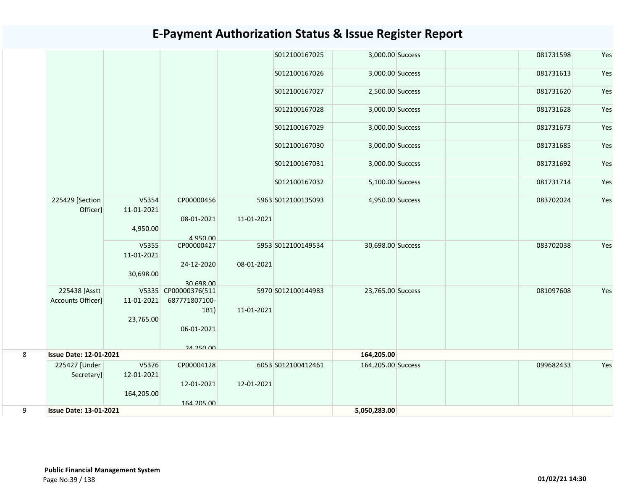|   |                                    |                     |                                       |            | S012100167025      | 3,000.00 Success   |  | 081731598 | Yes |
|---|------------------------------------|---------------------|---------------------------------------|------------|--------------------|--------------------|--|-----------|-----|
|   |                                    |                     |                                       |            | S012100167026      | 3,000.00 Success   |  | 081731613 | Yes |
|   |                                    |                     |                                       |            | S012100167027      | 2,500.00 Success   |  | 081731620 | Yes |
|   |                                    |                     |                                       |            | S012100167028      | 3,000.00 Success   |  | 081731628 | Yes |
|   |                                    |                     |                                       |            | S012100167029      | 3,000.00 Success   |  | 081731673 | Yes |
|   |                                    |                     |                                       |            | S012100167030      | 3,000.00 Success   |  | 081731685 | Yes |
|   |                                    |                     |                                       |            | S012100167031      | 3,000.00 Success   |  | 081731692 | Yes |
|   |                                    |                     |                                       |            | S012100167032      | 5,100.00 Success   |  | 081731714 | Yes |
|   | 225429 [Section<br>Officer]        | V5354<br>11-01-2021 | CP00000456                            |            | 5963 S012100135093 | 4,950.00 Success   |  | 083702024 | Yes |
|   |                                    | 4,950.00            | 08-01-2021<br>4.950.00                | 11-01-2021 |                    |                    |  |           |     |
|   |                                    | V5355<br>11-01-2021 | CP00000427<br>24-12-2020              | 08-01-2021 | 5953 S012100149534 | 30,698.00 Success  |  | 083702038 | Yes |
|   |                                    | 30,698.00           | 30.698.00                             |            |                    |                    |  |           |     |
|   | 225438 [Asstt<br>Accounts Officer] | 11-01-2021          | V5335 CP00000376(511<br>687771807100- |            | 5970 S012100144983 | 23,765.00 Success  |  | 081097608 | Yes |
|   |                                    | 23,765.00           | 1B1)<br>06-01-2021                    | 11-01-2021 |                    |                    |  |           |     |
|   |                                    |                     | <b>24 250 00</b>                      |            |                    |                    |  |           |     |
| 8 | <b>Issue Date: 12-01-2021</b>      |                     |                                       |            |                    | 164,205.00         |  |           |     |
|   | 225427 [Under<br>Secretary]        | V5376<br>12-01-2021 | CP00004128                            |            | 6053 S012100412461 | 164,205.00 Success |  | 099682433 | Yes |
|   |                                    | 164,205.00          | 12-01-2021<br>164.205.00              | 12-01-2021 |                    |                    |  |           |     |
| 9 | <b>Issue Date: 13-01-2021</b>      |                     |                                       |            |                    | 5,050,283.00       |  |           |     |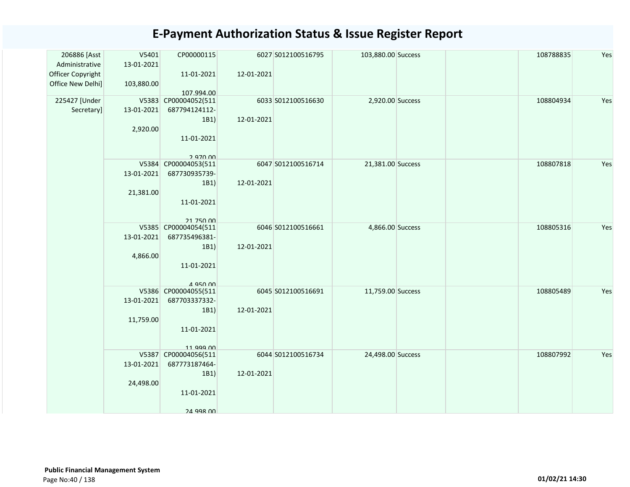| V5401      | CP00000115                                                                                              |                                                                                                                                                                                                                                                                                                                           |                                                                                                                                                                                          | 108788835                                                                                                                 | Yes                                              |
|------------|---------------------------------------------------------------------------------------------------------|---------------------------------------------------------------------------------------------------------------------------------------------------------------------------------------------------------------------------------------------------------------------------------------------------------------------------|------------------------------------------------------------------------------------------------------------------------------------------------------------------------------------------|---------------------------------------------------------------------------------------------------------------------------|--------------------------------------------------|
| 13-01-2021 |                                                                                                         |                                                                                                                                                                                                                                                                                                                           |                                                                                                                                                                                          |                                                                                                                           |                                                  |
|            | 11-01-2021                                                                                              | 12-01-2021                                                                                                                                                                                                                                                                                                                |                                                                                                                                                                                          |                                                                                                                           |                                                  |
| 103,880.00 |                                                                                                         |                                                                                                                                                                                                                                                                                                                           |                                                                                                                                                                                          |                                                                                                                           |                                                  |
|            | 107.994.00                                                                                              |                                                                                                                                                                                                                                                                                                                           |                                                                                                                                                                                          |                                                                                                                           |                                                  |
|            |                                                                                                         |                                                                                                                                                                                                                                                                                                                           |                                                                                                                                                                                          |                                                                                                                           | Yes                                              |
|            |                                                                                                         |                                                                                                                                                                                                                                                                                                                           |                                                                                                                                                                                          |                                                                                                                           |                                                  |
|            |                                                                                                         |                                                                                                                                                                                                                                                                                                                           |                                                                                                                                                                                          |                                                                                                                           |                                                  |
|            |                                                                                                         |                                                                                                                                                                                                                                                                                                                           |                                                                                                                                                                                          |                                                                                                                           |                                                  |
|            |                                                                                                         |                                                                                                                                                                                                                                                                                                                           |                                                                                                                                                                                          |                                                                                                                           |                                                  |
|            |                                                                                                         |                                                                                                                                                                                                                                                                                                                           |                                                                                                                                                                                          |                                                                                                                           |                                                  |
|            |                                                                                                         |                                                                                                                                                                                                                                                                                                                           |                                                                                                                                                                                          |                                                                                                                           | Yes                                              |
|            |                                                                                                         |                                                                                                                                                                                                                                                                                                                           |                                                                                                                                                                                          |                                                                                                                           |                                                  |
|            |                                                                                                         |                                                                                                                                                                                                                                                                                                                           |                                                                                                                                                                                          |                                                                                                                           |                                                  |
|            |                                                                                                         |                                                                                                                                                                                                                                                                                                                           |                                                                                                                                                                                          |                                                                                                                           |                                                  |
|            |                                                                                                         |                                                                                                                                                                                                                                                                                                                           |                                                                                                                                                                                          |                                                                                                                           |                                                  |
|            |                                                                                                         |                                                                                                                                                                                                                                                                                                                           |                                                                                                                                                                                          |                                                                                                                           |                                                  |
|            |                                                                                                         |                                                                                                                                                                                                                                                                                                                           |                                                                                                                                                                                          |                                                                                                                           |                                                  |
|            |                                                                                                         |                                                                                                                                                                                                                                                                                                                           |                                                                                                                                                                                          | 108805316                                                                                                                 | Yes                                              |
| 13-01-2021 | 687735496381-                                                                                           |                                                                                                                                                                                                                                                                                                                           |                                                                                                                                                                                          |                                                                                                                           |                                                  |
|            | 1B1)                                                                                                    | 12-01-2021                                                                                                                                                                                                                                                                                                                |                                                                                                                                                                                          |                                                                                                                           |                                                  |
| 4,866.00   |                                                                                                         |                                                                                                                                                                                                                                                                                                                           |                                                                                                                                                                                          |                                                                                                                           |                                                  |
|            | 11-01-2021                                                                                              |                                                                                                                                                                                                                                                                                                                           |                                                                                                                                                                                          |                                                                                                                           |                                                  |
|            |                                                                                                         |                                                                                                                                                                                                                                                                                                                           |                                                                                                                                                                                          |                                                                                                                           |                                                  |
|            | 4 950 00                                                                                                |                                                                                                                                                                                                                                                                                                                           |                                                                                                                                                                                          |                                                                                                                           |                                                  |
|            |                                                                                                         |                                                                                                                                                                                                                                                                                                                           |                                                                                                                                                                                          |                                                                                                                           | Yes                                              |
|            |                                                                                                         |                                                                                                                                                                                                                                                                                                                           |                                                                                                                                                                                          |                                                                                                                           |                                                  |
|            |                                                                                                         |                                                                                                                                                                                                                                                                                                                           |                                                                                                                                                                                          |                                                                                                                           |                                                  |
|            |                                                                                                         |                                                                                                                                                                                                                                                                                                                           |                                                                                                                                                                                          |                                                                                                                           |                                                  |
|            |                                                                                                         |                                                                                                                                                                                                                                                                                                                           |                                                                                                                                                                                          |                                                                                                                           |                                                  |
|            |                                                                                                         |                                                                                                                                                                                                                                                                                                                           |                                                                                                                                                                                          |                                                                                                                           |                                                  |
|            |                                                                                                         |                                                                                                                                                                                                                                                                                                                           |                                                                                                                                                                                          |                                                                                                                           | Yes                                              |
|            |                                                                                                         |                                                                                                                                                                                                                                                                                                                           |                                                                                                                                                                                          |                                                                                                                           |                                                  |
|            |                                                                                                         |                                                                                                                                                                                                                                                                                                                           |                                                                                                                                                                                          |                                                                                                                           |                                                  |
|            |                                                                                                         |                                                                                                                                                                                                                                                                                                                           |                                                                                                                                                                                          |                                                                                                                           |                                                  |
|            |                                                                                                         |                                                                                                                                                                                                                                                                                                                           |                                                                                                                                                                                          |                                                                                                                           |                                                  |
|            |                                                                                                         |                                                                                                                                                                                                                                                                                                                           |                                                                                                                                                                                          |                                                                                                                           |                                                  |
|            | <b>24 998 00</b>                                                                                        |                                                                                                                                                                                                                                                                                                                           |                                                                                                                                                                                          |                                                                                                                           |                                                  |
|            | 13-01-2021<br>2,920.00<br>13-01-2021<br>21,381.00<br>13-01-2021<br>11,759.00<br>13-01-2021<br>24,498.00 | V5383 CP00004052(511<br>687794124112-<br>1B1)<br>11-01-2021<br>2 070 DD<br>V5384 CP00004053(511<br>687730935739-<br>1B1)<br>11-01-2021<br>21 750 00<br>V5385 CP00004054(511<br>V5386 CP00004055(511<br>687703337332-<br>1B1)<br>11-01-2021<br>11 999 00<br>V5387<br>CP00004056(511<br>687773187464-<br>1B1)<br>11-01-2021 | 6027 S012100516795<br>6033 S012100516630<br>12-01-2021<br>6047 S012100516714<br>12-01-2021<br>6046 S012100516661<br>6045 S012100516691<br>12-01-2021<br>6044 S012100516734<br>12-01-2021 | 103,880.00 Success<br>2,920.00 Success<br>21,381.00 Success<br>4,866.00 Success<br>11,759.00 Success<br>24,498.00 Success | 108804934<br>108807818<br>108805489<br>108807992 |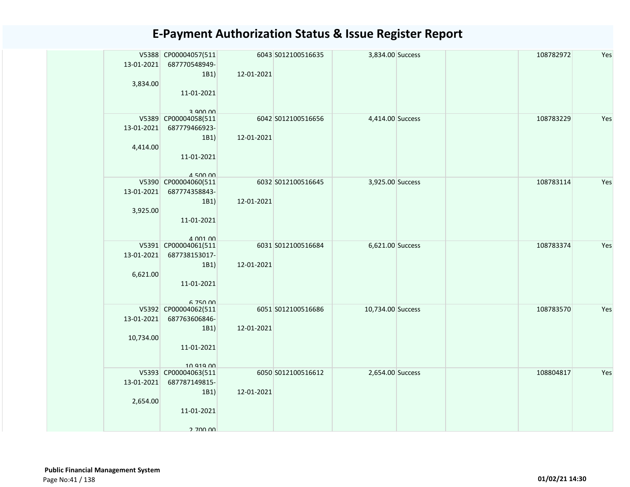| 13-01-2021<br>3,834.00  | V5388 CP00004057(511<br>687770548949-<br>1B1)<br>11-01-2021<br>a ann nn       | 12-01-2021 | 6043 S012100516635 | 3,834.00 Success  |  | 108782972 | Yes |
|-------------------------|-------------------------------------------------------------------------------|------------|--------------------|-------------------|--|-----------|-----|
| 13-01-2021<br>4,414.00  | V5389 CP00004058(511<br>687779466923-<br>1B1)<br>11-01-2021<br>$A$ 500 00     | 12-01-2021 | 6042 S012100516656 | 4,414.00 Success  |  | 108783229 | Yes |
| 13-01-2021<br>3,925.00  | V5390 CP00004060(511<br>687774358843-<br>1B1)<br>11-01-2021<br>$A$ $001$ $00$ | 12-01-2021 | 6032 S012100516645 | 3,925.00 Success  |  | 108783114 | Yes |
| 13-01-2021<br>6,621.00  | V5391 CP00004061(511<br>687738153017-<br>1B1)<br>11-01-2021<br>6 750 00       | 12-01-2021 | 6031 S012100516684 | 6,621.00 Success  |  | 108783374 | Yes |
| 13-01-2021<br>10,734.00 | V5392 CP00004062(511<br>687763606846-<br>1B1)<br>11-01-2021<br>10 919 00      | 12-01-2021 | 6051 S012100516686 | 10,734.00 Success |  | 108783570 | Yes |
| 13-01-2021<br>2,654.00  | V5393 CP00004063(511<br>687787149815-<br>1B1)<br>11-01-2021<br>2 700 00       | 12-01-2021 | 6050 S012100516612 | 2,654.00 Success  |  | 108804817 | Yes |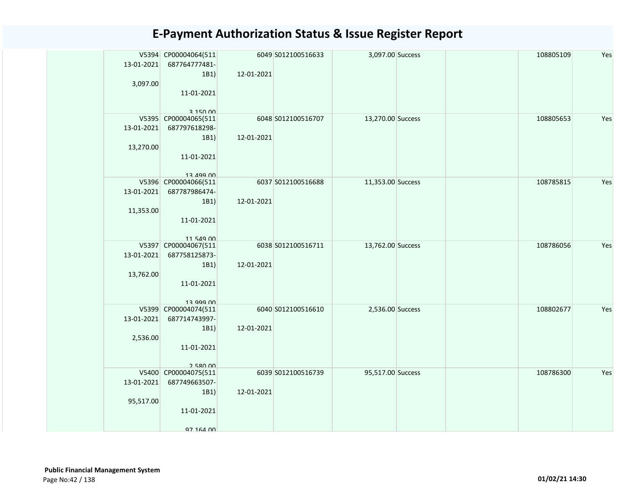| 13-01-2021 | V5394 CP00004064(511<br>687764777481- |            | 6049 S012100516633 | 3,097.00 Success  |  | 108805109 | Yes |
|------------|---------------------------------------|------------|--------------------|-------------------|--|-----------|-----|
|            | 1B1)                                  | 12-01-2021 |                    |                   |  |           |     |
| 3,097.00   |                                       |            |                    |                   |  |           |     |
|            | 11-01-2021                            |            |                    |                   |  |           |     |
|            |                                       |            |                    |                   |  |           |     |
|            | 3.15000<br>V5395 CP00004065(511       |            | 6048 S012100516707 | 13,270.00 Success |  | 108805653 | Yes |
| 13-01-2021 | 687797618298-                         |            |                    |                   |  |           |     |
|            | 1B1)                                  | 12-01-2021 |                    |                   |  |           |     |
| 13,270.00  |                                       |            |                    |                   |  |           |     |
|            | 11-01-2021                            |            |                    |                   |  |           |     |
|            |                                       |            |                    |                   |  |           |     |
|            | 12 499 00<br>V5396 CP00004066(511     |            | 6037 S012100516688 | 11,353.00 Success |  | 108785815 | Yes |
| 13-01-2021 | 687787986474-                         |            |                    |                   |  |           |     |
|            | 1B1)                                  | 12-01-2021 |                    |                   |  |           |     |
| 11,353.00  |                                       |            |                    |                   |  |           |     |
|            | 11-01-2021                            |            |                    |                   |  |           |     |
|            |                                       |            |                    |                   |  |           |     |
|            | 11 549 00<br>V5397 CP00004067(511     |            | 6038 S012100516711 | 13,762.00 Success |  | 108786056 | Yes |
| 13-01-2021 | 687758125873-                         |            |                    |                   |  |           |     |
|            | 1B1)                                  | 12-01-2021 |                    |                   |  |           |     |
| 13,762.00  |                                       |            |                    |                   |  |           |     |
|            | 11-01-2021                            |            |                    |                   |  |           |     |
|            |                                       |            |                    |                   |  |           |     |
|            | 12 000 nn<br>V5399 CP00004074(511     |            | 6040 S012100516610 | 2,536.00 Success  |  | 108802677 | Yes |
| 13-01-2021 | 687714743997-                         |            |                    |                   |  |           |     |
|            | 1B1)                                  | 12-01-2021 |                    |                   |  |           |     |
| 2,536.00   |                                       |            |                    |                   |  |           |     |
|            | 11-01-2021                            |            |                    |                   |  |           |     |
|            |                                       |            |                    |                   |  |           |     |
|            | 258000<br>V5400 CP00004075(511        |            | 6039 S012100516739 | 95,517.00 Success |  | 108786300 | Yes |
| 13-01-2021 | 687749663507-                         |            |                    |                   |  |           |     |
|            | 1B1)                                  | 12-01-2021 |                    |                   |  |           |     |
| 95,517.00  |                                       |            |                    |                   |  |           |     |
|            | 11-01-2021                            |            |                    |                   |  |           |     |
|            |                                       |            |                    |                   |  |           |     |
|            | 97 164 00                             |            |                    |                   |  |           |     |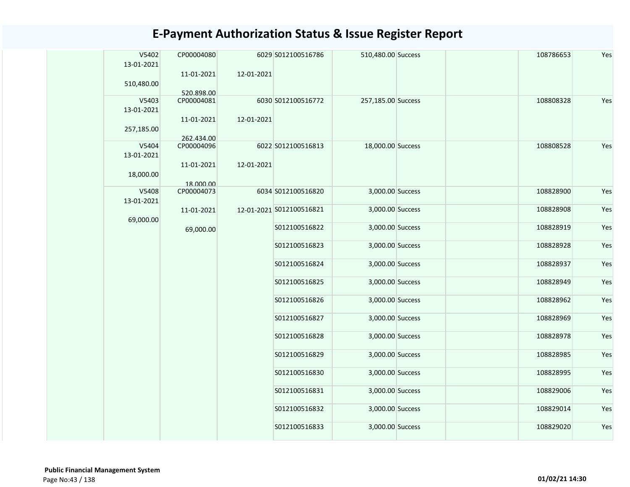| V5402<br>13-01-2021<br>510,480.00 | CP00004080<br>11-01-2021<br>520.898.00 | 12-01-2021 | 6029 S012100516786       | 510,480.00 Success | 108786653 | Yes |
|-----------------------------------|----------------------------------------|------------|--------------------------|--------------------|-----------|-----|
| V5403<br>13-01-2021               | CP00004081<br>11-01-2021               | 12-01-2021 | 6030 S012100516772       | 257,185.00 Success | 108808328 | Yes |
| 257,185.00                        | 262.434.00                             |            |                          |                    |           |     |
| V5404<br>13-01-2021               | CP00004096                             |            | 6022 S012100516813       | 18,000.00 Success  | 108808528 | Yes |
| 18,000.00                         | 11-01-2021<br>18.000.00                | 12-01-2021 |                          |                    |           |     |
| V5408<br>13-01-2021               | CP00004073                             |            | 6034 S012100516820       | 3,000.00 Success   | 108828900 | Yes |
| 69,000.00                         | 11-01-2021                             |            | 12-01-2021 S012100516821 | 3,000.00 Success   | 108828908 | Yes |
|                                   | 69,000.00                              |            | S012100516822            | 3,000.00 Success   | 108828919 | Yes |
|                                   |                                        |            | S012100516823            | 3,000.00 Success   | 108828928 | Yes |
|                                   |                                        |            | S012100516824            | 3,000.00 Success   | 108828937 | Yes |
|                                   |                                        |            | S012100516825            | 3,000.00 Success   | 108828949 | Yes |
|                                   |                                        |            | S012100516826            | 3,000.00 Success   | 108828962 | Yes |
|                                   |                                        |            | S012100516827            | 3,000.00 Success   | 108828969 | Yes |
|                                   |                                        |            | S012100516828            | 3,000.00 Success   | 108828978 | Yes |
|                                   |                                        |            | S012100516829            | 3,000.00 Success   | 108828985 | Yes |
|                                   |                                        |            | S012100516830            | 3,000.00 Success   | 108828995 | Yes |
|                                   |                                        |            | S012100516831            | 3,000.00 Success   | 108829006 | Yes |
|                                   |                                        |            | S012100516832            | 3,000.00 Success   | 108829014 | Yes |
|                                   |                                        |            | S012100516833            | 3,000.00 Success   | 108829020 | Yes |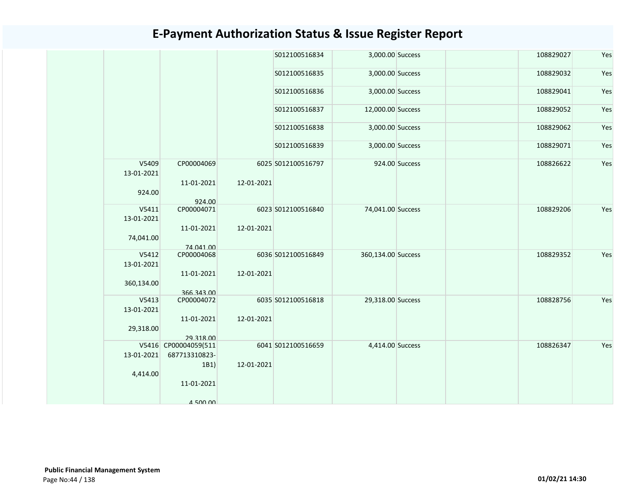| 108829027<br>S012100516834<br>3,000.00 Success<br>S012100516835<br>3,000.00 Success<br>108829032<br>S012100516836<br>3,000.00 Success<br>108829041<br>S012100516837<br>12,000.00 Success<br>108829052<br>S012100516838<br>3,000.00 Success<br>108829062<br>S012100516839<br>3,000.00 Success<br>108829071<br>V5409<br>CP00004069<br>924.00 Success<br>108826622<br>6025 S012100516797<br>13-01-2021<br>11-01-2021<br>12-01-2021<br>924.00<br>924.00<br>V5411<br>CP00004071<br>6023 S012100516840<br>74,041.00 Success<br>108829206<br>13-01-2021<br>11-01-2021<br>12-01-2021<br>74,041.00<br>74.041.00<br>V5412<br>CP00004068<br>6036 S012100516849<br>360,134.00 Success<br>108829352<br>13-01-2021<br>12-01-2021<br>11-01-2021<br>360,134.00<br>366.343.00<br>V5413<br>Yes<br>CP00004072<br>6035 S012100516818<br>29,318.00 Success<br>108828756<br>13-01-2021<br>12-01-2021<br>11-01-2021<br>29,318.00<br>29.318.00<br>V5416 CP00004059(511<br>6041 S012100516659<br>4,414.00 Success<br>108826347<br>Yes<br>13-01-2021<br>687713310823-<br>12-01-2021<br>1B1)<br>4,414.00<br>11-01-2021<br>$A$ 500 00 |  |  |  |  |     |
|-----------------------------------------------------------------------------------------------------------------------------------------------------------------------------------------------------------------------------------------------------------------------------------------------------------------------------------------------------------------------------------------------------------------------------------------------------------------------------------------------------------------------------------------------------------------------------------------------------------------------------------------------------------------------------------------------------------------------------------------------------------------------------------------------------------------------------------------------------------------------------------------------------------------------------------------------------------------------------------------------------------------------------------------------------------------------------------------------------------|--|--|--|--|-----|
|                                                                                                                                                                                                                                                                                                                                                                                                                                                                                                                                                                                                                                                                                                                                                                                                                                                                                                                                                                                                                                                                                                           |  |  |  |  | Yes |
|                                                                                                                                                                                                                                                                                                                                                                                                                                                                                                                                                                                                                                                                                                                                                                                                                                                                                                                                                                                                                                                                                                           |  |  |  |  | Yes |
|                                                                                                                                                                                                                                                                                                                                                                                                                                                                                                                                                                                                                                                                                                                                                                                                                                                                                                                                                                                                                                                                                                           |  |  |  |  | Yes |
|                                                                                                                                                                                                                                                                                                                                                                                                                                                                                                                                                                                                                                                                                                                                                                                                                                                                                                                                                                                                                                                                                                           |  |  |  |  | Yes |
|                                                                                                                                                                                                                                                                                                                                                                                                                                                                                                                                                                                                                                                                                                                                                                                                                                                                                                                                                                                                                                                                                                           |  |  |  |  | Yes |
|                                                                                                                                                                                                                                                                                                                                                                                                                                                                                                                                                                                                                                                                                                                                                                                                                                                                                                                                                                                                                                                                                                           |  |  |  |  | Yes |
|                                                                                                                                                                                                                                                                                                                                                                                                                                                                                                                                                                                                                                                                                                                                                                                                                                                                                                                                                                                                                                                                                                           |  |  |  |  | Yes |
|                                                                                                                                                                                                                                                                                                                                                                                                                                                                                                                                                                                                                                                                                                                                                                                                                                                                                                                                                                                                                                                                                                           |  |  |  |  |     |
|                                                                                                                                                                                                                                                                                                                                                                                                                                                                                                                                                                                                                                                                                                                                                                                                                                                                                                                                                                                                                                                                                                           |  |  |  |  | Yes |
|                                                                                                                                                                                                                                                                                                                                                                                                                                                                                                                                                                                                                                                                                                                                                                                                                                                                                                                                                                                                                                                                                                           |  |  |  |  |     |
|                                                                                                                                                                                                                                                                                                                                                                                                                                                                                                                                                                                                                                                                                                                                                                                                                                                                                                                                                                                                                                                                                                           |  |  |  |  | Yes |
|                                                                                                                                                                                                                                                                                                                                                                                                                                                                                                                                                                                                                                                                                                                                                                                                                                                                                                                                                                                                                                                                                                           |  |  |  |  |     |
|                                                                                                                                                                                                                                                                                                                                                                                                                                                                                                                                                                                                                                                                                                                                                                                                                                                                                                                                                                                                                                                                                                           |  |  |  |  |     |
|                                                                                                                                                                                                                                                                                                                                                                                                                                                                                                                                                                                                                                                                                                                                                                                                                                                                                                                                                                                                                                                                                                           |  |  |  |  |     |
|                                                                                                                                                                                                                                                                                                                                                                                                                                                                                                                                                                                                                                                                                                                                                                                                                                                                                                                                                                                                                                                                                                           |  |  |  |  |     |
|                                                                                                                                                                                                                                                                                                                                                                                                                                                                                                                                                                                                                                                                                                                                                                                                                                                                                                                                                                                                                                                                                                           |  |  |  |  |     |
|                                                                                                                                                                                                                                                                                                                                                                                                                                                                                                                                                                                                                                                                                                                                                                                                                                                                                                                                                                                                                                                                                                           |  |  |  |  |     |
|                                                                                                                                                                                                                                                                                                                                                                                                                                                                                                                                                                                                                                                                                                                                                                                                                                                                                                                                                                                                                                                                                                           |  |  |  |  |     |
|                                                                                                                                                                                                                                                                                                                                                                                                                                                                                                                                                                                                                                                                                                                                                                                                                                                                                                                                                                                                                                                                                                           |  |  |  |  |     |
|                                                                                                                                                                                                                                                                                                                                                                                                                                                                                                                                                                                                                                                                                                                                                                                                                                                                                                                                                                                                                                                                                                           |  |  |  |  |     |
|                                                                                                                                                                                                                                                                                                                                                                                                                                                                                                                                                                                                                                                                                                                                                                                                                                                                                                                                                                                                                                                                                                           |  |  |  |  |     |
|                                                                                                                                                                                                                                                                                                                                                                                                                                                                                                                                                                                                                                                                                                                                                                                                                                                                                                                                                                                                                                                                                                           |  |  |  |  |     |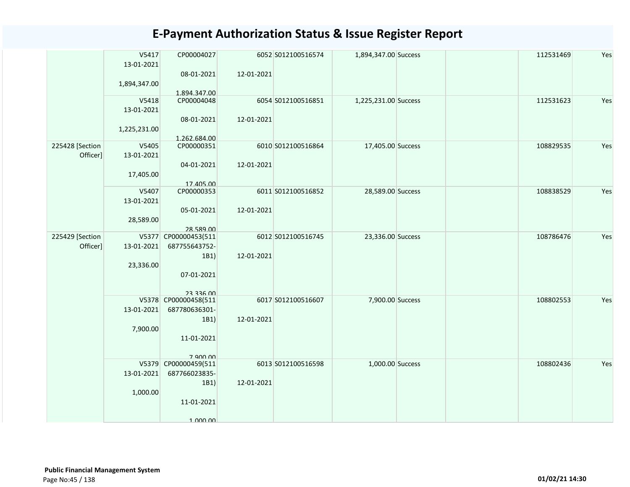|                             | V5417<br>13-01-2021<br>1,894,347.00 | CP00004027<br>08-01-2021<br>1.894.347.00                                        | 12-01-2021 | 6052 S012100516574 | 1,894,347.00 Success | 112531469 | Yes |
|-----------------------------|-------------------------------------|---------------------------------------------------------------------------------|------------|--------------------|----------------------|-----------|-----|
|                             | V5418<br>13-01-2021<br>1,225,231.00 | CP00004048<br>08-01-2021<br>1.262.684.00                                        | 12-01-2021 | 6054 S012100516851 | 1,225,231.00 Success | 112531623 | Yes |
| 225428 [Section<br>Officer] | V5405<br>13-01-2021<br>17,405.00    | CP00000351<br>04-01-2021<br>17.405.00                                           | 12-01-2021 | 6010 S012100516864 | 17,405.00 Success    | 108829535 | Yes |
|                             | V5407<br>13-01-2021<br>28,589.00    | CP00000353<br>05-01-2021<br>28.589.00                                           | 12-01-2021 | 6011 S012100516852 | 28,589.00 Success    | 108838529 | Yes |
| 225429 [Section<br>Officer] | 13-01-2021<br>23,336.00             | V5377 CP00000453(511<br>687755643752-<br>1B1)<br>07-01-2021<br><b>23 336 UU</b> | 12-01-2021 | 6012 S012100516745 | 23,336.00 Success    | 108786476 | Yes |
|                             | 13-01-2021<br>7,900.00              | V5378 CP00000458(511<br>687780636301-<br>1B1)<br>11-01-2021<br>7 900 00         | 12-01-2021 | 6017 S012100516607 | 7,900.00 Success     | 108802553 | Yes |
|                             | 13-01-2021<br>1,000.00              | V5379 CP00000459(511<br>687766023835-<br>1B1)<br>11-01-2021<br>1 000 00         | 12-01-2021 | 6013 S012100516598 | 1,000.00 Success     | 108802436 | Yes |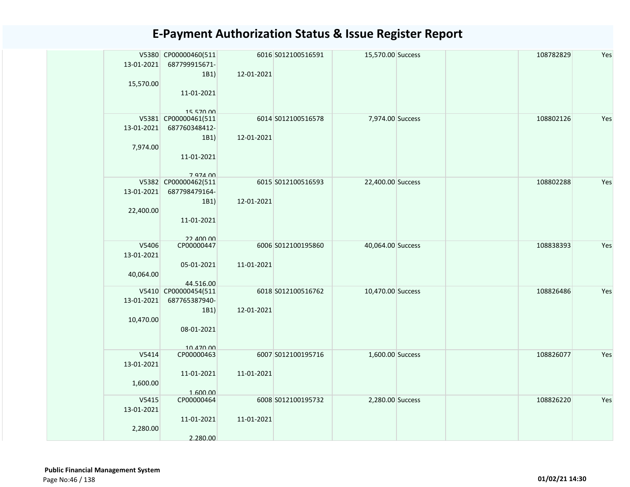| 13-01-2021                       | V5380 CP00000460(511<br>687799915671-                                                |            | 6016 S012100516591 | 15,570.00 Success | 108782829 | Yes |
|----------------------------------|--------------------------------------------------------------------------------------|------------|--------------------|-------------------|-----------|-----|
| 15,570.00                        | 1B1)<br>11-01-2021                                                                   | 12-01-2021 |                    |                   |           |     |
| 13-01-2021<br>7,974.00           | 15 570 00<br>V5381 CP00000461(511<br>687760348412-<br>1B1)<br>11-01-2021<br>7 974 00 | 12-01-2021 | 6014 S012100516578 | 7,974.00 Success  | 108802126 | Yes |
| 13-01-2021<br>22,400.00          | V5382 CP00000462(511<br>687798479164-<br>1B1)<br>11-01-2021<br>22 ANO OO             | 12-01-2021 | 6015 S012100516593 | 22,400.00 Success | 108802288 | Yes |
| V5406<br>13-01-2021<br>40,064.00 | CP00000447<br>05-01-2021<br>44.516.00                                                | 11-01-2021 | 6006 S012100195860 | 40,064.00 Success | 108838393 | Yes |
| 13-01-2021<br>10,470.00          | V5410 CP00000454(511<br>687765387940-<br>1B1)<br>08-01-2021<br>10 470 00             | 12-01-2021 | 6018 S012100516762 | 10,470.00 Success | 108826486 | Yes |
| V5414<br>13-01-2021<br>1,600.00  | CP00000463<br>11-01-2021<br>1.600.00                                                 | 11-01-2021 | 6007 S012100195716 | 1,600.00 Success  | 108826077 | Yes |
| V5415<br>13-01-2021<br>2,280.00  | CP00000464<br>11-01-2021<br>2.280.00                                                 | 11-01-2021 | 6008 S012100195732 | 2,280.00 Success  | 108826220 | Yes |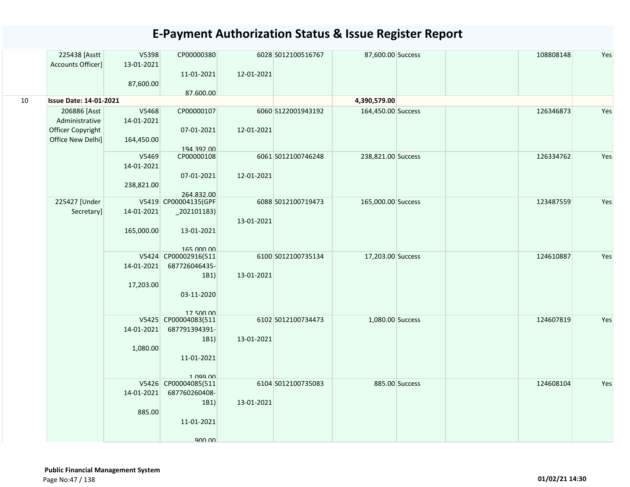|    | 225438 [Asstt<br>Accounts Officer] | V5398<br>13-01-2021 | CP00000380               |            | 6028 S012100516767 | 87,600.00 Success  |                | 108808148 | Yes |
|----|------------------------------------|---------------------|--------------------------|------------|--------------------|--------------------|----------------|-----------|-----|
|    |                                    | 87,600.00           | 11-01-2021               | 12-01-2021 |                    |                    |                |           |     |
|    |                                    |                     | 87.600.00                |            |                    |                    |                |           |     |
| 10 | <b>Issue Date: 14-01-2021</b>      |                     |                          |            |                    | 4,390,579.00       |                |           |     |
|    | 206886 [Asst                       | V5468               | CP00000107               |            | 6060 S122001943192 | 164,450.00 Success |                | 126346873 | Yes |
|    | Administrative                     | 14-01-2021          |                          |            |                    |                    |                |           |     |
|    | Officer Copyright                  |                     | 07-01-2021               | 12-01-2021 |                    |                    |                |           |     |
|    | Office New Delhi]                  | 164,450.00          |                          |            |                    |                    |                |           |     |
|    |                                    | V5469               | 194.392.00<br>CP00000108 |            | 6061 S012100746248 |                    |                | 126334762 | Yes |
|    |                                    | 14-01-2021          |                          |            |                    | 238,821.00 Success |                |           |     |
|    |                                    |                     | 07-01-2021               | 12-01-2021 |                    |                    |                |           |     |
|    |                                    | 238,821.00          |                          |            |                    |                    |                |           |     |
|    |                                    |                     | 264.832.00               |            |                    |                    |                |           |     |
|    | 225427 [Under                      |                     | V5419 CP00004135(GPF     |            | 6088 S012100719473 | 165,000.00 Success |                | 123487559 | Yes |
|    | Secretary]                         | 14-01-2021          | $_2$ 02101183)           |            |                    |                    |                |           |     |
|    |                                    |                     |                          | 13-01-2021 |                    |                    |                |           |     |
|    |                                    | 165,000.00          | 13-01-2021               |            |                    |                    |                |           |     |
|    |                                    |                     | 165,000,00               |            |                    |                    |                |           |     |
|    |                                    |                     | V5424 CP00002916(511     |            | 6100 S012100735134 | 17,203.00 Success  |                | 124610887 | Yes |
|    |                                    | 14-01-2021          | 687726046435-            |            |                    |                    |                |           |     |
|    |                                    |                     | 1B1)                     | 13-01-2021 |                    |                    |                |           |     |
|    |                                    | 17,203.00           |                          |            |                    |                    |                |           |     |
|    |                                    |                     | 03-11-2020               |            |                    |                    |                |           |     |
|    |                                    |                     | 17 500 00                |            |                    |                    |                |           |     |
|    |                                    |                     | V5425 CP00004083(511     |            | 6102 S012100734473 | 1,080.00 Success   |                | 124607819 | Yes |
|    |                                    | 14-01-2021          | 687791394391-            |            |                    |                    |                |           |     |
|    |                                    |                     | 1B1)                     | 13-01-2021 |                    |                    |                |           |     |
|    |                                    | 1,080.00            |                          |            |                    |                    |                |           |     |
|    |                                    |                     | 11-01-2021               |            |                    |                    |                |           |     |
|    |                                    |                     | $1$ $099$ $00$           |            |                    |                    |                |           |     |
|    |                                    |                     | V5426 CP00004085(511     |            | 6104 S012100735083 |                    | 885.00 Success | 124608104 | Yes |
|    |                                    | 14-01-2021          | 687760260408-            |            |                    |                    |                |           |     |
|    |                                    |                     | 1B1)                     | 13-01-2021 |                    |                    |                |           |     |
|    |                                    | 885.00              |                          |            |                    |                    |                |           |     |
|    |                                    |                     | 11-01-2021               |            |                    |                    |                |           |     |
|    |                                    |                     | 900 DD                   |            |                    |                    |                |           |     |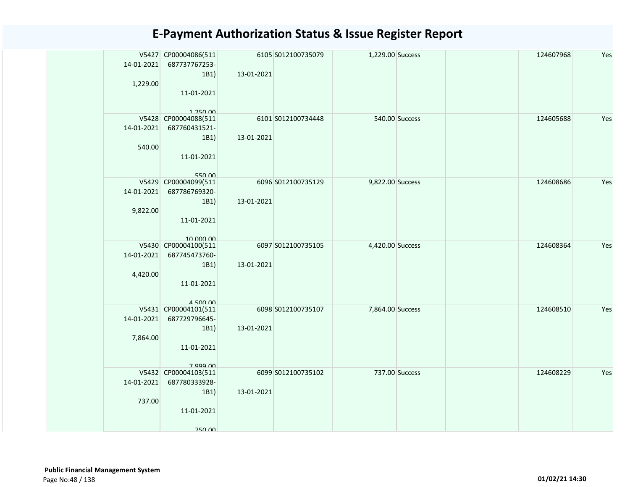| 14-01-2021<br>1,229.00 | V5427 CP00004086(511<br>687737767253-<br>1B1)<br>11-01-2021<br>1 250 00   | 13-01-2021 | 6105 S012100735079 | 1,229.00 Success |  | 124607968 | Yes |
|------------------------|---------------------------------------------------------------------------|------------|--------------------|------------------|--|-----------|-----|
| 14-01-2021<br>540.00   | V5428 CP00004088(511<br>687760431521-<br>1B1)<br>11-01-2021<br>550.00     | 13-01-2021 | 6101 S012100734448 | 540.00 Success   |  | 124605688 | Yes |
| 14-01-2021<br>9,822.00 | V5429 CP00004099(511<br>687786769320-<br>1B1)<br>11-01-2021<br>10,000,00  | 13-01-2021 | 6096 S012100735129 | 9,822.00 Success |  | 124608686 | Yes |
| 14-01-2021<br>4,420.00 | V5430 CP00004100(511<br>687745473760-<br>1B1)<br>11-01-2021<br>$A$ 500 00 | 13-01-2021 | 6097 S012100735105 | 4,420.00 Success |  | 124608364 | Yes |
| 14-01-2021<br>7,864.00 | V5431 CP00004101(511<br>687729796645-<br>1B1)<br>11-01-2021<br>7 999 00   | 13-01-2021 | 6098 S012100735107 | 7,864.00 Success |  | 124608510 | Yes |
| 14-01-2021<br>737.00   | V5432 CP00004103(511<br>687780333928-<br>1B1)<br>11-01-2021<br>750.00     | 13-01-2021 | 6099 S012100735102 | 737.00 Success   |  | 124608229 | Yes |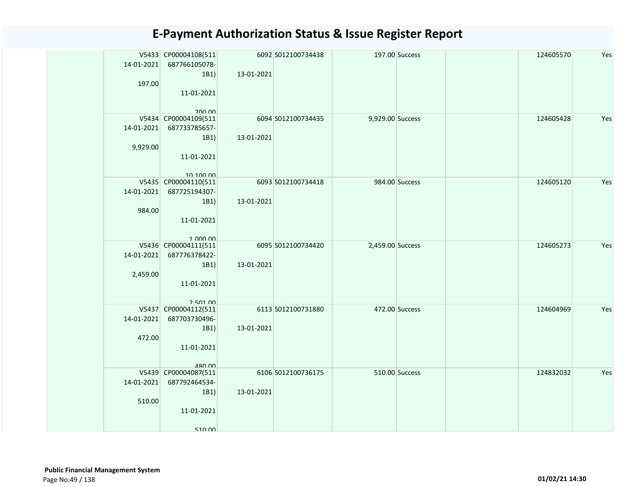| 14-01-2021<br>197.00         | V5433 CP00004108(511<br>687766105078-<br>1B1)<br>11-01-2021<br>200.00              | 13-01-2021 | 6092 S012100734438 |                  | 197.00 Success | 124605570 | Yes |
|------------------------------|------------------------------------------------------------------------------------|------------|--------------------|------------------|----------------|-----------|-----|
| $14 - 01 - 2021$<br>9,929.00 | V5434 CP00004109(511<br>687733785657-<br>1B1)<br>11-01-2021<br>10, 100, 00         | 13-01-2021 | 6094 S012100734435 | 9,929.00 Success |                | 124605428 | Yes |
| 984.00                       | V5435 CP00004110(511<br>14-01-2021 687725194307-<br>1B1)<br>11-01-2021<br>1.000,00 | 13-01-2021 | 6093 S012100734418 |                  | 984.00 Success | 124605120 | Yes |
| 14-01-2021<br>2,459.00       | V5436 CP00004111(511<br>687776378422-<br>1B1)<br>11-01-2021<br>2 501 00            | 13-01-2021 | 6095 S012100734420 | 2,459.00 Success |                | 124605273 | Yes |
| 14-01-2021<br>472.00         | V5437 CP00004112(511<br>687703730496-<br>1B1)<br>11-01-2021<br>480.00              | 13-01-2021 | 6113 S012100731880 |                  | 472.00 Success | 124604969 | Yes |
| 14-01-2021<br>510.00         | V5439 CP00004087(511<br>687792464534-<br>1B1)<br>11-01-2021<br>51000               | 13-01-2021 | 6106 S012100736175 |                  | 510.00 Success | 124832032 | Yes |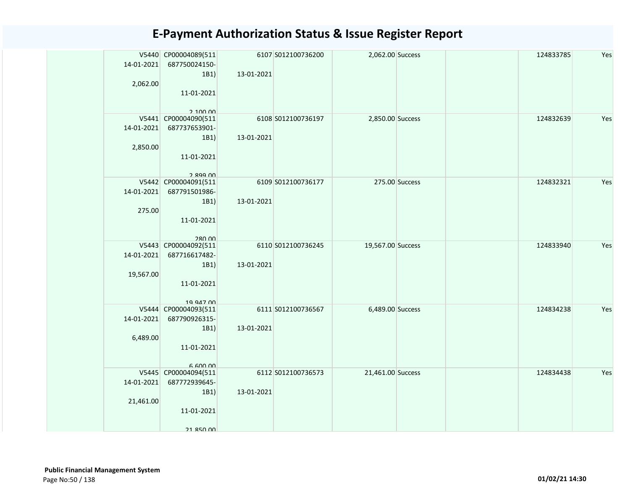| 14-01-2021<br>2,062.00  | V5440 CP00004089(511<br>687750024150-<br>1B1)<br>11-01-2021<br>2,100,00      | 13-01-2021 | 6107 S012100736200 | 2,062.00 Success  |                | 124833785 | Yes |
|-------------------------|------------------------------------------------------------------------------|------------|--------------------|-------------------|----------------|-----------|-----|
| 14-01-2021<br>2,850.00  | V5441 CP00004090(511<br>687737653901-<br>1B1)<br>11-01-2021<br>2 899 UU      | 13-01-2021 | 6108 S012100736197 | 2,850.00 Success  |                | 124832639 | Yes |
| 14-01-2021<br>275.00    | V5442 CP00004091(511<br>687791501986-<br>1B1)<br>11-01-2021<br><b>280.00</b> | 13-01-2021 | 6109 S012100736177 |                   | 275.00 Success | 124832321 | Yes |
| 14-01-2021<br>19,567.00 | V5443 CP00004092(511<br>687716617482-<br>1B1)<br>11-01-2021<br>19 947 00     | 13-01-2021 | 6110 S012100736245 | 19,567.00 Success |                | 124833940 | Yes |
| 14-01-2021<br>6,489.00  | V5444 CP00004093(511<br>687790926315-<br>1B1)<br>11-01-2021<br>6.600.00      | 13-01-2021 | 6111 S012100736567 | 6,489.00 Success  |                | 124834238 | Yes |
| 14-01-2021<br>21,461.00 | V5445 CP00004094(511<br>687772939645-<br>1B1)<br>11-01-2021<br>21 850 00     | 13-01-2021 | 6112 S012100736573 | 21,461.00 Success |                | 124834438 | Yes |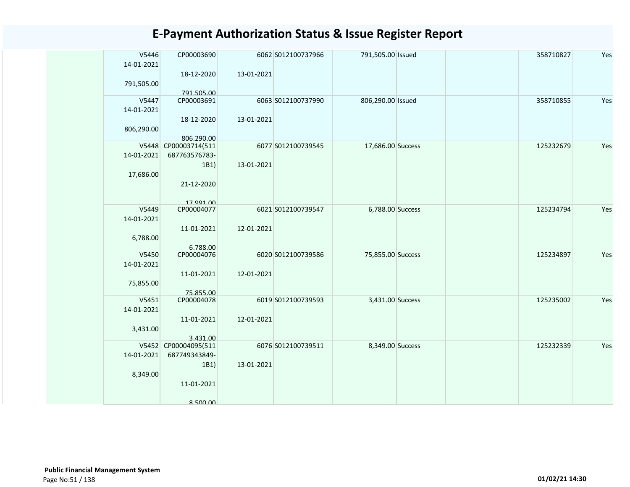| V5446      | CP00003690                       |            | 6062 S012100737966 | 791,505.00 Issued | 358710827 | Yes |
|------------|----------------------------------|------------|--------------------|-------------------|-----------|-----|
| 14-01-2021 | 18-12-2020                       | 13-01-2021 |                    |                   |           |     |
| 791,505.00 |                                  |            |                    |                   |           |     |
|            | 791.505.00                       |            |                    |                   |           |     |
| V5447      | CP00003691                       |            | 6063 S012100737990 | 806,290.00 Issued | 358710855 | Yes |
| 14-01-2021 |                                  |            |                    |                   |           |     |
| 806,290.00 | 18-12-2020                       | 13-01-2021 |                    |                   |           |     |
|            | 806.290.00                       |            |                    |                   |           |     |
|            | V5448 CP00003714(511             |            | 6077 S012100739545 | 17,686.00 Success | 125232679 | Yes |
| 14-01-2021 | 687763576783-                    |            |                    |                   |           |     |
|            | 1B1)                             | 13-01-2021 |                    |                   |           |     |
| 17,686.00  |                                  |            |                    |                   |           |     |
|            | 21-12-2020                       |            |                    |                   |           |     |
|            | 17 991 00                        |            |                    |                   |           |     |
| V5449      | CP00004077                       |            | 6021 S012100739547 | 6,788.00 Success  | 125234794 | Yes |
| 14-01-2021 |                                  |            |                    |                   |           |     |
| 6,788.00   | 11-01-2021                       | 12-01-2021 |                    |                   |           |     |
|            | 6.788.00                         |            |                    |                   |           |     |
| V5450      | CP00004076                       |            | 6020 S012100739586 | 75,855.00 Success | 125234897 | Yes |
| 14-01-2021 |                                  |            |                    |                   |           |     |
|            | 11-01-2021                       | 12-01-2021 |                    |                   |           |     |
| 75,855.00  | 75.855.00                        |            |                    |                   |           |     |
| V5451      | CP00004078                       |            | 6019 S012100739593 | 3,431.00 Success  | 125235002 | Yes |
| 14-01-2021 |                                  |            |                    |                   |           |     |
|            | 11-01-2021                       | 12-01-2021 |                    |                   |           |     |
| 3,431.00   |                                  |            |                    |                   |           |     |
|            | 3.431.00<br>V5452 CP00004095(511 |            | 6076 S012100739511 | 8,349.00 Success  | 125232339 | Yes |
| 14-01-2021 | 687749343849-                    |            |                    |                   |           |     |
|            | 1B1)                             | 13-01-2021 |                    |                   |           |     |
| 8,349.00   |                                  |            |                    |                   |           |     |
|            | 11-01-2021                       |            |                    |                   |           |     |
|            | $R$ 500 00                       |            |                    |                   |           |     |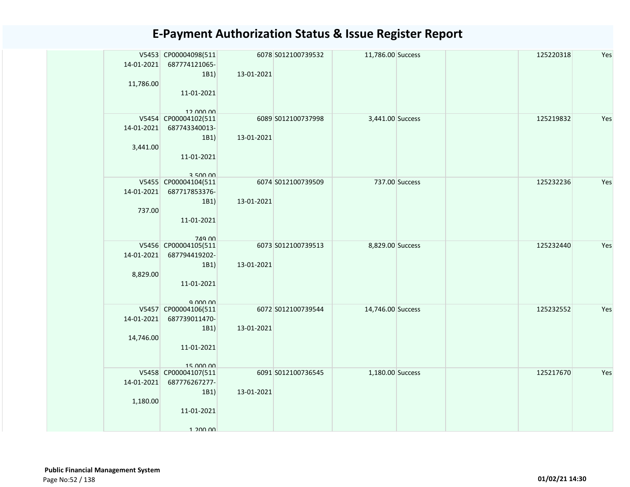| 11,786.00               | V5453 CP00004098(511<br>14-01-2021 687774121065-<br>1B1)<br>11-01-2021<br>12 000 00 | 13-01-2021 | 6078 S012100739532 | 11,786.00 Success |                | 125220318 | Yes |
|-------------------------|-------------------------------------------------------------------------------------|------------|--------------------|-------------------|----------------|-----------|-----|
| 14-01-2021<br>3,441.00  | V5454 CP00004102(511<br>687743340013-<br>1B1)<br>11-01-2021<br>350000               | 13-01-2021 | 6089 S012100737998 | 3,441.00 Success  |                | 125219832 | Yes |
| 737.00                  | V5455 CP00004104(511<br>14-01-2021 687717853376-<br>1B1)<br>11-01-2021<br>749 00    | 13-01-2021 | 6074 S012100739509 |                   | 737.00 Success | 125232236 | Yes |
| 14-01-2021<br>8,829.00  | V5456 CP00004105(511<br>687794419202-<br>1B1)<br>11-01-2021                         | 13-01-2021 | 6073 S012100739513 | 8,829.00 Success  |                | 125232440 | Yes |
| 14-01-2021<br>14,746.00 | V5457 CP00004106(511<br>687739011470-<br>1B1)<br>11-01-2021<br>15,000,00            | 13-01-2021 | 6072 S012100739544 | 14,746.00 Success |                | 125232552 | Yes |
| 1,180.00                | V5458 CP00004107(511<br>14-01-2021 687776267277-<br>1B1)<br>11-01-2021<br>1 200 00  | 13-01-2021 | 6091 S012100736545 | 1,180.00 Success  |                | 125217670 | Yes |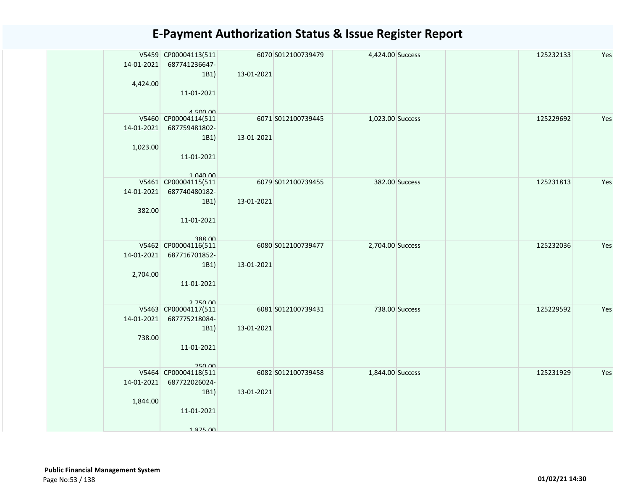| 14-01-2021 | V5459 CP00004113(511<br>687741236647-     |            | 6070 S012100739479 | 4,424.00 Success |                | 125232133 | Yes |
|------------|-------------------------------------------|------------|--------------------|------------------|----------------|-----------|-----|
| 4,424.00   | 1B1)                                      | 13-01-2021 |                    |                  |                |           |     |
|            | 11-01-2021                                |            |                    |                  |                |           |     |
|            | $A$ 500 00<br>V5460 CP00004114(511        |            | 6071 S012100739445 | 1,023.00 Success |                | 125229692 | Yes |
| 14-01-2021 | 687759481802-                             |            |                    |                  |                |           |     |
|            | 1B1)                                      | 13-01-2021 |                    |                  |                |           |     |
| 1,023.00   |                                           |            |                    |                  |                |           |     |
|            | 11-01-2021                                |            |                    |                  |                |           |     |
|            |                                           |            |                    |                  |                |           |     |
|            | $1$ $0$ $40$ $00$<br>V5461 CP00004115(511 |            | 6079 S012100739455 |                  | 382.00 Success | 125231813 | Yes |
| 14-01-2021 | 687740480182-                             |            |                    |                  |                |           |     |
|            | 1B1)                                      | 13-01-2021 |                    |                  |                |           |     |
| 382.00     |                                           |            |                    |                  |                |           |     |
|            | 11-01-2021                                |            |                    |                  |                |           |     |
|            |                                           |            |                    |                  |                |           |     |
|            | 388 UU<br>V5462 CP00004116(511            |            | 6080 S012100739477 | 2,704.00 Success |                | 125232036 | Yes |
| 14-01-2021 | 687716701852-                             |            |                    |                  |                |           |     |
|            | 1B1)                                      | 13-01-2021 |                    |                  |                |           |     |
| 2,704.00   |                                           |            |                    |                  |                |           |     |
|            | 11-01-2021                                |            |                    |                  |                |           |     |
|            | 2.750.00                                  |            |                    |                  |                |           |     |
|            | V5463 CP00004117(511                      |            | 6081 S012100739431 |                  | 738.00 Success | 125229592 | Yes |
| 14-01-2021 | 687775218084-                             |            |                    |                  |                |           |     |
|            | 1B1)                                      | 13-01-2021 |                    |                  |                |           |     |
| 738.00     |                                           |            |                    |                  |                |           |     |
|            | 11-01-2021                                |            |                    |                  |                |           |     |
|            | 750 00                                    |            |                    |                  |                |           |     |
|            | V5464 CP00004118(511                      |            | 6082 S012100739458 | 1,844.00 Success |                | 125231929 | Yes |
| 14-01-2021 | 687722026024-                             |            |                    |                  |                |           |     |
|            | 1B1)                                      | 13-01-2021 |                    |                  |                |           |     |
| 1,844.00   |                                           |            |                    |                  |                |           |     |
|            | 11-01-2021                                |            |                    |                  |                |           |     |
|            | 1 875 NO                                  |            |                    |                  |                |           |     |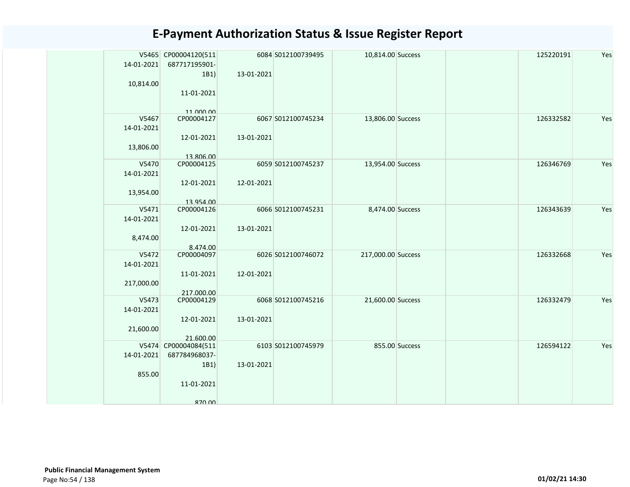| 14-01-2021<br>10,814.00           | V5465 CP00004120(511<br>687717195901-<br>1B1<br>11-01-2021<br>$11$ $000$ $00$ | 13-01-2021 | 6084 S012100739495 | 10,814.00 Success  |                | 125220191 | Yes |
|-----------------------------------|-------------------------------------------------------------------------------|------------|--------------------|--------------------|----------------|-----------|-----|
| V5467<br>14-01-2021<br>13,806.00  | CP00004127<br>12-01-2021<br>13.806.00                                         | 13-01-2021 | 6067 S012100745234 | 13,806.00 Success  |                | 126332582 | Yes |
| V5470<br>14-01-2021<br>13,954.00  | CP00004125<br>12-01-2021<br>13.954.00                                         | 12-01-2021 | 6059 S012100745237 | 13,954.00 Success  |                | 126346769 | Yes |
| V5471<br>14-01-2021<br>8,474.00   | CP00004126<br>12-01-2021<br>8.474.00                                          | 13-01-2021 | 6066 S012100745231 | 8,474.00 Success   |                | 126343639 | Yes |
| V5472<br>14-01-2021<br>217,000.00 | CP00004097<br>11-01-2021<br>217.000.00                                        | 12-01-2021 | 6026 S012100746072 | 217,000.00 Success |                | 126332668 | Yes |
| V5473<br>14-01-2021<br>21,600.00  | CP00004129<br>12-01-2021<br>21.600.00                                         | 13-01-2021 | 6068 S012100745216 | 21,600.00 Success  |                | 126332479 | Yes |
| 14-01-2021<br>855.00              | V5474 CP00004084(511<br>687784968037-<br>1B1<br>11-01-2021<br>870.00          | 13-01-2021 | 6103 S012100745979 |                    | 855.00 Success | 126594122 | Yes |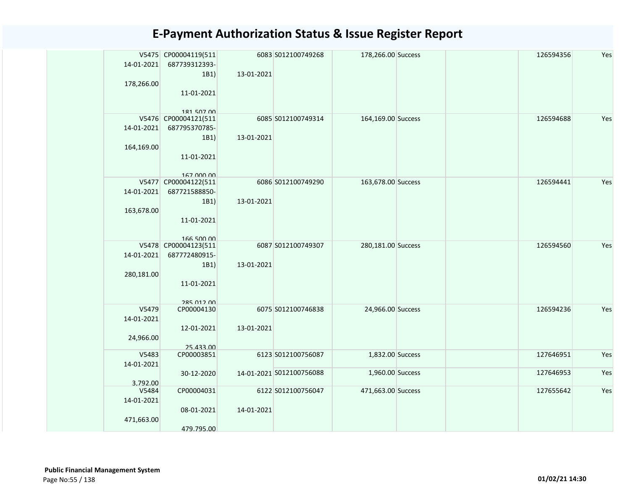| 14-01-2021          | V5475 CP00004119(511<br>687739312393- |            | 6083 S012100749268       | 178,266.00 Success |  | 126594356 | Yes |
|---------------------|---------------------------------------|------------|--------------------------|--------------------|--|-----------|-----|
|                     | 1B1)                                  | 13-01-2021 |                          |                    |  |           |     |
| 178,266.00          |                                       |            |                          |                    |  |           |     |
|                     | 11-01-2021                            |            |                          |                    |  |           |     |
|                     |                                       |            |                          |                    |  |           |     |
|                     | 181 507 00<br>V5476 CP00004121(511    |            | 6085 S012100749314       | 164,169.00 Success |  | 126594688 | Yes |
| 14-01-2021          | 687795370785-                         |            |                          |                    |  |           |     |
|                     | 1B1)                                  | 13-01-2021 |                          |                    |  |           |     |
| 164,169.00          |                                       |            |                          |                    |  |           |     |
|                     | 11-01-2021                            |            |                          |                    |  |           |     |
|                     |                                       |            |                          |                    |  |           |     |
|                     | 167 000 00                            |            |                          |                    |  |           |     |
|                     | V5477 CP00004122(511                  |            | 6086 S012100749290       | 163,678.00 Success |  | 126594441 | Yes |
| 14-01-2021          | 687721588850-                         |            |                          |                    |  |           |     |
|                     | 1B1)                                  | 13-01-2021 |                          |                    |  |           |     |
| 163,678.00          |                                       |            |                          |                    |  |           |     |
|                     | 11-01-2021                            |            |                          |                    |  |           |     |
|                     | 166 500 00                            |            |                          |                    |  |           |     |
|                     | V5478 CP00004123(511                  |            | 6087 S012100749307       | 280,181.00 Success |  | 126594560 | Yes |
| 14-01-2021          | 687772480915-                         |            |                          |                    |  |           |     |
|                     | 1B1)                                  | 13-01-2021 |                          |                    |  |           |     |
| 280,181.00          |                                       |            |                          |                    |  |           |     |
|                     | 11-01-2021                            |            |                          |                    |  |           |     |
|                     |                                       |            |                          |                    |  |           |     |
|                     | 285 012 00                            |            |                          |                    |  |           |     |
| V5479<br>14-01-2021 | CP00004130                            |            | 6075 S012100746838       | 24,966.00 Success  |  | 126594236 | Yes |
|                     | 12-01-2021                            | 13-01-2021 |                          |                    |  |           |     |
| 24,966.00           |                                       |            |                          |                    |  |           |     |
|                     | 25.433.00                             |            |                          |                    |  |           |     |
| V5483               | CP00003851                            |            | 6123 S012100756087       | 1,832.00 Success   |  | 127646951 | Yes |
| 14-01-2021          |                                       |            |                          |                    |  |           |     |
|                     | 30-12-2020                            |            | 14-01-2021 S012100756088 | 1,960.00 Success   |  | 127646953 | Yes |
| 3.792.00            |                                       |            |                          |                    |  |           |     |
| V5484               | CP00004031                            |            | 6122 S012100756047       | 471,663.00 Success |  | 127655642 | Yes |
| 14-01-2021          |                                       |            |                          |                    |  |           |     |
|                     | 08-01-2021                            | 14-01-2021 |                          |                    |  |           |     |
| 471,663.00          |                                       |            |                          |                    |  |           |     |
|                     | 479.795.00                            |            |                          |                    |  |           |     |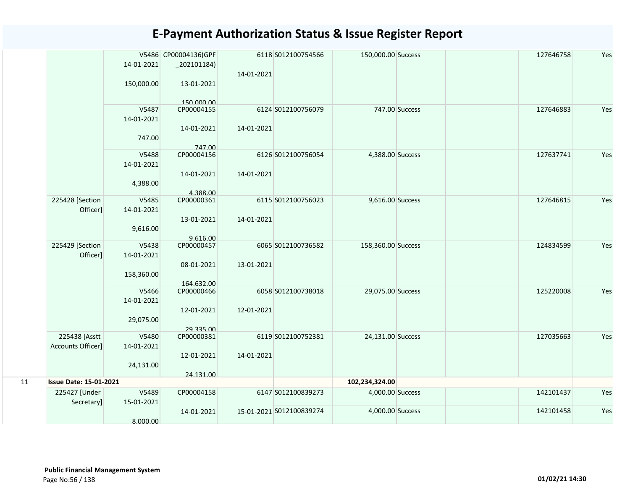|    |                               |            | V5486 CP00004136(GPF |            | 6118 S012100754566       | 150,000.00 Success |                | Yes<br>127646758 |
|----|-------------------------------|------------|----------------------|------------|--------------------------|--------------------|----------------|------------------|
|    |                               | 14-01-2021 | $_2$ 202101184)      |            |                          |                    |                |                  |
|    |                               |            |                      | 14-01-2021 |                          |                    |                |                  |
|    |                               | 150,000.00 | 13-01-2021           |            |                          |                    |                |                  |
|    |                               |            |                      |            |                          |                    |                |                  |
|    |                               |            | 150,000,00           |            |                          |                    |                |                  |
|    |                               | V5487      | CP00004155           |            | 6124 S012100756079       |                    | 747.00 Success | Yes<br>127646883 |
|    |                               | 14-01-2021 |                      |            |                          |                    |                |                  |
|    |                               |            | 14-01-2021           | 14-01-2021 |                          |                    |                |                  |
|    |                               | 747.00     |                      |            |                          |                    |                |                  |
|    |                               | V5488      | 747.00<br>CP00004156 |            | 6126 S012100756054       | 4,388.00 Success   |                | Yes<br>127637741 |
|    |                               | 14-01-2021 |                      |            |                          |                    |                |                  |
|    |                               |            | 14-01-2021           | 14-01-2021 |                          |                    |                |                  |
|    |                               | 4,388.00   |                      |            |                          |                    |                |                  |
|    |                               |            | 4.388.00             |            |                          |                    |                |                  |
|    | 225428 [Section               | V5485      | CP00000361           |            | 6115 S012100756023       | 9,616.00 Success   |                | 127646815<br>Yes |
|    | Officer]                      | 14-01-2021 |                      |            |                          |                    |                |                  |
|    |                               |            | 13-01-2021           | 14-01-2021 |                          |                    |                |                  |
|    |                               | 9,616.00   | 9.616.00             |            |                          |                    |                |                  |
|    | 225429 [Section               | V5438      | CP00000457           |            | 6065 S012100736582       | 158,360.00 Success |                | Yes<br>124834599 |
|    | Officer]                      | 14-01-2021 |                      |            |                          |                    |                |                  |
|    |                               |            | 08-01-2021           | 13-01-2021 |                          |                    |                |                  |
|    |                               | 158,360.00 |                      |            |                          |                    |                |                  |
|    |                               |            | 164.632.00           |            |                          |                    |                |                  |
|    |                               | V5466      | CP00000466           |            | 6058 S012100738018       | 29,075.00 Success  |                | Yes<br>125220008 |
|    |                               | 14-01-2021 |                      |            |                          |                    |                |                  |
|    |                               |            | 12-01-2021           | 12-01-2021 |                          |                    |                |                  |
|    |                               | 29,075.00  | 29.335.00            |            |                          |                    |                |                  |
|    | 225438 [Asstt                 | V5480      | CP00000381           |            | 6119 S012100752381       | 24,131.00 Success  |                | Yes<br>127035663 |
|    | Accounts Officer]             | 14-01-2021 |                      |            |                          |                    |                |                  |
|    |                               |            | 12-01-2021           | 14-01-2021 |                          |                    |                |                  |
|    |                               | 24,131.00  |                      |            |                          |                    |                |                  |
|    |                               |            | 24.131.00            |            |                          |                    |                |                  |
| 11 | <b>Issue Date: 15-01-2021</b> |            |                      |            |                          | 102,234,324.00     |                |                  |
|    | 225427 [Under                 | V5489      | CP00004158           |            | 6147 S012100839273       | 4,000.00 Success   |                | Yes<br>142101437 |
|    | Secretary]                    | 15-01-2021 |                      |            |                          |                    |                |                  |
|    |                               |            | 14-01-2021           |            | 15-01-2021 S012100839274 | 4,000.00 Success   |                | Yes<br>142101458 |
|    |                               | 8.000.00   |                      |            |                          |                    |                |                  |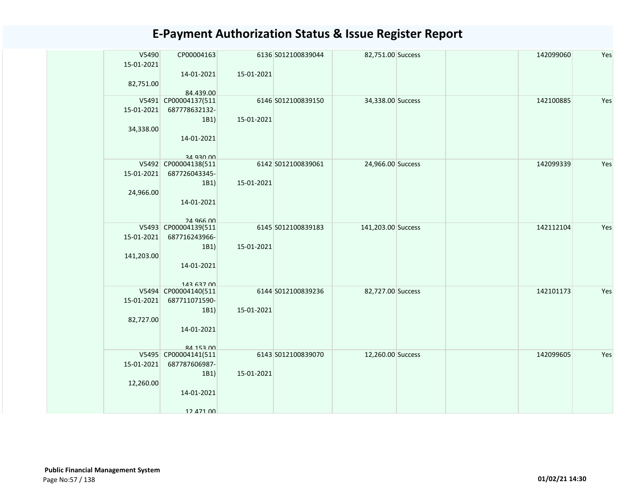| V5490<br>15-01-2021 | CP00004163                        |            | 6136 S012100839044 | 82,751.00 Success  | 142099060 | Yes |
|---------------------|-----------------------------------|------------|--------------------|--------------------|-----------|-----|
|                     | 14-01-2021                        | 15-01-2021 |                    |                    |           |     |
| 82,751.00           |                                   |            |                    |                    |           |     |
|                     | 84.439.00                         |            |                    |                    |           |     |
|                     | V5491 CP00004137(511              |            | 6146 S012100839150 | 34,338.00 Success  | 142100885 | Yes |
| 15-01-2021          | 687778632132-                     |            |                    |                    |           |     |
|                     | 1B1)                              | 15-01-2021 |                    |                    |           |     |
| 34,338.00           | 14-01-2021                        |            |                    |                    |           |     |
|                     |                                   |            |                    |                    |           |     |
|                     | an asu uu                         |            |                    |                    |           |     |
|                     | V5492 CP00004138(511              |            | 6142 S012100839061 | 24,966.00 Success  | 142099339 | Yes |
| 15-01-2021          | 687726043345-                     |            |                    |                    |           |     |
|                     | 1B1)                              | 15-01-2021 |                    |                    |           |     |
| 24,966.00           | 14-01-2021                        |            |                    |                    |           |     |
|                     |                                   |            |                    |                    |           |     |
|                     | 24 966 00                         |            |                    |                    |           |     |
| V5493               | CP00004139(511                    |            | 6145 S012100839183 | 141,203.00 Success | 142112104 | Yes |
| 15-01-2021          | 687716243966-                     |            |                    |                    |           |     |
|                     | 1B1)                              | 15-01-2021 |                    |                    |           |     |
| 141,203.00          |                                   |            |                    |                    |           |     |
|                     | 14-01-2021                        |            |                    |                    |           |     |
|                     | 143 637 00                        |            |                    |                    |           |     |
|                     | V5494 CP00004140(511              |            | 6144 S012100839236 | 82,727.00 Success  | 142101173 | Yes |
| 15-01-2021          | 687711071590-                     |            |                    |                    |           |     |
|                     | 1B1)                              | 15-01-2021 |                    |                    |           |     |
| 82,727.00           |                                   |            |                    |                    |           |     |
|                     | 14-01-2021                        |            |                    |                    |           |     |
|                     |                                   |            |                    |                    |           |     |
|                     | 84 153 00<br>V5495 CP00004141(511 |            | 6143 S012100839070 | 12,260.00 Success  | 142099605 | Yes |
| 15-01-2021          | 687787606987-                     |            |                    |                    |           |     |
|                     | 1B1)                              | 15-01-2021 |                    |                    |           |     |
| 12,260.00           |                                   |            |                    |                    |           |     |
|                     | 14-01-2021                        |            |                    |                    |           |     |
|                     |                                   |            |                    |                    |           |     |
|                     | 12 471 00                         |            |                    |                    |           |     |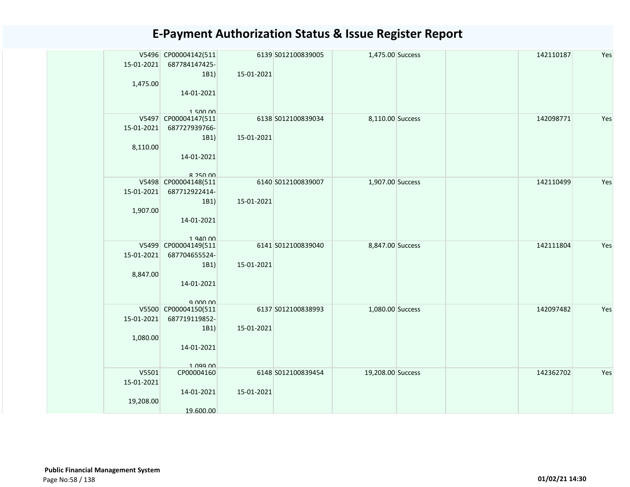| 15-01-2021<br>1,475.00           | V5496 CP00004142(511<br>687784147425-<br>1B1)<br>14-01-2021                         | 15-01-2021 | 6139 S012100839005 | 1,475.00 Success  |  | 142110187 | Yes |
|----------------------------------|-------------------------------------------------------------------------------------|------------|--------------------|-------------------|--|-----------|-----|
| 15-01-2021<br>8,110.00           | 150000<br>V5497 CP00004147(511<br>687727939766-<br>1B1)<br>14-01-2021<br>$R$ 250 00 | 15-01-2021 | 6138 S012100839034 | 8,110.00 Success  |  | 142098771 | Yes |
| 15-01-2021<br>1,907.00           | V5498 CP00004148(511<br>687712922414-<br>1B1)<br>14-01-2021<br>1.940.00             | 15-01-2021 | 6140 S012100839007 | 1,907.00 Success  |  | 142110499 | Yes |
| 15-01-2021<br>8,847.00           | V5499 CP00004149(511<br>687704655524-<br>1B1)<br>14-01-2021                         | 15-01-2021 | 6141 S012100839040 | 8,847.00 Success  |  | 142111804 | Yes |
| 15-01-2021<br>1,080.00           | V5500 CP00004150(511<br>687719119852-<br>1B1)<br>14-01-2021<br>1 099 00             | 15-01-2021 | 6137 S012100838993 | 1,080.00 Success  |  | 142097482 | Yes |
| V5501<br>15-01-2021<br>19,208.00 | CP00004160<br>14-01-2021<br>19.600.00                                               | 15-01-2021 | 6148 S012100839454 | 19,208.00 Success |  | 142362702 | Yes |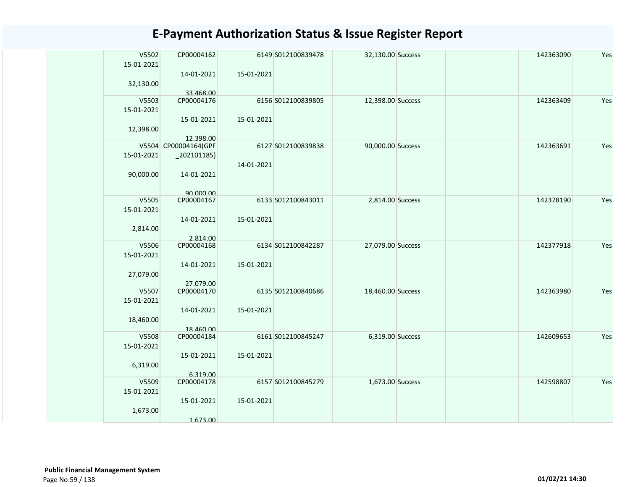| V5502<br>15-01-2021 | CP00004162                        |            | 6149 S012100839478 | 32,130.00 Success | 142363090 | Yes |
|---------------------|-----------------------------------|------------|--------------------|-------------------|-----------|-----|
|                     | 14-01-2021                        | 15-01-2021 |                    |                   |           |     |
| 32,130.00           |                                   |            |                    |                   |           |     |
|                     | 33.468.00                         |            |                    |                   |           |     |
| V5503               | CP00004176                        |            | 6156 S012100839805 | 12,398.00 Success | 142363409 | Yes |
| 15-01-2021          |                                   |            |                    |                   |           |     |
|                     | 15-01-2021                        | 15-01-2021 |                    |                   |           |     |
| 12,398.00           |                                   |            |                    |                   |           |     |
|                     | 12.398.00<br>V5504 CP00004164(GPF |            | 6127 S012100839838 | 90,000.00 Success | 142363691 | Yes |
| 15-01-2021          |                                   |            |                    |                   |           |     |
|                     | $_2$ 02101185)                    | 14-01-2021 |                    |                   |           |     |
|                     |                                   |            |                    |                   |           |     |
| 90,000.00           | 14-01-2021                        |            |                    |                   |           |     |
|                     |                                   |            |                    |                   |           |     |
| V5505               | 90,000,00<br>CP00004167           |            | 6133 S012100843011 | 2,814.00 Success  | 142378190 | Yes |
| 15-01-2021          |                                   |            |                    |                   |           |     |
|                     | 14-01-2021                        | 15-01-2021 |                    |                   |           |     |
| 2,814.00            |                                   |            |                    |                   |           |     |
|                     | 2.814.00                          |            |                    |                   |           |     |
| V5506               | CP00004168                        |            | 6134 S012100842287 | 27,079.00 Success | 142377918 | Yes |
| 15-01-2021          |                                   |            |                    |                   |           |     |
|                     | 14-01-2021                        | 15-01-2021 |                    |                   |           |     |
| 27,079.00           |                                   |            |                    |                   |           |     |
|                     | 27.079.00                         |            |                    |                   |           |     |
| V5507               | CP00004170                        |            | 6135 S012100840686 | 18,460.00 Success | 142363980 | Yes |
| 15-01-2021          |                                   |            |                    |                   |           |     |
|                     | 14-01-2021                        | 15-01-2021 |                    |                   |           |     |
| 18,460.00           |                                   |            |                    |                   |           |     |
|                     | 18.460.00                         |            |                    |                   |           |     |
| V5508               | CP00004184                        |            | 6161 S012100845247 | 6,319.00 Success  | 142609653 | Yes |
| 15-01-2021          |                                   |            |                    |                   |           |     |
|                     | 15-01-2021                        | 15-01-2021 |                    |                   |           |     |
| 6,319.00            |                                   |            |                    |                   |           |     |
| V5509               | 6.319.00<br>CP00004178            |            | 6157 S012100845279 | 1,673.00 Success  | 142598807 | Yes |
| 15-01-2021          |                                   |            |                    |                   |           |     |
|                     | 15-01-2021                        | 15-01-2021 |                    |                   |           |     |
| 1,673.00            |                                   |            |                    |                   |           |     |
|                     | 1.673.00                          |            |                    |                   |           |     |
|                     |                                   |            |                    |                   |           |     |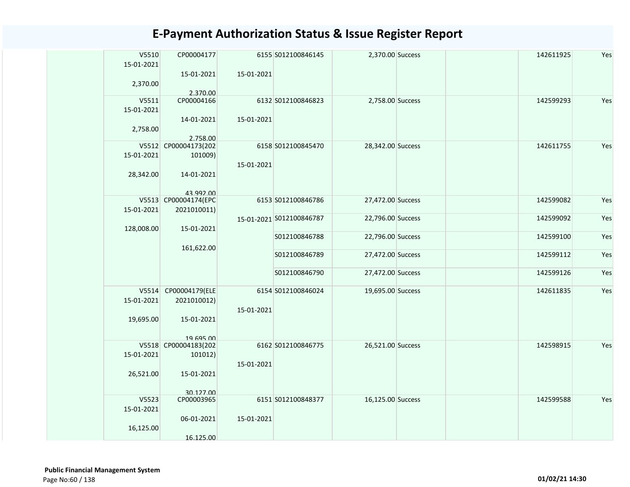| V5510<br>15-01-2021 | CP00004177                          |            | 6155 S012100846145       | 2,370.00 Success  | 142611925 | Yes |
|---------------------|-------------------------------------|------------|--------------------------|-------------------|-----------|-----|
| 2,370.00            | 15-01-2021                          | 15-01-2021 |                          |                   |           |     |
| V5511               | 2.370.00<br>CP00004166              |            | 6132 S012100846823       | 2,758.00 Success  | 142599293 | Yes |
| 15-01-2021          |                                     |            |                          |                   |           |     |
| 2,758.00            | 14-01-2021                          | 15-01-2021 |                          |                   |           |     |
| V5512               | 2.758.00<br>CP00004173(202          |            | 6158 S012100845470       | 28,342.00 Success | 142611755 | Yes |
| 15-01-2021          | 101009)                             | 15-01-2021 |                          |                   |           |     |
| 28,342.00           | 14-01-2021                          |            |                          |                   |           |     |
|                     | 43 992 00                           |            |                          |                   |           |     |
| 15-01-2021          | V5513 CP00004174(EPC<br>2021010011) |            | 6153 S012100846786       | 27,472.00 Success | 142599082 | Yes |
| 128,008.00          | 15-01-2021                          |            | 15-01-2021 S012100846787 | 22,796.00 Success | 142599092 | Yes |
|                     | 161,622.00                          |            | S012100846788            | 22,796.00 Success | 142599100 | Yes |
|                     |                                     |            | S012100846789            | 27,472.00 Success | 142599112 | Yes |
|                     |                                     |            | S012100846790            | 27,472.00 Success | 142599126 | Yes |
|                     | V5514 CP00004179(ELE                |            | 6154 S012100846024       | 19,695.00 Success | 142611835 | Yes |
| 15-01-2021          | 2021010012)                         |            |                          |                   |           |     |
| 19,695.00           | 15-01-2021                          | 15-01-2021 |                          |                   |           |     |
|                     |                                     |            |                          |                   |           |     |
|                     | 19 695 00<br>V5518 CP00004183(202   |            | 6162 S012100846775       | 26,521.00 Success | 142598915 | Yes |
| 15-01-2021          | 101012)                             |            |                          |                   |           |     |
|                     |                                     | 15-01-2021 |                          |                   |           |     |
| 26,521.00           | 15-01-2021                          |            |                          |                   |           |     |
|                     | 30 127 00                           |            |                          |                   |           |     |
| V5523               | CP00003965                          |            | 6151 S012100848377       | 16,125.00 Success | 142599588 | Yes |
| 15-01-2021          |                                     |            |                          |                   |           |     |
| 16,125.00           | 06-01-2021                          | 15-01-2021 |                          |                   |           |     |
|                     | 16.125.00                           |            |                          |                   |           |     |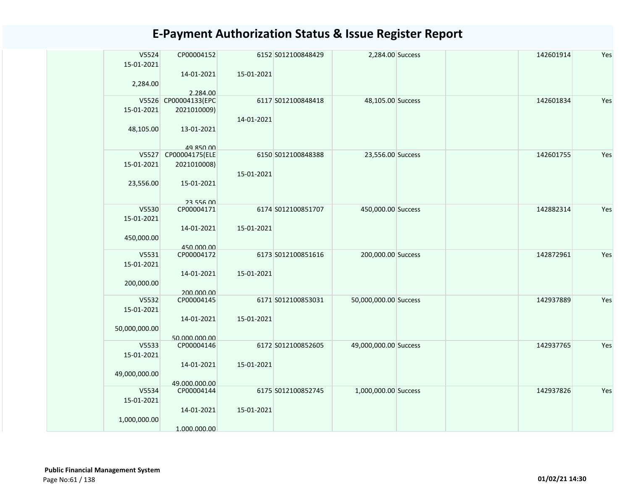| V5524         | CP00004152                       |            | 6152 S012100848429 | 2,284.00 Success      |  | 142601914 | Yes |
|---------------|----------------------------------|------------|--------------------|-----------------------|--|-----------|-----|
| 15-01-2021    | 14-01-2021                       | 15-01-2021 |                    |                       |  |           |     |
| 2,284.00      |                                  |            |                    |                       |  |           |     |
|               | 2.284.00<br>V5526 CP00004133(EPC |            | 6117 S012100848418 | 48,105.00 Success     |  | 142601834 | Yes |
| 15-01-2021    | 2021010009)                      |            |                    |                       |  |           |     |
| 48,105.00     | 13-01-2021                       | 14-01-2021 |                    |                       |  |           |     |
|               |                                  |            |                    |                       |  |           |     |
|               | 49 850 00                        |            |                    |                       |  |           |     |
| V5527         | CP00004175(ELE                   |            | 6150 S012100848388 | 23,556.00 Success     |  | 142601755 | Yes |
| 15-01-2021    | 2021010008)                      |            |                    |                       |  |           |     |
| 23,556.00     | 15-01-2021                       | 15-01-2021 |                    |                       |  |           |     |
|               | 23 556 00                        |            |                    |                       |  |           |     |
| V5530         | CP00004171                       |            | 6174 S012100851707 | 450,000.00 Success    |  | 142882314 | Yes |
| 15-01-2021    |                                  |            |                    |                       |  |           |     |
|               | 14-01-2021                       | 15-01-2021 |                    |                       |  |           |     |
| 450,000.00    |                                  |            |                    |                       |  |           |     |
|               | 450.000.00                       |            |                    |                       |  |           |     |
| V5531         | CP00004172                       |            | 6173 S012100851616 | 200,000.00 Success    |  | 142872961 | Yes |
| 15-01-2021    |                                  |            |                    |                       |  |           |     |
|               | 14-01-2021                       | 15-01-2021 |                    |                       |  |           |     |
| 200,000.00    |                                  |            |                    |                       |  |           |     |
|               | 200.000.00                       |            |                    |                       |  |           |     |
| V5532         | CP00004145                       |            | 6171 S012100853031 | 50,000,000.00 Success |  | 142937889 | Yes |
| 15-01-2021    |                                  |            |                    |                       |  |           |     |
|               | 14-01-2021                       | 15-01-2021 |                    |                       |  |           |     |
| 50,000,000.00 |                                  |            |                    |                       |  |           |     |
|               | 50.000.000.00                    |            |                    |                       |  |           |     |
| V5533         | CP00004146                       |            | 6172 S012100852605 | 49,000,000.00 Success |  | 142937765 | Yes |
| 15-01-2021    |                                  |            |                    |                       |  |           |     |
|               | 14-01-2021                       | 15-01-2021 |                    |                       |  |           |     |
| 49,000,000.00 |                                  |            |                    |                       |  |           |     |
|               | 49.000.000.00                    |            |                    |                       |  |           |     |
| V5534         | CP00004144                       |            | 6175 S012100852745 | 1,000,000.00 Success  |  | 142937826 | Yes |
| 15-01-2021    |                                  |            |                    |                       |  |           |     |
|               | 14-01-2021                       | 15-01-2021 |                    |                       |  |           |     |
| 1,000,000.00  |                                  |            |                    |                       |  |           |     |
|               | 1.000.000.00                     |            |                    |                       |  |           |     |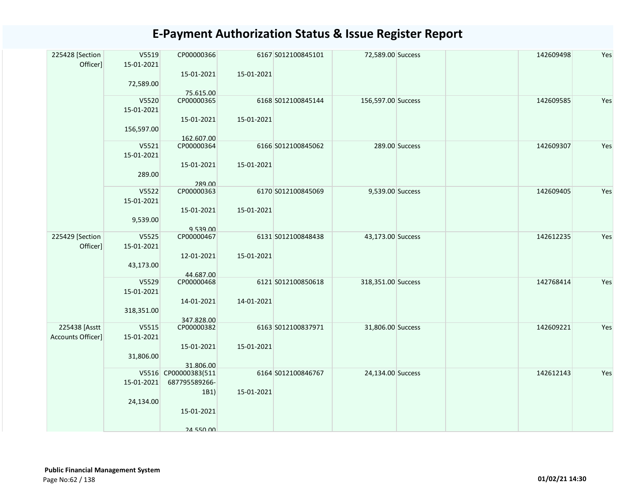| V5520<br>CP00000365<br>6168 S012100845144<br>156,597.00 Success<br>142609585<br>15-01-2021<br>15-01-2021<br>15-01-2021<br>156,597.00<br>162.607.00<br>V5521<br>6166 S012100845062<br>289.00 Success<br>CP00000364<br>142609307<br>15-01-2021<br>15-01-2021<br>15-01-2021<br>289.00<br>289.00<br>V5522<br>CP00000363<br>6170 S012100845069<br>9,539.00 Success<br>142609405<br>15-01-2021<br>15-01-2021<br>15-01-2021<br>9,539.00<br>9.539.00<br>225429 [Section<br>V5525<br>142612235<br>CP00000467<br>6131 S012100848438<br>43,173.00 Success<br>Officer]<br>15-01-2021<br>12-01-2021<br>15-01-2021<br>43,173.00<br>44.687.00<br>V5529<br>CP00000468<br>6121 S012100850618<br>318,351.00 Success<br>142768414<br>15-01-2021<br>14-01-2021<br>14-01-2021<br>318,351.00<br>347.828.00<br>225438 [Asstt<br>V5515<br>CP00000382<br>6163 S012100837971<br>31,806.00 Success<br>142609221<br>Accounts Officer]<br>15-01-2021<br>15-01-2021<br>15-01-2021<br>31,806.00<br>31.806.00<br>V5516 CP00000383(511<br>6164 S012100846767<br>142612143<br>24,134.00 Success<br>15-01-2021<br>687795589266-<br>15-01-2021<br>1B1)<br>24,134.00<br>15-01-2021 | 225428 [Section<br>Officer] | V5519<br>15-01-2021<br>72,589.00 | CP00000366<br>15-01-2021<br>75.615.00 | 15-01-2021 | 6167 S012100845101 | 72,589.00 Success | 142609498 | Yes |
|-----------------------------------------------------------------------------------------------------------------------------------------------------------------------------------------------------------------------------------------------------------------------------------------------------------------------------------------------------------------------------------------------------------------------------------------------------------------------------------------------------------------------------------------------------------------------------------------------------------------------------------------------------------------------------------------------------------------------------------------------------------------------------------------------------------------------------------------------------------------------------------------------------------------------------------------------------------------------------------------------------------------------------------------------------------------------------------------------------------------------------------------------|-----------------------------|----------------------------------|---------------------------------------|------------|--------------------|-------------------|-----------|-----|
|                                                                                                                                                                                                                                                                                                                                                                                                                                                                                                                                                                                                                                                                                                                                                                                                                                                                                                                                                                                                                                                                                                                                               |                             |                                  |                                       |            |                    |                   |           | Yes |
|                                                                                                                                                                                                                                                                                                                                                                                                                                                                                                                                                                                                                                                                                                                                                                                                                                                                                                                                                                                                                                                                                                                                               |                             |                                  |                                       |            |                    |                   |           | Yes |
|                                                                                                                                                                                                                                                                                                                                                                                                                                                                                                                                                                                                                                                                                                                                                                                                                                                                                                                                                                                                                                                                                                                                               |                             |                                  |                                       |            |                    |                   |           | Yes |
|                                                                                                                                                                                                                                                                                                                                                                                                                                                                                                                                                                                                                                                                                                                                                                                                                                                                                                                                                                                                                                                                                                                                               |                             |                                  |                                       |            |                    |                   |           | Yes |
|                                                                                                                                                                                                                                                                                                                                                                                                                                                                                                                                                                                                                                                                                                                                                                                                                                                                                                                                                                                                                                                                                                                                               |                             |                                  |                                       |            |                    |                   |           | Yes |
|                                                                                                                                                                                                                                                                                                                                                                                                                                                                                                                                                                                                                                                                                                                                                                                                                                                                                                                                                                                                                                                                                                                                               |                             |                                  |                                       |            |                    |                   |           | Yes |
| <b>24 550 00</b>                                                                                                                                                                                                                                                                                                                                                                                                                                                                                                                                                                                                                                                                                                                                                                                                                                                                                                                                                                                                                                                                                                                              |                             |                                  |                                       |            |                    |                   |           | Yes |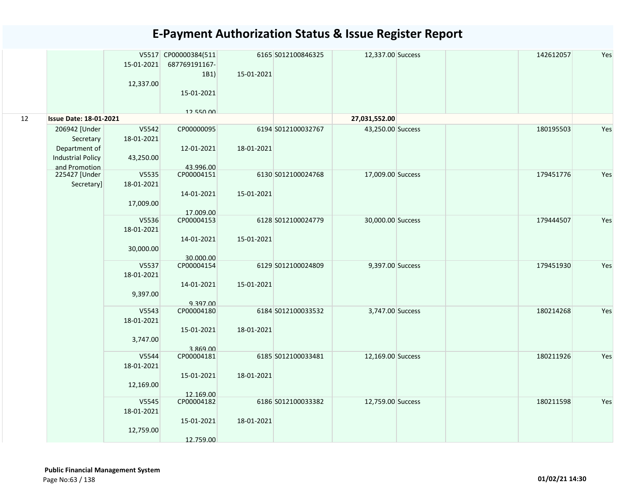|    |                               |            | V5517 CP00000384(511   |            | 6165 S012100846325 | 12,337.00 Success | 142612057 | Yes |
|----|-------------------------------|------------|------------------------|------------|--------------------|-------------------|-----------|-----|
|    |                               | 15-01-2021 | 687769191167-          |            |                    |                   |           |     |
|    |                               |            | 1B1)                   | 15-01-2021 |                    |                   |           |     |
|    |                               | 12,337.00  |                        |            |                    |                   |           |     |
|    |                               |            | 15-01-2021             |            |                    |                   |           |     |
|    |                               |            |                        |            |                    |                   |           |     |
| 12 | <b>Issue Date: 18-01-2021</b> |            | 12 550 00              |            |                    | 27,031,552.00     |           |     |
|    | 206942 [Under                 | V5542      | CP00000095             |            | 6194 S012100032767 | 43,250.00 Success | 180195503 | Yes |
|    | Secretary                     | 18-01-2021 |                        |            |                    |                   |           |     |
|    | Department of                 |            | 12-01-2021             | 18-01-2021 |                    |                   |           |     |
|    | <b>Industrial Policy</b>      | 43,250.00  |                        |            |                    |                   |           |     |
|    | and Promotion                 |            | 43.996.00              |            |                    |                   |           |     |
|    | 225427 [Under                 | V5535      | CP00004151             |            | 6130 S012100024768 | 17,009.00 Success | 179451776 | Yes |
|    | Secretary]                    | 18-01-2021 |                        |            |                    |                   |           |     |
|    |                               |            | 14-01-2021             | 15-01-2021 |                    |                   |           |     |
|    |                               | 17,009.00  |                        |            |                    |                   |           |     |
|    |                               |            | 17.009.00              |            |                    |                   |           |     |
|    |                               | V5536      | CP00004153             |            | 6128 S012100024779 | 30,000.00 Success | 179444507 | Yes |
|    |                               | 18-01-2021 |                        |            |                    |                   |           |     |
|    |                               |            | 14-01-2021             | 15-01-2021 |                    |                   |           |     |
|    |                               | 30,000.00  | 30.000.00              |            |                    |                   |           |     |
|    |                               | V5537      | CP00004154             |            | 6129 S012100024809 | 9,397.00 Success  | 179451930 | Yes |
|    |                               | 18-01-2021 |                        |            |                    |                   |           |     |
|    |                               |            | 14-01-2021             | 15-01-2021 |                    |                   |           |     |
|    |                               | 9,397.00   |                        |            |                    |                   |           |     |
|    |                               |            | 9.397.00               |            |                    |                   |           |     |
|    |                               | V5543      | CP00004180             |            | 6184 S012100033532 | 3,747.00 Success  | 180214268 | Yes |
|    |                               | 18-01-2021 |                        |            |                    |                   |           |     |
|    |                               |            | 15-01-2021             | 18-01-2021 |                    |                   |           |     |
|    |                               | 3,747.00   |                        |            |                    |                   |           |     |
|    |                               | V5544      | 3.869.00<br>CP00004181 |            | 6185 S012100033481 | 12,169.00 Success | 180211926 | Yes |
|    |                               | 18-01-2021 |                        |            |                    |                   |           |     |
|    |                               |            | 15-01-2021             | 18-01-2021 |                    |                   |           |     |
|    |                               | 12,169.00  |                        |            |                    |                   |           |     |
|    |                               |            | 12.169.00              |            |                    |                   |           |     |
|    |                               | V5545      | CP00004182             |            | 6186 S012100033382 | 12,759.00 Success | 180211598 | Yes |
|    |                               | 18-01-2021 |                        |            |                    |                   |           |     |
|    |                               |            | 15-01-2021             | 18-01-2021 |                    |                   |           |     |
|    |                               | 12,759.00  |                        |            |                    |                   |           |     |
|    |                               |            | 12.759.00              |            |                    |                   |           |     |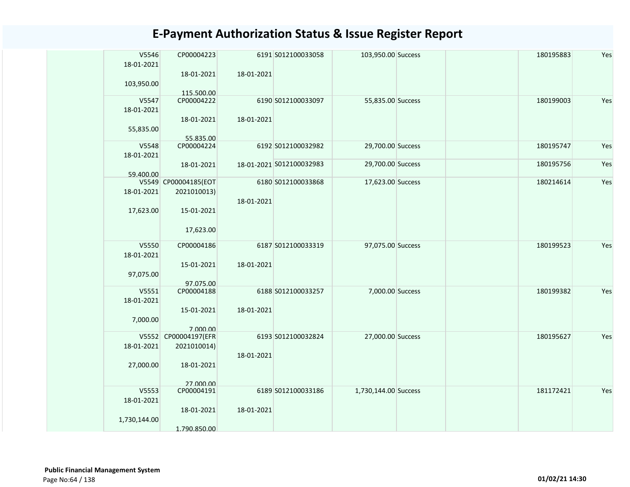| V5546<br>18-01-2021 | CP00004223              |            | 6191 S012100033058       | 103,950.00 Success   | 180195883 | Yes |
|---------------------|-------------------------|------------|--------------------------|----------------------|-----------|-----|
| 103,950.00          | 18-01-2021              | 18-01-2021 |                          |                      |           |     |
|                     | 115.500.00              |            |                          |                      |           |     |
| V5547               | CP00004222              |            | 6190 S012100033097       | 55,835.00 Success    | 180199003 | Yes |
| 18-01-2021          |                         |            |                          |                      |           |     |
| 55,835.00           | 18-01-2021<br>55.835.00 | 18-01-2021 |                          |                      |           |     |
| V5548               | CP00004224              |            | 6192 S012100032982       | 29,700.00 Success    | 180195747 | Yes |
| 18-01-2021          |                         |            |                          |                      |           |     |
|                     | 18-01-2021              |            | 18-01-2021 S012100032983 | 29,700.00 Success    | 180195756 | Yes |
| 59.400.00           |                         |            |                          |                      |           |     |
|                     | V5549 CP00004185(EOT    |            | 6180 S012100033868       | 17,623.00 Success    | 180214614 | Yes |
| 18-01-2021          | 2021010013)             |            |                          |                      |           |     |
|                     |                         | 18-01-2021 |                          |                      |           |     |
| 17,623.00           | 15-01-2021              |            |                          |                      |           |     |
|                     |                         |            |                          |                      |           |     |
|                     | 17,623.00               |            |                          |                      |           |     |
| V5550               | CP00004186              |            | 6187 S012100033319       | 97,075.00 Success    | 180199523 | Yes |
| 18-01-2021          |                         |            |                          |                      |           |     |
|                     | 15-01-2021              | 18-01-2021 |                          |                      |           |     |
| 97,075.00           |                         |            |                          |                      |           |     |
|                     | 97.075.00               |            |                          |                      |           |     |
| V5551               | CP00004188              |            | 6188 S012100033257       | 7,000.00 Success     | 180199382 | Yes |
| 18-01-2021          |                         |            |                          |                      |           |     |
|                     | 15-01-2021              | 18-01-2021 |                          |                      |           |     |
| 7,000.00            |                         |            |                          |                      |           |     |
|                     | 7.000.00                |            |                          |                      |           |     |
| V5552               | CP00004197(EFR          |            | 6193 S012100032824       | 27,000.00 Success    | 180195627 | Yes |
| 18-01-2021          | 2021010014)             |            |                          |                      |           |     |
|                     |                         | 18-01-2021 |                          |                      |           |     |
| 27,000.00           | 18-01-2021              |            |                          |                      |           |     |
|                     |                         |            |                          |                      |           |     |
|                     | 27 000 00               |            |                          |                      |           |     |
| V5553               | CP00004191              |            | 6189 S012100033186       | 1,730,144.00 Success | 181172421 | Yes |
| 18-01-2021          |                         |            |                          |                      |           |     |
|                     | 18-01-2021              | 18-01-2021 |                          |                      |           |     |
| 1,730,144.00        |                         |            |                          |                      |           |     |
|                     | 1.790.850.00            |            |                          |                      |           |     |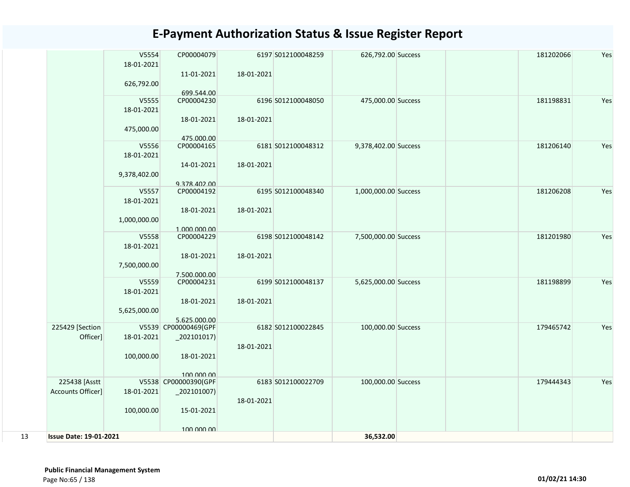|    |                                    | V5554<br>18-01-2021<br>626,792.00   | CP00004079<br>11-01-2021<br>699.544.00                               | 18-01-2021 | 6197 S012100048259 | 626,792.00 Success   |  | 181202066 | Yes |
|----|------------------------------------|-------------------------------------|----------------------------------------------------------------------|------------|--------------------|----------------------|--|-----------|-----|
|    |                                    | V5555<br>18-01-2021<br>475,000.00   | CP00004230<br>18-01-2021                                             | 18-01-2021 | 6196 S012100048050 | 475,000.00 Success   |  | 181198831 | Yes |
|    |                                    | V5556<br>18-01-2021<br>9,378,402.00 | 475.000.00<br>CP00004165<br>14-01-2021                               | 18-01-2021 | 6181 S012100048312 | 9,378,402.00 Success |  | 181206140 | Yes |
|    |                                    | V5557<br>18-01-2021<br>1,000,000.00 | 9.378.402.00<br>CP00004192<br>18-01-2021                             | 18-01-2021 | 6195 S012100048340 | 1,000,000.00 Success |  | 181206208 | Yes |
|    |                                    | V5558<br>18-01-2021<br>7,500,000.00 | 1.000.000.00<br>CP00004229<br>18-01-2021                             | 18-01-2021 | 6198 S012100048142 | 7,500,000.00 Success |  | 181201980 | Yes |
|    |                                    | V5559<br>18-01-2021<br>5,625,000.00 | 7.500.000.00<br>CP00004231<br>18-01-2021                             | 18-01-2021 | 6199 S012100048137 | 5,625,000.00 Success |  | 181198899 | Yes |
|    | 225429 [Section<br>Officer]        | 18-01-2021<br>100,000.00            | 5.625.000.00<br>V5539 CP00000469(GPF<br>$_2$ 02101017)<br>18-01-2021 | 18-01-2021 | 6182 S012100022845 | 100,000.00 Success   |  | 179465742 | Yes |
|    | 225438 [Asstt<br>Accounts Officer] | 18-01-2021<br>100,000.00            | 100,000,00<br>V5538 CP00000390(GPF<br>15-01-2021                     | 18-01-2021 | 6183 S012100022709 | 100,000.00 Success   |  | 179444343 | Yes |
| 13 | <b>Issue Date: 19-01-2021</b>      |                                     | 100,000,00                                                           |            |                    | 36,532.00            |  |           |     |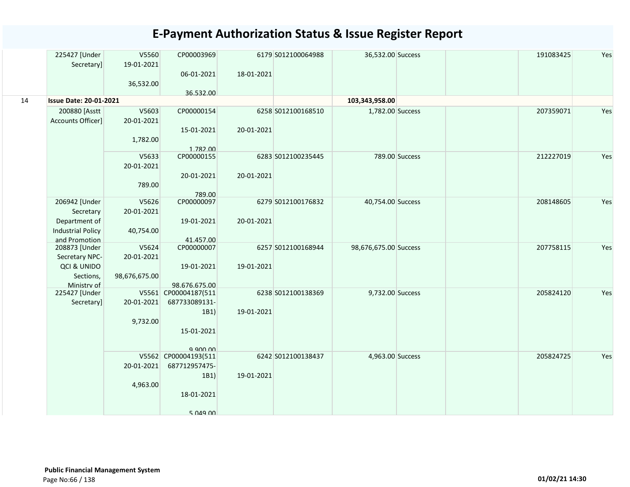|    | 225427 [Under                 | V5560         | CP00003969                       |            | 6179 S012100064988 | 36,532.00 Success     |                | 191083425 | Yes |
|----|-------------------------------|---------------|----------------------------------|------------|--------------------|-----------------------|----------------|-----------|-----|
|    | Secretary]                    | 19-01-2021    | 06-01-2021                       | 18-01-2021 |                    |                       |                |           |     |
|    |                               | 36,532.00     |                                  |            |                    |                       |                |           |     |
|    |                               |               | 36.532.00                        |            |                    |                       |                |           |     |
| 14 | <b>Issue Date: 20-01-2021</b> |               |                                  |            |                    | 103,343,958.00        |                |           |     |
|    | 200880 [Asstt                 | V5603         | CP00000154                       |            | 6258 S012100168510 | 1,782.00 Success      |                | 207359071 | Yes |
|    | Accounts Officer]             | 20-01-2021    |                                  |            |                    |                       |                |           |     |
|    |                               |               | 15-01-2021                       | 20-01-2021 |                    |                       |                |           |     |
|    |                               | 1,782.00      | 1.782.00                         |            |                    |                       |                |           |     |
|    |                               | V5633         | CP00000155                       |            | 6283 S012100235445 |                       | 789.00 Success | 212227019 | Yes |
|    |                               | 20-01-2021    |                                  |            |                    |                       |                |           |     |
|    |                               |               | 20-01-2021                       | 20-01-2021 |                    |                       |                |           |     |
|    |                               | 789.00        |                                  |            |                    |                       |                |           |     |
|    | 206942 [Under                 | V5626         | 789.00<br>CP00000097             |            | 6279 S012100176832 | 40,754.00 Success     |                | 208148605 | Yes |
|    | Secretary                     | 20-01-2021    |                                  |            |                    |                       |                |           |     |
|    | Department of                 |               | 19-01-2021                       | 20-01-2021 |                    |                       |                |           |     |
|    | <b>Industrial Policy</b>      | 40,754.00     |                                  |            |                    |                       |                |           |     |
|    | and Promotion                 |               | 41.457.00                        |            |                    |                       |                |           |     |
|    | 208873 [Under                 | V5624         | CP00000007                       |            | 6257 S012100168944 | 98,676,675.00 Success |                | 207758115 | Yes |
|    | Secretary NPC-                | 20-01-2021    |                                  |            |                    |                       |                |           |     |
|    | QCI & UNIDO                   |               | 19-01-2021                       | 19-01-2021 |                    |                       |                |           |     |
|    | Sections,<br>Ministry of      | 98,676,675.00 | 98.676.675.00                    |            |                    |                       |                |           |     |
|    | 225427 [Under                 |               | V5561 CP00004187(511             |            | 6238 S012100138369 | 9,732.00 Success      |                | 205824120 | Yes |
|    | Secretary]                    | 20-01-2021    | 687733089131-                    |            |                    |                       |                |           |     |
|    |                               |               | 1B1)                             | 19-01-2021 |                    |                       |                |           |     |
|    |                               | 9,732.00      |                                  |            |                    |                       |                |           |     |
|    |                               |               | 15-01-2021                       |            |                    |                       |                |           |     |
|    |                               |               |                                  |            |                    |                       |                |           |     |
|    |                               |               | 9.900.00<br>V5562 CP00004193(511 |            | 6242 S012100138437 | 4,963.00 Success      |                | 205824725 | Yes |
|    |                               | 20-01-2021    | 687712957475-                    |            |                    |                       |                |           |     |
|    |                               |               | 1B1)                             | 19-01-2021 |                    |                       |                |           |     |
|    |                               | 4,963.00      |                                  |            |                    |                       |                |           |     |
|    |                               |               | 18-01-2021                       |            |                    |                       |                |           |     |
|    |                               |               |                                  |            |                    |                       |                |           |     |
|    |                               |               | 5.049.00                         |            |                    |                       |                |           |     |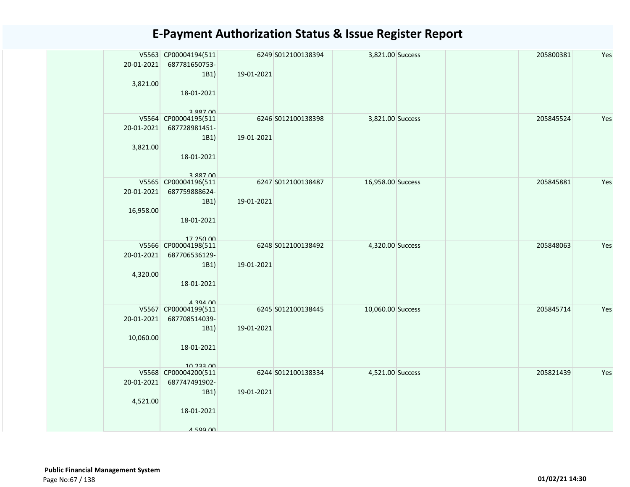| 20-01-2021<br>3,821.00  | V5563 CP00004194(511<br>687781650753-<br>1B1)<br>18-01-2021<br>3 887 NO        | 19-01-2021 | 6249 S012100138394 | 3,821.00 Success  |  | 205800381 | Yes |
|-------------------------|--------------------------------------------------------------------------------|------------|--------------------|-------------------|--|-----------|-----|
| 20-01-2021<br>3,821.00  | V5564 CP00004195(511<br>687728981451-<br>1B1)<br>18-01-2021<br>3 887 NO        | 19-01-2021 | 6246 S012100138398 | 3,821.00 Success  |  | 205845524 | Yes |
| 20-01-2021<br>16,958.00 | V5565 CP00004196(511<br>687759888624-<br>1B1)<br>18-01-2021<br>17 250 00       | 19-01-2021 | 6247 S012100138487 | 16,958.00 Success |  | 205845881 | Yes |
| 20-01-2021<br>4,320.00  | V5566 CP00004198(511<br>687706536129-<br>1B1)<br>18-01-2021<br><b>A</b> 294 00 | 19-01-2021 | 6248 S012100138492 | 4,320.00 Success  |  | 205848063 | Yes |
| 20-01-2021<br>10,060.00 | V5567 CP00004199(511<br>687708514039-<br>1B1)<br>18-01-2021<br>10 233 00       | 19-01-2021 | 6245 S012100138445 | 10,060.00 Success |  | 205845714 | Yes |
| 20-01-2021<br>4,521.00  | V5568 CP00004200(511<br>687747491902-<br>1B1)<br>18-01-2021<br>4 599 NO        | 19-01-2021 | 6244 S012100138334 | 4,521.00 Success  |  | 205821439 | Yes |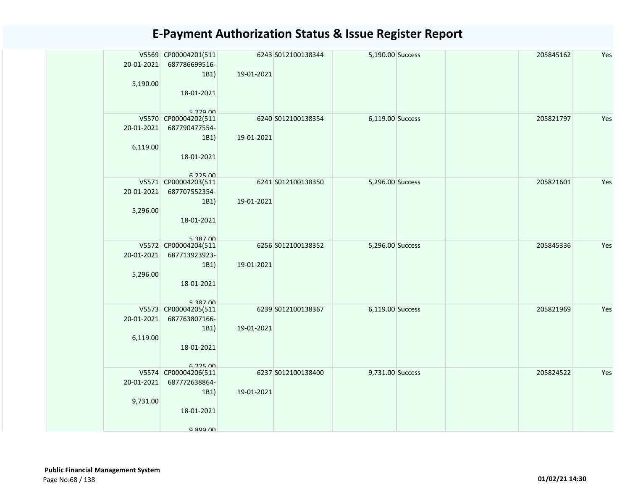| 20-01-2021<br>5,190.00 | V5569 CP00004201(511<br>687786699516-<br>1B1)<br>18-01-2021<br>$5.279$ $00$ | 19-01-2021 | 6243 S012100138344 | 5,190.00 Success |  | 205845162 | Yes |
|------------------------|-----------------------------------------------------------------------------|------------|--------------------|------------------|--|-----------|-----|
| 20-01-2021<br>6,119.00 | V5570 CP00004202(511<br>687790477554-<br>1B1)<br>18-01-2021<br>$6.225$ $00$ | 19-01-2021 | 6240 S012100138354 | 6,119.00 Success |  | 205821797 | Yes |
| 20-01-2021<br>5,296.00 | V5571 CP00004203(511<br>687707552354-<br>1B1)<br>18-01-2021<br>5 387 00     | 19-01-2021 | 6241 S012100138350 | 5,296.00 Success |  | 205821601 | Yes |
| 20-01-2021<br>5,296.00 | V5572 CP00004204(511<br>687713923923-<br>1B1)<br>18-01-2021<br>5 287 00     | 19-01-2021 | 6256 S012100138352 | 5,296.00 Success |  | 205845336 | Yes |
| 20-01-2021<br>6,119.00 | V5573 CP00004205(511<br>687763807166-<br>1B1)<br>18-01-2021<br>6 225 00     | 19-01-2021 | 6239 S012100138367 | 6,119.00 Success |  | 205821969 | Yes |
| 20-01-2021<br>9,731.00 | V5574 CP00004206(511<br>687772638864-<br>1B1)<br>18-01-2021<br>9.899.00     | 19-01-2021 | 6237 S012100138400 | 9,731.00 Success |  | 205824522 | Yes |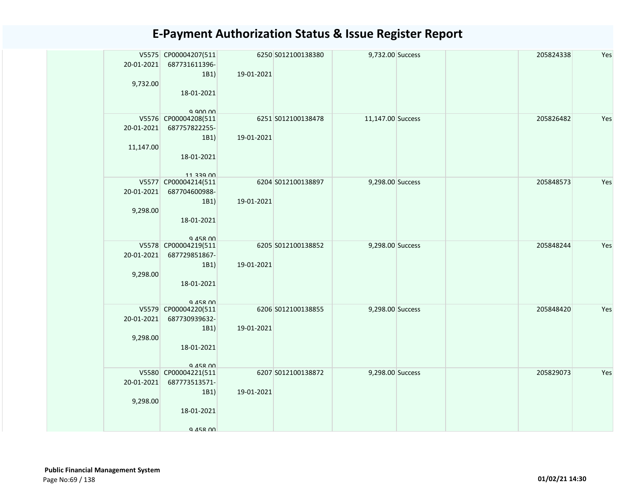| 20-01-2021<br>9,732.00  | V5575 CP00004207(511<br>687731611396-<br>1B1)<br>18-01-2021<br>a ann nn  | 19-01-2021 | 6250 S012100138380 | 9,732.00 Success  |  | 205824338 | Yes |
|-------------------------|--------------------------------------------------------------------------|------------|--------------------|-------------------|--|-----------|-----|
| 20-01-2021<br>11,147.00 | V5576 CP00004208(511<br>687757822255-<br>1B1)<br>18-01-2021<br>11 220 nn | 19-01-2021 | 6251 S012100138478 | 11,147.00 Success |  | 205826482 | Yes |
| 20-01-2021<br>9,298.00  | V5577 CP00004214(511<br>687704600988-<br>1B1)<br>18-01-2021<br>Q 458 00  | 19-01-2021 | 6204 S012100138897 | 9,298.00 Success  |  | 205848573 | Yes |
| 20-01-2021<br>9,298.00  | V5578 CP00004219(511<br>687729851867-<br>1B1)<br>18-01-2021<br>Q 458 00  | 19-01-2021 | 6205 S012100138852 | 9,298.00 Success  |  | 205848244 | Yes |
| 20-01-2021<br>9,298.00  | V5579 CP00004220(511<br>687730939632-<br>1B1)<br>18-01-2021<br>9 458 00  | 19-01-2021 | 6206 S012100138855 | 9,298.00 Success  |  | 205848420 | Yes |
| 20-01-2021<br>9,298.00  | V5580 CP00004221(511<br>687773513571-<br>1B1)<br>18-01-2021<br>9 458 00  | 19-01-2021 | 6207 S012100138872 | 9,298.00 Success  |  | 205829073 | Yes |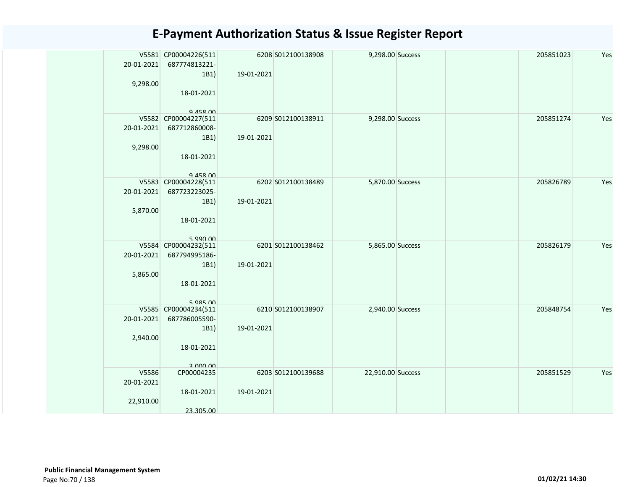| 20-01-2021<br>9,298.00           | V5581 CP00004226(511<br>687774813221-<br>1B1)<br>18-01-2021<br>Q 458 00   | 19-01-2021 | 6208 S012100138908 | 9,298.00 Success  |  | 205851023 | Yes |
|----------------------------------|---------------------------------------------------------------------------|------------|--------------------|-------------------|--|-----------|-----|
| 20-01-2021<br>9,298.00           | V5582 CP00004227(511<br>687712860008-<br>1B1)<br>18-01-2021<br>Q 458 00   | 19-01-2021 | 6209 S012100138911 | 9,298.00 Success  |  | 205851274 | Yes |
| 20-01-2021<br>5,870.00           | V5583 CP00004228(511<br>687723223025-<br>1B1)<br>18-01-2021<br>$5$ agn nn | 19-01-2021 | 6202 S012100138489 | 5,870.00 Success  |  | 205826789 | Yes |
| 20-01-2021<br>5,865.00           | V5584 CP00004232(511<br>687794995186-<br>1B1)<br>18-01-2021<br>5.98500    | 19-01-2021 | 6201 S012100138462 | 5,865.00 Success  |  | 205826179 | Yes |
| 20-01-2021<br>2,940.00           | V5585 CP00004234(511<br>687786005590-<br>1B1)<br>18-01-2021<br>3 000 00   | 19-01-2021 | 6210 S012100138907 | 2,940.00 Success  |  | 205848754 | Yes |
| V5586<br>20-01-2021<br>22,910.00 | CP00004235<br>18-01-2021<br>23.305.00                                     | 19-01-2021 | 6203 S012100139688 | 22,910.00 Success |  | 205851529 | Yes |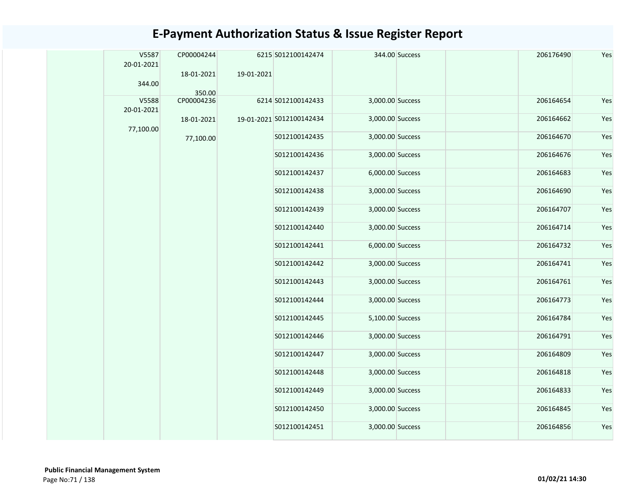| V5587<br>20-01-2021 | CP00004244           |            | 6215 S012100142474       |                  | 344.00 Success | 206176490 | Yes |
|---------------------|----------------------|------------|--------------------------|------------------|----------------|-----------|-----|
|                     | 18-01-2021           | 19-01-2021 |                          |                  |                |           |     |
| 344.00              |                      |            |                          |                  |                |           |     |
| V5588               | 350.00<br>CP00004236 |            | 6214 S012100142433       | 3,000.00 Success |                | 206164654 | Yes |
| 20-01-2021          |                      |            |                          |                  |                |           |     |
| 77,100.00           | 18-01-2021           |            | 19-01-2021 S012100142434 | 3,000.00 Success |                | 206164662 | Yes |
|                     | 77,100.00            |            | S012100142435            | 3,000.00 Success |                | 206164670 | Yes |
|                     |                      |            | S012100142436            | 3,000.00 Success |                | 206164676 | Yes |
|                     |                      |            | S012100142437            | 6,000.00 Success |                | 206164683 | Yes |
|                     |                      |            | S012100142438            | 3,000.00 Success |                | 206164690 | Yes |
|                     |                      |            | S012100142439            | 3,000.00 Success |                | 206164707 | Yes |
|                     |                      |            | S012100142440            | 3,000.00 Success |                | 206164714 | Yes |
|                     |                      |            | S012100142441            | 6,000.00 Success |                | 206164732 | Yes |
|                     |                      |            | S012100142442            | 3,000.00 Success |                | 206164741 | Yes |
|                     |                      |            | S012100142443            | 3,000.00 Success |                | 206164761 | Yes |
|                     |                      |            | S012100142444            | 3,000.00 Success |                | 206164773 | Yes |
|                     |                      |            | S012100142445            | 5,100.00 Success |                | 206164784 | Yes |
|                     |                      |            | S012100142446            | 3,000.00 Success |                | 206164791 | Yes |
|                     |                      |            | S012100142447            | 3,000.00 Success |                | 206164809 | Yes |
|                     |                      |            | S012100142448            | 3,000.00 Success |                | 206164818 | Yes |
|                     |                      |            | S012100142449            | 3,000.00 Success |                | 206164833 | Yes |
|                     |                      |            | S012100142450            | 3,000.00 Success |                | 206164845 | Yes |
|                     |                      |            | S012100142451            | 3,000.00 Success |                | 206164856 | Yes |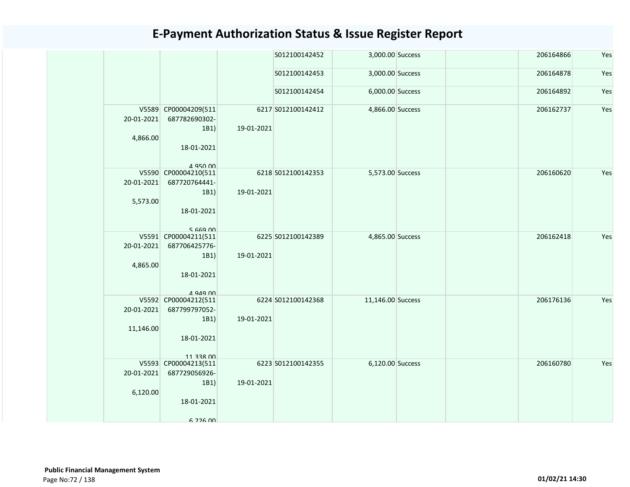|                         |                                                                             |            | S012100142452      | 3,000.00 Success  |  | 206164866 | Yes |
|-------------------------|-----------------------------------------------------------------------------|------------|--------------------|-------------------|--|-----------|-----|
|                         |                                                                             |            | S012100142453      | 3,000.00 Success  |  | 206164878 | Yes |
|                         |                                                                             |            | S012100142454      | 6,000.00 Success  |  | 206164892 | Yes |
| 20-01-2021<br>4,866.00  | V5589 CP00004209(511<br>687782690302-<br>1B1)<br>18-01-2021<br>4 950 00     | 19-01-2021 | 6217 S012100142412 | 4,866.00 Success  |  | 206162737 | Yes |
| 20-01-2021<br>5,573.00  | V5590 CP00004210(511<br>687720764441-<br>1B1)<br>18-01-2021<br>5.669.00     | 19-01-2021 | 6218 S012100142353 | 5,573.00 Success  |  | 206160620 | Yes |
| 20-01-2021<br>4,865.00  | V5591 CP00004211(511<br>687706425776-<br>1B1)<br>18-01-2021<br>$4.949$ 00   | 19-01-2021 | 6225 S012100142389 | 4,865.00 Success  |  | 206162418 | Yes |
| 20-01-2021<br>11,146.00 | V5592 CP00004212(511<br>687799797052-<br>1B1)<br>18-01-2021<br>11 338 00    | 19-01-2021 | 6224 S012100142368 | 11,146.00 Success |  | 206176136 | Yes |
| 20-01-2021<br>6,120.00  | V5593 CP00004213(511<br>687729056926-<br>1B1)<br>18-01-2021<br>$6.226$ $00$ | 19-01-2021 | 6223 S012100142355 | 6,120.00 Success  |  | 206160780 | Yes |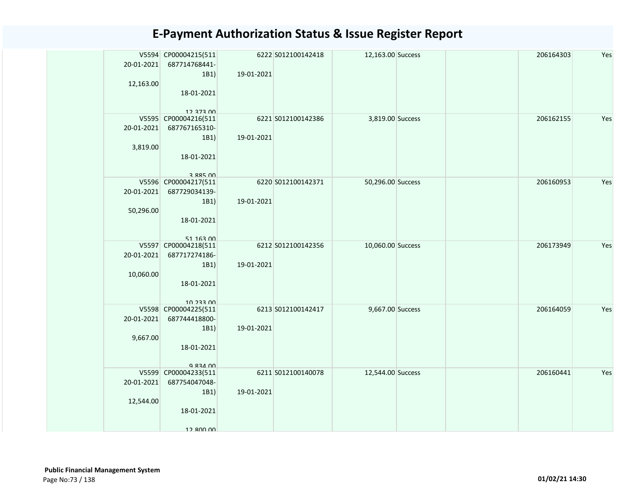| 20-01-2021<br>12,163.00 | V5594 CP00004215(511<br>687714768441-<br>1B1)<br>18-01-2021<br>12 373 00 | 19-01-2021 | 6222 S012100142418 | 12,163.00 Success |  | 206164303 | Yes |
|-------------------------|--------------------------------------------------------------------------|------------|--------------------|-------------------|--|-----------|-----|
| 20-01-2021<br>3,819.00  | V5595 CP00004216(511<br>687767165310-<br>1B1)<br>18-01-2021<br>3 885 NO  | 19-01-2021 | 6221 S012100142386 | 3,819.00 Success  |  | 206162155 | Yes |
| 20-01-2021<br>50,296.00 | V5596 CP00004217(511<br>687729034139-<br>1B1)<br>18-01-2021<br>51 163 00 | 19-01-2021 | 6220 S012100142371 | 50,296.00 Success |  | 206160953 | Yes |
| 20-01-2021<br>10,060.00 | V5597 CP00004218(511<br>687717274186-<br>1B1)<br>18-01-2021<br>10 233 00 | 19-01-2021 | 6212 S012100142356 | 10,060.00 Success |  | 206173949 | Yes |
| 20-01-2021<br>9,667.00  | V5598 CP00004225(511<br>687744418800-<br>1B1)<br>18-01-2021<br>Q 834 00  | 19-01-2021 | 6213 S012100142417 | 9,667.00 Success  |  | 206164059 | Yes |
| 20-01-2021<br>12,544.00 | V5599 CP00004233(511<br>687754047048-<br>1B1)<br>18-01-2021<br>12 800 00 | 19-01-2021 | 6211 S012100140078 | 12,544.00 Success |  | 206160441 | Yes |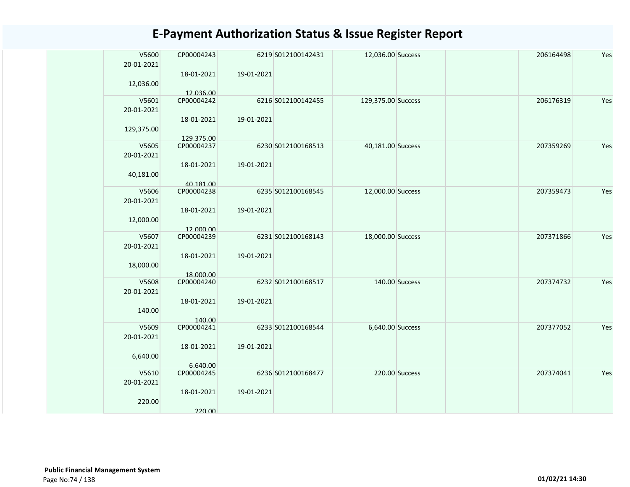| V5600      | CP00004243 |            | 6219 S012100142431 | 12,036.00 Success  |                | 206164498 | Yes |
|------------|------------|------------|--------------------|--------------------|----------------|-----------|-----|
| 20-01-2021 | 18-01-2021 | 19-01-2021 |                    |                    |                |           |     |
| 12,036.00  |            |            |                    |                    |                |           |     |
|            | 12.036.00  |            |                    |                    |                |           |     |
| V5601      | CP00004242 |            | 6216 S012100142455 | 129,375.00 Success |                | 206176319 | Yes |
| 20-01-2021 |            |            |                    |                    |                |           |     |
| 129,375.00 | 18-01-2021 | 19-01-2021 |                    |                    |                |           |     |
|            | 129.375.00 |            |                    |                    |                |           |     |
| V5605      | CP00004237 |            | 6230 S012100168513 | 40,181.00 Success  |                | 207359269 | Yes |
| 20-01-2021 |            |            |                    |                    |                |           |     |
|            | 18-01-2021 | 19-01-2021 |                    |                    |                |           |     |
| 40,181.00  | 40.181.00  |            |                    |                    |                |           |     |
| V5606      | CP00004238 |            | 6235 S012100168545 | 12,000.00 Success  |                | 207359473 | Yes |
| 20-01-2021 |            |            |                    |                    |                |           |     |
|            | 18-01-2021 | 19-01-2021 |                    |                    |                |           |     |
| 12,000.00  | 12.000.00  |            |                    |                    |                |           |     |
| V5607      | CP00004239 |            | 6231 S012100168143 | 18,000.00 Success  |                | 207371866 | Yes |
| 20-01-2021 |            |            |                    |                    |                |           |     |
|            | 18-01-2021 | 19-01-2021 |                    |                    |                |           |     |
| 18,000.00  | 18.000.00  |            |                    |                    |                |           |     |
| V5608      | CP00004240 |            | 6232 S012100168517 |                    | 140.00 Success | 207374732 | Yes |
| 20-01-2021 |            |            |                    |                    |                |           |     |
|            | 18-01-2021 | 19-01-2021 |                    |                    |                |           |     |
| 140.00     | 140.00     |            |                    |                    |                |           |     |
| V5609      | CP00004241 |            | 6233 S012100168544 | 6,640.00 Success   |                | 207377052 | Yes |
| 20-01-2021 |            |            |                    |                    |                |           |     |
|            | 18-01-2021 | 19-01-2021 |                    |                    |                |           |     |
| 6,640.00   | 6.640.00   |            |                    |                    |                |           |     |
| V5610      | CP00004245 |            | 6236 S012100168477 |                    | 220.00 Success | 207374041 | Yes |
| 20-01-2021 |            |            |                    |                    |                |           |     |
|            | 18-01-2021 | 19-01-2021 |                    |                    |                |           |     |
| 220.00     |            |            |                    |                    |                |           |     |
|            | 220.00     |            |                    |                    |                |           |     |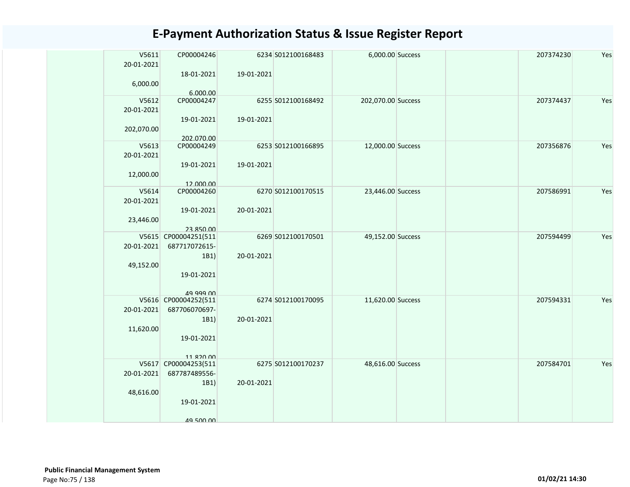| V5611      | CP00004246                            |            | 6234 S012100168483 | 6,000.00 Success   | 207374230 | Yes |
|------------|---------------------------------------|------------|--------------------|--------------------|-----------|-----|
| 20-01-2021 | 18-01-2021                            | 19-01-2021 |                    |                    |           |     |
| 6,000.00   |                                       |            |                    |                    |           |     |
|            | 6.000.00                              |            |                    |                    |           |     |
| V5612      | CP00004247                            |            | 6255 S012100168492 | 202,070.00 Success | 207374437 | Yes |
| 20-01-2021 |                                       |            |                    |                    |           |     |
|            | 19-01-2021                            | 19-01-2021 |                    |                    |           |     |
| 202,070.00 |                                       |            |                    |                    |           |     |
|            | 202.070.00                            |            |                    |                    |           |     |
| V5613      | CP00004249                            |            | 6253 S012100166895 | 12,000.00 Success  | 207356876 | Yes |
| 20-01-2021 | 19-01-2021                            | 19-01-2021 |                    |                    |           |     |
| 12,000.00  |                                       |            |                    |                    |           |     |
|            | 12.000.00                             |            |                    |                    |           |     |
| V5614      | CP00004260                            |            | 6270 S012100170515 | 23,446.00 Success  | 207586991 | Yes |
| 20-01-2021 |                                       |            |                    |                    |           |     |
|            | 19-01-2021                            | 20-01-2021 |                    |                    |           |     |
| 23,446.00  |                                       |            |                    |                    |           |     |
|            | 23.850.00                             |            |                    |                    |           |     |
| 20-01-2021 | V5615 CP00004251(511<br>687717072615- |            | 6269 S012100170501 | 49,152.00 Success  | 207594499 | Yes |
|            | 1B1)                                  | 20-01-2021 |                    |                    |           |     |
| 49,152.00  |                                       |            |                    |                    |           |     |
|            | 19-01-2021                            |            |                    |                    |           |     |
|            |                                       |            |                    |                    |           |     |
|            | 19 999 NO                             |            |                    |                    |           |     |
|            | V5616 CP00004252(511                  |            | 6274 S012100170095 | 11,620.00 Success  | 207594331 | Yes |
| 20-01-2021 | 687706070697-                         |            |                    |                    |           |     |
|            | 1B1)                                  | 20-01-2021 |                    |                    |           |     |
| 11,620.00  | 19-01-2021                            |            |                    |                    |           |     |
|            |                                       |            |                    |                    |           |     |
|            | 11 820 00                             |            |                    |                    |           |     |
|            | V5617 CP00004253(511                  |            | 6275 S012100170237 | 48,616.00 Success  | 207584701 | Yes |
| 20-01-2021 | 687787489556-                         |            |                    |                    |           |     |
|            | 1B1)                                  | 20-01-2021 |                    |                    |           |     |
| 48,616.00  |                                       |            |                    |                    |           |     |
|            | 19-01-2021                            |            |                    |                    |           |     |
|            |                                       |            |                    |                    |           |     |
|            | 49 500 00                             |            |                    |                    |           |     |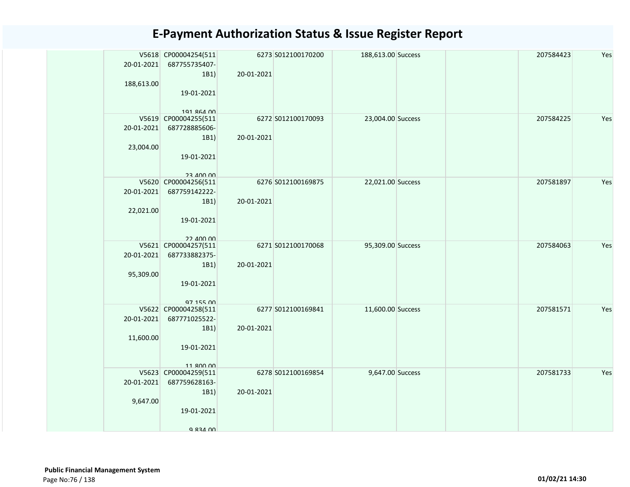| 20-01-2021<br>188,613.00 | V5618 CP00004254(511<br>687755735407-<br>1B1)<br>19-01-2021                                  | 20-01-2021 | 6273 S012100170200 | 188,613.00 Success |  | 207584423 | Yes |
|--------------------------|----------------------------------------------------------------------------------------------|------------|--------------------|--------------------|--|-----------|-----|
|                          | 101 RGA 00                                                                                   |            |                    |                    |  |           |     |
| 20-01-2021<br>23,004.00  | V5619 CP00004255(511<br>687728885606-<br>1B1)<br>19-01-2021                                  | 20-01-2021 | 6272 S012100170093 | 23,004.00 Success  |  | 207584225 | Yes |
| 20-01-2021<br>22,021.00  | <b>23 JUV UU</b><br>V5620 CP00004256(511<br>687759142222-<br>1B1)<br>19-01-2021<br>22 400 00 | 20-01-2021 | 6276 S012100169875 | 22,021.00 Success  |  | 207581897 | Yes |
| 20-01-2021<br>95,309.00  | V5621 CP00004257(511<br>687733882375-<br>1B1)<br>19-01-2021<br>97 155 00                     | 20-01-2021 | 6271 S012100170068 | 95,309.00 Success  |  | 207584063 | Yes |
| 20-01-2021<br>11,600.00  | V5622 CP00004258(511<br>687771025522-<br>1B1)<br>19-01-2021<br>11 ROO OO                     | 20-01-2021 | 6277 S012100169841 | 11,600.00 Success  |  | 207581571 | Yes |
| 20-01-2021<br>9,647.00   | V5623 CP00004259(511<br>687759628163-<br>1B1)<br>19-01-2021<br>Q 834 00                      | 20-01-2021 | 6278 S012100169854 | 9,647.00 Success   |  | 207581733 | Yes |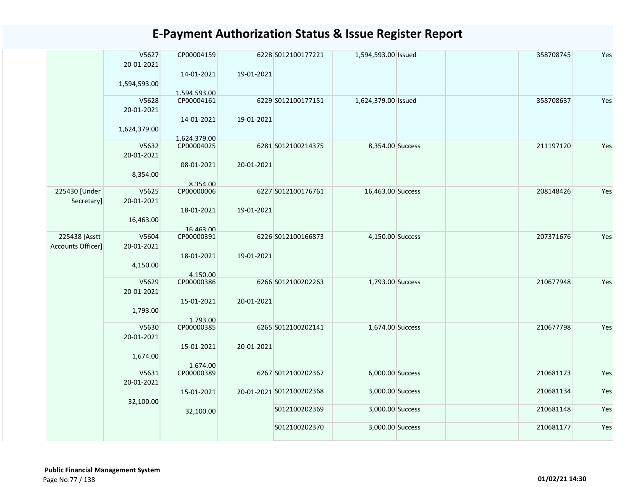|                   | V5627<br>20-01-2021 | CP00004159                 |            | 6228 S012100177221       | 1,594,593.00 Issued | 358708745 | Yes |
|-------------------|---------------------|----------------------------|------------|--------------------------|---------------------|-----------|-----|
|                   | 1,594,593.00        | 14-01-2021<br>1.594.593.00 | 19-01-2021 |                          |                     |           |     |
|                   | V5628               | CP00004161                 |            | 6229 S012100177151       | 1,624,379.00 Issued | 358708637 | Yes |
|                   | 20-01-2021          |                            |            |                          |                     |           |     |
|                   | 1,624,379.00        | 14-01-2021                 | 19-01-2021 |                          |                     |           |     |
|                   |                     | 1.624.379.00               |            |                          |                     |           |     |
|                   | V5632               | CP00004025                 |            | 6281 S012100214375       | 8,354.00 Success    | 211197120 | Yes |
|                   | 20-01-2021          |                            |            |                          |                     |           |     |
|                   |                     | 08-01-2021                 | 20-01-2021 |                          |                     |           |     |
|                   | 8,354.00            |                            |            |                          |                     |           |     |
|                   |                     | 8.354.00                   |            |                          |                     |           |     |
| 225430 [Under     | V5625               | CP00000006                 |            | 6227 S012100176761       | 16,463.00 Success   | 208148426 | Yes |
| Secretary]        | 20-01-2021          |                            |            |                          |                     |           |     |
|                   |                     | 18-01-2021                 | 19-01-2021 |                          |                     |           |     |
|                   |                     |                            |            |                          |                     |           |     |
|                   | 16,463.00           |                            |            |                          |                     |           |     |
| 225438 [Asstt     | V5604               | 16.463.00                  |            | 6226 S012100166873       |                     | 207371676 | Yes |
|                   |                     | CP00000391                 |            |                          | 4,150.00 Success    |           |     |
| Accounts Officer] | 20-01-2021          |                            |            |                          |                     |           |     |
|                   |                     | 18-01-2021                 | 19-01-2021 |                          |                     |           |     |
|                   | 4,150.00            |                            |            |                          |                     |           |     |
|                   |                     | 4.150.00                   |            |                          |                     |           |     |
|                   | V5629               | CP00000386                 |            | 6266 S012100202263       | 1,793.00 Success    | 210677948 | Yes |
|                   | 20-01-2021          |                            |            |                          |                     |           |     |
|                   |                     | 15-01-2021                 | 20-01-2021 |                          |                     |           |     |
|                   | 1,793.00            |                            |            |                          |                     |           |     |
|                   |                     | 1.793.00                   |            |                          |                     |           |     |
|                   | V5630               | CP00000385                 |            | 6265 S012100202141       | 1,674.00 Success    | 210677798 | Yes |
|                   | 20-01-2021          |                            |            |                          |                     |           |     |
|                   |                     | 15-01-2021                 | 20-01-2021 |                          |                     |           |     |
|                   | 1,674.00            |                            |            |                          |                     |           |     |
|                   |                     | 1.674.00                   |            |                          |                     |           |     |
|                   | V5631               | CP00000389                 |            | 6267 S012100202367       | 6,000.00 Success    | 210681123 | Yes |
|                   | 20-01-2021          |                            |            |                          |                     |           |     |
|                   |                     | 15-01-2021                 |            | 20-01-2021 S012100202368 | 3,000.00 Success    | 210681134 | Yes |
|                   | 32,100.00           |                            |            |                          |                     |           |     |
|                   |                     | 32,100.00                  |            | S012100202369            | 3,000.00 Success    | 210681148 | Yes |
|                   |                     |                            |            |                          |                     |           |     |
|                   |                     |                            |            | S012100202370            | 3,000.00 Success    | 210681177 | Yes |
|                   |                     |                            |            |                          |                     |           |     |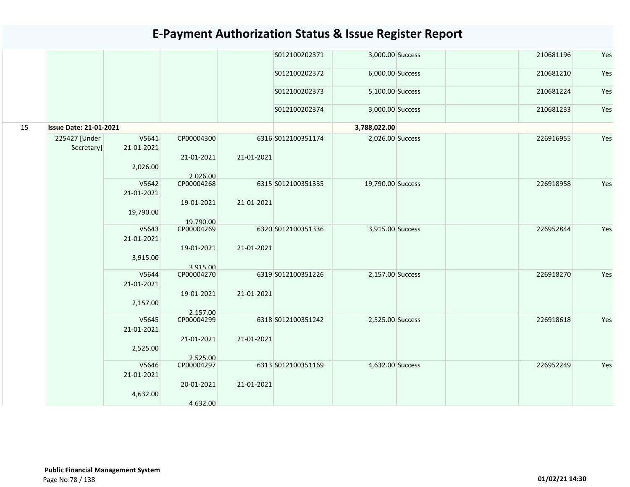|    |                               |            |            |            | S012100202371      | 3,000.00 Success  | 210681196 | Yes |
|----|-------------------------------|------------|------------|------------|--------------------|-------------------|-----------|-----|
|    |                               |            |            |            | S012100202372      | 6,000.00 Success  | 210681210 | Yes |
|    |                               |            |            |            | S012100202373      | 5,100.00 Success  | 210681224 | Yes |
|    |                               |            |            |            | S012100202374      | 3,000.00 Success  | 210681233 | Yes |
| 15 | <b>Issue Date: 21-01-2021</b> |            |            |            |                    | 3,788,022.00      |           |     |
|    | 225427 [Under                 | V5641      | CP00004300 |            | 6316 S012100351174 | 2,026.00 Success  | 226916955 | Yes |
|    | Secretary]                    | 21-01-2021 |            |            |                    |                   |           |     |
|    |                               |            | 21-01-2021 | 21-01-2021 |                    |                   |           |     |
|    |                               | 2,026.00   | 2.026.00   |            |                    |                   |           |     |
|    |                               | V5642      | CP00004268 |            | 6315 S012100351335 | 19,790.00 Success | 226918958 | Yes |
|    |                               | 21-01-2021 |            |            |                    |                   |           |     |
|    |                               |            | 19-01-2021 | 21-01-2021 |                    |                   |           |     |
|    |                               | 19,790.00  | 19.790.00  |            |                    |                   |           |     |
|    |                               | V5643      | CP00004269 |            | 6320 S012100351336 | 3,915.00 Success  | 226952844 | Yes |
|    |                               | 21-01-2021 |            |            |                    |                   |           |     |
|    |                               |            | 19-01-2021 | 21-01-2021 |                    |                   |           |     |
|    |                               | 3,915.00   |            |            |                    |                   |           |     |
|    |                               |            | 3.915.00   |            |                    |                   |           |     |
|    |                               | V5644      | CP00004270 |            | 6319 S012100351226 | 2,157.00 Success  | 226918270 | Yes |
|    |                               | 21-01-2021 |            |            |                    |                   |           |     |
|    |                               |            | 19-01-2021 | 21-01-2021 |                    |                   |           |     |
|    |                               | 2,157.00   |            |            |                    |                   |           |     |
|    |                               |            | 2.157.00   |            |                    |                   |           |     |
|    |                               | V5645      | CP00004299 |            | 6318 S012100351242 | 2,525.00 Success  | 226918618 | Yes |
|    |                               | 21-01-2021 |            |            |                    |                   |           |     |
|    |                               |            | 21-01-2021 | 21-01-2021 |                    |                   |           |     |
|    |                               | 2,525.00   |            |            |                    |                   |           |     |
|    |                               |            | 2.525.00   |            |                    |                   |           |     |
|    |                               | V5646      | CP00004297 |            | 6313 S012100351169 | 4,632.00 Success  | 226952249 | Yes |
|    |                               | 21-01-2021 |            |            |                    |                   |           |     |
|    |                               |            | 20-01-2021 | 21-01-2021 |                    |                   |           |     |
|    |                               | 4,632.00   |            |            |                    |                   |           |     |
|    |                               |            | 4.632.00   |            |                    |                   |           |     |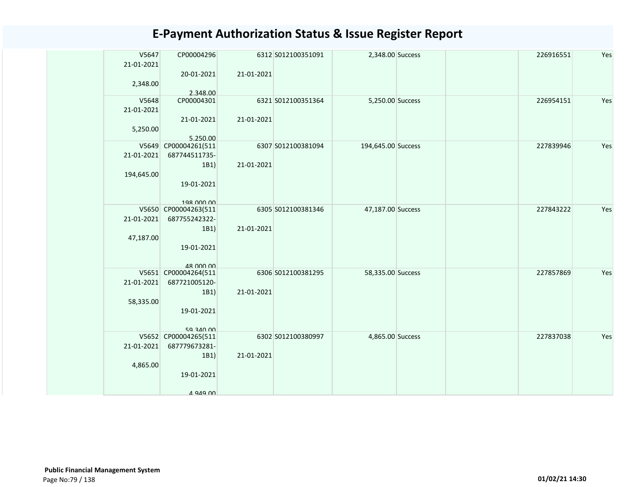| V5647      | CP00004296                        |            | 6312 S012100351091 | 2,348.00 Success   | 226916551 | Yes |
|------------|-----------------------------------|------------|--------------------|--------------------|-----------|-----|
| 21-01-2021 |                                   |            |                    |                    |           |     |
| 2,348.00   | 20-01-2021                        | 21-01-2021 |                    |                    |           |     |
|            | 2.348.00                          |            |                    |                    |           |     |
| V5648      | CP00004301                        |            | 6321 S012100351364 | 5,250.00 Success   | 226954151 | Yes |
| 21-01-2021 |                                   |            |                    |                    |           |     |
| 5,250.00   | 21-01-2021                        | 21-01-2021 |                    |                    |           |     |
|            | 5.250.00                          |            |                    |                    |           |     |
|            | V5649 CP00004261(511              |            | 6307 S012100381094 | 194,645.00 Success | 227839946 | Yes |
| 21-01-2021 | 687744511735-                     |            |                    |                    |           |     |
|            | 1B1)                              | 21-01-2021 |                    |                    |           |     |
| 194,645.00 | 19-01-2021                        |            |                    |                    |           |     |
|            |                                   |            |                    |                    |           |     |
|            | 198 000 00                        |            |                    |                    |           |     |
|            | V5650 CP00004263(511              |            | 6305 S012100381346 | 47,187.00 Success  | 227843222 | Yes |
| 21-01-2021 | 687755242322-<br>1B1)             | 21-01-2021 |                    |                    |           |     |
| 47,187.00  |                                   |            |                    |                    |           |     |
|            | 19-01-2021                        |            |                    |                    |           |     |
|            |                                   |            |                    |                    |           |     |
|            | 48 000 00<br>V5651 CP00004264(511 |            | 6306 S012100381295 | 58,335.00 Success  | 227857869 | Yes |
| 21-01-2021 | 687721005120-                     |            |                    |                    |           |     |
|            | 1B1)                              | 21-01-2021 |                    |                    |           |     |
| 58,335.00  |                                   |            |                    |                    |           |     |
|            | 19-01-2021                        |            |                    |                    |           |     |
|            | <b>50 340 00</b>                  |            |                    |                    |           |     |
|            | V5652 CP00004265(511              |            | 6302 S012100380997 | 4,865.00 Success   | 227837038 | Yes |
| 21-01-2021 | 687779673281-                     |            |                    |                    |           |     |
|            | 1B1)                              | 21-01-2021 |                    |                    |           |     |
| 4,865.00   | 19-01-2021                        |            |                    |                    |           |     |
|            |                                   |            |                    |                    |           |     |
|            | $A$ QAQ $\Omega$                  |            |                    |                    |           |     |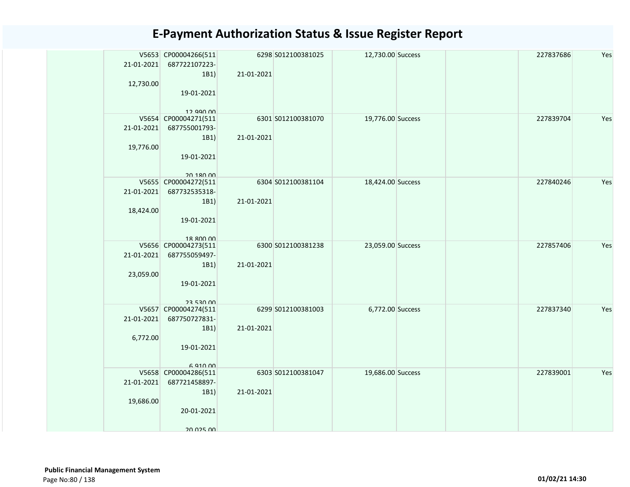| 21-01-2021<br>12,730.00 | V5653 CP00004266(511<br>687722107223-<br>1B1)<br>19-01-2021                           | 21-01-2021 | 6298 S012100381025 | 12,730.00 Success |  | 227837686 | Yes |
|-------------------------|---------------------------------------------------------------------------------------|------------|--------------------|-------------------|--|-----------|-----|
| 21-01-2021<br>19,776.00 | 12.990.00<br>V5654 CP00004271(511<br>687755001793-<br>1B1)<br>19-01-2021              | 21-01-2021 | 6301 S012100381070 | 19,776.00 Success |  | 227839704 | Yes |
| 21-01-2021<br>18,424.00 | 20 180 00<br>V5655 CP00004272(511<br>687732535318-<br>1B1)<br>19-01-2021<br>18 ROO OO | 21-01-2021 | 6304 S012100381104 | 18,424.00 Success |  | 227840246 | Yes |
| 21-01-2021<br>23,059.00 | V5656 CP00004273(511<br>687755059497-<br>1B1)<br>19-01-2021<br>23 530 UU              | 21-01-2021 | 6300 S012100381238 | 23,059.00 Success |  | 227857406 | Yes |
| 21-01-2021<br>6,772.00  | V5657 CP00004274(511<br>687750727831-<br>1B1)<br>19-01-2021<br>6.910.00               | 21-01-2021 | 6299 S012100381003 | 6,772.00 Success  |  | 227837340 | Yes |
| 21-01-2021<br>19,686.00 | V5658 CP00004286(511<br>687721458897-<br>1B1)<br>20-01-2021<br>20 025 00              | 21-01-2021 | 6303 S012100381047 | 19,686.00 Success |  | 227839001 | Yes |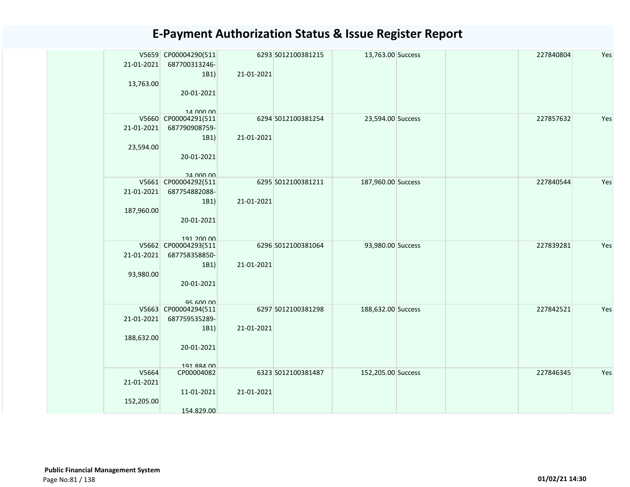| 21-01-2021<br>13,763.00           | V5659 CP00004290(511<br>687700313246-<br>1B1)<br>20-01-2021<br>14 000 00  | 6293 S012100381215<br>21-01-2021 | 13,763.00 Success  |  | 227840804 | Yes |
|-----------------------------------|---------------------------------------------------------------------------|----------------------------------|--------------------|--|-----------|-----|
| 21-01-2021<br>23,594.00           | V5660 CP00004291(511<br>687790908759-<br>1B1)<br>20-01-2021<br>24 000 00  | 6294 S012100381254<br>21-01-2021 | 23,594.00 Success  |  | 227857632 | Yes |
| 21-01-2021<br>187,960.00          | V5661 CP00004292(511<br>687754882088-<br>1B1)<br>20-01-2021<br>191 200 00 | 6295 S012100381211<br>21-01-2021 | 187,960.00 Success |  | 227840544 | Yes |
| 21-01-2021<br>93,980.00           | V5662 CP00004293(511<br>687758358850-<br>1B1)<br>20-01-2021<br>95 600 00  | 6296 S012100381064<br>21-01-2021 | 93,980.00 Success  |  | 227839281 | Yes |
| 21-01-2021<br>188,632.00          | V5663 CP00004294(511<br>687759535289-<br>1B1)<br>20-01-2021<br>191 884 00 | 6297 S012100381298<br>21-01-2021 | 188,632.00 Success |  | 227842521 | Yes |
| V5664<br>21-01-2021<br>152,205.00 | CP00004082<br>11-01-2021<br>154.829.00                                    | 6323 S012100381487<br>21-01-2021 | 152,205.00 Success |  | 227846345 | Yes |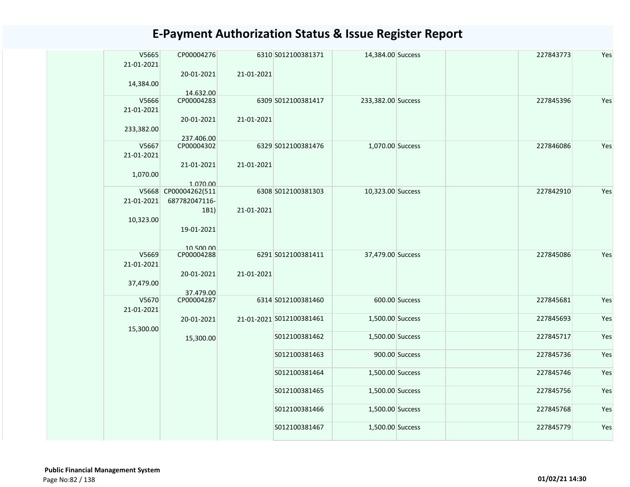| V5665<br>21-01-2021<br>14,384.00 | CP00004276<br>20-01-2021         | 21-01-2021 | 6310 S012100381371       | 14,384.00 Success  |                | 227843773 | Yes |
|----------------------------------|----------------------------------|------------|--------------------------|--------------------|----------------|-----------|-----|
| V5666<br>21-01-2021              | 14.632.00<br>CP00004283          |            | 6309 S012100381417       | 233,382.00 Success |                | 227845396 | Yes |
| 233,382.00                       | 20-01-2021<br>237.406.00         | 21-01-2021 |                          |                    |                |           |     |
| V5667                            | CP00004302                       |            | 6329 S012100381476       | 1,070.00 Success   |                | 227846086 | Yes |
| 21-01-2021                       | 21-01-2021                       | 21-01-2021 |                          |                    |                |           |     |
| 1,070.00                         |                                  |            |                          |                    |                |           |     |
|                                  | 1.070.00<br>V5668 CP00004262(511 |            |                          |                    |                | 227842910 | Yes |
|                                  |                                  |            | 6308 S012100381303       | 10,323.00 Success  |                |           |     |
| 21-01-2021                       | 687782047116-                    |            |                          |                    |                |           |     |
| 10,323.00                        | 1B1)                             | 21-01-2021 |                          |                    |                |           |     |
|                                  | 19-01-2021                       |            |                          |                    |                |           |     |
| V5669                            | 105000<br>CP00004288             |            | 6291 S012100381411       |                    |                | 227845086 | Yes |
| 21-01-2021                       |                                  |            |                          | 37,479.00 Success  |                |           |     |
| 37,479.00                        | 20-01-2021                       | 21-01-2021 |                          |                    |                |           |     |
|                                  | 37.479.00                        |            |                          |                    |                |           |     |
| V5670<br>21-01-2021              | CP00004287                       |            | 6314 S012100381460       |                    | 600.00 Success | 227845681 | Yes |
| 15,300.00                        | 20-01-2021                       |            | 21-01-2021 S012100381461 | 1,500.00 Success   |                | 227845693 | Yes |
|                                  | 15,300.00                        |            | S012100381462            | 1,500.00 Success   |                | 227845717 | Yes |
|                                  |                                  |            | S012100381463            |                    | 900.00 Success | 227845736 | Yes |
|                                  |                                  |            | S012100381464            | 1,500.00 Success   |                | 227845746 | Yes |
|                                  |                                  |            | S012100381465            | 1,500.00 Success   |                | 227845756 | Yes |
|                                  |                                  |            | S012100381466            | 1,500.00 Success   |                | 227845768 | Yes |
|                                  |                                  |            | S012100381467            | 1,500.00 Success   |                | 227845779 | Yes |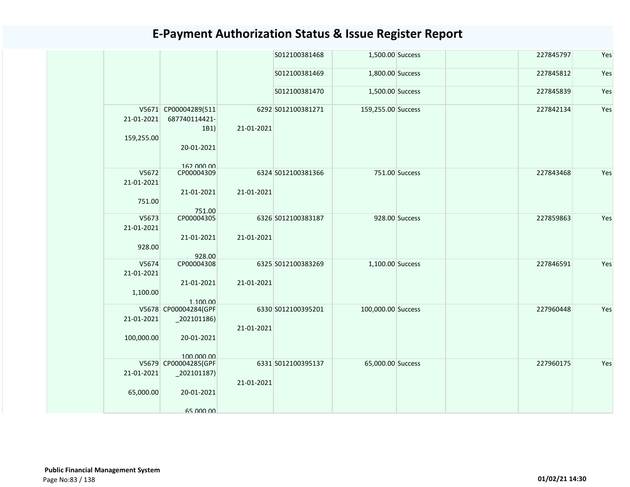|            |                                    |            | S012100381468      | 1,500.00 Success   |                | 227845797 | Yes |
|------------|------------------------------------|------------|--------------------|--------------------|----------------|-----------|-----|
|            |                                    |            | S012100381469      | 1,800.00 Success   |                | 227845812 | Yes |
|            |                                    |            | S012100381470      | 1,500.00 Success   |                | 227845839 | Yes |
|            | V5671 CP00004289(511               |            | 6292 S012100381271 | 159,255.00 Success |                | 227842134 | Yes |
| 21-01-2021 | 687740114421-                      |            |                    |                    |                |           |     |
|            | 1B1)                               | 21-01-2021 |                    |                    |                |           |     |
| 159,255.00 |                                    |            |                    |                    |                |           |     |
|            | 20-01-2021                         |            |                    |                    |                |           |     |
|            | 162 000 00                         |            |                    |                    |                |           |     |
| V5672      | CP00004309                         |            | 6324 S012100381366 |                    | 751.00 Success | 227843468 | Yes |
| 21-01-2021 |                                    |            |                    |                    |                |           |     |
|            | 21-01-2021                         | 21-01-2021 |                    |                    |                |           |     |
| 751.00     |                                    |            |                    |                    |                |           |     |
|            | 751.00                             |            |                    |                    |                |           |     |
| V5673      | CP00004305                         |            | 6326 S012100383187 |                    | 928.00 Success | 227859863 | Yes |
| 21-01-2021 |                                    |            |                    |                    |                |           |     |
| 928.00     | 21-01-2021                         | 21-01-2021 |                    |                    |                |           |     |
|            | 928.00                             |            |                    |                    |                |           |     |
| V5674      | CP00004308                         |            | 6325 S012100383269 | 1,100.00 Success   |                | 227846591 | Yes |
| 21-01-2021 |                                    |            |                    |                    |                |           |     |
|            | 21-01-2021                         | 21-01-2021 |                    |                    |                |           |     |
| 1,100.00   |                                    |            |                    |                    |                |           |     |
|            | 1.100.00                           |            |                    |                    |                |           |     |
|            | V5678 CP00004284(GPF               |            | 6330 S012100395201 | 100,000.00 Success |                | 227960448 | Yes |
| 21-01-2021 | $_2$ 02101186)                     |            |                    |                    |                |           |     |
|            |                                    | 21-01-2021 |                    |                    |                |           |     |
| 100,000.00 | 20-01-2021                         |            |                    |                    |                |           |     |
|            |                                    |            |                    |                    |                |           |     |
|            | 100,000,00<br>V5679 CP00004285(GPF |            | 6331 S012100395137 | 65,000.00 Success  |                | 227960175 | Yes |
| 21-01-2021 | $_202101187)$                      |            |                    |                    |                |           |     |
|            |                                    | 21-01-2021 |                    |                    |                |           |     |
| 65,000.00  | 20-01-2021                         |            |                    |                    |                |           |     |
|            |                                    |            |                    |                    |                |           |     |
|            | 65 000 00                          |            |                    |                    |                |           |     |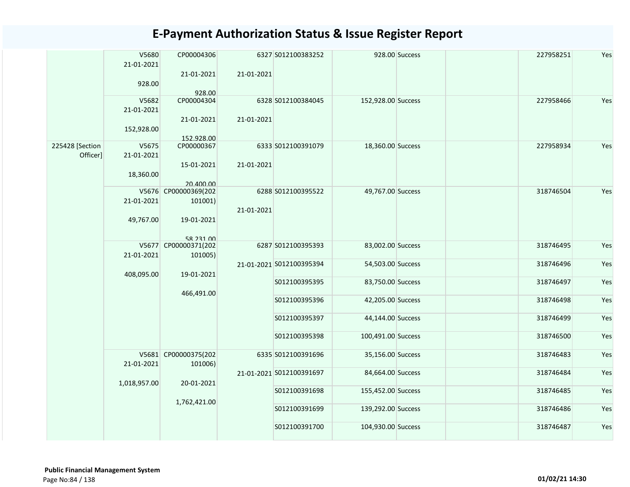|                 | V5680        | CP00004306           |            | 6327 S012100383252       |                    | 928.00 Success | 227958251 | Yes |
|-----------------|--------------|----------------------|------------|--------------------------|--------------------|----------------|-----------|-----|
|                 | 21-01-2021   |                      |            |                          |                    |                |           |     |
|                 |              | 21-01-2021           | 21-01-2021 |                          |                    |                |           |     |
|                 | 928.00       |                      |            |                          |                    |                |           |     |
|                 | V5682        | 928.00<br>CP00004304 |            | 6328 S012100384045       | 152,928.00 Success |                | 227958466 | Yes |
|                 | 21-01-2021   |                      |            |                          |                    |                |           |     |
|                 |              | 21-01-2021           | 21-01-2021 |                          |                    |                |           |     |
|                 | 152,928.00   |                      |            |                          |                    |                |           |     |
|                 |              | 152.928.00           |            |                          |                    |                |           |     |
| 225428 [Section | V5675        | CP00000367           |            | 6333 S012100391079       | 18,360.00 Success  |                | 227958934 | Yes |
| Officer]        | 21-01-2021   |                      |            |                          |                    |                |           |     |
|                 |              | 15-01-2021           | 21-01-2021 |                          |                    |                |           |     |
|                 | 18,360.00    |                      |            |                          |                    |                |           |     |
|                 |              | 20.400.00            |            |                          |                    |                |           |     |
|                 |              | V5676 CP00000369(202 |            | 6288 S012100395522       | 49,767.00 Success  |                | 318746504 | Yes |
|                 | 21-01-2021   | 101001)              |            |                          |                    |                |           |     |
|                 |              |                      | 21-01-2021 |                          |                    |                |           |     |
|                 | 49,767.00    | 19-01-2021           |            |                          |                    |                |           |     |
|                 |              | 58 231 00            |            |                          |                    |                |           |     |
|                 |              | V5677 CP00000371(202 |            | 6287 S012100395393       | 83,002.00 Success  |                | 318746495 | Yes |
|                 | 21-01-2021   | 101005)              |            |                          |                    |                |           |     |
|                 |              |                      |            | 21-01-2021 S012100395394 | 54,503.00 Success  |                | 318746496 | Yes |
|                 | 408,095.00   | 19-01-2021           |            |                          |                    |                |           |     |
|                 |              |                      |            | S012100395395            | 83,750.00 Success  |                | 318746497 | Yes |
|                 |              | 466,491.00           |            |                          |                    |                |           |     |
|                 |              |                      |            | S012100395396            | 42,205.00 Success  |                | 318746498 | Yes |
|                 |              |                      |            | S012100395397            | 44,144.00 Success  |                | 318746499 | Yes |
|                 |              |                      |            |                          |                    |                |           |     |
|                 |              |                      |            | S012100395398            | 100,491.00 Success |                | 318746500 | Yes |
|                 |              |                      |            |                          |                    |                |           |     |
|                 |              | V5681 CP00000375(202 |            | 6335 S012100391696       | 35,156.00 Success  |                | 318746483 | Yes |
|                 | 21-01-2021   | 101006)              |            |                          |                    |                |           |     |
|                 |              |                      |            | 21-01-2021 S012100391697 | 84,664.00 Success  |                | 318746484 | Yes |
|                 | 1,018,957.00 | 20-01-2021           |            |                          |                    |                |           |     |
|                 |              |                      |            | S012100391698            | 155,452.00 Success |                | 318746485 | Yes |
|                 |              | 1,762,421.00         |            |                          |                    |                |           |     |
|                 |              |                      |            | S012100391699            | 139,292.00 Success |                | 318746486 | Yes |
|                 |              |                      |            | S012100391700            | 104,930.00 Success |                | 318746487 | Yes |
|                 |              |                      |            |                          |                    |                |           |     |
|                 |              |                      |            |                          |                    |                |           |     |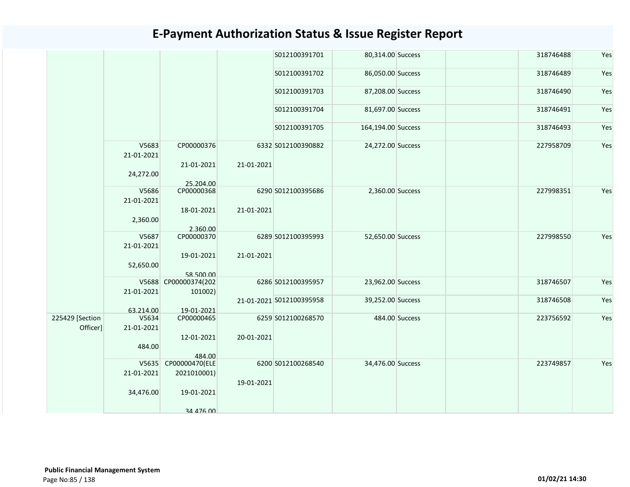|                 |                     |                          |            | S012100391701            | 80,314.00 Success  |                | 318746488 | Yes |
|-----------------|---------------------|--------------------------|------------|--------------------------|--------------------|----------------|-----------|-----|
|                 |                     |                          |            | S012100391702            | 86,050.00 Success  |                | 318746489 | Yes |
|                 |                     |                          |            | S012100391703            | 87,208.00 Success  |                | 318746490 | Yes |
|                 |                     |                          |            | S012100391704            | 81,697.00 Success  |                | 318746491 | Yes |
|                 |                     |                          |            | S012100391705            | 164,194.00 Success |                | 318746493 | Yes |
|                 | V5683<br>21-01-2021 | CP00000376               |            | 6332 S012100390882       | 24,272.00 Success  |                | 227958709 | Yes |
|                 | 24,272.00           | 21-01-2021               | 21-01-2021 |                          |                    |                |           |     |
|                 |                     | 25.204.00                |            |                          |                    |                |           |     |
|                 | V5686               | CP00000368               |            | 6290 S012100395686       | 2,360.00 Success   |                | 227998351 | Yes |
|                 | 21-01-2021          |                          |            |                          |                    |                |           |     |
|                 |                     | 18-01-2021               | 21-01-2021 |                          |                    |                |           |     |
|                 | 2,360.00            |                          |            |                          |                    |                |           |     |
|                 |                     | 2.360.00                 |            |                          |                    |                |           |     |
|                 | V5687               | CP00000370               |            | 6289 S012100395993       | 52,650.00 Success  |                | 227998550 | Yes |
|                 | 21-01-2021          |                          |            |                          |                    |                |           |     |
|                 |                     | 19-01-2021               | 21-01-2021 |                          |                    |                |           |     |
|                 |                     |                          |            |                          |                    |                |           |     |
|                 | 52,650.00           |                          |            |                          |                    |                |           |     |
|                 |                     | 58.500.00                |            |                          |                    |                |           |     |
|                 |                     | V5688 CP00000374(202     |            | 6286 S012100395957       | 23,962.00 Success  |                | 318746507 | Yes |
|                 | 21-01-2021          | 101002)                  |            |                          | 39,252.00 Success  |                | 318746508 |     |
|                 |                     |                          |            | 21-01-2021 S012100395958 |                    |                |           | Yes |
|                 | 63.214.00<br>V5634  | 19-01-2021<br>CP00000465 |            |                          |                    |                |           |     |
| 225429 [Section |                     |                          |            | 6259 S012100268570       |                    | 484.00 Success | 223756592 | Yes |
| Officer]        | 21-01-2021          |                          |            |                          |                    |                |           |     |
|                 |                     | 12-01-2021               | 20-01-2021 |                          |                    |                |           |     |
|                 | 484.00              |                          |            |                          |                    |                |           |     |
|                 |                     | 484.00                   |            |                          |                    |                |           |     |
|                 | V5635               | CP00000470(ELE           |            | 6200 S012100268540       | 34,476.00 Success  |                | 223749857 | Yes |
|                 | 21-01-2021          | 2021010001)              |            |                          |                    |                |           |     |
|                 |                     |                          | 19-01-2021 |                          |                    |                |           |     |
|                 | 34,476.00           | 19-01-2021               |            |                          |                    |                |           |     |
|                 |                     | 34 476 00                |            |                          |                    |                |           |     |
|                 |                     |                          |            |                          |                    |                |           |     |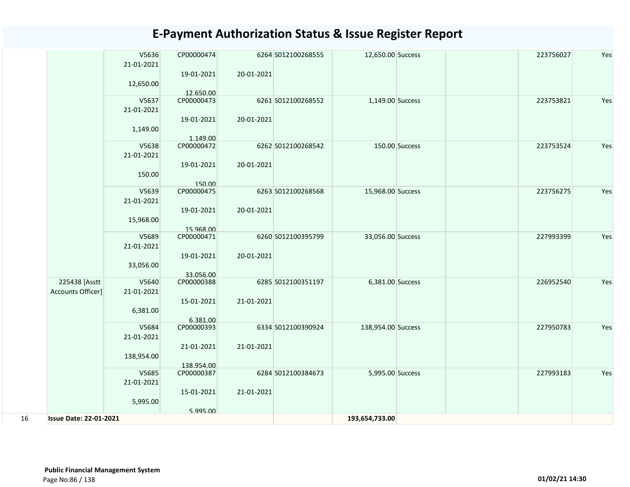|    |                               | V5636<br>21-01-2021 | CP00000474              |            | 6264 S012100268555 | 12,650.00 Success  |                | 223756027 | Yes |
|----|-------------------------------|---------------------|-------------------------|------------|--------------------|--------------------|----------------|-----------|-----|
|    |                               | 12,650.00           | 19-01-2021              | 20-01-2021 |                    |                    |                |           |     |
|    |                               |                     | 12.650.00               |            |                    |                    |                |           |     |
|    |                               | V5637               | CP00000473              |            | 6261 S012100268552 | 1,149.00 Success   |                | 223753821 | Yes |
|    |                               | 21-01-2021          |                         |            |                    |                    |                |           |     |
|    |                               | 1,149.00            | 19-01-2021              | 20-01-2021 |                    |                    |                |           |     |
|    |                               |                     | 1.149.00                |            |                    |                    |                |           |     |
|    |                               | V5638               | CP00000472              |            | 6262 S012100268542 |                    | 150.00 Success | 223753524 | Yes |
|    |                               | 21-01-2021          |                         |            |                    |                    |                |           |     |
|    |                               | 150.00              | 19-01-2021              | 20-01-2021 |                    |                    |                |           |     |
|    |                               | V5639               | 150.00<br>CP00000475    |            | 6263 S012100268568 | 15,968.00 Success  |                | 223756275 | Yes |
|    |                               |                     |                         |            |                    |                    |                |           |     |
|    |                               | 21-01-2021          |                         |            |                    |                    |                |           |     |
|    |                               |                     | 19-01-2021              | 20-01-2021 |                    |                    |                |           |     |
|    |                               | 15,968.00           |                         |            |                    |                    |                |           |     |
|    |                               | V5689               | 15.968.00<br>CP00000471 |            | 6260 S012100395799 | 33,056.00 Success  |                | 227993399 | Yes |
|    |                               | 21-01-2021          |                         |            |                    |                    |                |           |     |
|    |                               |                     |                         |            |                    |                    |                |           |     |
|    |                               |                     | 19-01-2021              | 20-01-2021 |                    |                    |                |           |     |
|    |                               | 33,056.00           | 33.056.00               |            |                    |                    |                |           |     |
|    | 225438 [Asstt                 | V5640               | CP00000388              |            | 6285 S012100351197 | 6,381.00 Success   |                | 226952540 | Yes |
|    | Accounts Officer]             | 21-01-2021          |                         |            |                    |                    |                |           |     |
|    |                               |                     | 15-01-2021              | 21-01-2021 |                    |                    |                |           |     |
|    |                               | 6,381.00            |                         |            |                    |                    |                |           |     |
|    |                               |                     | 6.381.00                |            |                    |                    |                |           |     |
|    |                               | V5684               | CP00000393              |            | 6334 S012100390924 | 138,954.00 Success |                | 227950783 | Yes |
|    |                               | 21-01-2021          |                         |            |                    |                    |                |           |     |
|    |                               |                     | 21-01-2021              | 21-01-2021 |                    |                    |                |           |     |
|    |                               | 138,954.00          |                         |            |                    |                    |                |           |     |
|    |                               |                     | 138.954.00              |            |                    |                    |                |           |     |
|    |                               | V5685               | CP00000387              |            | 6284 S012100384673 | 5,995.00 Success   |                | 227993183 | Yes |
|    |                               | 21-01-2021          |                         |            |                    |                    |                |           |     |
|    |                               |                     | 15-01-2021              | 21-01-2021 |                    |                    |                |           |     |
|    |                               | 5,995.00            |                         |            |                    |                    |                |           |     |
|    |                               |                     | 5.995.00                |            |                    |                    |                |           |     |
| 16 | <b>Issue Date: 22-01-2021</b> |                     |                         |            |                    | 193,654,733.00     |                |           |     |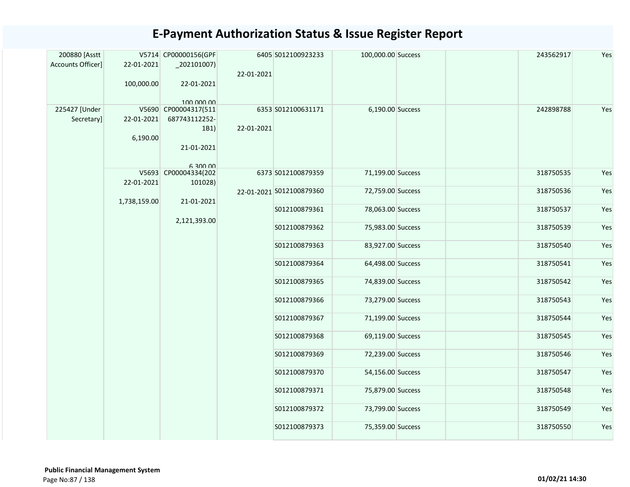| 200880 [Asstt     |              | V5714 CP00000156(GPF |            | 6405 S012100923233       | 100,000.00 Success | 243562917 | Yes |
|-------------------|--------------|----------------------|------------|--------------------------|--------------------|-----------|-----|
| Accounts Officer] | 22-01-2021   | $_2$ 02101007)       |            |                          |                    |           |     |
|                   |              |                      | 22-01-2021 |                          |                    |           |     |
|                   | 100,000.00   | 22-01-2021           |            |                          |                    |           |     |
|                   |              | 100,000,00           |            |                          |                    |           |     |
| 225427 [Under     |              | V5690 CP00004317(511 |            | 6353 S012100631171       | 6,190.00 Success   | 242898788 | Yes |
| Secretary]        | 22-01-2021   | 687743112252-        |            |                          |                    |           |     |
|                   |              | 1B1)                 | 22-01-2021 |                          |                    |           |     |
|                   | 6,190.00     |                      |            |                          |                    |           |     |
|                   |              | 21-01-2021           |            |                          |                    |           |     |
|                   |              | 6 300 00             |            |                          |                    |           |     |
|                   |              | V5693 CP00004334(202 |            | 6373 S012100879359       | 71,199.00 Success  | 318750535 | Yes |
|                   | 22-01-2021   | 101028)              |            |                          |                    | 318750536 |     |
|                   | 1,738,159.00 | 21-01-2021           |            | 22-01-2021 S012100879360 | 72,759.00 Success  |           | Yes |
|                   |              |                      |            | S012100879361            | 78,063.00 Success  | 318750537 | Yes |
|                   |              | 2,121,393.00         |            |                          |                    |           |     |
|                   |              |                      |            | S012100879362            | 75,983.00 Success  | 318750539 | Yes |
|                   |              |                      |            | S012100879363            | 83,927.00 Success  | 318750540 | Yes |
|                   |              |                      |            |                          |                    |           |     |
|                   |              |                      |            | S012100879364            | 64,498.00 Success  | 318750541 | Yes |
|                   |              |                      |            |                          |                    |           |     |
|                   |              |                      |            | S012100879365            | 74,839.00 Success  | 318750542 | Yes |
|                   |              |                      |            |                          |                    |           |     |
|                   |              |                      |            | S012100879366            | 73,279.00 Success  | 318750543 | Yes |
|                   |              |                      |            | S012100879367            | 71,199.00 Success  | 318750544 | Yes |
|                   |              |                      |            |                          |                    |           |     |
|                   |              |                      |            | S012100879368            | 69,119.00 Success  | 318750545 | Yes |
|                   |              |                      |            |                          |                    |           |     |
|                   |              |                      |            | S012100879369            | 72,239.00 Success  | 318750546 | Yes |
|                   |              |                      |            | S012100879370            | 54,156.00 Success  | 318750547 | Yes |
|                   |              |                      |            |                          |                    |           |     |
|                   |              |                      |            | S012100879371            | 75,879.00 Success  | 318750548 | Yes |
|                   |              |                      |            |                          |                    |           |     |
|                   |              |                      |            | S012100879372            | 73,799.00 Success  | 318750549 | Yes |
|                   |              |                      |            | S012100879373            | 75,359.00 Success  | 318750550 | Yes |
|                   |              |                      |            |                          |                    |           |     |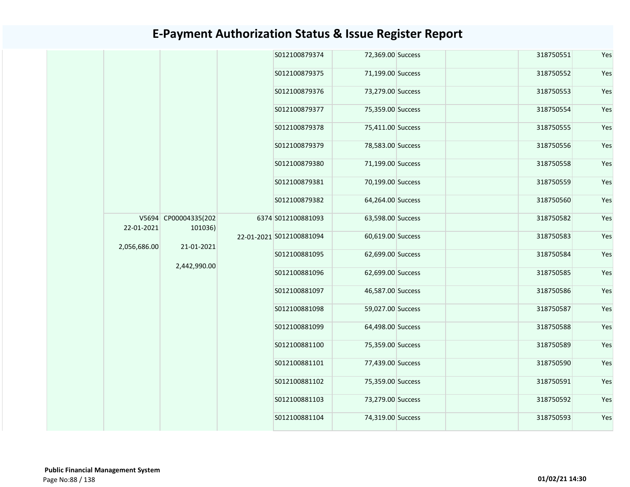| S012100879374<br>72,369.00 Success<br>318750551<br>S012100879375<br>71,199.00 Success<br>318750552<br>S012100879376<br>73,279.00 Success<br>318750553<br>75,359.00 Success<br>S012100879377<br>318750554<br>S012100879378<br>75,411.00 Success<br>318750555<br>78,583.00 Success<br>S012100879379<br>318750556<br>S012100879380<br>71,199.00 Success<br>318750558<br>S012100879381<br>70,199.00 Success<br>318750559<br>S012100879382<br>64,264.00 Success<br>318750560<br>V5694 CP00004335(202<br>63,598.00 Success<br>6374 S012100881093<br>318750582<br>22-01-2021<br>101036)<br>60,619.00 Success<br>22-01-2021 S012100881094<br>318750583<br>2,056,686.00<br>21-01-2021<br>S012100881095<br>62,699.00 Success<br>318750584<br>2,442,990.00<br>S012100881096<br>62,699.00 Success<br>318750585<br>S012100881097<br>46,587.00 Success<br>318750586<br>S012100881098<br>59,027.00 Success<br>318750587<br>S012100881099<br>64,498.00 Success<br>318750588<br>S012100881100<br>75,359.00 Success<br>318750589<br>S012100881101<br>77,439.00 Success<br>318750590<br>75,359.00 Success<br>S012100881102<br>318750591<br>S012100881103<br>73,279.00 Success<br>318750592<br>S012100881104<br>74,319.00 Success<br>318750593 |  |  |  |  |     |
|----------------------------------------------------------------------------------------------------------------------------------------------------------------------------------------------------------------------------------------------------------------------------------------------------------------------------------------------------------------------------------------------------------------------------------------------------------------------------------------------------------------------------------------------------------------------------------------------------------------------------------------------------------------------------------------------------------------------------------------------------------------------------------------------------------------------------------------------------------------------------------------------------------------------------------------------------------------------------------------------------------------------------------------------------------------------------------------------------------------------------------------------------------------------------------------------------------------------------|--|--|--|--|-----|
|                                                                                                                                                                                                                                                                                                                                                                                                                                                                                                                                                                                                                                                                                                                                                                                                                                                                                                                                                                                                                                                                                                                                                                                                                            |  |  |  |  | Yes |
| Yes<br>Yes<br>Yes<br>Yes<br>Yes<br>Yes<br>Yes<br>Yes                                                                                                                                                                                                                                                                                                                                                                                                                                                                                                                                                                                                                                                                                                                                                                                                                                                                                                                                                                                                                                                                                                                                                                       |  |  |  |  | Yes |
| Yes<br>Yes<br>Yes<br>Yes<br>Yes<br>Yes<br>Yes<br>Yes<br>Yes<br>Yes<br>Yes                                                                                                                                                                                                                                                                                                                                                                                                                                                                                                                                                                                                                                                                                                                                                                                                                                                                                                                                                                                                                                                                                                                                                  |  |  |  |  |     |
|                                                                                                                                                                                                                                                                                                                                                                                                                                                                                                                                                                                                                                                                                                                                                                                                                                                                                                                                                                                                                                                                                                                                                                                                                            |  |  |  |  |     |
|                                                                                                                                                                                                                                                                                                                                                                                                                                                                                                                                                                                                                                                                                                                                                                                                                                                                                                                                                                                                                                                                                                                                                                                                                            |  |  |  |  |     |
|                                                                                                                                                                                                                                                                                                                                                                                                                                                                                                                                                                                                                                                                                                                                                                                                                                                                                                                                                                                                                                                                                                                                                                                                                            |  |  |  |  |     |
|                                                                                                                                                                                                                                                                                                                                                                                                                                                                                                                                                                                                                                                                                                                                                                                                                                                                                                                                                                                                                                                                                                                                                                                                                            |  |  |  |  |     |
|                                                                                                                                                                                                                                                                                                                                                                                                                                                                                                                                                                                                                                                                                                                                                                                                                                                                                                                                                                                                                                                                                                                                                                                                                            |  |  |  |  |     |
|                                                                                                                                                                                                                                                                                                                                                                                                                                                                                                                                                                                                                                                                                                                                                                                                                                                                                                                                                                                                                                                                                                                                                                                                                            |  |  |  |  |     |
|                                                                                                                                                                                                                                                                                                                                                                                                                                                                                                                                                                                                                                                                                                                                                                                                                                                                                                                                                                                                                                                                                                                                                                                                                            |  |  |  |  |     |
|                                                                                                                                                                                                                                                                                                                                                                                                                                                                                                                                                                                                                                                                                                                                                                                                                                                                                                                                                                                                                                                                                                                                                                                                                            |  |  |  |  |     |
|                                                                                                                                                                                                                                                                                                                                                                                                                                                                                                                                                                                                                                                                                                                                                                                                                                                                                                                                                                                                                                                                                                                                                                                                                            |  |  |  |  |     |
|                                                                                                                                                                                                                                                                                                                                                                                                                                                                                                                                                                                                                                                                                                                                                                                                                                                                                                                                                                                                                                                                                                                                                                                                                            |  |  |  |  |     |
|                                                                                                                                                                                                                                                                                                                                                                                                                                                                                                                                                                                                                                                                                                                                                                                                                                                                                                                                                                                                                                                                                                                                                                                                                            |  |  |  |  |     |
|                                                                                                                                                                                                                                                                                                                                                                                                                                                                                                                                                                                                                                                                                                                                                                                                                                                                                                                                                                                                                                                                                                                                                                                                                            |  |  |  |  |     |
|                                                                                                                                                                                                                                                                                                                                                                                                                                                                                                                                                                                                                                                                                                                                                                                                                                                                                                                                                                                                                                                                                                                                                                                                                            |  |  |  |  |     |
|                                                                                                                                                                                                                                                                                                                                                                                                                                                                                                                                                                                                                                                                                                                                                                                                                                                                                                                                                                                                                                                                                                                                                                                                                            |  |  |  |  |     |
|                                                                                                                                                                                                                                                                                                                                                                                                                                                                                                                                                                                                                                                                                                                                                                                                                                                                                                                                                                                                                                                                                                                                                                                                                            |  |  |  |  |     |
|                                                                                                                                                                                                                                                                                                                                                                                                                                                                                                                                                                                                                                                                                                                                                                                                                                                                                                                                                                                                                                                                                                                                                                                                                            |  |  |  |  |     |
|                                                                                                                                                                                                                                                                                                                                                                                                                                                                                                                                                                                                                                                                                                                                                                                                                                                                                                                                                                                                                                                                                                                                                                                                                            |  |  |  |  |     |
|                                                                                                                                                                                                                                                                                                                                                                                                                                                                                                                                                                                                                                                                                                                                                                                                                                                                                                                                                                                                                                                                                                                                                                                                                            |  |  |  |  |     |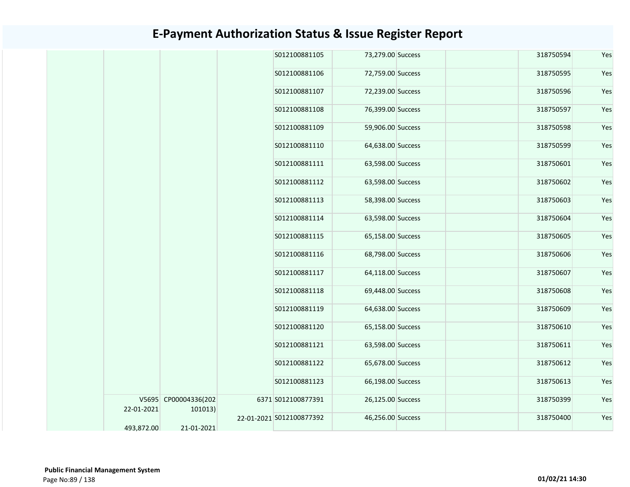|            |                                 | S012100881105            | 73,279.00 Success | 318750594 | Yes |
|------------|---------------------------------|--------------------------|-------------------|-----------|-----|
|            |                                 | S012100881106            | 72,759.00 Success | 318750595 | Yes |
|            |                                 | S012100881107            | 72,239.00 Success | 318750596 | Yes |
|            |                                 | S012100881108            | 76,399.00 Success | 318750597 | Yes |
|            |                                 | S012100881109            | 59,906.00 Success | 318750598 | Yes |
|            |                                 | S012100881110            | 64,638.00 Success | 318750599 | Yes |
|            |                                 | S012100881111            | 63,598.00 Success | 318750601 | Yes |
|            |                                 | S012100881112            | 63,598.00 Success | 318750602 | Yes |
|            |                                 | S012100881113            | 58,398.00 Success | 318750603 | Yes |
|            |                                 | S012100881114            | 63,598.00 Success | 318750604 | Yes |
|            |                                 | S012100881115            | 65,158.00 Success | 318750605 | Yes |
|            |                                 | S012100881116            | 68,798.00 Success | 318750606 | Yes |
|            |                                 | S012100881117            | 64,118.00 Success | 318750607 | Yes |
|            |                                 | S012100881118            | 69,448.00 Success | 318750608 | Yes |
|            |                                 | S012100881119            | 64,638.00 Success | 318750609 | Yes |
|            |                                 | S012100881120            | 65,158.00 Success | 318750610 | Yes |
|            |                                 | S012100881121            | 63,598.00 Success | 318750611 | Yes |
|            |                                 | S012100881122            | 65,678.00 Success | 318750612 | Yes |
|            |                                 | S012100881123            | 66,198.00 Success | 318750613 | Yes |
| 22-01-2021 | V5695 CP00004336(202<br>101013) | 6371 S012100877391       | 26,125.00 Success | 318750399 | Yes |
| 493,872.00 | 21-01-2021                      | 22-01-2021 S012100877392 | 46,256.00 Success | 318750400 | Yes |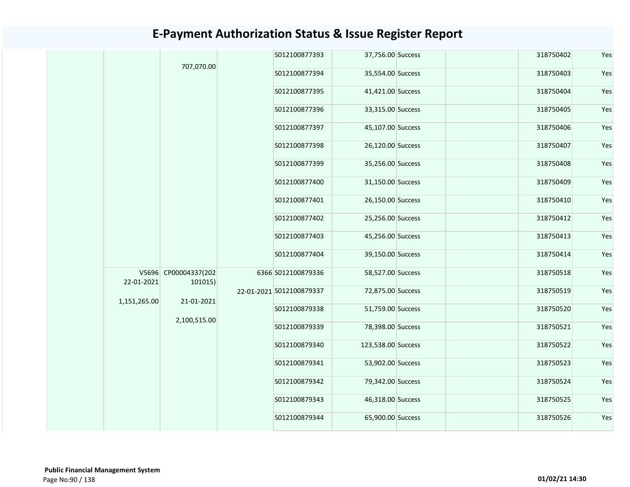|              | 707,070.00                      | S012100877393            | 37,756.00 Success  |  | 318750402 | Yes |
|--------------|---------------------------------|--------------------------|--------------------|--|-----------|-----|
|              |                                 | S012100877394            | 35,554.00 Success  |  | 318750403 | Yes |
|              |                                 | S012100877395            | 41,421.00 Success  |  | 318750404 | Yes |
|              |                                 | S012100877396            | 33,315.00 Success  |  | 318750405 | Yes |
|              |                                 | S012100877397            | 45,107.00 Success  |  | 318750406 | Yes |
|              |                                 | S012100877398            | 26,120.00 Success  |  | 318750407 | Yes |
|              |                                 | S012100877399            | 35,256.00 Success  |  | 318750408 | Yes |
|              |                                 | S012100877400            | 31,150.00 Success  |  | 318750409 | Yes |
|              |                                 | S012100877401            | 26,150.00 Success  |  | 318750410 | Yes |
|              |                                 | S012100877402            | 25,256.00 Success  |  | 318750412 | Yes |
|              |                                 | S012100877403            | 45,256.00 Success  |  | 318750413 | Yes |
|              |                                 | S012100877404            | 39,150.00 Success  |  | 318750414 | Yes |
| 22-01-2021   | V5696 CP00004337(202<br>101015) | 6366 S012100879336       | 58,527.00 Success  |  | 318750518 | Yes |
| 1,151,265.00 | 21-01-2021                      | 22-01-2021 S012100879337 | 72,875.00 Success  |  | 318750519 | Yes |
|              | 2,100,515.00                    | S012100879338            | 51,759.00 Success  |  | 318750520 | Yes |
|              |                                 | S012100879339            | 78,398.00 Success  |  | 318750521 | Yes |
|              |                                 | S012100879340            | 123,538.00 Success |  | 318750522 | Yes |
|              |                                 | S012100879341            | 53,902.00 Success  |  | 318750523 | Yes |
|              |                                 | S012100879342            | 79,342.00 Success  |  | 318750524 | Yes |
|              |                                 | S012100879343            | 46,318.00 Success  |  | 318750525 | Yes |
|              |                                 | S012100879344            | 65,900.00 Success  |  | 318750526 | Yes |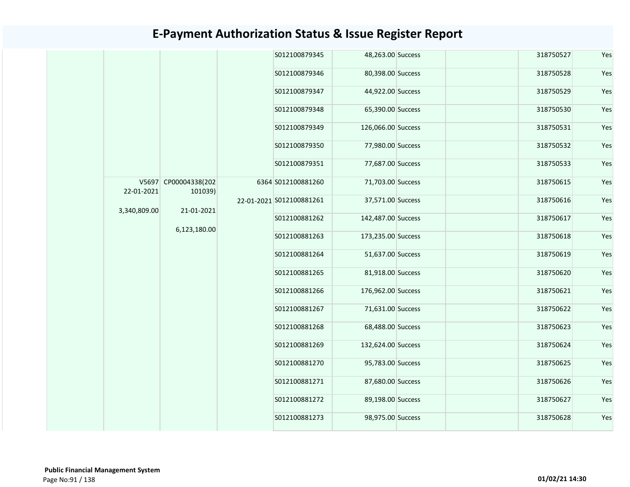|  |              |                                 | S012100879345            | 48,263.00 Success  | 318750527 | Yes |
|--|--------------|---------------------------------|--------------------------|--------------------|-----------|-----|
|  |              |                                 | S012100879346            | 80,398.00 Success  | 318750528 | Yes |
|  |              |                                 | S012100879347            | 44,922.00 Success  | 318750529 | Yes |
|  |              |                                 | S012100879348            | 65,390.00 Success  | 318750530 | Yes |
|  |              |                                 | S012100879349            | 126,066.00 Success | 318750531 | Yes |
|  |              |                                 | S012100879350            | 77,980.00 Success  | 318750532 | Yes |
|  |              |                                 | S012100879351            | 77,687.00 Success  | 318750533 | Yes |
|  | 22-01-2021   | V5697 CP00004338(202<br>101039) | 6364 S012100881260       | 71,703.00 Success  | 318750615 | Yes |
|  | 3,340,809.00 | 21-01-2021                      | 22-01-2021 S012100881261 | 37,571.00 Success  | 318750616 | Yes |
|  |              | 6,123,180.00                    | S012100881262            | 142,487.00 Success | 318750617 | Yes |
|  |              |                                 | S012100881263            | 173,235.00 Success | 318750618 | Yes |
|  |              |                                 | S012100881264            | 51,637.00 Success  | 318750619 | Yes |
|  |              |                                 | S012100881265            | 81,918.00 Success  | 318750620 | Yes |
|  |              |                                 | S012100881266            | 176,962.00 Success | 318750621 | Yes |
|  |              |                                 | S012100881267            | 71,631.00 Success  | 318750622 | Yes |
|  |              |                                 | S012100881268            | 68,488.00 Success  | 318750623 | Yes |
|  |              |                                 | S012100881269            | 132,624.00 Success | 318750624 | Yes |
|  |              |                                 | S012100881270            | 95,783.00 Success  | 318750625 | Yes |
|  |              |                                 | S012100881271            | 87,680.00 Success  | 318750626 | Yes |
|  |              |                                 | S012100881272            | 89,198.00 Success  | 318750627 | Yes |
|  |              |                                 | S012100881273            | 98,975.00 Success  | 318750628 | Yes |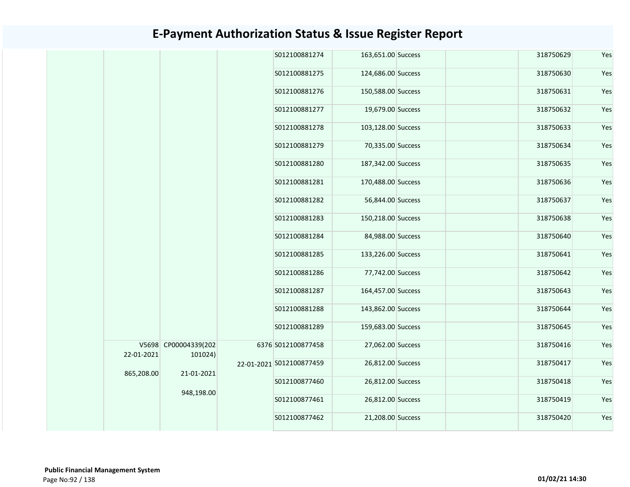|  |            |                                 | S012100881274            | 163,651.00 Success |  | 318750629 | Yes |
|--|------------|---------------------------------|--------------------------|--------------------|--|-----------|-----|
|  |            |                                 | S012100881275            | 124,686.00 Success |  | 318750630 | Yes |
|  |            |                                 | S012100881276            | 150,588.00 Success |  | 318750631 | Yes |
|  |            |                                 | S012100881277            | 19,679.00 Success  |  | 318750632 | Yes |
|  |            |                                 | S012100881278            | 103,128.00 Success |  | 318750633 | Yes |
|  |            |                                 | S012100881279            | 70,335.00 Success  |  | 318750634 | Yes |
|  |            |                                 | S012100881280            | 187,342.00 Success |  | 318750635 | Yes |
|  |            |                                 | S012100881281            | 170,488.00 Success |  | 318750636 | Yes |
|  |            |                                 | S012100881282            | 56,844.00 Success  |  | 318750637 | Yes |
|  |            |                                 | S012100881283            | 150,218.00 Success |  | 318750638 | Yes |
|  |            |                                 | S012100881284            | 84,988.00 Success  |  | 318750640 | Yes |
|  |            |                                 | S012100881285            | 133,226.00 Success |  | 318750641 | Yes |
|  |            |                                 | S012100881286            | 77,742.00 Success  |  | 318750642 | Yes |
|  |            |                                 | S012100881287            | 164,457.00 Success |  | 318750643 | Yes |
|  |            |                                 | S012100881288            | 143,862.00 Success |  | 318750644 | Yes |
|  |            |                                 | S012100881289            | 159,683.00 Success |  | 318750645 | Yes |
|  | 22-01-2021 | V5698 CP00004339(202<br>101024) | 6376 S012100877458       | 27,062.00 Success  |  | 318750416 | Yes |
|  | 865,208.00 | 21-01-2021                      | 22-01-2021 S012100877459 | 26,812.00 Success  |  | 318750417 | Yes |
|  |            | 948,198.00                      | S012100877460            | 26,812.00 Success  |  | 318750418 | Yes |
|  |            |                                 | S012100877461            | 26,812.00 Success  |  | 318750419 | Yes |
|  |            |                                 | S012100877462            | 21,208.00 Success  |  | 318750420 | Yes |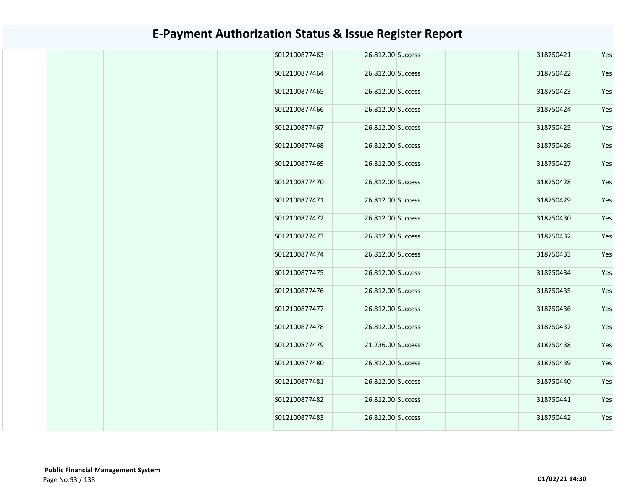| S012100877463 | 26,812.00 Success | 318750421 | Yes |
|---------------|-------------------|-----------|-----|
| S012100877464 | 26,812.00 Success | 318750422 | Yes |
| S012100877465 | 26,812.00 Success | 318750423 | Yes |
| S012100877466 | 26,812.00 Success | 318750424 | Yes |
| S012100877467 | 26,812.00 Success | 318750425 | Yes |
| S012100877468 | 26,812.00 Success | 318750426 | Yes |
| S012100877469 | 26,812.00 Success | 318750427 | Yes |
| S012100877470 | 26,812.00 Success | 318750428 | Yes |
| S012100877471 | 26,812.00 Success | 318750429 | Yes |
| S012100877472 | 26,812.00 Success | 318750430 | Yes |
| S012100877473 | 26,812.00 Success | 318750432 | Yes |
| S012100877474 | 26,812.00 Success | 318750433 | Yes |
| S012100877475 | 26,812.00 Success | 318750434 | Yes |
| S012100877476 | 26,812.00 Success | 318750435 | Yes |
| S012100877477 | 26,812.00 Success | 318750436 | Yes |
| S012100877478 | 26,812.00 Success | 318750437 | Yes |
| S012100877479 | 21,236.00 Success | 318750438 | Yes |
| S012100877480 | 26,812.00 Success | 318750439 | Yes |
| S012100877481 | 26,812.00 Success | 318750440 | Yes |
|               |                   | 318750441 | Yes |
| S012100877482 | 26,812.00 Success |           |     |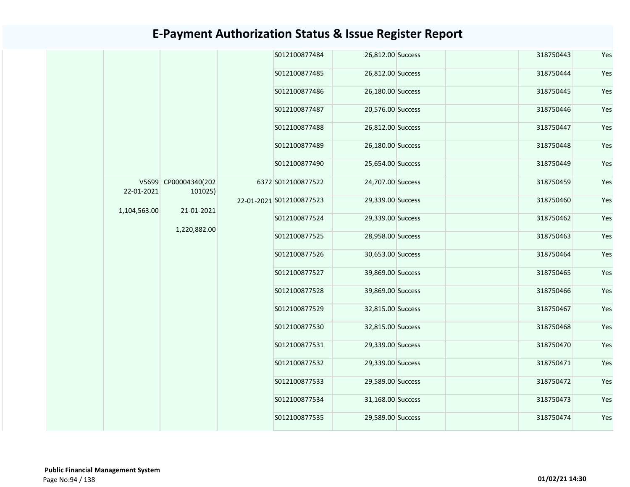|  |              |                                 | S012100877484            | 26,812.00 Success | 318750443 | Yes |
|--|--------------|---------------------------------|--------------------------|-------------------|-----------|-----|
|  |              |                                 | S012100877485            | 26,812.00 Success | 318750444 | Yes |
|  |              |                                 | S012100877486            | 26,180.00 Success | 318750445 | Yes |
|  |              |                                 | S012100877487            | 20,576.00 Success | 318750446 | Yes |
|  |              |                                 | S012100877488            | 26,812.00 Success | 318750447 | Yes |
|  |              |                                 | S012100877489            | 26,180.00 Success | 318750448 | Yes |
|  |              |                                 | S012100877490            | 25,654.00 Success | 318750449 | Yes |
|  | 22-01-2021   | V5699 CP00004340(202<br>101025) | 6372 S012100877522       | 24,707.00 Success | 318750459 | Yes |
|  |              |                                 | 22-01-2021 S012100877523 | 29,339.00 Success | 318750460 | Yes |
|  | 1,104,563.00 | 21-01-2021                      | S012100877524            | 29,339.00 Success | 318750462 | Yes |
|  |              | 1,220,882.00                    | S012100877525            | 28,958.00 Success | 318750463 | Yes |
|  |              |                                 | S012100877526            | 30,653.00 Success | 318750464 | Yes |
|  |              |                                 | S012100877527            | 39,869.00 Success | 318750465 | Yes |
|  |              |                                 | S012100877528            | 39,869.00 Success | 318750466 | Yes |
|  |              |                                 | S012100877529            | 32,815.00 Success | 318750467 | Yes |
|  |              |                                 | S012100877530            | 32,815.00 Success | 318750468 | Yes |
|  |              |                                 | S012100877531            | 29,339.00 Success | 318750470 | Yes |
|  |              |                                 | S012100877532            | 29,339.00 Success | 318750471 | Yes |
|  |              |                                 | S012100877533            | 29,589.00 Success | 318750472 | Yes |
|  |              |                                 | S012100877534            | 31,168.00 Success | 318750473 | Yes |
|  |              |                                 | S012100877535            | 29,589.00 Success | 318750474 | Yes |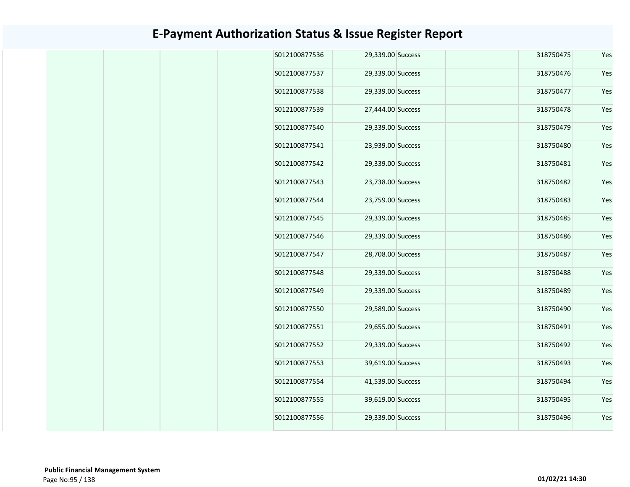| S012100877536<br>29,339.00 Success<br>318750475<br>Yes<br>S012100877537<br>29,339.00 Success<br>318750476<br>Yes<br>S012100877538<br>318750477<br>Yes<br>29,339.00 Success<br>S012100877539<br>27,444.00 Success<br>318750478<br>Yes<br>S012100877540<br>29,339.00 Success<br>318750479<br>Yes<br>S012100877541<br>23,939.00 Success<br>318750480<br>Yes<br>S012100877542<br>29,339.00 Success<br>318750481<br>Yes<br>S012100877543<br>318750482<br>23,738.00 Success<br>Yes<br>S012100877544<br>23,759.00 Success<br>318750483<br>Yes<br>S012100877545<br>29,339.00 Success<br>318750485<br>Yes<br>S012100877546<br>29,339.00 Success<br>Yes<br>318750486<br>S012100877547<br>28,708.00 Success<br>318750487<br>Yes<br>S012100877548<br>29,339.00 Success<br>318750488<br>Yes<br>S012100877549<br>318750489<br>Yes<br>29,339.00 Success<br>S012100877550<br>29,589.00 Success<br>318750490<br>Yes<br>S012100877551<br>29,655.00 Success<br>318750491<br>Yes<br>S012100877552<br>318750492<br>Yes<br>29,339.00 Success<br>S012100877553<br>39,619.00 Success<br>318750493<br>Yes<br>S012100877554<br>41,539.00 Success<br>318750494<br>Yes<br>S012100877555<br>39,619.00 Success<br>318750495<br>Yes<br>Yes<br>S012100877556<br>29,339.00 Success<br>318750496 |  |  |  |  |  |  |  |  |  |  |  |  |  |  |  |  |  |  |  |  |  |  |  |  |  |  |  |  |  |  |  |  |  |  |  |  |  |  |  |  |  |  |  |  |  |  |  |  |  |  |  |  |  |  |  |  |  |  |  |  |  |  |
|----------------------------------------------------------------------------------------------------------------------------------------------------------------------------------------------------------------------------------------------------------------------------------------------------------------------------------------------------------------------------------------------------------------------------------------------------------------------------------------------------------------------------------------------------------------------------------------------------------------------------------------------------------------------------------------------------------------------------------------------------------------------------------------------------------------------------------------------------------------------------------------------------------------------------------------------------------------------------------------------------------------------------------------------------------------------------------------------------------------------------------------------------------------------------------------------------------------------------------------------------------------|--|--|--|--|--|--|--|--|--|--|--|--|--|--|--|--|--|--|--|--|--|--|--|--|--|--|--|--|--|--|--|--|--|--|--|--|--|--|--|--|--|--|--|--|--|--|--|--|--|--|--|--|--|--|--|--|--|--|--|--|--|--|
|                                                                                                                                                                                                                                                                                                                                                                                                                                                                                                                                                                                                                                                                                                                                                                                                                                                                                                                                                                                                                                                                                                                                                                                                                                                                |  |  |  |  |  |  |  |  |  |  |  |  |  |  |  |  |  |  |  |  |  |  |  |  |  |  |  |  |  |  |  |  |  |  |  |  |  |  |  |  |  |  |  |  |  |  |  |  |  |  |  |  |  |  |  |  |  |  |  |  |  |  |
|                                                                                                                                                                                                                                                                                                                                                                                                                                                                                                                                                                                                                                                                                                                                                                                                                                                                                                                                                                                                                                                                                                                                                                                                                                                                |  |  |  |  |  |  |  |  |  |  |  |  |  |  |  |  |  |  |  |  |  |  |  |  |  |  |  |  |  |  |  |  |  |  |  |  |  |  |  |  |  |  |  |  |  |  |  |  |  |  |  |  |  |  |  |  |  |  |  |  |  |  |
|                                                                                                                                                                                                                                                                                                                                                                                                                                                                                                                                                                                                                                                                                                                                                                                                                                                                                                                                                                                                                                                                                                                                                                                                                                                                |  |  |  |  |  |  |  |  |  |  |  |  |  |  |  |  |  |  |  |  |  |  |  |  |  |  |  |  |  |  |  |  |  |  |  |  |  |  |  |  |  |  |  |  |  |  |  |  |  |  |  |  |  |  |  |  |  |  |  |  |  |  |
|                                                                                                                                                                                                                                                                                                                                                                                                                                                                                                                                                                                                                                                                                                                                                                                                                                                                                                                                                                                                                                                                                                                                                                                                                                                                |  |  |  |  |  |  |  |  |  |  |  |  |  |  |  |  |  |  |  |  |  |  |  |  |  |  |  |  |  |  |  |  |  |  |  |  |  |  |  |  |  |  |  |  |  |  |  |  |  |  |  |  |  |  |  |  |  |  |  |  |  |  |
|                                                                                                                                                                                                                                                                                                                                                                                                                                                                                                                                                                                                                                                                                                                                                                                                                                                                                                                                                                                                                                                                                                                                                                                                                                                                |  |  |  |  |  |  |  |  |  |  |  |  |  |  |  |  |  |  |  |  |  |  |  |  |  |  |  |  |  |  |  |  |  |  |  |  |  |  |  |  |  |  |  |  |  |  |  |  |  |  |  |  |  |  |  |  |  |  |  |  |  |  |
|                                                                                                                                                                                                                                                                                                                                                                                                                                                                                                                                                                                                                                                                                                                                                                                                                                                                                                                                                                                                                                                                                                                                                                                                                                                                |  |  |  |  |  |  |  |  |  |  |  |  |  |  |  |  |  |  |  |  |  |  |  |  |  |  |  |  |  |  |  |  |  |  |  |  |  |  |  |  |  |  |  |  |  |  |  |  |  |  |  |  |  |  |  |  |  |  |  |  |  |  |
|                                                                                                                                                                                                                                                                                                                                                                                                                                                                                                                                                                                                                                                                                                                                                                                                                                                                                                                                                                                                                                                                                                                                                                                                                                                                |  |  |  |  |  |  |  |  |  |  |  |  |  |  |  |  |  |  |  |  |  |  |  |  |  |  |  |  |  |  |  |  |  |  |  |  |  |  |  |  |  |  |  |  |  |  |  |  |  |  |  |  |  |  |  |  |  |  |  |  |  |  |
|                                                                                                                                                                                                                                                                                                                                                                                                                                                                                                                                                                                                                                                                                                                                                                                                                                                                                                                                                                                                                                                                                                                                                                                                                                                                |  |  |  |  |  |  |  |  |  |  |  |  |  |  |  |  |  |  |  |  |  |  |  |  |  |  |  |  |  |  |  |  |  |  |  |  |  |  |  |  |  |  |  |  |  |  |  |  |  |  |  |  |  |  |  |  |  |  |  |  |  |  |
|                                                                                                                                                                                                                                                                                                                                                                                                                                                                                                                                                                                                                                                                                                                                                                                                                                                                                                                                                                                                                                                                                                                                                                                                                                                                |  |  |  |  |  |  |  |  |  |  |  |  |  |  |  |  |  |  |  |  |  |  |  |  |  |  |  |  |  |  |  |  |  |  |  |  |  |  |  |  |  |  |  |  |  |  |  |  |  |  |  |  |  |  |  |  |  |  |  |  |  |  |
|                                                                                                                                                                                                                                                                                                                                                                                                                                                                                                                                                                                                                                                                                                                                                                                                                                                                                                                                                                                                                                                                                                                                                                                                                                                                |  |  |  |  |  |  |  |  |  |  |  |  |  |  |  |  |  |  |  |  |  |  |  |  |  |  |  |  |  |  |  |  |  |  |  |  |  |  |  |  |  |  |  |  |  |  |  |  |  |  |  |  |  |  |  |  |  |  |  |  |  |  |
|                                                                                                                                                                                                                                                                                                                                                                                                                                                                                                                                                                                                                                                                                                                                                                                                                                                                                                                                                                                                                                                                                                                                                                                                                                                                |  |  |  |  |  |  |  |  |  |  |  |  |  |  |  |  |  |  |  |  |  |  |  |  |  |  |  |  |  |  |  |  |  |  |  |  |  |  |  |  |  |  |  |  |  |  |  |  |  |  |  |  |  |  |  |  |  |  |  |  |  |  |
|                                                                                                                                                                                                                                                                                                                                                                                                                                                                                                                                                                                                                                                                                                                                                                                                                                                                                                                                                                                                                                                                                                                                                                                                                                                                |  |  |  |  |  |  |  |  |  |  |  |  |  |  |  |  |  |  |  |  |  |  |  |  |  |  |  |  |  |  |  |  |  |  |  |  |  |  |  |  |  |  |  |  |  |  |  |  |  |  |  |  |  |  |  |  |  |  |  |  |  |  |
|                                                                                                                                                                                                                                                                                                                                                                                                                                                                                                                                                                                                                                                                                                                                                                                                                                                                                                                                                                                                                                                                                                                                                                                                                                                                |  |  |  |  |  |  |  |  |  |  |  |  |  |  |  |  |  |  |  |  |  |  |  |  |  |  |  |  |  |  |  |  |  |  |  |  |  |  |  |  |  |  |  |  |  |  |  |  |  |  |  |  |  |  |  |  |  |  |  |  |  |  |
|                                                                                                                                                                                                                                                                                                                                                                                                                                                                                                                                                                                                                                                                                                                                                                                                                                                                                                                                                                                                                                                                                                                                                                                                                                                                |  |  |  |  |  |  |  |  |  |  |  |  |  |  |  |  |  |  |  |  |  |  |  |  |  |  |  |  |  |  |  |  |  |  |  |  |  |  |  |  |  |  |  |  |  |  |  |  |  |  |  |  |  |  |  |  |  |  |  |  |  |  |
|                                                                                                                                                                                                                                                                                                                                                                                                                                                                                                                                                                                                                                                                                                                                                                                                                                                                                                                                                                                                                                                                                                                                                                                                                                                                |  |  |  |  |  |  |  |  |  |  |  |  |  |  |  |  |  |  |  |  |  |  |  |  |  |  |  |  |  |  |  |  |  |  |  |  |  |  |  |  |  |  |  |  |  |  |  |  |  |  |  |  |  |  |  |  |  |  |  |  |  |  |
|                                                                                                                                                                                                                                                                                                                                                                                                                                                                                                                                                                                                                                                                                                                                                                                                                                                                                                                                                                                                                                                                                                                                                                                                                                                                |  |  |  |  |  |  |  |  |  |  |  |  |  |  |  |  |  |  |  |  |  |  |  |  |  |  |  |  |  |  |  |  |  |  |  |  |  |  |  |  |  |  |  |  |  |  |  |  |  |  |  |  |  |  |  |  |  |  |  |  |  |  |
|                                                                                                                                                                                                                                                                                                                                                                                                                                                                                                                                                                                                                                                                                                                                                                                                                                                                                                                                                                                                                                                                                                                                                                                                                                                                |  |  |  |  |  |  |  |  |  |  |  |  |  |  |  |  |  |  |  |  |  |  |  |  |  |  |  |  |  |  |  |  |  |  |  |  |  |  |  |  |  |  |  |  |  |  |  |  |  |  |  |  |  |  |  |  |  |  |  |  |  |  |
|                                                                                                                                                                                                                                                                                                                                                                                                                                                                                                                                                                                                                                                                                                                                                                                                                                                                                                                                                                                                                                                                                                                                                                                                                                                                |  |  |  |  |  |  |  |  |  |  |  |  |  |  |  |  |  |  |  |  |  |  |  |  |  |  |  |  |  |  |  |  |  |  |  |  |  |  |  |  |  |  |  |  |  |  |  |  |  |  |  |  |  |  |  |  |  |  |  |  |  |  |
|                                                                                                                                                                                                                                                                                                                                                                                                                                                                                                                                                                                                                                                                                                                                                                                                                                                                                                                                                                                                                                                                                                                                                                                                                                                                |  |  |  |  |  |  |  |  |  |  |  |  |  |  |  |  |  |  |  |  |  |  |  |  |  |  |  |  |  |  |  |  |  |  |  |  |  |  |  |  |  |  |  |  |  |  |  |  |  |  |  |  |  |  |  |  |  |  |  |  |  |  |
|                                                                                                                                                                                                                                                                                                                                                                                                                                                                                                                                                                                                                                                                                                                                                                                                                                                                                                                                                                                                                                                                                                                                                                                                                                                                |  |  |  |  |  |  |  |  |  |  |  |  |  |  |  |  |  |  |  |  |  |  |  |  |  |  |  |  |  |  |  |  |  |  |  |  |  |  |  |  |  |  |  |  |  |  |  |  |  |  |  |  |  |  |  |  |  |  |  |  |  |  |
|                                                                                                                                                                                                                                                                                                                                                                                                                                                                                                                                                                                                                                                                                                                                                                                                                                                                                                                                                                                                                                                                                                                                                                                                                                                                |  |  |  |  |  |  |  |  |  |  |  |  |  |  |  |  |  |  |  |  |  |  |  |  |  |  |  |  |  |  |  |  |  |  |  |  |  |  |  |  |  |  |  |  |  |  |  |  |  |  |  |  |  |  |  |  |  |  |  |  |  |  |
|                                                                                                                                                                                                                                                                                                                                                                                                                                                                                                                                                                                                                                                                                                                                                                                                                                                                                                                                                                                                                                                                                                                                                                                                                                                                |  |  |  |  |  |  |  |  |  |  |  |  |  |  |  |  |  |  |  |  |  |  |  |  |  |  |  |  |  |  |  |  |  |  |  |  |  |  |  |  |  |  |  |  |  |  |  |  |  |  |  |  |  |  |  |  |  |  |  |  |  |  |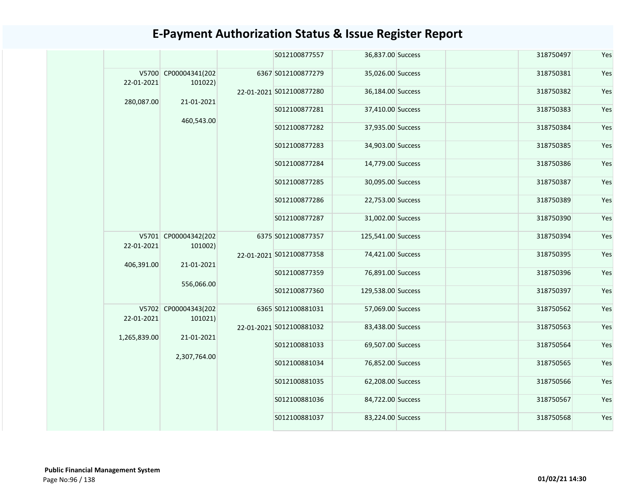| S012100877557<br>36,837.00 Success<br>318750497<br>V5700 CP00004341(202<br>6367 S012100877279<br>35,026.00 Success<br>318750381<br>22-01-2021<br>101022)<br>22-01-2021 S012100877280<br>36,184.00 Success<br>318750382<br>21-01-2021<br>280,087.00<br>S012100877281<br>37,410.00 Success<br>318750383<br>460,543.00<br>S012100877282<br>37,935.00 Success<br>318750384<br>S012100877283<br>34,903.00 Success<br>318750385<br>S012100877284<br>14,779.00 Success<br>318750386<br>S012100877285<br>318750387<br>30,095.00 Success<br>S012100877286<br>318750389<br>22,753.00 Success<br>S012100877287<br>31,002.00 Success<br>318750390<br>V5701 CP00004342(202<br>125,541.00 Success<br>6375 S012100877357<br>318750394<br>22-01-2021<br>101002)<br>318750395<br>22-01-2021 S012100877358<br>74,421.00 Success<br>406,391.00<br>21-01-2021<br>S012100877359<br>318750396<br>76,891.00 Success<br>556,066.00<br>S012100877360<br>129,538.00 Success<br>318750397<br>V5702 CP00004343(202<br>6365 S012100881031<br>57,069.00 Success<br>318750562<br>22-01-2021<br>101021)<br>22-01-2021 S012100881032<br>83,438.00 Success<br>318750563<br>21-01-2021<br>1,265,839.00<br>S012100881033<br>69,507.00 Success<br>318750564<br>2,307,764.00<br>S012100881034<br>76,852.00 Success<br>318750565<br>S012100881035<br>62,208.00 Success<br>318750566<br>S012100881036<br>84,722.00 Success<br>318750567<br>S012100881037<br>83,224.00 Success<br>318750568 |  |  |  |  |     |
|----------------------------------------------------------------------------------------------------------------------------------------------------------------------------------------------------------------------------------------------------------------------------------------------------------------------------------------------------------------------------------------------------------------------------------------------------------------------------------------------------------------------------------------------------------------------------------------------------------------------------------------------------------------------------------------------------------------------------------------------------------------------------------------------------------------------------------------------------------------------------------------------------------------------------------------------------------------------------------------------------------------------------------------------------------------------------------------------------------------------------------------------------------------------------------------------------------------------------------------------------------------------------------------------------------------------------------------------------------------------------------------------------------------------------------------------------|--|--|--|--|-----|
|                                                                                                                                                                                                                                                                                                                                                                                                                                                                                                                                                                                                                                                                                                                                                                                                                                                                                                                                                                                                                                                                                                                                                                                                                                                                                                                                                                                                                                                    |  |  |  |  | Yes |
|                                                                                                                                                                                                                                                                                                                                                                                                                                                                                                                                                                                                                                                                                                                                                                                                                                                                                                                                                                                                                                                                                                                                                                                                                                                                                                                                                                                                                                                    |  |  |  |  | Yes |
|                                                                                                                                                                                                                                                                                                                                                                                                                                                                                                                                                                                                                                                                                                                                                                                                                                                                                                                                                                                                                                                                                                                                                                                                                                                                                                                                                                                                                                                    |  |  |  |  | Yes |
|                                                                                                                                                                                                                                                                                                                                                                                                                                                                                                                                                                                                                                                                                                                                                                                                                                                                                                                                                                                                                                                                                                                                                                                                                                                                                                                                                                                                                                                    |  |  |  |  | Yes |
|                                                                                                                                                                                                                                                                                                                                                                                                                                                                                                                                                                                                                                                                                                                                                                                                                                                                                                                                                                                                                                                                                                                                                                                                                                                                                                                                                                                                                                                    |  |  |  |  | Yes |
|                                                                                                                                                                                                                                                                                                                                                                                                                                                                                                                                                                                                                                                                                                                                                                                                                                                                                                                                                                                                                                                                                                                                                                                                                                                                                                                                                                                                                                                    |  |  |  |  | Yes |
|                                                                                                                                                                                                                                                                                                                                                                                                                                                                                                                                                                                                                                                                                                                                                                                                                                                                                                                                                                                                                                                                                                                                                                                                                                                                                                                                                                                                                                                    |  |  |  |  | Yes |
|                                                                                                                                                                                                                                                                                                                                                                                                                                                                                                                                                                                                                                                                                                                                                                                                                                                                                                                                                                                                                                                                                                                                                                                                                                                                                                                                                                                                                                                    |  |  |  |  | Yes |
|                                                                                                                                                                                                                                                                                                                                                                                                                                                                                                                                                                                                                                                                                                                                                                                                                                                                                                                                                                                                                                                                                                                                                                                                                                                                                                                                                                                                                                                    |  |  |  |  | Yes |
|                                                                                                                                                                                                                                                                                                                                                                                                                                                                                                                                                                                                                                                                                                                                                                                                                                                                                                                                                                                                                                                                                                                                                                                                                                                                                                                                                                                                                                                    |  |  |  |  | Yes |
|                                                                                                                                                                                                                                                                                                                                                                                                                                                                                                                                                                                                                                                                                                                                                                                                                                                                                                                                                                                                                                                                                                                                                                                                                                                                                                                                                                                                                                                    |  |  |  |  | Yes |
|                                                                                                                                                                                                                                                                                                                                                                                                                                                                                                                                                                                                                                                                                                                                                                                                                                                                                                                                                                                                                                                                                                                                                                                                                                                                                                                                                                                                                                                    |  |  |  |  | Yes |
|                                                                                                                                                                                                                                                                                                                                                                                                                                                                                                                                                                                                                                                                                                                                                                                                                                                                                                                                                                                                                                                                                                                                                                                                                                                                                                                                                                                                                                                    |  |  |  |  | Yes |
|                                                                                                                                                                                                                                                                                                                                                                                                                                                                                                                                                                                                                                                                                                                                                                                                                                                                                                                                                                                                                                                                                                                                                                                                                                                                                                                                                                                                                                                    |  |  |  |  | Yes |
|                                                                                                                                                                                                                                                                                                                                                                                                                                                                                                                                                                                                                                                                                                                                                                                                                                                                                                                                                                                                                                                                                                                                                                                                                                                                                                                                                                                                                                                    |  |  |  |  | Yes |
|                                                                                                                                                                                                                                                                                                                                                                                                                                                                                                                                                                                                                                                                                                                                                                                                                                                                                                                                                                                                                                                                                                                                                                                                                                                                                                                                                                                                                                                    |  |  |  |  | Yes |
|                                                                                                                                                                                                                                                                                                                                                                                                                                                                                                                                                                                                                                                                                                                                                                                                                                                                                                                                                                                                                                                                                                                                                                                                                                                                                                                                                                                                                                                    |  |  |  |  | Yes |
|                                                                                                                                                                                                                                                                                                                                                                                                                                                                                                                                                                                                                                                                                                                                                                                                                                                                                                                                                                                                                                                                                                                                                                                                                                                                                                                                                                                                                                                    |  |  |  |  | Yes |
|                                                                                                                                                                                                                                                                                                                                                                                                                                                                                                                                                                                                                                                                                                                                                                                                                                                                                                                                                                                                                                                                                                                                                                                                                                                                                                                                                                                                                                                    |  |  |  |  | Yes |
|                                                                                                                                                                                                                                                                                                                                                                                                                                                                                                                                                                                                                                                                                                                                                                                                                                                                                                                                                                                                                                                                                                                                                                                                                                                                                                                                                                                                                                                    |  |  |  |  | Yes |
|                                                                                                                                                                                                                                                                                                                                                                                                                                                                                                                                                                                                                                                                                                                                                                                                                                                                                                                                                                                                                                                                                                                                                                                                                                                                                                                                                                                                                                                    |  |  |  |  | Yes |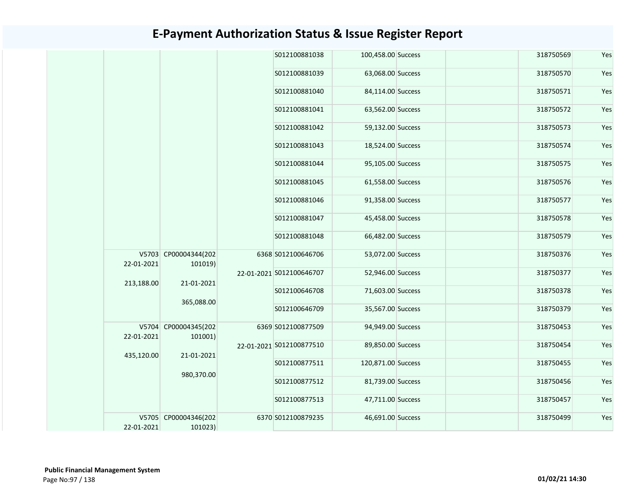|            |                                 | S012100881038            | 100,458.00 Success | 318750569 | Yes |
|------------|---------------------------------|--------------------------|--------------------|-----------|-----|
|            |                                 | S012100881039            | 63,068.00 Success  | 318750570 | Yes |
|            |                                 | S012100881040            | 84,114.00 Success  | 318750571 | Yes |
|            |                                 | S012100881041            | 63,562.00 Success  | 318750572 | Yes |
|            |                                 | S012100881042            | 59,132.00 Success  | 318750573 | Yes |
|            |                                 | S012100881043            | 18,524.00 Success  | 318750574 | Yes |
|            |                                 | S012100881044            | 95,105.00 Success  | 318750575 | Yes |
|            |                                 | S012100881045            | 61,558.00 Success  | 318750576 | Yes |
|            |                                 | S012100881046            | 91,358.00 Success  | 318750577 | Yes |
|            |                                 | S012100881047            | 45,458.00 Success  | 318750578 | Yes |
|            |                                 | S012100881048            | 66,482.00 Success  | 318750579 | Yes |
| 22-01-2021 | V5703 CP00004344(202<br>101019) | 6368 S012100646706       | 53,072.00 Success  | 318750376 | Yes |
|            |                                 | 22-01-2021 S012100646707 | 52,946.00 Success  | 318750377 | Yes |
| 213,188.00 | 21-01-2021                      | S012100646708            | 71,603.00 Success  | 318750378 | Yes |
|            | 365,088.00                      | S012100646709            | 35,567.00 Success  | 318750379 | Yes |
| 22-01-2021 | V5704 CP00004345(202<br>101001) | 6369 S012100877509       | 94,949.00 Success  | 318750453 | Yes |
|            |                                 | 22-01-2021 S012100877510 | 89,850.00 Success  | 318750454 | Yes |
| 435,120.00 | 21-01-2021                      | S012100877511            | 120,871.00 Success | 318750455 | Yes |
|            | 980,370.00                      | S012100877512            | 81,739.00 Success  | 318750456 | Yes |
|            |                                 | S012100877513            | 47,711.00 Success  | 318750457 | Yes |
| 22-01-2021 | V5705 CP00004346(202<br>101023) | 6370 S012100879235       | 46,691.00 Success  | 318750499 | Yes |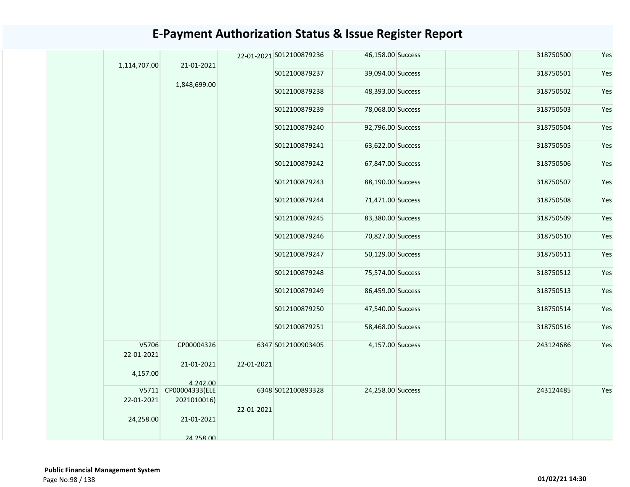|  | 1,114,707.00 |                                  |            | 22-01-2021 S012100879236 | 46,158.00 Success | 318750500 | Yes |
|--|--------------|----------------------------------|------------|--------------------------|-------------------|-----------|-----|
|  |              | 21-01-2021                       |            | S012100879237            | 39,094.00 Success | 318750501 | Yes |
|  |              | 1,848,699.00                     |            | S012100879238            | 48,393.00 Success | 318750502 | Yes |
|  |              |                                  |            | S012100879239            | 78,068.00 Success | 318750503 | Yes |
|  |              |                                  |            | S012100879240            | 92,796.00 Success | 318750504 | Yes |
|  |              |                                  |            | S012100879241            | 63,622.00 Success | 318750505 | Yes |
|  |              |                                  |            | S012100879242            | 67,847.00 Success | 318750506 | Yes |
|  |              |                                  |            | S012100879243            | 88,190.00 Success | 318750507 | Yes |
|  |              |                                  |            | S012100879244            | 71,471.00 Success | 318750508 | Yes |
|  |              |                                  |            | S012100879245            | 83,380.00 Success | 318750509 | Yes |
|  |              |                                  |            | S012100879246            | 70,827.00 Success | 318750510 | Yes |
|  |              |                                  |            | S012100879247            | 50,129.00 Success | 318750511 | Yes |
|  |              |                                  |            | S012100879248            | 75,574.00 Success | 318750512 | Yes |
|  |              |                                  |            | S012100879249            | 86,459.00 Success | 318750513 | Yes |
|  |              |                                  |            | S012100879250            | 47,540.00 Success | 318750514 | Yes |
|  |              |                                  |            | S012100879251            | 58,468.00 Success | 318750516 | Yes |
|  | V5706        | CP00004326                       |            | 6347 S012100903405       | 4,157.00 Success  | 243124686 | Yes |
|  | 22-01-2021   |                                  |            |                          |                   |           |     |
|  |              | 21-01-2021                       | 22-01-2021 |                          |                   |           |     |
|  | 4,157.00     |                                  |            |                          |                   |           |     |
|  |              | 4.242.00<br>V5711 CP00004333(ELE |            | 6348 S012100893328       | 24,258.00 Success | 243124485 | Yes |
|  | 22-01-2021   | 2021010016)                      |            |                          |                   |           |     |
|  |              |                                  | 22-01-2021 |                          |                   |           |     |
|  | 24,258.00    | 21-01-2021                       |            |                          |                   |           |     |
|  |              | 24 258 00                        |            |                          |                   |           |     |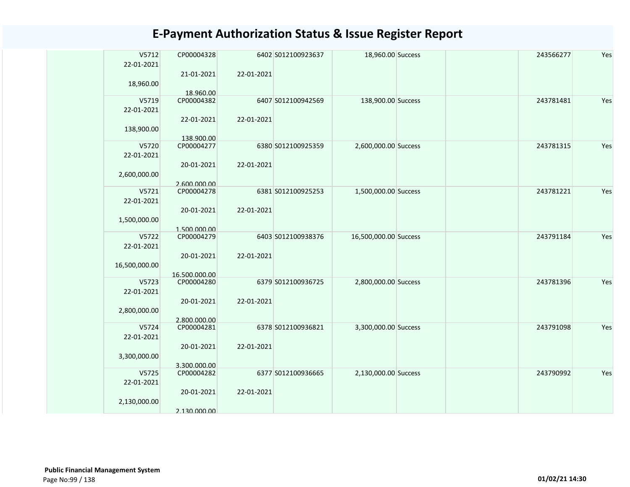| V5712<br>22-01-2021 | CP00004328    |            | 6402 S012100923637 | 18,960.00 Success     | 243566277 | Yes |
|---------------------|---------------|------------|--------------------|-----------------------|-----------|-----|
| 18,960.00           | 21-01-2021    | 22-01-2021 |                    |                       |           |     |
|                     | 18.960.00     |            |                    |                       |           |     |
| V5719<br>22-01-2021 | CP00004382    |            | 6407 S012100942569 | 138,900.00 Success    | 243781481 | Yes |
| 138,900.00          | 22-01-2021    | 22-01-2021 |                    |                       |           |     |
|                     | 138.900.00    |            |                    |                       |           |     |
| V5720               | CP00004277    |            | 6380 S012100925359 | 2,600,000.00 Success  | 243781315 | Yes |
| 22-01-2021          |               |            |                    |                       |           |     |
| 2,600,000.00        | 20-01-2021    | 22-01-2021 |                    |                       |           |     |
|                     |               |            |                    |                       |           |     |
|                     | 2.600.000.00  |            |                    |                       |           | Yes |
| V5721               | CP00004278    |            | 6381 S012100925253 | 1,500,000.00 Success  | 243781221 |     |
| 22-01-2021          |               |            |                    |                       |           |     |
|                     | 20-01-2021    | 22-01-2021 |                    |                       |           |     |
| 1,500,000.00        |               |            |                    |                       |           |     |
|                     | 1.500.000.00  |            |                    |                       |           |     |
| V5722               | CP00004279    |            | 6403 S012100938376 | 16,500,000.00 Success | 243791184 | Yes |
| 22-01-2021          |               |            |                    |                       |           |     |
|                     | 20-01-2021    | 22-01-2021 |                    |                       |           |     |
| 16,500,000.00       |               |            |                    |                       |           |     |
|                     | 16.500.000.00 |            |                    |                       |           |     |
| V5723               | CP00004280    |            | 6379 S012100936725 | 2,800,000.00 Success  | 243781396 | Yes |
| 22-01-2021          |               |            |                    |                       |           |     |
|                     | 20-01-2021    | 22-01-2021 |                    |                       |           |     |
| 2,800,000.00        |               |            |                    |                       |           |     |
|                     | 2.800.000.00  |            |                    |                       |           |     |
| V5724               | CP00004281    |            | 6378 S012100936821 | 3,300,000.00 Success  | 243791098 | Yes |
| 22-01-2021          |               |            |                    |                       |           |     |
|                     |               |            |                    |                       |           |     |
|                     | 20-01-2021    | 22-01-2021 |                    |                       |           |     |
| 3,300,000.00        |               |            |                    |                       |           |     |
|                     | 3.300.000.00  |            |                    |                       |           |     |
| V5725               | CP00004282    |            | 6377 S012100936665 | 2,130,000.00 Success  | 243790992 | Yes |
| 22-01-2021          |               |            |                    |                       |           |     |
|                     | 20-01-2021    | 22-01-2021 |                    |                       |           |     |
| 2,130,000.00        |               |            |                    |                       |           |     |
|                     | 2.130.000.00  |            |                    |                       |           |     |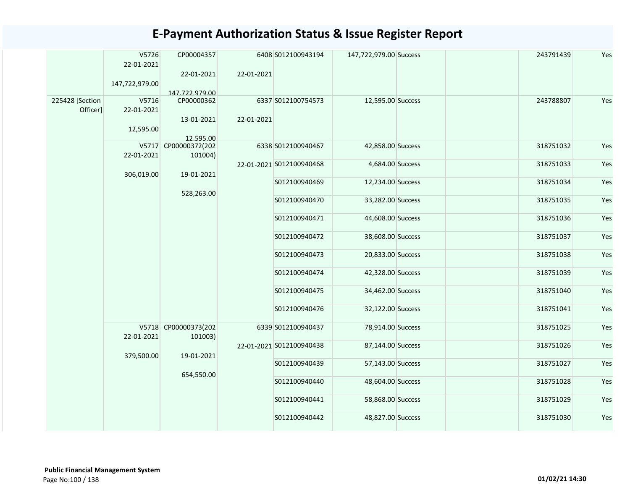|                             | V5726<br>22-01-2021<br>147,722,979.00 | CP00004357<br>22-01-2021<br>147.722.979.00 | 22-01-2021 | 6408 S012100943194       | 147,722,979.00 Success | 243791439 | Yes |
|-----------------------------|---------------------------------------|--------------------------------------------|------------|--------------------------|------------------------|-----------|-----|
| 225428 [Section<br>Officer] | V5716<br>22-01-2021<br>12,595.00      | CP00000362<br>13-01-2021<br>12.595.00      | 22-01-2021 | 6337 S012100754573       | 12,595.00 Success      | 243788807 | Yes |
|                             | 22-01-2021                            | V5717 CP00000372(202<br>101004)            |            | 6338 S012100940467       | 42,858.00 Success      | 318751032 | Yes |
|                             | 306,019.00                            | 19-01-2021                                 |            | 22-01-2021 S012100940468 | 4,684.00 Success       | 318751033 | Yes |
|                             |                                       |                                            |            | S012100940469            | 12,234.00 Success      | 318751034 | Yes |
|                             |                                       | 528,263.00                                 |            | S012100940470            | 33,282.00 Success      | 318751035 | Yes |
|                             |                                       |                                            |            | S012100940471            | 44,608.00 Success      | 318751036 | Yes |
|                             |                                       |                                            |            | S012100940472            | 38,608.00 Success      | 318751037 | Yes |
|                             |                                       |                                            |            | S012100940473            | 20,833.00 Success      | 318751038 | Yes |
|                             |                                       |                                            |            | S012100940474            | 42,328.00 Success      | 318751039 | Yes |
|                             |                                       |                                            |            | S012100940475            | 34,462.00 Success      | 318751040 | Yes |
|                             |                                       |                                            |            | S012100940476            | 32,122.00 Success      | 318751041 | Yes |
|                             | 22-01-2021                            | V5718 CP00000373(202<br>101003)            |            | 6339 S012100940437       | 78,914.00 Success      | 318751025 | Yes |
|                             | 379,500.00                            | 19-01-2021                                 |            | 22-01-2021 S012100940438 | 87,144.00 Success      | 318751026 | Yes |
|                             |                                       |                                            |            | S012100940439            | 57,143.00 Success      | 318751027 | Yes |
|                             |                                       | 654,550.00                                 |            | S012100940440            | 48,604.00 Success      | 318751028 | Yes |
|                             |                                       |                                            |            | S012100940441            | 58,868.00 Success      | 318751029 | Yes |
|                             |                                       |                                            |            | S012100940442            | 48,827.00 Success      | 318751030 | Yes |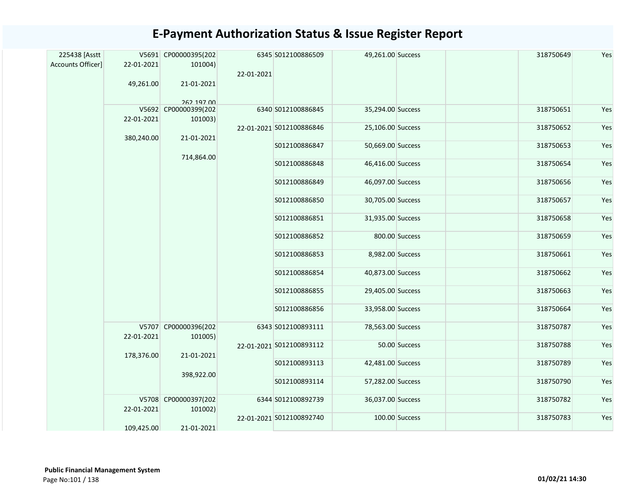| 225438 [Asstt<br>Accounts Officer] | 22-01-2021 | V5691 CP00000395(202<br>101004) |            | 6345 S012100886509       | 49,261.00 Success |                | 318750649 | Yes |
|------------------------------------|------------|---------------------------------|------------|--------------------------|-------------------|----------------|-----------|-----|
|                                    | 49,261.00  | 21-01-2021                      | 22-01-2021 |                          |                   |                |           |     |
|                                    |            | 262 197 00                      |            |                          |                   |                |           |     |
|                                    | 22-01-2021 | V5692 CP00000399(202<br>101003) |            | 6340 S012100886845       | 35,294.00 Success |                | 318750651 | Yes |
|                                    |            |                                 |            | 22-01-2021 S012100886846 | 25,106.00 Success |                | 318750652 | Yes |
|                                    | 380,240.00 | 21-01-2021                      |            | S012100886847            | 50,669.00 Success |                | 318750653 | Yes |
|                                    |            | 714,864.00                      |            | S012100886848            | 46,416.00 Success |                | 318750654 | Yes |
|                                    |            |                                 |            | S012100886849            | 46,097.00 Success |                | 318750656 | Yes |
|                                    |            |                                 |            | S012100886850            | 30,705.00 Success |                | 318750657 | Yes |
|                                    |            |                                 |            | S012100886851            | 31,935.00 Success |                | 318750658 | Yes |
|                                    |            |                                 |            | S012100886852            |                   | 800.00 Success | 318750659 | Yes |
|                                    |            |                                 |            | S012100886853            | 8,982.00 Success  |                | 318750661 | Yes |
|                                    |            |                                 |            | S012100886854            | 40,873.00 Success |                | 318750662 | Yes |
|                                    |            |                                 |            | S012100886855            | 29,405.00 Success |                | 318750663 | Yes |
|                                    |            |                                 |            | S012100886856            | 33,958.00 Success |                | 318750664 | Yes |
|                                    | 22-01-2021 | V5707 CP00000396(202<br>101005) |            | 6343 S012100893111       | 78,563.00 Success |                | 318750787 | Yes |
|                                    |            |                                 |            | 22-01-2021 S012100893112 |                   | 50.00 Success  | 318750788 | Yes |
|                                    | 178,376.00 | 21-01-2021                      |            | S012100893113            | 42,481.00 Success |                | 318750789 | Yes |
|                                    |            | 398,922.00                      |            | S012100893114            | 57,282.00 Success |                | 318750790 | Yes |
|                                    | 22-01-2021 | V5708 CP00000397(202<br>101002) |            | 6344 S012100892739       | 36,037.00 Success |                | 318750782 | Yes |
|                                    |            |                                 |            | 22-01-2021 S012100892740 |                   | 100.00 Success | 318750783 | Yes |
|                                    | 109,425.00 | 21-01-2021                      |            |                          |                   |                |           |     |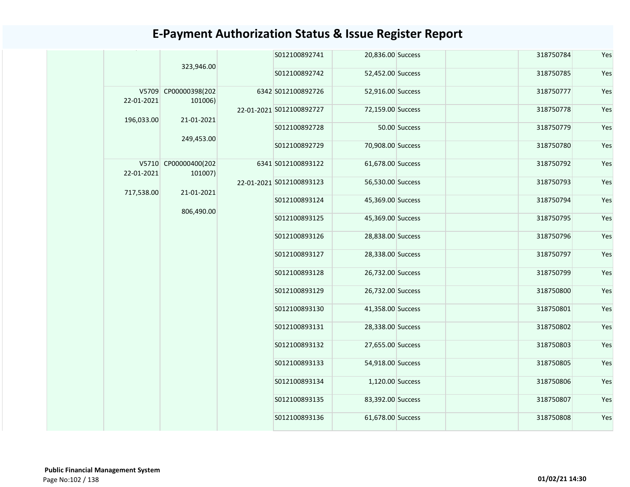|            |                                 | S012100892741            | 20,836.00 Success |                   | 318750784 | Yes       |     |
|------------|---------------------------------|--------------------------|-------------------|-------------------|-----------|-----------|-----|
|            | 323,946.00                      | S012100892742            | 52,452.00 Success |                   | 318750785 | Yes       |     |
| 22-01-2021 | V5709 CP00000398(202<br>101006) | 6342 S012100892726       | 52,916.00 Success |                   | 318750777 | Yes       |     |
|            | 21-01-2021                      | 22-01-2021 S012100892727 | 72,159.00 Success |                   | 318750778 | Yes       |     |
| 196,033.00 |                                 | S012100892728            |                   | 50.00 Success     | 318750779 | Yes       |     |
|            | 249,453.00                      | S012100892729            | 70,908.00 Success |                   | 318750780 | Yes       |     |
| 22-01-2021 | V5710 CP00000400(202<br>101007) | 6341 S012100893122       | 61,678.00 Success |                   | 318750792 | Yes       |     |
|            |                                 | 22-01-2021 S012100893123 | 56,530.00 Success |                   | 318750793 | Yes       |     |
| 717,538.00 | 806,490.00                      | 21-01-2021               | S012100893124     | 45,369.00 Success |           | 318750794 | Yes |
|            |                                 |                          | S012100893125     | 45,369.00 Success |           | 318750795 | Yes |
|            |                                 | S012100893126            | 28,838.00 Success |                   | 318750796 | Yes       |     |
|            |                                 | S012100893127            | 28,338.00 Success |                   | 318750797 | Yes       |     |
|            |                                 | S012100893128            | 26,732.00 Success |                   | 318750799 | Yes       |     |
|            |                                 | S012100893129            | 26,732.00 Success |                   | 318750800 | Yes       |     |
|            |                                 | S012100893130            | 41,358.00 Success |                   | 318750801 | Yes       |     |
|            |                                 | S012100893131            | 28,338.00 Success |                   | 318750802 | Yes       |     |
|            |                                 | S012100893132            | 27,655.00 Success |                   | 318750803 | Yes       |     |
|            |                                 | S012100893133            | 54,918.00 Success |                   | 318750805 | Yes       |     |
|            | S012100893134                   | 1,120.00 Success         |                   | 318750806         | Yes       |           |     |
|            |                                 | S012100893135            | 83,392.00 Success |                   | 318750807 | Yes       |     |
|            |                                 | S012100893136            | 61,678.00 Success |                   | 318750808 | Yes       |     |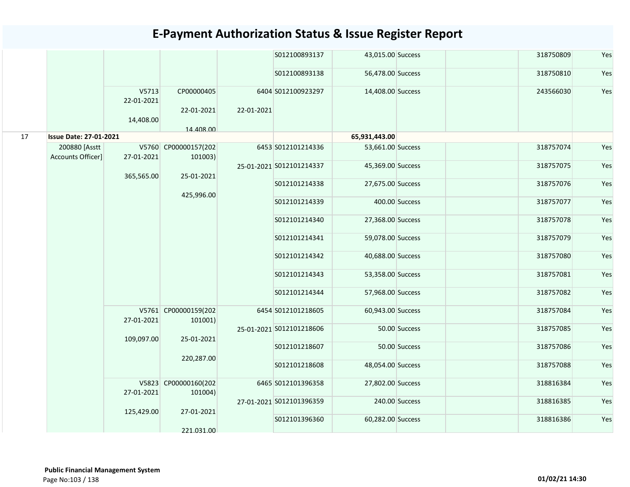|    |                                    |                     |                                 |            | S012100893137            | 43,015.00 Success |                | 318750809 | Yes |
|----|------------------------------------|---------------------|---------------------------------|------------|--------------------------|-------------------|----------------|-----------|-----|
|    |                                    |                     |                                 |            | S012100893138            | 56,478.00 Success |                | 318750810 | Yes |
|    |                                    | V5713<br>22-01-2021 | CP00000405                      |            | 6404 S012100923297       | 14,408.00 Success |                | 243566030 | Yes |
|    |                                    | 14,408.00           | 22-01-2021                      | 22-01-2021 |                          |                   |                |           |     |
|    |                                    |                     | 14.408.00                       |            |                          |                   |                |           |     |
| 17 | <b>Issue Date: 27-01-2021</b>      |                     |                                 |            |                          | 65,931,443.00     |                |           |     |
|    | 200880 [Asstt<br>Accounts Officer] | 27-01-2021          | V5760 CP00000157(202<br>101003) |            | 6453 S012101214336       | 53,661.00 Success |                | 318757074 | Yes |
|    |                                    | 365,565.00          | 25-01-2021                      |            | 25-01-2021 S012101214337 | 45,369.00 Success |                | 318757075 | Yes |
|    |                                    |                     | 425,996.00                      |            | S012101214338            | 27,675.00 Success |                | 318757076 | Yes |
|    |                                    |                     |                                 |            | S012101214339            |                   | 400.00 Success | 318757077 | Yes |
|    |                                    |                     |                                 |            | S012101214340            | 27,368.00 Success |                | 318757078 | Yes |
|    |                                    |                     |                                 |            | S012101214341            | 59,078.00 Success |                | 318757079 | Yes |
|    |                                    |                     |                                 |            | S012101214342            | 40,688.00 Success |                | 318757080 | Yes |
|    |                                    |                     |                                 |            | S012101214343            | 53,358.00 Success |                | 318757081 | Yes |
|    |                                    |                     |                                 |            | S012101214344            | 57,968.00 Success |                | 318757082 | Yes |
|    |                                    | 27-01-2021          | V5761 CP00000159(202<br>101001) |            | 6454 S012101218605       | 60,943.00 Success |                | 318757084 | Yes |
|    |                                    | 109,097.00          | 25-01-2021                      |            | 25-01-2021 S012101218606 |                   | 50.00 Success  | 318757085 | Yes |
|    |                                    |                     |                                 |            | S012101218607            |                   | 50.00 Success  | 318757086 | Yes |
|    |                                    |                     | 220,287.00                      |            | S012101218608            | 48,054.00 Success |                | 318757088 | Yes |
|    |                                    | 27-01-2021          | V5823 CP00000160(202<br>101004) |            | 6465 S012101396358       | 27,802.00 Success |                | 318816384 | Yes |
|    |                                    | 125,429.00          | 27-01-2021                      |            | 27-01-2021 S012101396359 |                   | 240.00 Success | 318816385 | Yes |
|    |                                    |                     |                                 |            | S012101396360            | 60,282.00 Success |                | 318816386 | Yes |
|    |                                    |                     | 221.031.00                      |            |                          |                   |                |           |     |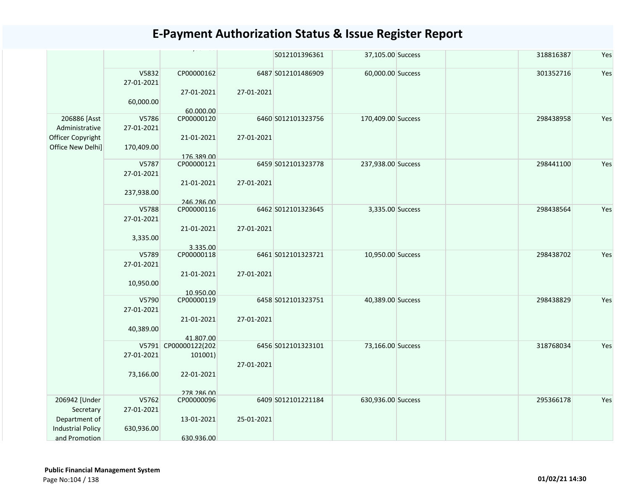|                          |                     |                         |            | S012101396361      | 37,105.00 Success  | 318816387 | Yes |
|--------------------------|---------------------|-------------------------|------------|--------------------|--------------------|-----------|-----|
|                          | V5832<br>27-01-2021 | CP00000162              |            | 6487 S012101486909 | 60,000.00 Success  | 301352716 | Yes |
|                          |                     | 27-01-2021              | 27-01-2021 |                    |                    |           |     |
|                          |                     |                         |            |                    |                    |           |     |
|                          | 60,000.00           |                         |            |                    |                    |           |     |
| 206886 [Asst             | V5786               | 60.000.00<br>CP00000120 |            | 6460 S012101323756 | 170,409.00 Success | 298438958 | Yes |
| Administrative           | 27-01-2021          |                         |            |                    |                    |           |     |
| Officer Copyright        |                     | 21-01-2021              | 27-01-2021 |                    |                    |           |     |
| Office New Delhi]        | 170,409.00          |                         |            |                    |                    |           |     |
|                          |                     | 176.389.00              |            |                    |                    |           |     |
|                          | V5787               | CP00000121              |            | 6459 S012101323778 | 237,938.00 Success | 298441100 | Yes |
|                          | 27-01-2021          |                         |            |                    |                    |           |     |
|                          |                     | 21-01-2021              | 27-01-2021 |                    |                    |           |     |
|                          | 237,938.00          |                         |            |                    |                    |           |     |
|                          |                     | 246.286.00              |            |                    |                    |           |     |
|                          | V5788               | CP00000116              |            | 6462 S012101323645 | 3,335.00 Success   | 298438564 | Yes |
|                          | 27-01-2021          |                         |            |                    |                    |           |     |
|                          |                     | 21-01-2021              | 27-01-2021 |                    |                    |           |     |
|                          | 3,335.00            |                         |            |                    |                    |           |     |
|                          |                     | 3.335.00                |            |                    |                    |           |     |
|                          | V5789               | CP00000118              |            | 6461 S012101323721 | 10,950.00 Success  | 298438702 | Yes |
|                          | 27-01-2021          |                         |            |                    |                    |           |     |
|                          |                     | 21-01-2021              | 27-01-2021 |                    |                    |           |     |
|                          | 10,950.00           |                         |            |                    |                    |           |     |
|                          |                     | 10.950.00               |            |                    |                    |           |     |
|                          | V5790               | CP00000119              |            | 6458 S012101323751 | 40,389.00 Success  | 298438829 | Yes |
|                          | 27-01-2021          |                         |            |                    |                    |           |     |
|                          |                     | 21-01-2021              | 27-01-2021 |                    |                    |           |     |
|                          | 40,389.00           |                         |            |                    |                    |           |     |
|                          |                     | 41.807.00               |            |                    |                    |           |     |
|                          |                     | V5791 CP00000122(202    |            | 6456 S012101323101 | 73,166.00 Success  | 318768034 | Yes |
|                          | 27-01-2021          | 101001)                 |            |                    |                    |           |     |
|                          |                     |                         | 27-01-2021 |                    |                    |           |     |
|                          | 73,166.00           | 22-01-2021              |            |                    |                    |           |     |
|                          |                     |                         |            |                    |                    |           |     |
|                          |                     | 278 286 00              |            |                    |                    |           |     |
| 206942 [Under            | V5762               | CP00000096              |            | 6409 S012101221184 | 630,936.00 Success | 295366178 | Yes |
| Secretary                | 27-01-2021          |                         |            |                    |                    |           |     |
| Department of            |                     | 13-01-2021              | 25-01-2021 |                    |                    |           |     |
| <b>Industrial Policy</b> | 630,936.00          |                         |            |                    |                    |           |     |
| and Promotion            |                     | 630.936.00              |            |                    |                    |           |     |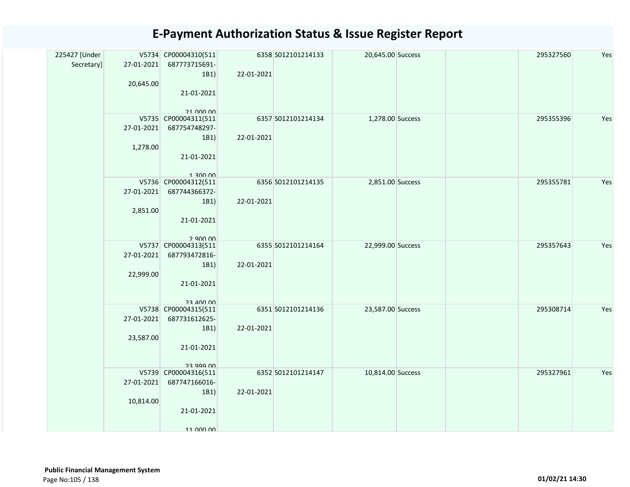| 225427 [Under<br>Secretary] | 27-01-2021       | V5734 CP00004310(511<br>687773715691- |            | 6358 S012101214133 | 20,645.00 Success | 295327560 | Yes |
|-----------------------------|------------------|---------------------------------------|------------|--------------------|-------------------|-----------|-----|
|                             |                  | 1B1                                   | 22-01-2021 |                    |                   |           |     |
|                             | 20,645.00        | 21-01-2021                            |            |                    |                   |           |     |
|                             |                  |                                       |            |                    |                   |           |     |
|                             |                  | 21 000 00                             |            |                    |                   |           |     |
|                             | 27-01-2021       | V5735 CP00004311(511<br>687754748297- |            | 6357 S012101214134 | 1,278.00 Success  | 295355396 | Yes |
|                             |                  | 1B1)                                  | 22-01-2021 |                    |                   |           |     |
|                             | 1,278.00         |                                       |            |                    |                   |           |     |
|                             |                  | 21-01-2021                            |            |                    |                   |           |     |
|                             |                  | 1 300 00                              |            |                    |                   |           |     |
|                             |                  | V5736 CP00004312(511                  |            | 6356 S012101214135 | 2,851.00 Success  | 295355781 | Yes |
|                             | 27-01-2021       | 687744366372-                         |            |                    |                   |           |     |
|                             | 2,851.00         | 1B1                                   | 22-01-2021 |                    |                   |           |     |
|                             |                  | 21-01-2021                            |            |                    |                   |           |     |
|                             |                  |                                       |            |                    |                   |           |     |
|                             |                  | 2 QUU UU<br>V5737 CP00004313(511      |            | 6355 S012101214164 | 22,999.00 Success | 295357643 | Yes |
|                             | 27-01-2021       | 687793472816-                         |            |                    |                   |           |     |
|                             |                  | 1B1                                   | 22-01-2021 |                    |                   |           |     |
|                             | 22,999.00        | 21-01-2021                            |            |                    |                   |           |     |
|                             |                  |                                       |            |                    |                   |           |     |
|                             |                  | <b>23 400 00</b>                      |            |                    |                   |           |     |
|                             | 27-01-2021       | V5738 CP00004315(511<br>687731612625- |            | 6351 S012101214136 | 23,587.00 Success | 295308714 | Yes |
|                             |                  | 1B1)                                  | 22-01-2021 |                    |                   |           |     |
|                             | 23,587.00        |                                       |            |                    |                   |           |     |
|                             |                  | 21-01-2021                            |            |                    |                   |           |     |
|                             |                  | 23 999 UU                             |            |                    |                   |           |     |
|                             |                  | V5739 CP00004316(511                  |            | 6352 S012101214147 | 10,814.00 Success | 295327961 | Yes |
|                             | $27 - 01 - 2021$ | 687747166016-<br>1B1                  | 22-01-2021 |                    |                   |           |     |
|                             | 10,814.00        |                                       |            |                    |                   |           |     |
|                             |                  | 21-01-2021                            |            |                    |                   |           |     |
|                             |                  |                                       |            |                    |                   |           |     |
|                             |                  | 11 000 00                             |            |                    |                   |           |     |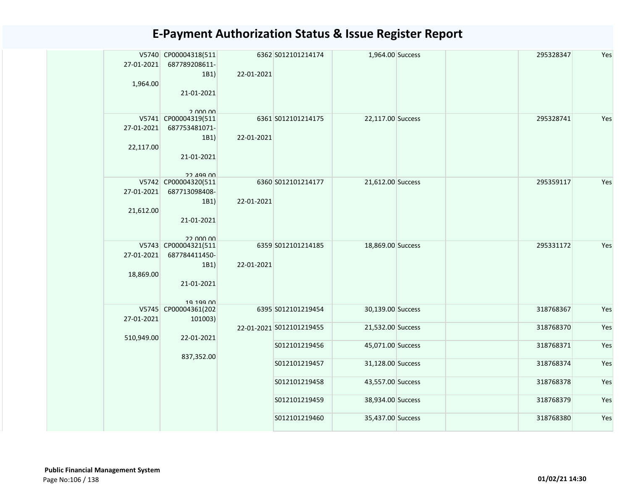| 27-01-2021 | V5740 CP00004318(511<br>687789208611- |            | 6362 S012101214174       | 1,964.00 Success  |  | 295328347 | Yes |
|------------|---------------------------------------|------------|--------------------------|-------------------|--|-----------|-----|
|            | 1B1)                                  | 22-01-2021 |                          |                   |  |           |     |
| 1,964.00   |                                       |            |                          |                   |  |           |     |
|            | 21-01-2021                            |            |                          |                   |  |           |     |
|            |                                       |            |                          |                   |  |           |     |
|            | 2 000 00<br>V5741 CP00004319(511      |            | 6361 S012101214175       | 22,117.00 Success |  | 295328741 | Yes |
| 27-01-2021 | 687753481071-                         |            |                          |                   |  |           |     |
|            | 1B1)                                  | 22-01-2021 |                          |                   |  |           |     |
| 22,117.00  |                                       |            |                          |                   |  |           |     |
|            | 21-01-2021                            |            |                          |                   |  |           |     |
|            |                                       |            |                          |                   |  |           |     |
|            | 22 199 DD                             |            |                          |                   |  |           |     |
|            | V5742 CP00004320(511                  |            | 6360 S012101214177       | 21,612.00 Success |  | 295359117 | Yes |
| 27-01-2021 | 687713098408-                         |            |                          |                   |  |           |     |
|            | 1B1)                                  | 22-01-2021 |                          |                   |  |           |     |
| 21,612.00  |                                       |            |                          |                   |  |           |     |
|            | 21-01-2021                            |            |                          |                   |  |           |     |
|            |                                       |            |                          |                   |  |           |     |
|            | 22 UUU UU<br>V5743 CP00004321(511     |            | 6359 S012101214185       | 18,869.00 Success |  | 295331172 | Yes |
| 27-01-2021 | 687784411450-                         |            |                          |                   |  |           |     |
|            | 1B1)                                  | 22-01-2021 |                          |                   |  |           |     |
| 18,869.00  |                                       |            |                          |                   |  |           |     |
|            | 21-01-2021                            |            |                          |                   |  |           |     |
|            |                                       |            |                          |                   |  |           |     |
|            | 19 199 00                             |            |                          |                   |  |           |     |
|            | V5745 CP00004361(202                  |            | 6395 S012101219454       | 30,139.00 Success |  | 318768367 | Yes |
| 27-01-2021 | 101003)                               |            | 22-01-2021 S012101219455 | 21,532.00 Success |  | 318768370 | Yes |
|            | 22-01-2021                            |            |                          |                   |  |           |     |
| 510,949.00 |                                       |            | S012101219456            | 45,071.00 Success |  | 318768371 | Yes |
|            | 837,352.00                            |            |                          |                   |  |           |     |
|            |                                       |            | S012101219457            | 31,128.00 Success |  | 318768374 | Yes |
|            |                                       |            |                          |                   |  |           |     |
|            |                                       |            | S012101219458            | 43,557.00 Success |  | 318768378 | Yes |
|            |                                       |            |                          |                   |  |           |     |
|            |                                       |            | S012101219459            | 38,934.00 Success |  | 318768379 | Yes |
|            |                                       |            | S012101219460            | 35,437.00 Success |  | 318768380 | Yes |
|            |                                       |            |                          |                   |  |           |     |
|            |                                       |            |                          |                   |  |           |     |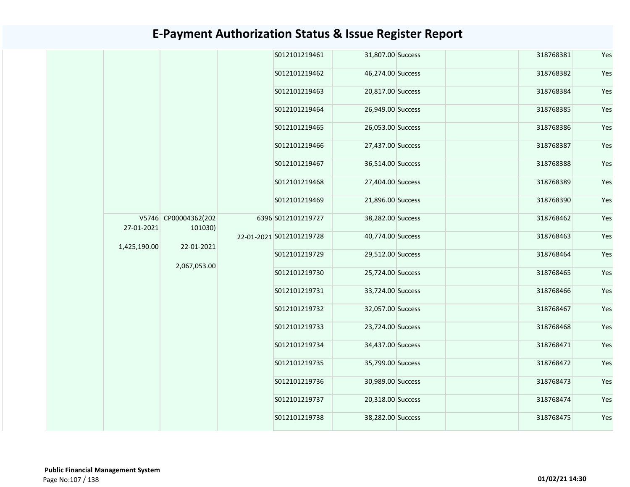|              |                                               | S012101219461            | 31,807.00 Success | 318768381         | Yes       |
|--------------|-----------------------------------------------|--------------------------|-------------------|-------------------|-----------|
|              |                                               | S012101219462            | 46,274.00 Success | 318768382         | Yes       |
|              |                                               | S012101219463            | 20,817.00 Success | 318768384         | Yes       |
|              |                                               | S012101219464            | 26,949.00 Success | 318768385         | Yes       |
|              |                                               | S012101219465            | 26,053.00 Success | 318768386         | Yes       |
|              |                                               | S012101219466            | 27,437.00 Success | 318768387         | Yes       |
|              |                                               | S012101219467            | 36,514.00 Success | 318768388         | Yes       |
|              |                                               | S012101219468            | 27,404.00 Success | 318768389         | Yes       |
|              | V5746 CP00004362(202<br>101030)<br>22-01-2021 | S012101219469            | 21,896.00 Success | 318768390         | Yes       |
| 27-01-2021   |                                               | 6396 S012101219727       | 38,282.00 Success | 318768462         | Yes       |
| 1,425,190.00 |                                               | 22-01-2021 S012101219728 | 40,774.00 Success | 318768463         | Yes       |
|              | 2,067,053.00                                  | S012101219729            | 29,512.00 Success | 318768464         | Yes       |
|              |                                               | S012101219730            | 25,724.00 Success | 318768465         | Yes       |
|              |                                               | S012101219731            | 33,724.00 Success | 318768466         | Yes       |
|              |                                               | S012101219732            | 32,057.00 Success | 318768467         | Yes       |
|              |                                               | S012101219733            | 23,724.00 Success | 318768468         | Yes       |
|              |                                               | S012101219734            | 34,437.00 Success | 318768471         | Yes       |
|              |                                               | S012101219735            | 35,799.00 Success | 318768472         | Yes       |
|              |                                               | S012101219736            | 30,989.00 Success | 318768473         | Yes       |
|              |                                               | S012101219737            | 20,318.00 Success | 318768474         | Yes       |
|              |                                               |                          | S012101219738     | 38,282.00 Success | 318768475 |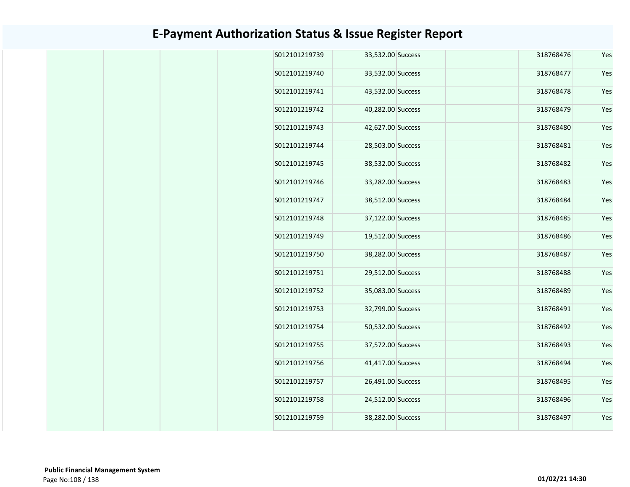| S012101219739 | 33,532.00 Success | 318768476 | Yes |
|---------------|-------------------|-----------|-----|
| S012101219740 | 33,532.00 Success | 318768477 | Yes |
| S012101219741 | 43,532.00 Success | 318768478 | Yes |
| S012101219742 | 40,282.00 Success | 318768479 | Yes |
| S012101219743 | 42,627.00 Success | 318768480 | Yes |
| S012101219744 | 28,503.00 Success | 318768481 | Yes |
| S012101219745 | 38,532.00 Success | 318768482 | Yes |
| S012101219746 | 33,282.00 Success | 318768483 | Yes |
| S012101219747 | 38,512.00 Success | 318768484 | Yes |
| S012101219748 | 37,122.00 Success | 318768485 | Yes |
| S012101219749 | 19,512.00 Success | 318768486 | Yes |
| S012101219750 | 38,282.00 Success | 318768487 | Yes |
| S012101219751 | 29,512.00 Success | 318768488 | Yes |
| S012101219752 | 35,083.00 Success | 318768489 | Yes |
| S012101219753 | 32,799.00 Success | 318768491 | Yes |
| S012101219754 | 50,532.00 Success | 318768492 | Yes |
| S012101219755 | 37,572.00 Success | 318768493 | Yes |
| S012101219756 | 41,417.00 Success | 318768494 | Yes |
| S012101219757 | 26,491.00 Success | 318768495 | Yes |
| S012101219758 | 24,512.00 Success | 318768496 | Yes |
| S012101219759 | 38,282.00 Success | 318768497 | Yes |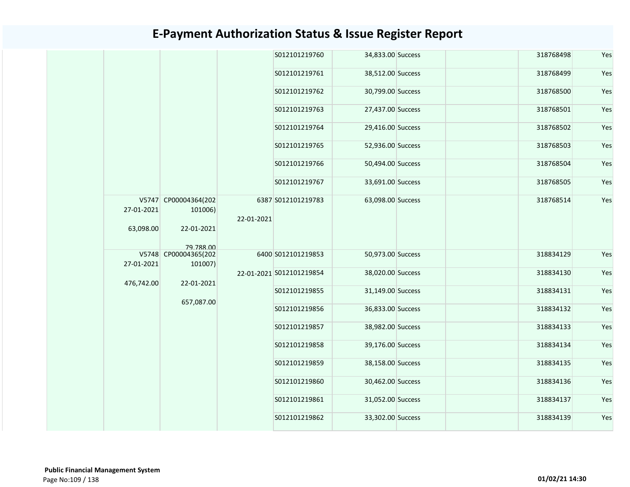|            |                                 |            | S012101219760            | 34,833.00 Success | 318768498 | Yes |
|------------|---------------------------------|------------|--------------------------|-------------------|-----------|-----|
|            |                                 |            | S012101219761            | 38,512.00 Success | 318768499 | Yes |
|            |                                 |            | S012101219762            | 30,799.00 Success | 318768500 | Yes |
|            |                                 |            | S012101219763            | 27,437.00 Success | 318768501 | Yes |
|            |                                 |            | S012101219764            | 29,416.00 Success | 318768502 | Yes |
|            |                                 |            | S012101219765            | 52,936.00 Success | 318768503 | Yes |
|            |                                 |            | S012101219766            | 50,494.00 Success | 318768504 | Yes |
|            |                                 |            | S012101219767            | 33,691.00 Success | 318768505 | Yes |
| 27-01-2021 | V5747 CP00004364(202<br>101006) | 22-01-2021 | 6387 S012101219783       | 63,098.00 Success | 318768514 | Yes |
| 63,098.00  | 22-01-2021<br>79 788 00         |            |                          |                   |           |     |
|            | V5748 CP00004365(202            |            | 6400 S012101219853       | 50,973.00 Success | 318834129 | Yes |
| 27-01-2021 | 101007)                         |            | 22-01-2021 S012101219854 | 38,020.00 Success | 318834130 | Yes |
| 476,742.00 | 22-01-2021                      |            |                          |                   |           |     |
|            | 657,087.00                      |            | S012101219855            | 31,149.00 Success | 318834131 | Yes |
|            |                                 |            | S012101219856            | 36,833.00 Success | 318834132 | Yes |
|            |                                 |            | S012101219857            | 38,982.00 Success | 318834133 | Yes |
|            |                                 |            | S012101219858            | 39,176.00 Success | 318834134 | Yes |
|            |                                 |            | S012101219859            | 38,158.00 Success | 318834135 | Yes |
|            |                                 |            | S012101219860            | 30,462.00 Success | 318834136 | Yes |
|            |                                 |            | S012101219861            | 31,052.00 Success | 318834137 | Yes |
|            |                                 |            | S012101219862            | 33,302.00 Success | 318834139 | Yes |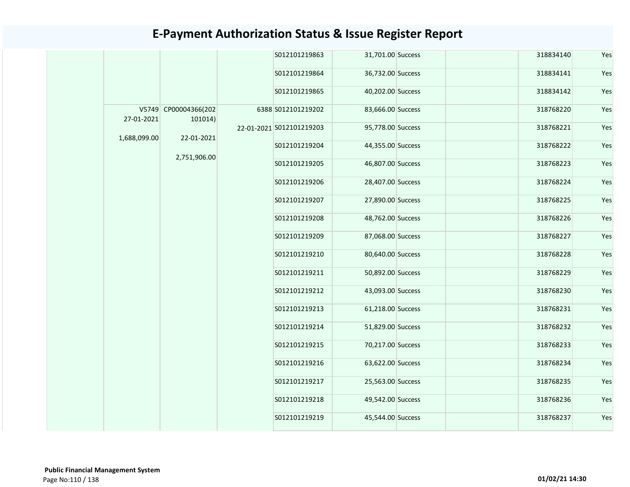|              |                                 | S012101219863            | 31,701.00 Success | 318834140 | Yes |
|--------------|---------------------------------|--------------------------|-------------------|-----------|-----|
|              |                                 | S012101219864            | 36,732.00 Success | 318834141 | Yes |
|              |                                 | S012101219865            | 40,202.00 Success | 318834142 | Yes |
| 27-01-2021   | V5749 CP00004366(202<br>101014) | 6388 S012101219202       | 83,666.00 Success | 318768220 | Yes |
|              |                                 | 22-01-2021 S012101219203 | 95,778.00 Success | 318768221 | Yes |
| 1,688,099.00 | 22-01-2021                      | S012101219204            | 44,355.00 Success | 318768222 | Yes |
|              | 2,751,906.00                    | S012101219205            | 46,807.00 Success | 318768223 | Yes |
|              |                                 | S012101219206            | 28,407.00 Success | 318768224 | Yes |
|              |                                 | S012101219207            | 27,890.00 Success | 318768225 | Yes |
|              |                                 | S012101219208            | 48,762.00 Success | 318768226 | Yes |
|              |                                 | S012101219209            | 87,068.00 Success | 318768227 | Yes |
|              |                                 | S012101219210            | 80,640.00 Success | 318768228 | Yes |
|              |                                 | S012101219211            | 50,892.00 Success | 318768229 | Yes |
|              |                                 | S012101219212            | 43,093.00 Success | 318768230 | Yes |
|              |                                 | S012101219213            | 61,218.00 Success | 318768231 | Yes |
|              |                                 | S012101219214            | 51,829.00 Success | 318768232 | Yes |
|              |                                 | S012101219215            | 70,217.00 Success | 318768233 | Yes |
|              |                                 | S012101219216            | 63,622.00 Success | 318768234 | Yes |
|              |                                 | S012101219217            | 25,563.00 Success | 318768235 | Yes |
|              |                                 | S012101219218            | 49,542.00 Success | 318768236 | Yes |
|              |                                 | S012101219219            | 45,544.00 Success | 318768237 | Yes |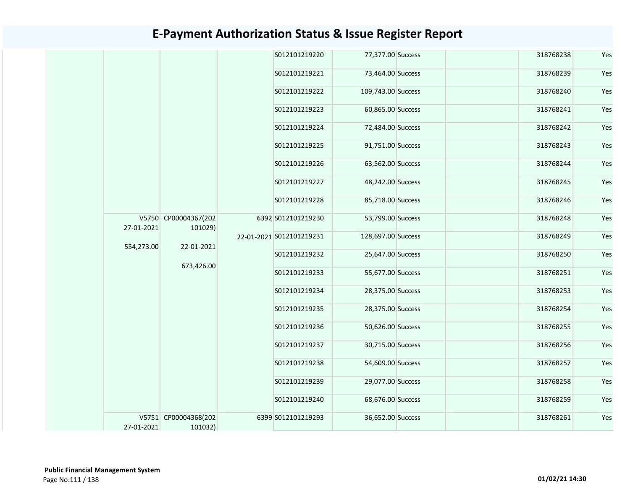|            |                                 |  |                          | S012101219220      | 77,377.00 Success | 318768238         | Yes       |     |
|------------|---------------------------------|--|--------------------------|--------------------|-------------------|-------------------|-----------|-----|
|            |                                 |  | S012101219221            | 73,464.00 Success  | 318768239         | Yes               |           |     |
|            |                                 |  | S012101219222            | 109,743.00 Success | 318768240         | Yes               |           |     |
|            |                                 |  | S012101219223            | 60,865.00 Success  | 318768241         | Yes               |           |     |
|            |                                 |  | S012101219224            | 72,484.00 Success  | 318768242         | Yes               |           |     |
|            |                                 |  | S012101219225            | 91,751.00 Success  | 318768243         | Yes               |           |     |
|            |                                 |  |                          |                    | S012101219226     | 63,562.00 Success | 318768244 | Yes |
|            |                                 |  | S012101219227            | 48,242.00 Success  | 318768245         | Yes               |           |     |
|            |                                 |  | S012101219228            | 85,718.00 Success  | 318768246         | Yes               |           |     |
| 27-01-2021 | V5750 CP00004367(202<br>101029) |  | 6392 S012101219230       | 53,799.00 Success  | 318768248         | Yes               |           |     |
| 554,273.00 | 22-01-2021                      |  | 22-01-2021 S012101219231 | 128,697.00 Success | 318768249         | Yes               |           |     |
|            |                                 |  | S012101219232            | 25,647.00 Success  | 318768250         | Yes               |           |     |
|            | 673,426.00                      |  | S012101219233            | 55,677.00 Success  | 318768251         | Yes               |           |     |
|            |                                 |  | S012101219234            | 28,375.00 Success  | 318768253         | Yes               |           |     |
|            |                                 |  | S012101219235            | 28,375.00 Success  | 318768254         | Yes               |           |     |
|            |                                 |  | S012101219236            | 50,626.00 Success  | 318768255         | Yes               |           |     |
|            |                                 |  | S012101219237            | 30,715.00 Success  | 318768256         | Yes               |           |     |
|            |                                 |  | S012101219238            | 54,609.00 Success  | 318768257         | Yes               |           |     |
|            |                                 |  | S012101219239            | 29,077.00 Success  | 318768258         | Yes               |           |     |
|            |                                 |  | S012101219240            | 68,676.00 Success  | 318768259         | Yes               |           |     |
| 27-01-2021 | V5751 CP00004368(202<br>101032) |  | 6399 S012101219293       | 36,652.00 Success  | 318768261         | Yes               |           |     |
|            |                                 |  |                          |                    |                   |                   |           |     |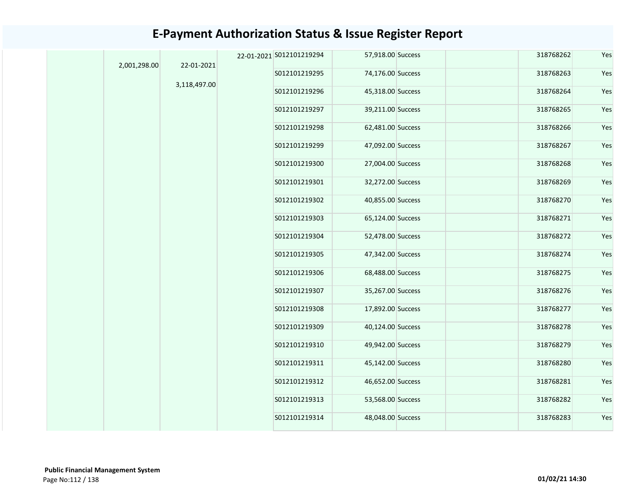|  | 2,001,298.00 | 22-01-2021   | 22-01-2021 S012101219294 | 57,918.00 Success | 318768262 | Yes |
|--|--------------|--------------|--------------------------|-------------------|-----------|-----|
|  |              |              | S012101219295            | 74,176.00 Success | 318768263 | Yes |
|  |              | 3,118,497.00 | S012101219296            | 45,318.00 Success | 318768264 | Yes |
|  |              |              | S012101219297            | 39,211.00 Success | 318768265 | Yes |
|  |              |              | S012101219298            | 62,481.00 Success | 318768266 | Yes |
|  |              |              | S012101219299            | 47,092.00 Success | 318768267 | Yes |
|  |              |              | S012101219300            | 27,004.00 Success | 318768268 | Yes |
|  |              |              | S012101219301            | 32,272.00 Success | 318768269 | Yes |
|  |              |              | S012101219302            | 40,855.00 Success | 318768270 | Yes |
|  |              |              | S012101219303            | 65,124.00 Success | 318768271 | Yes |
|  |              |              | S012101219304            | 52,478.00 Success | 318768272 | Yes |
|  |              |              | S012101219305            | 47,342.00 Success | 318768274 | Yes |
|  |              |              | S012101219306            | 68,488.00 Success | 318768275 | Yes |
|  |              |              | S012101219307            | 35,267.00 Success | 318768276 | Yes |
|  |              |              | S012101219308            | 17,892.00 Success | 318768277 | Yes |
|  |              |              | S012101219309            | 40,124.00 Success | 318768278 | Yes |
|  |              |              | S012101219310            | 49,942.00 Success | 318768279 | Yes |
|  |              |              | S012101219311            | 45,142.00 Success | 318768280 | Yes |
|  |              |              | S012101219312            | 46,652.00 Success | 318768281 | Yes |
|  |              |              | S012101219313            | 53,568.00 Success | 318768282 | Yes |
|  |              |              | S012101219314            | 48,048.00 Success | 318768283 | Yes |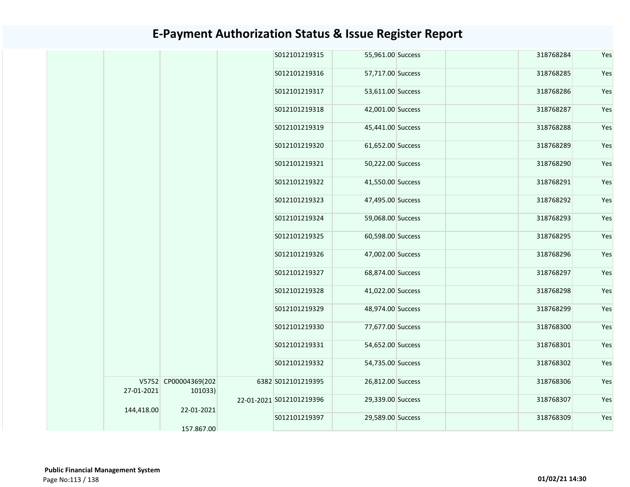|            |                                 | S012101219315            | 55,961.00 Success | 318768284 | Yes |
|------------|---------------------------------|--------------------------|-------------------|-----------|-----|
|            |                                 | S012101219316            | 57,717.00 Success | 318768285 | Yes |
|            |                                 | S012101219317            | 53,611.00 Success | 318768286 | Yes |
|            |                                 | S012101219318            | 42,001.00 Success | 318768287 | Yes |
|            |                                 | S012101219319            | 45,441.00 Success | 318768288 | Yes |
|            |                                 | S012101219320            | 61,652.00 Success | 318768289 | Yes |
|            |                                 | S012101219321            | 50,222.00 Success | 318768290 | Yes |
|            |                                 | S012101219322            | 41,550.00 Success | 318768291 | Yes |
|            |                                 | S012101219323            | 47,495.00 Success | 318768292 | Yes |
|            |                                 | S012101219324            | 59,068.00 Success | 318768293 | Yes |
|            |                                 | S012101219325            | 60,598.00 Success | 318768295 | Yes |
|            |                                 | S012101219326            | 47,002.00 Success | 318768296 | Yes |
|            |                                 | S012101219327            | 68,874.00 Success | 318768297 | Yes |
|            |                                 | S012101219328            | 41,022.00 Success | 318768298 | Yes |
|            |                                 | S012101219329            | 48,974.00 Success | 318768299 | Yes |
|            |                                 | S012101219330            | 77,677.00 Success | 318768300 | Yes |
|            |                                 | S012101219331            | 54,652.00 Success | 318768301 | Yes |
|            |                                 | S012101219332            | 54,735.00 Success | 318768302 | Yes |
| 27-01-2021 | V5752 CP00004369(202<br>101033) | 6382 S012101219395       | 26,812.00 Success | 318768306 | Yes |
| 144,418.00 | 22-01-2021                      | 22-01-2021 S012101219396 | 29,339.00 Success | 318768307 | Yes |
|            | 157.867.00                      | S012101219397            | 29,589.00 Success | 318768309 | Yes |
|            |                                 |                          |                   |           |     |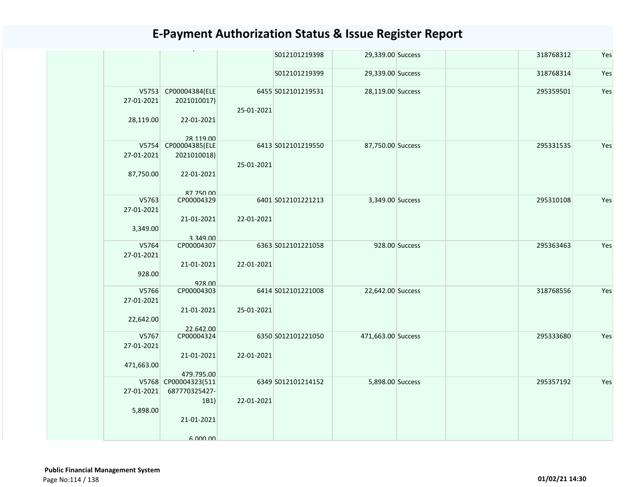|            |                                     |            | S012101219398      | 29,339.00 Success  |                | 318768312 | Yes |
|------------|-------------------------------------|------------|--------------------|--------------------|----------------|-----------|-----|
|            |                                     |            | S012101219399      | 29,339.00 Success  |                | 318768314 | Yes |
| 27-01-2021 | V5753 CP00004384(ELE<br>2021010017) |            | 6455 S012101219531 | 28,119.00 Success  |                | 295359501 | Yes |
| 28,119.00  | 22-01-2021<br>28 119 00             | 25-01-2021 |                    |                    |                |           |     |
|            | V5754 CP00004385(ELE                |            | 6413 S012101219550 | 87,750.00 Success  |                | 295331535 | Yes |
| 27-01-2021 | 2021010018)                         |            |                    |                    |                |           |     |
|            |                                     | 25-01-2021 |                    |                    |                |           |     |
| 87,750.00  | 22-01-2021                          |            |                    |                    |                |           |     |
|            | 87 750 00                           |            |                    |                    |                |           |     |
| V5763      | CP00004329                          |            | 6401 S012101221213 | 3,349.00 Success   |                | 295310108 | Yes |
| 27-01-2021 |                                     |            |                    |                    |                |           |     |
|            | 21-01-2021                          | 22-01-2021 |                    |                    |                |           |     |
| 3,349.00   |                                     |            |                    |                    |                |           |     |
|            |                                     |            |                    |                    |                |           |     |
| V5764      | 3.349.00<br>CP00004307              |            | 6363 S012101221058 |                    | 928.00 Success | 295363463 | Yes |
|            |                                     |            |                    |                    |                |           |     |
| 27-01-2021 |                                     |            |                    |                    |                |           |     |
|            | 21-01-2021                          | 22-01-2021 |                    |                    |                |           |     |
| 928.00     |                                     |            |                    |                    |                |           |     |
|            | 928.00                              |            |                    |                    |                |           |     |
| V5766      | CP00004303                          |            | 6414 S012101221008 | 22,642.00 Success  |                | 318768556 | Yes |
| 27-01-2021 |                                     |            |                    |                    |                |           |     |
|            | 21-01-2021                          | 25-01-2021 |                    |                    |                |           |     |
|            |                                     |            |                    |                    |                |           |     |
| 22,642.00  |                                     |            |                    |                    |                |           |     |
|            | 22.642.00                           |            | 6350 S012101221050 |                    |                |           |     |
| V5767      | CP00004324                          |            |                    | 471,663.00 Success |                | 295333680 | Yes |
| 27-01-2021 |                                     |            |                    |                    |                |           |     |
|            | 21-01-2021                          | 22-01-2021 |                    |                    |                |           |     |
| 471,663.00 |                                     |            |                    |                    |                |           |     |
|            | 479.795.00                          |            |                    |                    |                |           |     |
|            | V5768 CP00004323(511                |            | 6349 S012101214152 | 5,898.00 Success   |                | 295357192 | Yes |
| 27-01-2021 | 687770325427-                       |            |                    |                    |                |           |     |
|            | 1B1)                                | 22-01-2021 |                    |                    |                |           |     |
| 5,898.00   |                                     |            |                    |                    |                |           |     |
|            | 21-01-2021                          |            |                    |                    |                |           |     |
|            |                                     |            |                    |                    |                |           |     |
|            |                                     |            |                    |                    |                |           |     |
|            | 6 000 00                            |            |                    |                    |                |           |     |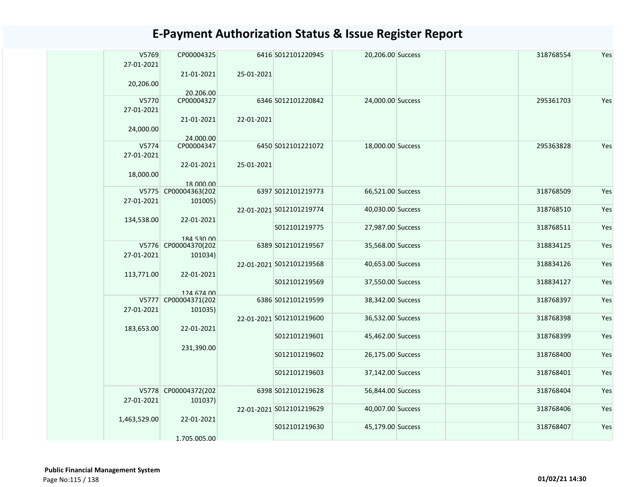| V5769<br>27-01-2021 | CP00004325                      |            | 6416 S012101220945       | 20,206.00 Success | 318768554 | Yes |
|---------------------|---------------------------------|------------|--------------------------|-------------------|-----------|-----|
| 20,206.00           | 21-01-2021                      | 25-01-2021 |                          |                   |           |     |
| V5770<br>27-01-2021 | 20.206.00<br>CP00004327         |            | 6346 S012101220842       | 24,000.00 Success | 295361703 | Yes |
| 24,000.00           | 21-01-2021                      | 22-01-2021 |                          |                   |           |     |
| V5774               | 24.000.00                       |            |                          |                   |           |     |
| 27-01-2021          | CP00004347                      |            | 6450 S012101221072       | 18,000.00 Success | 295363828 | Yes |
| 18,000.00           | 22-01-2021<br>18.000.00         | 25-01-2021 |                          |                   |           |     |
|                     | V5775 CP00004363(202            |            | 6397 S012101219773       | 66,521.00 Success | 318768509 | Yes |
| 27-01-2021          | 101005)                         |            |                          |                   |           |     |
| 134,538.00          | 22-01-2021                      |            | 22-01-2021 S012101219774 | 40,030.00 Success | 318768510 | Yes |
|                     | 184 530 00                      |            | S012101219775            | 27,987.00 Success | 318768511 | Yes |
|                     | V5776 CP00004370(202            |            | 6389 S012101219567       | 35,568.00 Success | 318834125 | Yes |
| 27-01-2021          | 101034)                         |            |                          |                   |           |     |
| 113,771.00          | 22-01-2021                      |            | 22-01-2021 S012101219568 | 40,653.00 Success | 318834126 | Yes |
|                     | 124 674 00                      |            | S012101219569            | 37,550.00 Success | 318834127 | Yes |
|                     | V5777 CP00004371(202            |            | 6386 S012101219599       | 38,342.00 Success | 318768397 | Yes |
| 27-01-2021          | 101035)                         |            |                          |                   |           |     |
| 183,653.00          | 22-01-2021                      |            | 22-01-2021 S012101219600 | 36,532.00 Success | 318768398 | Yes |
|                     | 231,390.00                      |            | S012101219601            | 45,462.00 Success | 318768399 | Yes |
|                     |                                 |            | S012101219602            | 26,175.00 Success | 318768400 | Yes |
|                     |                                 |            | S012101219603            | 37,142.00 Success | 318768401 | Yes |
| 27-01-2021          | V5778 CP00004372(202<br>101037) |            | 6398 S012101219628       | 56,844.00 Success | 318768404 | Yes |
| 1,463,529.00        | 22-01-2021                      |            | 22-01-2021 S012101219629 | 40,007.00 Success | 318768406 | Yes |
|                     | 1.705.005.00                    |            | S012101219630            | 45,179.00 Success | 318768407 | Yes |
|                     |                                 |            |                          |                   |           |     |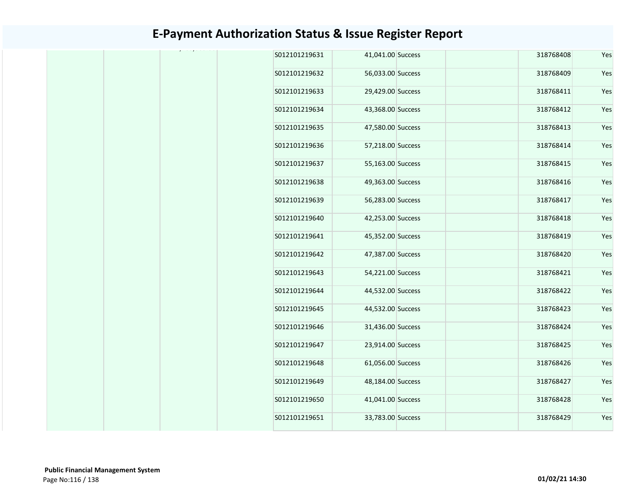|  | S012101219631 | 41,041.00 Success | 318768408 | Yes |
|--|---------------|-------------------|-----------|-----|
|  | S012101219632 | 56,033.00 Success | 318768409 | Yes |
|  | S012101219633 | 29,429.00 Success | 318768411 | Yes |
|  | S012101219634 | 43,368.00 Success | 318768412 | Yes |
|  | S012101219635 | 47,580.00 Success | 318768413 | Yes |
|  | S012101219636 | 57,218.00 Success | 318768414 | Yes |
|  | S012101219637 | 55,163.00 Success | 318768415 | Yes |
|  | S012101219638 | 49,363.00 Success | 318768416 | Yes |
|  | S012101219639 | 56,283.00 Success | 318768417 | Yes |
|  | S012101219640 | 42,253.00 Success | 318768418 | Yes |
|  | S012101219641 | 45,352.00 Success | 318768419 | Yes |
|  | S012101219642 | 47,387.00 Success | 318768420 | Yes |
|  | S012101219643 | 54,221.00 Success | 318768421 | Yes |
|  | S012101219644 | 44,532.00 Success | 318768422 | Yes |
|  | S012101219645 | 44,532.00 Success | 318768423 | Yes |
|  | S012101219646 | 31,436.00 Success | 318768424 | Yes |
|  | S012101219647 | 23,914.00 Success | 318768425 | Yes |
|  | S012101219648 | 61,056.00 Success | 318768426 | Yes |
|  | S012101219649 | 48,184.00 Success | 318768427 | Yes |
|  | S012101219650 | 41,041.00 Success | 318768428 | Yes |
|  | S012101219651 | 33,783.00 Success | 318768429 | Yes |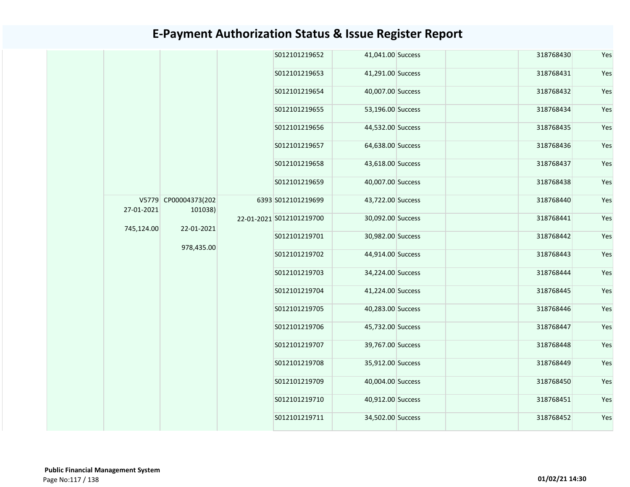|            |                                 |  | S012101219652            | 41,041.00 Success |                   | 318768430 | Yes       |     |
|------------|---------------------------------|--|--------------------------|-------------------|-------------------|-----------|-----------|-----|
|            |                                 |  | S012101219653            | 41,291.00 Success |                   | 318768431 | Yes       |     |
|            |                                 |  | S012101219654            | 40,007.00 Success |                   | 318768432 | Yes       |     |
|            |                                 |  | S012101219655            | 53,196.00 Success |                   | 318768434 | Yes       |     |
|            |                                 |  | S012101219656            | 44,532.00 Success |                   | 318768435 | Yes       |     |
|            |                                 |  | S012101219657            | 64,638.00 Success |                   | 318768436 | Yes       |     |
|            | V5779 CP00004373(202<br>101038) |  | S012101219658            | 43,618.00 Success |                   | 318768437 | Yes       |     |
|            |                                 |  | S012101219659            | 40,007.00 Success |                   | 318768438 | Yes       |     |
| 27-01-2021 |                                 |  | 6393 S012101219699       | 43,722.00 Success |                   | 318768440 | Yes       |     |
|            |                                 |  | 22-01-2021 S012101219700 | 30,092.00 Success |                   | 318768441 | Yes       |     |
| 745,124.00 | 22-01-2021                      |  | S012101219701            | 30,982.00 Success |                   | 318768442 | Yes       |     |
|            | 978,435.00                      |  | S012101219702            | 44,914.00 Success |                   | 318768443 | Yes       |     |
|            |                                 |  | S012101219703            | 34,224.00 Success |                   | 318768444 | Yes       |     |
|            |                                 |  | S012101219704            | 41,224.00 Success |                   | 318768445 | Yes       |     |
|            |                                 |  | S012101219705            | 40,283.00 Success |                   | 318768446 | Yes       |     |
|            |                                 |  | S012101219706            | 45,732.00 Success |                   | 318768447 | Yes       |     |
|            |                                 |  | S012101219707            | 39,767.00 Success |                   | 318768448 | Yes       |     |
|            |                                 |  | S012101219708            | 35,912.00 Success |                   | 318768449 | Yes       |     |
|            |                                 |  | S012101219709            | 40,004.00 Success |                   | 318768450 | Yes       |     |
|            |                                 |  |                          | S012101219710     | 40,912.00 Success |           | 318768451 | Yes |
|            |                                 |  | S012101219711            | 34,502.00 Success |                   | 318768452 | Yes       |     |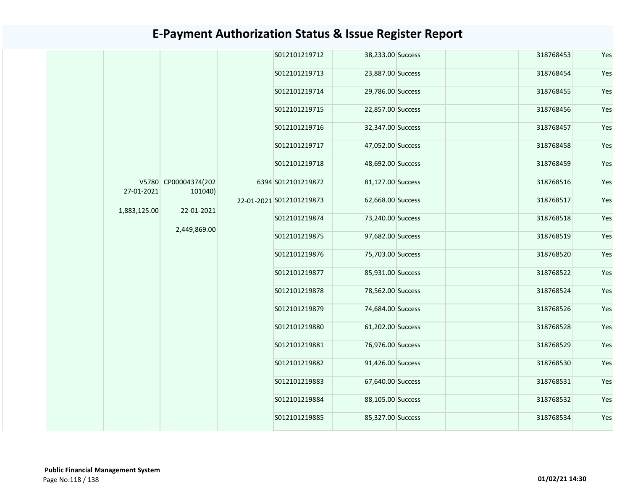|              |                                 |  | S012101219712            | 38,233.00 Success | 318768453 | Yes           |                   |           |     |  |  |               |                   |           |     |
|--------------|---------------------------------|--|--------------------------|-------------------|-----------|---------------|-------------------|-----------|-----|--|--|---------------|-------------------|-----------|-----|
|              |                                 |  | S012101219713            | 23,887.00 Success | 318768454 | Yes           |                   |           |     |  |  |               |                   |           |     |
|              |                                 |  | S012101219714            | 29,786.00 Success | 318768455 | Yes           |                   |           |     |  |  |               |                   |           |     |
|              |                                 |  | S012101219715            | 22,857.00 Success | 318768456 | Yes           |                   |           |     |  |  |               |                   |           |     |
|              |                                 |  | S012101219716            | 32,347.00 Success | 318768457 | Yes           |                   |           |     |  |  |               |                   |           |     |
|              |                                 |  | S012101219717            | 47,052.00 Success | 318768458 | Yes           |                   |           |     |  |  |               |                   |           |     |
|              |                                 |  |                          |                   |           | S012101219718 | 48,692.00 Success | 318768459 | Yes |  |  |               |                   |           |     |
| 27-01-2021   | V5780 CP00004374(202<br>101040) |  | 6394 S012101219872       | 81,127.00 Success | 318768516 | Yes           |                   |           |     |  |  |               |                   |           |     |
|              |                                 |  | 22-01-2021 S012101219873 | 62,668.00 Success | 318768517 | Yes           |                   |           |     |  |  |               |                   |           |     |
| 1,883,125.00 | 22-01-2021                      |  | S012101219874            | 73,240.00 Success | 318768518 | Yes           |                   |           |     |  |  |               |                   |           |     |
|              | 2,449,869.00                    |  | S012101219875            | 97,682.00 Success | 318768519 | Yes           |                   |           |     |  |  |               |                   |           |     |
|              |                                 |  | S012101219876            | 75,703.00 Success | 318768520 | Yes           |                   |           |     |  |  |               |                   |           |     |
|              |                                 |  | S012101219877            | 85,931.00 Success | 318768522 | Yes           |                   |           |     |  |  |               |                   |           |     |
|              |                                 |  | S012101219878            | 78,562.00 Success | 318768524 | Yes           |                   |           |     |  |  |               |                   |           |     |
|              |                                 |  | S012101219879            | 74,684.00 Success | 318768526 | Yes           |                   |           |     |  |  |               |                   |           |     |
|              |                                 |  | S012101219880            | 61,202.00 Success | 318768528 | Yes           |                   |           |     |  |  |               |                   |           |     |
|              |                                 |  | S012101219881            | 76,976.00 Success | 318768529 | Yes           |                   |           |     |  |  |               |                   |           |     |
|              |                                 |  | S012101219882            | 91,426.00 Success | 318768530 | Yes           |                   |           |     |  |  |               |                   |           |     |
|              |                                 |  | S012101219883            | 67,640.00 Success | 318768531 | Yes           |                   |           |     |  |  |               |                   |           |     |
|              |                                 |  |                          |                   |           |               |                   |           |     |  |  | S012101219884 | 88,105.00 Success | 318768532 | Yes |
|              |                                 |  | S012101219885            | 85,327.00 Success | 318768534 | Yes           |                   |           |     |  |  |               |                   |           |     |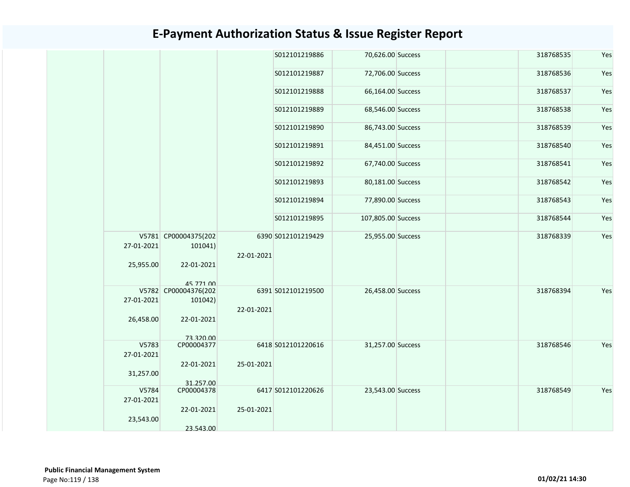|            |                      |            | S012101219886      | 70,626.00 Success  |  | 318768535 | Yes |
|------------|----------------------|------------|--------------------|--------------------|--|-----------|-----|
|            |                      |            | S012101219887      | 72,706.00 Success  |  | 318768536 | Yes |
|            |                      |            | S012101219888      | 66,164.00 Success  |  | 318768537 | Yes |
|            |                      |            | S012101219889      | 68,546.00 Success  |  | 318768538 | Yes |
|            |                      |            | S012101219890      | 86,743.00 Success  |  | 318768539 | Yes |
|            |                      |            | S012101219891      | 84,451.00 Success  |  | 318768540 | Yes |
|            |                      |            | S012101219892      | 67,740.00 Success  |  | 318768541 | Yes |
|            |                      |            | S012101219893      | 80,181.00 Success  |  | 318768542 | Yes |
|            |                      |            | S012101219894      | 77,890.00 Success  |  | 318768543 | Yes |
|            |                      |            | S012101219895      | 107,805.00 Success |  | 318768544 | Yes |
| 27-01-2021 | V5781 CP00004375(202 |            | 6390 S012101219429 | 25,955.00 Success  |  | 318768339 | Yes |
|            | 101041)              | 22-01-2021 |                    |                    |  |           |     |
| 25,955.00  | 22-01-2021           |            |                    |                    |  |           |     |
|            | 45 771 00            |            |                    |                    |  |           |     |
|            | V5782 CP00004376(202 |            | 6391 S012101219500 | 26,458.00 Success  |  | 318768394 | Yes |
| 27-01-2021 | 101042)              | 22-01-2021 |                    |                    |  |           |     |
| 26,458.00  | 22-01-2021           |            |                    |                    |  |           |     |
|            | 73 320 00            |            |                    |                    |  |           |     |
| V5783      | CP00004377           |            | 6418 S012101220616 | 31,257.00 Success  |  | 318768546 | Yes |
| 27-01-2021 |                      |            |                    |                    |  |           |     |
|            | 22-01-2021           | 25-01-2021 |                    |                    |  |           |     |
| 31,257.00  |                      |            |                    |                    |  |           |     |
|            | 31.257.00            |            |                    |                    |  |           |     |
| V5784      | CP00004378           |            | 6417 S012101220626 | 23,543.00 Success  |  | 318768549 | Yes |
| 27-01-2021 |                      |            |                    |                    |  |           |     |
|            | 22-01-2021           | 25-01-2021 |                    |                    |  |           |     |
| 23,543.00  |                      |            |                    |                    |  |           |     |
|            | 23.543.00            |            |                    |                    |  |           |     |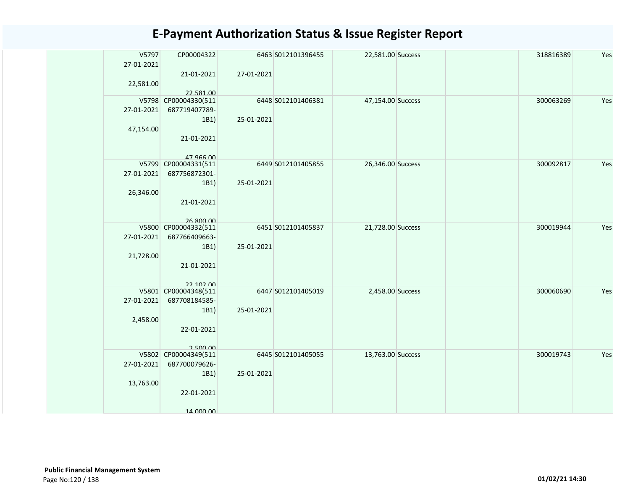| V5797<br>27-01-2021 | CP00004322                            |            | 6463 S012101396455 | 22,581.00 Success | 318816389 | Yes |
|---------------------|---------------------------------------|------------|--------------------|-------------------|-----------|-----|
| 22,581.00           | 21-01-2021                            | 27-01-2021 |                    |                   |           |     |
|                     | 22.581.00                             |            |                    |                   |           |     |
| V5798<br>27-01-2021 | CP00004330(511<br>687719407789-       |            | 6448 S012101406381 | 47,154.00 Success | 300063269 | Yes |
|                     | 1B1                                   | 25-01-2021 |                    |                   |           |     |
| 47,154.00           |                                       |            |                    |                   |           |     |
|                     | 21-01-2021                            |            |                    |                   |           |     |
|                     | 47 966 00                             |            |                    |                   |           |     |
| 27-01-2021          | V5799 CP00004331(511<br>687756872301- |            | 6449 S012101405855 | 26,346.00 Success | 300092817 | Yes |
|                     | 1B1)                                  | 25-01-2021 |                    |                   |           |     |
| 26,346.00           |                                       |            |                    |                   |           |     |
|                     | 21-01-2021                            |            |                    |                   |           |     |
|                     | 26.800.00                             |            |                    |                   |           |     |
| V5800               | CP00004332(511                        |            | 6451 S012101405837 | 21,728.00 Success | 300019944 | Yes |
| 27-01-2021          | 687766409663-                         |            |                    |                   |           |     |
|                     | 1B1)                                  | 25-01-2021 |                    |                   |           |     |
| 21,728.00           | 21-01-2021                            |            |                    |                   |           |     |
|                     |                                       |            |                    |                   |           |     |
|                     | 22.102.00                             |            |                    |                   |           |     |
| 27-01-2021          | V5801 CP00004348(511<br>687708184585- |            | 6447 S012101405019 | 2,458.00 Success  | 300060690 | Yes |
|                     | 1B1)                                  | 25-01-2021 |                    |                   |           |     |
| 2,458.00            |                                       |            |                    |                   |           |     |
|                     | 22-01-2021                            |            |                    |                   |           |     |
|                     | 250000                                |            |                    |                   |           |     |
|                     | V5802 CP00004349(511                  |            | 6445 S012101405055 | 13,763.00 Success | 300019743 | Yes |
| 27-01-2021          | 687700079626-                         |            |                    |                   |           |     |
|                     | 1B1)                                  | 25-01-2021 |                    |                   |           |     |
| 13,763.00           |                                       |            |                    |                   |           |     |
|                     | 22-01-2021                            |            |                    |                   |           |     |
|                     | 14 000 00                             |            |                    |                   |           |     |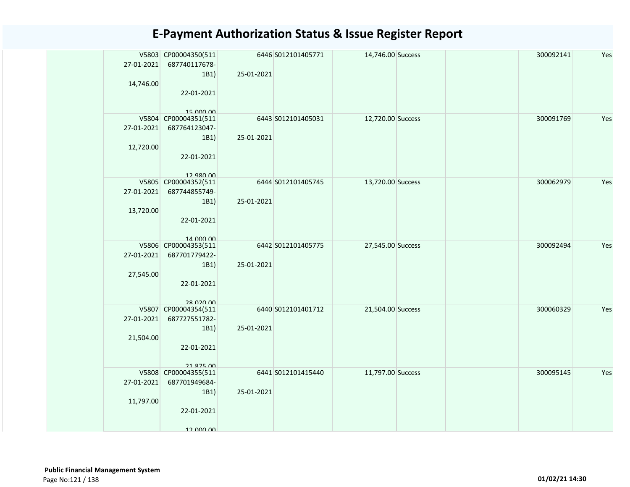| 27-01-2021<br>14,746.00 | V5803 CP00004350(511<br>687740117678-<br>1B1)<br>22-01-2021<br>15,000,00 | 25-01-2021 | 6446 S012101405771 | 14,746.00 Success |  | 300092141 | Yes |
|-------------------------|--------------------------------------------------------------------------|------------|--------------------|-------------------|--|-----------|-----|
| 27-01-2021<br>12,720.00 | V5804 CP00004351(511<br>687764123047-<br>1B1)<br>22-01-2021<br>12.980.00 | 25-01-2021 | 6443 S012101405031 | 12,720.00 Success |  | 300091769 | Yes |
| 27-01-2021<br>13,720.00 | V5805 CP00004352(511<br>687744855749-<br>1B1)<br>22-01-2021<br>14 000 00 | 25-01-2021 | 6444 S012101405745 | 13,720.00 Success |  | 300062979 | Yes |
| 27-01-2021<br>27,545.00 | V5806 CP00004353(511<br>687701779422-<br>1B1)<br>22-01-2021<br>28 U2U UV | 25-01-2021 | 6442 S012101405775 | 27,545.00 Success |  | 300092494 | Yes |
| 27-01-2021<br>21,504.00 | V5807 CP00004354(511<br>687727551782-<br>1B1)<br>22-01-2021<br>21 875 00 | 25-01-2021 | 6440 S012101401712 | 21,504.00 Success |  | 300060329 | Yes |
| 27-01-2021<br>11,797.00 | V5808 CP00004355(511<br>687701949684-<br>1B1)<br>22-01-2021<br>12 000 00 | 25-01-2021 | 6441 S012101415440 | 11,797.00 Success |  | 300095145 | Yes |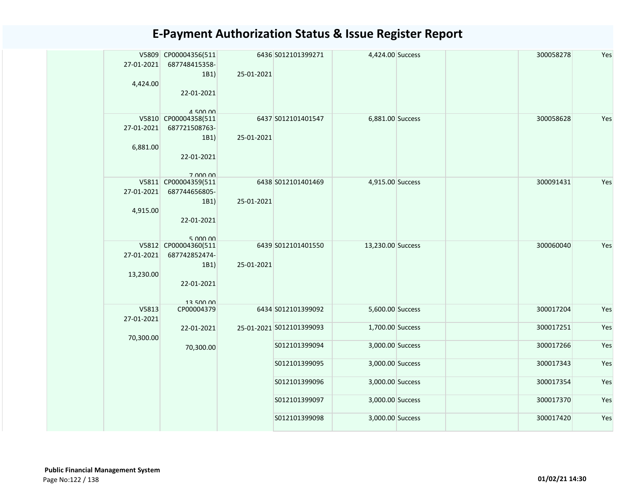|            | V5809 CP00004356(511 |            | 6436 S012101399271       | 4,424.00 Success  |  | 300058278 | Yes |
|------------|----------------------|------------|--------------------------|-------------------|--|-----------|-----|
| 27-01-2021 | 687748415358-        |            |                          |                   |  |           |     |
|            | 1B1)                 | 25-01-2021 |                          |                   |  |           |     |
| 4,424.00   | 22-01-2021           |            |                          |                   |  |           |     |
|            |                      |            |                          |                   |  |           |     |
|            | $A$ 500 00           |            |                          |                   |  |           |     |
|            | V5810 CP00004358(511 |            | 6437 S012101401547       | 6,881.00 Success  |  | 300058628 | Yes |
| 27-01-2021 | 687721508763-        |            |                          |                   |  |           |     |
|            | 1B1)                 | 25-01-2021 |                          |                   |  |           |     |
| 6,881.00   |                      |            |                          |                   |  |           |     |
|            | 22-01-2021           |            |                          |                   |  |           |     |
|            | 7 000 00             |            |                          |                   |  |           |     |
|            | V5811 CP00004359(511 |            | 6438 S012101401469       | 4,915.00 Success  |  | 300091431 | Yes |
| 27-01-2021 | 687744656805-        |            |                          |                   |  |           |     |
|            | 1B1)                 | 25-01-2021 |                          |                   |  |           |     |
| 4,915.00   |                      |            |                          |                   |  |           |     |
|            | 22-01-2021           |            |                          |                   |  |           |     |
|            | 5.00000              |            |                          |                   |  |           |     |
|            | V5812 CP00004360(511 |            | 6439 S012101401550       | 13,230.00 Success |  | 300060040 | Yes |
| 27-01-2021 | 687742852474-        |            |                          |                   |  |           |     |
|            | 1B1)                 | 25-01-2021 |                          |                   |  |           |     |
| 13,230.00  |                      |            |                          |                   |  |           |     |
|            | 22-01-2021           |            |                          |                   |  |           |     |
|            | 13 500 00            |            |                          |                   |  |           |     |
| V5813      | CP00004379           |            | 6434 S012101399092       | 5,600.00 Success  |  | 300017204 | Yes |
| 27-01-2021 |                      |            |                          |                   |  |           |     |
|            | 22-01-2021           |            | 25-01-2021 S012101399093 | 1,700.00 Success  |  | 300017251 | Yes |
| 70,300.00  |                      |            |                          |                   |  |           |     |
|            | 70,300.00            |            | S012101399094            | 3,000.00 Success  |  | 300017266 | Yes |
|            |                      |            | S012101399095            | 3,000.00 Success  |  | 300017343 | Yes |
|            |                      |            |                          |                   |  |           |     |
|            |                      |            | S012101399096            | 3,000.00 Success  |  | 300017354 | Yes |
|            |                      |            |                          |                   |  |           |     |
|            |                      |            | S012101399097            | 3,000.00 Success  |  | 300017370 | Yes |
|            |                      |            | S012101399098            | 3,000.00 Success  |  | 300017420 | Yes |
|            |                      |            |                          |                   |  |           |     |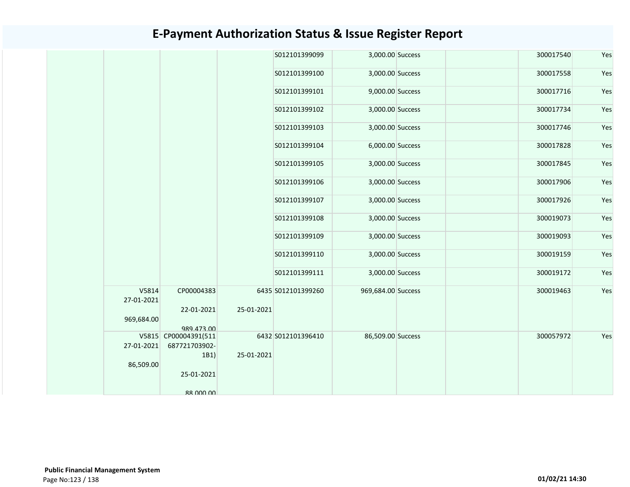|                     |                                    |            | S012101399099      | 3,000.00 Success   | 300017540 | Yes |
|---------------------|------------------------------------|------------|--------------------|--------------------|-----------|-----|
|                     |                                    |            | S012101399100      | 3,000.00 Success   | 300017558 | Yes |
|                     |                                    |            | S012101399101      | 9,000.00 Success   | 300017716 | Yes |
|                     |                                    |            | S012101399102      | 3,000.00 Success   | 300017734 | Yes |
|                     |                                    |            | S012101399103      | 3,000.00 Success   | 300017746 | Yes |
|                     |                                    |            | S012101399104      | 6,000.00 Success   | 300017828 | Yes |
|                     |                                    |            | S012101399105      | 3,000.00 Success   | 300017845 | Yes |
|                     |                                    |            | S012101399106      | 3,000.00 Success   | 300017906 | Yes |
|                     |                                    |            | S012101399107      | 3,000.00 Success   | 300017926 | Yes |
|                     |                                    |            | S012101399108      | 3,000.00 Success   | 300019073 | Yes |
|                     |                                    |            | S012101399109      | 3,000.00 Success   | 300019093 | Yes |
|                     |                                    |            | S012101399110      | 3,000.00 Success   | 300019159 | Yes |
|                     |                                    |            | S012101399111      | 3,000.00 Success   | 300019172 | Yes |
| V5814<br>27-01-2021 | CP00004383                         |            | 6435 S012101399260 | 969,684.00 Success | 300019463 | Yes |
|                     | 22-01-2021                         | 25-01-2021 |                    |                    |           |     |
| 969,684.00          |                                    |            |                    |                    |           |     |
|                     | 989.473.00<br>V5815 CP00004391(511 |            | 6432 S012101396410 | 86,509.00 Success  | 300057972 | Yes |
| 27-01-2021          | 687721703902-                      |            |                    |                    |           |     |
|                     | 1B1)                               | 25-01-2021 |                    |                    |           |     |
| 86,509.00           |                                    |            |                    |                    |           |     |
|                     | 25-01-2021                         |            |                    |                    |           |     |
|                     | 88 000 00                          |            |                    |                    |           |     |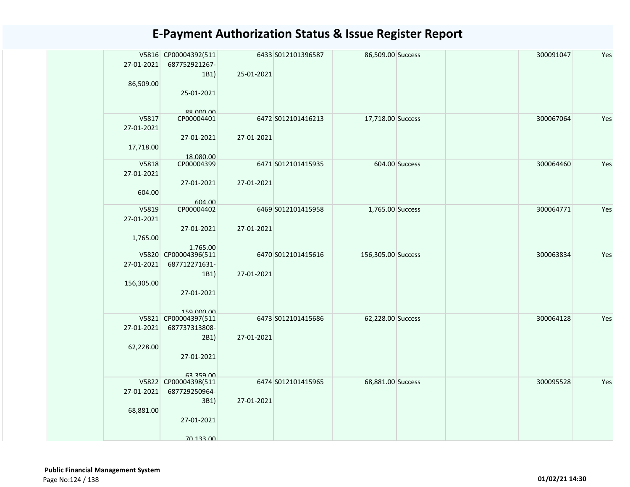| 27-01-2021<br>86,509.00          | V5816 CP00004392(511<br>687752921267-<br>1B1)<br>25-01-2021                     | 25-01-2021 | 6433 S012101396587 | 86,509.00 Success  |                | 300091047 | Yes |
|----------------------------------|---------------------------------------------------------------------------------|------------|--------------------|--------------------|----------------|-----------|-----|
| V5817<br>27-01-2021<br>17,718.00 | 88 000 00<br>CP00004401<br>27-01-2021<br>18.080.00                              | 27-01-2021 | 6472 S012101416213 | 17,718.00 Success  |                | 300067064 | Yes |
| V5818<br>27-01-2021<br>604.00    | CP00004399<br>27-01-2021<br>604.00                                              | 27-01-2021 | 6471 S012101415935 |                    | 604.00 Success | 300064460 | Yes |
| V5819<br>27-01-2021<br>1,765.00  | CP00004402<br>27-01-2021<br>1.765.00                                            | 27-01-2021 | 6469 S012101415958 | 1,765.00 Success   |                | 300064771 | Yes |
| 27-01-2021<br>156,305.00         | V5820 CP00004396(511<br>687712271631-<br>1B1)<br>27-01-2021<br>159 000 00       | 27-01-2021 | 6470 S012101415616 | 156,305.00 Success |                | 300063834 | Yes |
| 27-01-2021<br>62,228.00          | V5821 CP00004397(511<br>687737313808-<br>2B1)<br>27-01-2021<br><b>63 359 00</b> | 27-01-2021 | 6473 S012101415686 | 62,228.00 Success  |                | 300064128 | Yes |
| 27-01-2021<br>68,881.00          | V5822 CP00004398(511<br>687729250964-<br>3B1)<br>27-01-2021<br>70 133 DO        | 27-01-2021 | 6474 S012101415965 | 68,881.00 Success  |                | 300095528 | Yes |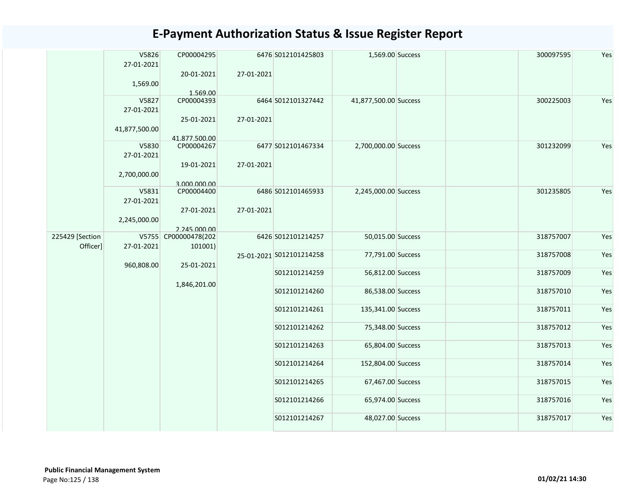|                 | V5826               | CP00004295                  |            | 6476 S012101425803       | 1,569.00 Success      |  | 300097595 | Yes |
|-----------------|---------------------|-----------------------------|------------|--------------------------|-----------------------|--|-----------|-----|
|                 | 27-01-2021          | 20-01-2021                  | 27-01-2021 |                          |                       |  |           |     |
|                 | 1,569.00            |                             |            |                          |                       |  |           |     |
|                 |                     | 1.569.00                    |            |                          |                       |  |           |     |
|                 | V5827<br>27-01-2021 | CP00004393                  |            | 6464 S012101327442       | 41,877,500.00 Success |  | 300225003 | Yes |
|                 |                     | 25-01-2021                  | 27-01-2021 |                          |                       |  |           |     |
|                 | 41,877,500.00       |                             |            |                          |                       |  |           |     |
|                 | V5830               | 41.877.500.00<br>CP00004267 |            | 6477 S012101467334       | 2,700,000.00 Success  |  | 301232099 | Yes |
|                 | 27-01-2021          |                             |            |                          |                       |  |           |     |
|                 |                     | 19-01-2021                  | 27-01-2021 |                          |                       |  |           |     |
|                 | 2,700,000.00        |                             |            |                          |                       |  |           |     |
|                 | V5831               | 3.000.000.00<br>CP00004400  |            | 6486 S012101465933       | 2,245,000.00 Success  |  | 301235805 | Yes |
|                 | 27-01-2021          |                             |            |                          |                       |  |           |     |
|                 | 2,245,000.00        | 27-01-2021                  | 27-01-2021 |                          |                       |  |           |     |
|                 |                     | 2.245.000.00                |            |                          |                       |  |           |     |
| 225429 [Section |                     | V5755 CP00000478(202        |            | 6426 S012101214257       | 50,015.00 Success     |  | 318757007 | Yes |
| Officer]        | 27-01-2021          | 101001)                     |            | 25-01-2021 S012101214258 | 77,791.00 Success     |  | 318757008 | Yes |
|                 | 960,808.00          | 25-01-2021                  |            |                          |                       |  |           |     |
|                 |                     |                             |            | S012101214259            | 56,812.00 Success     |  | 318757009 | Yes |
|                 |                     | 1,846,201.00                |            | S012101214260            | 86,538.00 Success     |  | 318757010 | Yes |
|                 |                     |                             |            |                          |                       |  |           |     |
|                 |                     |                             |            | S012101214261            | 135,341.00 Success    |  | 318757011 | Yes |
|                 |                     |                             |            | S012101214262            | 75,348.00 Success     |  | 318757012 | Yes |
|                 |                     |                             |            |                          |                       |  |           |     |
|                 |                     |                             |            | S012101214263            | 65,804.00 Success     |  | 318757013 | Yes |
|                 |                     |                             |            | S012101214264            | 152,804.00 Success    |  | 318757014 | Yes |
|                 |                     |                             |            | S012101214265            | 67,467.00 Success     |  | 318757015 | Yes |
|                 |                     |                             |            |                          |                       |  |           |     |
|                 |                     |                             |            | S012101214266            | 65,974.00 Success     |  | 318757016 | Yes |
|                 |                     |                             |            | S012101214267            | 48,027.00 Success     |  | 318757017 | Yes |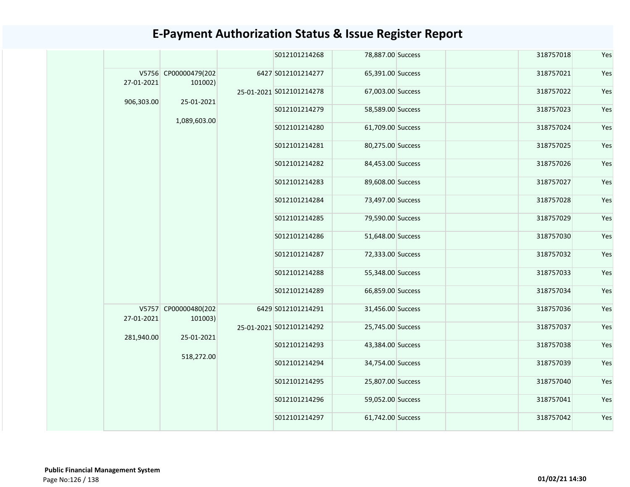|            |                                 |                          | S012101214268            | 78,887.00 Success | 318757018 | Yes |
|------------|---------------------------------|--------------------------|--------------------------|-------------------|-----------|-----|
| 27-01-2021 | V5756 CP00000479(202<br>101002) |                          | 6427 S012101214277       | 65,391.00 Success | 318757021 | Yes |
| 906,303.00 | 25-01-2021                      |                          | 25-01-2021 S012101214278 | 67,003.00 Success | 318757022 | Yes |
|            |                                 |                          | S012101214279            | 58,589.00 Success | 318757023 | Yes |
|            | 1,089,603.00                    |                          | S012101214280            | 61,709.00 Success | 318757024 | Yes |
|            |                                 |                          | S012101214281            | 80,275.00 Success | 318757025 | Yes |
|            |                                 |                          | S012101214282            | 84,453.00 Success | 318757026 | Yes |
|            |                                 |                          | S012101214283            | 89,608.00 Success | 318757027 | Yes |
|            |                                 |                          | S012101214284            | 73,497.00 Success | 318757028 | Yes |
|            |                                 |                          | S012101214285            | 79,590.00 Success | 318757029 | Yes |
|            |                                 |                          | S012101214286            | 51,648.00 Success | 318757030 | Yes |
|            |                                 |                          | S012101214287            | 72,333.00 Success | 318757032 | Yes |
|            |                                 |                          | S012101214288            | 55,348.00 Success | 318757033 | Yes |
|            |                                 |                          | S012101214289            | 66,859.00 Success | 318757034 | Yes |
| 27-01-2021 | V5757 CP00000480(202<br>101003) |                          | 6429 S012101214291       | 31,456.00 Success | 318757036 | Yes |
| 281,940.00 |                                 |                          | 25-01-2021 S012101214292 | 25,745.00 Success | 318757037 | Yes |
|            |                                 | 25-01-2021<br>518,272.00 | S012101214293            | 43,384.00 Success | 318757038 | Yes |
|            |                                 |                          | S012101214294            | 34,754.00 Success | 318757039 | Yes |
|            |                                 |                          | S012101214295            | 25,807.00 Success | 318757040 | Yes |
|            |                                 | S012101214296            | 59,052.00 Success        | 318757041         | Yes       |     |
|            |                                 |                          | S012101214297            | 61,742.00 Success | 318757042 | Yes |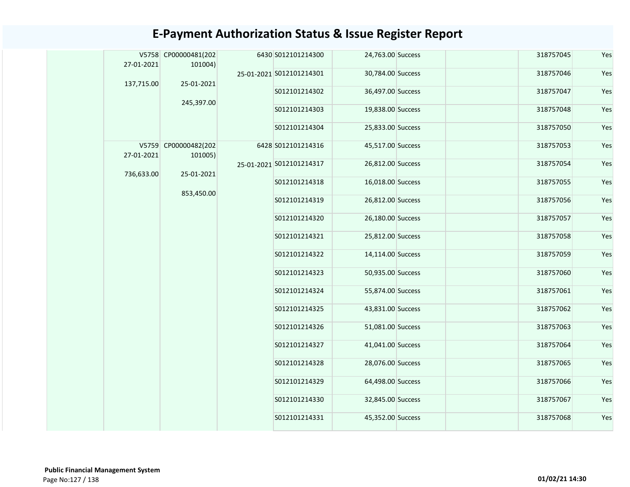|  | 27-01-2021 | V5758 CP00000481(202<br>101004) |            | 6430 S012101214300       | 24,763.00 Success | 318757045         | Yes       |     |  |               |                   |           |     |
|--|------------|---------------------------------|------------|--------------------------|-------------------|-------------------|-----------|-----|--|---------------|-------------------|-----------|-----|
|  |            |                                 |            | 25-01-2021 S012101214301 | 30,784.00 Success | 318757046         | Yes       |     |  |               |                   |           |     |
|  | 137,715.00 | 25-01-2021                      |            | S012101214302            | 36,497.00 Success | 318757047         | Yes       |     |  |               |                   |           |     |
|  |            | 245,397.00                      |            | S012101214303            | 19,838.00 Success | 318757048         | Yes       |     |  |               |                   |           |     |
|  |            |                                 |            | S012101214304            | 25,833.00 Success | 318757050         | Yes       |     |  |               |                   |           |     |
|  |            | V5759 CP00000482(202            |            | 6428 S012101214316       | 45,517.00 Success | 318757053         | Yes       |     |  |               |                   |           |     |
|  | 27-01-2021 | 101005)                         |            | 25-01-2021 S012101214317 | 26,812.00 Success | 318757054         | Yes       |     |  |               |                   |           |     |
|  | 736,633.00 | 25-01-2021                      | 853,450.00 | S012101214318            | 16,018.00 Success | 318757055         | Yes       |     |  |               |                   |           |     |
|  |            |                                 |            | S012101214319            | 26,812.00 Success | 318757056         | Yes       |     |  |               |                   |           |     |
|  |            |                                 |            | S012101214320            | 26,180.00 Success | 318757057         | Yes       |     |  |               |                   |           |     |
|  |            |                                 |            |                          | S012101214321     | 25,812.00 Success | 318757058 | Yes |  |               |                   |           |     |
|  |            |                                 |            | S012101214322            | 14,114.00 Success | 318757059         | Yes       |     |  |               |                   |           |     |
|  |            |                                 |            | S012101214323            | 50,935.00 Success | 318757060         | Yes       |     |  |               |                   |           |     |
|  |            |                                 |            | S012101214324            | 55,874.00 Success | 318757061         | Yes       |     |  |               |                   |           |     |
|  |            |                                 |            | S012101214325            | 43,831.00 Success | 318757062         | Yes       |     |  |               |                   |           |     |
|  |            |                                 |            | S012101214326            | 51,081.00 Success | 318757063         | Yes       |     |  |               |                   |           |     |
|  |            |                                 |            | S012101214327            | 41,041.00 Success | 318757064         | Yes       |     |  |               |                   |           |     |
|  |            |                                 |            | S012101214328            | 28,076.00 Success | 318757065         | Yes       |     |  |               |                   |           |     |
|  |            |                                 |            | S012101214329            | 64,498.00 Success | 318757066         | Yes       |     |  |               |                   |           |     |
|  |            |                                 |            |                          |                   |                   |           |     |  | S012101214330 | 32,845.00 Success | 318757067 | Yes |
|  |            |                                 |            | S012101214331            | 45,352.00 Success | 318757068         | Yes       |     |  |               |                   |           |     |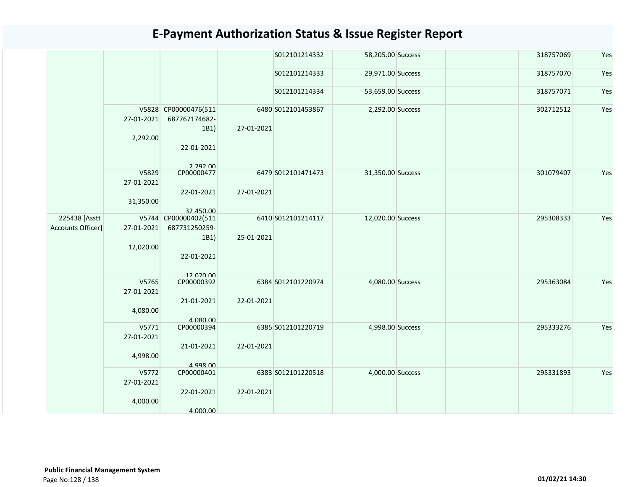|                                    |                                  |                                                                          |            | S012101214332      | 58,205.00 Success | 318757069 | Yes |
|------------------------------------|----------------------------------|--------------------------------------------------------------------------|------------|--------------------|-------------------|-----------|-----|
|                                    |                                  |                                                                          |            | S012101214333      | 29,971.00 Success | 318757070 | Yes |
|                                    |                                  |                                                                          |            | S012101214334      | 53,659.00 Success | 318757071 | Yes |
|                                    | 27-01-2021<br>2,292.00           | V5828 CP00000476(511<br>687767174682-<br>1B1)<br>22-01-2021<br>2.292.00  | 27-01-2021 | 6480 S012101453867 | 2,292.00 Success  | 302712512 | Yes |
|                                    | V5829<br>27-01-2021<br>31,350.00 | CP00000477<br>22-01-2021<br>32.450.00                                    | 27-01-2021 | 6479 S012101471473 | 31,350.00 Success | 301079407 | Yes |
| 225438 [Asstt<br>Accounts Officer] | 27-01-2021<br>12,020.00          | V5744 CP00000402(511<br>687731250259-<br>1B1)<br>22-01-2021<br>12 020 00 | 25-01-2021 | 6410 S012101214117 | 12,020.00 Success | 295308333 | Yes |
|                                    | V5765<br>27-01-2021<br>4,080.00  | CP00000392<br>21-01-2021<br>4.080.00                                     | 22-01-2021 | 6384 S012101220974 | 4,080.00 Success  | 295363084 | Yes |
|                                    | V5771<br>27-01-2021<br>4,998.00  | CP00000394<br>21-01-2021<br>4.998.00                                     | 22-01-2021 | 6385 S012101220719 | 4,998.00 Success  | 295333276 | Yes |
|                                    | V5772<br>27-01-2021<br>4,000.00  | CP00000401<br>22-01-2021<br>4.000.00                                     | 22-01-2021 | 6383 S012101220518 | 4,000.00 Success  | 295331893 | Yes |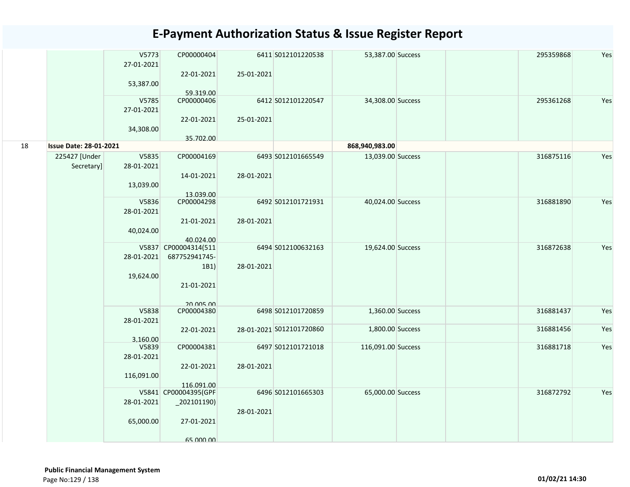|    |                               | V5773<br>27-01-2021     | CP00000404                                    |            | 6411 S012101220538       | 53,387.00 Success  | 295359868 | Yes |
|----|-------------------------------|-------------------------|-----------------------------------------------|------------|--------------------------|--------------------|-----------|-----|
|    |                               | 53,387.00               | 22-01-2021<br>59.319.00                       | 25-01-2021 |                          |                    |           |     |
|    |                               | V5785<br>27-01-2021     | CP00000406                                    |            | 6412 S012101220547       | 34,308.00 Success  | 295361268 | Yes |
|    |                               | 34,308.00               | 22-01-2021<br>35.702.00                       | 25-01-2021 |                          |                    |           |     |
| 18 | <b>Issue Date: 28-01-2021</b> |                         |                                               |            |                          | 868,940,983.00     |           |     |
|    | 225427 [Under<br>Secretary]   | V5835<br>28-01-2021     | CP00004169                                    |            | 6493 S012101665549       | 13,039.00 Success  | 316875116 | Yes |
|    |                               | 13,039.00               | 14-01-2021<br>13.039.00                       | 28-01-2021 |                          |                    |           |     |
|    |                               | V5836<br>28-01-2021     | CP00004298                                    |            | 6492 S012101721931       | 40,024.00 Success  | 316881890 | Yes |
|    |                               | 40,024.00               | 21-01-2021<br>40.024.00                       | 28-01-2021 |                          |                    |           |     |
|    |                               | 28-01-2021              | V5837 CP00004314(511<br>687752941745-<br>1B1) | 28-01-2021 | 6494 S012100632163       | 19,624.00 Success  | 316872638 | Yes |
|    |                               | 19,624.00               | 21-01-2021                                    |            |                          |                    |           |     |
|    |                               | V5838                   | 20 005 00<br>CP00004380                       |            | 6498 S012101720859       | 1,360.00 Success   | 316881437 | Yes |
|    |                               | 28-01-2021              |                                               |            |                          |                    |           |     |
|    |                               | 3.160.00                | 22-01-2021                                    |            | 28-01-2021 S012101720860 | 1,800.00 Success   | 316881456 | Yes |
|    |                               | V5839<br>28-01-2021     | CP00004381                                    |            | 6497 S012101721018       | 116,091.00 Success | 316881718 | Yes |
|    |                               | 116,091.00              | 22-01-2021<br>116.091.00                      | 28-01-2021 |                          |                    |           |     |
|    |                               |                         | V5841 CP00004395(GPF                          |            | 6496 S012101665303       | 65,000.00 Success  | 316872792 | Yes |
|    |                               | 28-01-2021<br>65,000.00 | $_2$ 02101190)<br>27-01-2021                  | 28-01-2021 |                          |                    |           |     |
|    |                               |                         | 65,000,00                                     |            |                          |                    |           |     |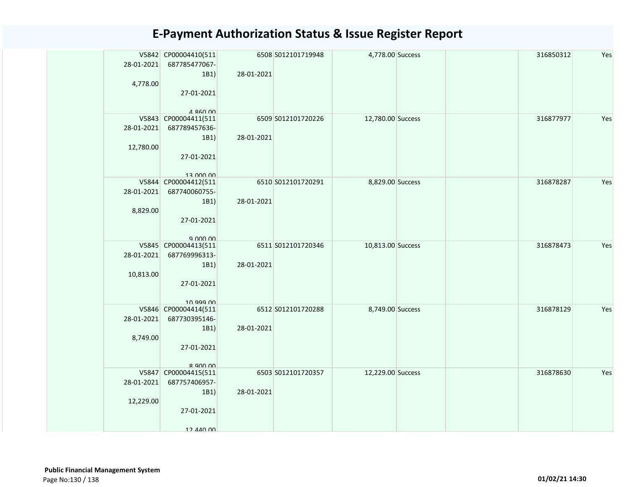| 28-01-2021<br>4,778.00  | V5842 CP00004410(511<br>687785477067-<br>1B1)<br>27-01-2021<br>$A$ $R$ $A$ $n$ $n$                                     | 28-01-2021 | 6508 S012101719948 | 4,778.00 Success  |  | 316850312 | Yes |
|-------------------------|------------------------------------------------------------------------------------------------------------------------|------------|--------------------|-------------------|--|-----------|-----|
| 28-01-2021<br>12,780.00 | V5843 CP00004411(511<br>687789457636-<br>1B1)<br>27-01-2021<br>13 000 00                                               | 28-01-2021 | 6509 S012101720226 | 12,780.00 Success |  | 316877977 | Yes |
| 28-01-2021<br>8,829.00  | V5844 CP00004412(511<br>687740060755-<br>1B1)<br>27-01-2021<br>$Q$ $Q$ $Q$ $Q$ $Q$ $Q$ $Q$ $Q$ $Q$ $Q$ $Q$ $Q$ $Q$ $Q$ | 28-01-2021 | 6510 S012101720291 | 8,829.00 Success  |  | 316878287 | Yes |
| 28-01-2021<br>10,813.00 | V5845 CP00004413(511<br>687769996313-<br>1B1)<br>27-01-2021<br>10 999 00                                               | 28-01-2021 | 6511 S012101720346 | 10,813.00 Success |  | 316878473 | Yes |
| 28-01-2021<br>8,749.00  | V5846 CP00004414(511<br>687730395146-<br>1B1)<br>27-01-2021<br>$R$ 900 00                                              | 28-01-2021 | 6512 S012101720288 | 8,749.00 Success  |  | 316878129 | Yes |
| 28-01-2021<br>12,229.00 | V5847 CP00004415(511<br>687757406957-<br>1B1)<br>27-01-2021<br>12 440 00                                               | 28-01-2021 | 6503 S012101720357 | 12,229.00 Success |  | 316878630 | Yes |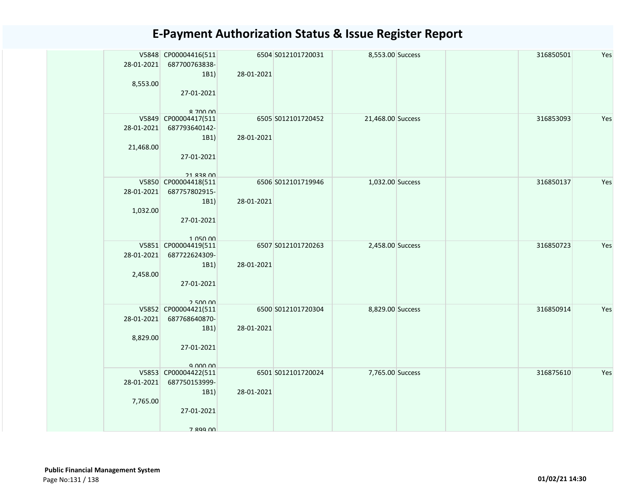| 28-01-2021<br>8,553.00  | V5848 CP00004416(511<br>687700763838-<br>1B1<br>27-01-2021<br>$R$ 700 00        | 28-01-2021 | 6504 S012101720031 | 8,553.00 Success  |  | 316850501 | Yes |
|-------------------------|---------------------------------------------------------------------------------|------------|--------------------|-------------------|--|-----------|-----|
| 28-01-2021<br>21,468.00 | V5849 CP00004417(511<br>687793640142-<br>1B1)<br>27-01-2021<br><b>21 838 00</b> | 28-01-2021 | 6505 S012101720452 | 21,468.00 Success |  | 316853093 | Yes |
| 28-01-2021<br>1,032.00  | V5850 CP00004418(511<br>687757802915-<br>1B1<br>27-01-2021<br>1 050 00          | 28-01-2021 | 6506 S012101719946 | 1,032.00 Success  |  | 316850137 | Yes |
| 28-01-2021<br>2,458.00  | V5851 CP00004419(511<br>687722624309-<br>1B1)<br>27-01-2021<br>250000           | 28-01-2021 | 6507 S012101720263 | 2,458.00 Success  |  | 316850723 | Yes |
| 28-01-2021<br>8,829.00  | V5852 CP00004421(511<br>687768640870-<br>1B1)<br>27-01-2021<br>9.000.00         | 28-01-2021 | 6500 S012101720304 | 8,829.00 Success  |  | 316850914 | Yes |
| 28-01-2021<br>7,765.00  | V5853 CP00004422(511<br>687750153999-<br>1B1<br>27-01-2021<br>7 899 NO          | 28-01-2021 | 6501 S012101720024 | 7,765.00 Success  |  | 316875610 | Yes |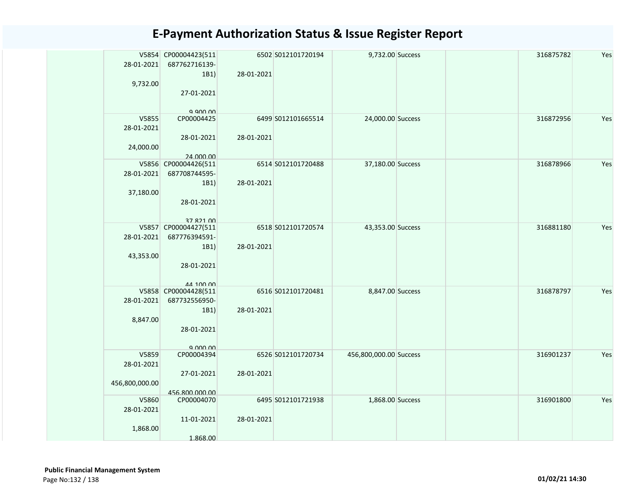|                | V5854 CP00004423(511                  |            | 6502 S012101720194 | 9,732.00 Success       |  | 316875782 | Yes |
|----------------|---------------------------------------|------------|--------------------|------------------------|--|-----------|-----|
|                | 28-01-2021 687762716139-              |            |                    |                        |  |           |     |
|                | 1B1)                                  | 28-01-2021 |                    |                        |  |           |     |
| 9,732.00       | 27-01-2021                            |            |                    |                        |  |           |     |
|                |                                       |            |                    |                        |  |           |     |
|                | a ann nn                              |            |                    |                        |  |           |     |
| V5855          | CP00004425                            |            | 6499 S012101665514 | 24,000.00 Success      |  | 316872956 | Yes |
| 28-01-2021     |                                       |            |                    |                        |  |           |     |
| 24,000.00      | 28-01-2021                            | 28-01-2021 |                    |                        |  |           |     |
|                | 24.000.00                             |            |                    |                        |  |           |     |
|                | V5856 CP00004426(511                  |            | 6514 S012101720488 | 37,180.00 Success      |  | 316878966 | Yes |
| 28-01-2021     | 687708744595-                         |            |                    |                        |  |           |     |
|                | 1B1)                                  | 28-01-2021 |                    |                        |  |           |     |
| 37,180.00      | 28-01-2021                            |            |                    |                        |  |           |     |
|                |                                       |            |                    |                        |  |           |     |
|                | 37 821 00                             |            |                    |                        |  |           |     |
|                | V5857 CP00004427(511                  |            | 6518 S012101720574 | 43,353.00 Success      |  | 316881180 | Yes |
| 28-01-2021     | 687776394591-                         |            |                    |                        |  |           |     |
| 43,353.00      | 1B1)                                  | 28-01-2021 |                    |                        |  |           |     |
|                | 28-01-2021                            |            |                    |                        |  |           |     |
|                |                                       |            |                    |                        |  |           |     |
|                | 44 100 00                             |            |                    |                        |  |           |     |
| 28-01-2021     | V5858 CP00004428(511<br>687732556950- |            | 6516 S012101720481 | 8,847.00 Success       |  | 316878797 | Yes |
|                | 1B1)                                  | 28-01-2021 |                    |                        |  |           |     |
| 8,847.00       |                                       |            |                    |                        |  |           |     |
|                | 28-01-2021                            |            |                    |                        |  |           |     |
|                |                                       |            |                    |                        |  |           |     |
| V5859          | 9.00000<br>CP00004394                 |            | 6526 S012101720734 | 456,800,000.00 Success |  | 316901237 | Yes |
| 28-01-2021     |                                       |            |                    |                        |  |           |     |
|                | 27-01-2021                            | 28-01-2021 |                    |                        |  |           |     |
| 456,800,000.00 |                                       |            |                    |                        |  |           |     |
| V5860          | 456.800.000.00<br>CP00004070          |            | 6495 S012101721938 | 1,868.00 Success       |  | 316901800 | Yes |
| 28-01-2021     |                                       |            |                    |                        |  |           |     |
|                | 11-01-2021                            | 28-01-2021 |                    |                        |  |           |     |
| 1,868.00       |                                       |            |                    |                        |  |           |     |
|                | 1.868.00                              |            |                    |                        |  |           |     |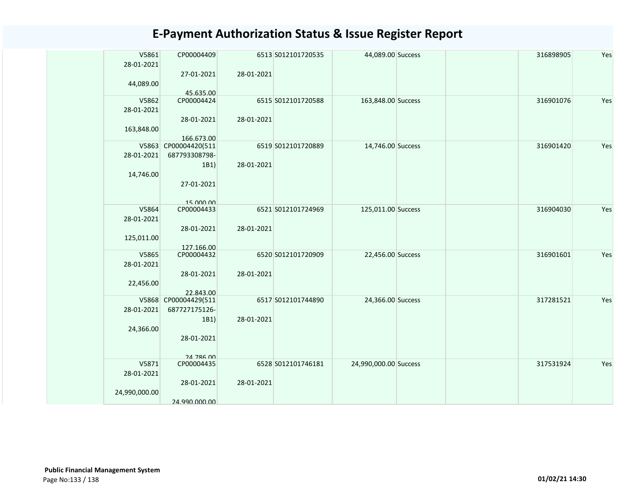| V5861         | CP00004409                         |            | 6513 S012101720535 | 44,089.00 Success     |  | 316898905 | Yes |
|---------------|------------------------------------|------------|--------------------|-----------------------|--|-----------|-----|
| 28-01-2021    |                                    |            |                    |                       |  |           |     |
|               | 27-01-2021                         | 28-01-2021 |                    |                       |  |           |     |
| 44,089.00     |                                    |            |                    |                       |  |           |     |
|               | 45.635.00                          |            |                    |                       |  |           |     |
| V5862         | CP00004424                         |            | 6515 S012101720588 | 163,848.00 Success    |  | 316901076 | Yes |
| 28-01-2021    |                                    |            |                    |                       |  |           |     |
|               | 28-01-2021                         | 28-01-2021 |                    |                       |  |           |     |
| 163,848.00    |                                    |            |                    |                       |  |           |     |
|               | 166.673.00<br>V5863 CP00004420(511 |            | 6519 S012101720889 |                       |  | 316901420 | Yes |
| 28-01-2021    | 687793308798-                      |            |                    | 14,746.00 Success     |  |           |     |
|               |                                    |            |                    |                       |  |           |     |
|               | 1B1)                               | 28-01-2021 |                    |                       |  |           |     |
| 14,746.00     |                                    |            |                    |                       |  |           |     |
|               | 27-01-2021                         |            |                    |                       |  |           |     |
|               |                                    |            |                    |                       |  |           |     |
| V5864         | 15 000 00<br>CP00004433            |            | 6521 S012101724969 | 125,011.00 Success    |  | 316904030 | Yes |
| 28-01-2021    |                                    |            |                    |                       |  |           |     |
|               | 28-01-2021                         | 28-01-2021 |                    |                       |  |           |     |
| 125,011.00    |                                    |            |                    |                       |  |           |     |
|               | 127.166.00                         |            |                    |                       |  |           |     |
| V5865         | CP00004432                         |            | 6520 S012101720909 | 22,456.00 Success     |  | 316901601 | Yes |
| 28-01-2021    |                                    |            |                    |                       |  |           |     |
|               | 28-01-2021                         | 28-01-2021 |                    |                       |  |           |     |
| 22,456.00     |                                    |            |                    |                       |  |           |     |
|               | 22.843.00                          |            |                    |                       |  |           |     |
|               | V5868 CP00004429(511               |            | 6517 S012101744890 | 24,366.00 Success     |  | 317281521 | Yes |
| 28-01-2021    | 687727175126-                      |            |                    |                       |  |           |     |
|               | 1B1)                               | 28-01-2021 |                    |                       |  |           |     |
| 24,366.00     |                                    |            |                    |                       |  |           |     |
|               | 28-01-2021                         |            |                    |                       |  |           |     |
|               |                                    |            |                    |                       |  |           |     |
|               | <b>24 786 00</b>                   |            |                    |                       |  |           |     |
| V5871         | CP00004435                         |            | 6528 S012101746181 | 24,990,000.00 Success |  | 317531924 | Yes |
| 28-01-2021    |                                    |            |                    |                       |  |           |     |
|               | 28-01-2021                         | 28-01-2021 |                    |                       |  |           |     |
| 24,990,000.00 |                                    |            |                    |                       |  |           |     |
|               | 24.990.000.00                      |            |                    |                       |  |           |     |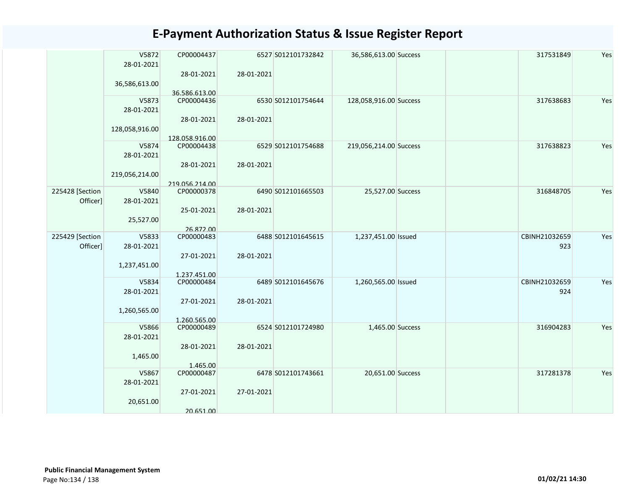|                 | V5872<br>28-01-2021 | CP00004437<br>28-01-2021   | 28-01-2021 | 6527 S012101732842 | 36,586,613.00 Success  | 317531849     | Yes |
|-----------------|---------------------|----------------------------|------------|--------------------|------------------------|---------------|-----|
|                 | 36,586,613.00       | 36.586.613.00              |            |                    |                        |               |     |
|                 | V5873<br>28-01-2021 | CP00004436                 |            | 6530 S012101754644 | 128,058,916.00 Success | 317638683     | Yes |
|                 | 128,058,916.00      | 28-01-2021                 | 28-01-2021 |                    |                        |               |     |
|                 |                     | 128.058.916.00             |            |                    |                        |               |     |
|                 | V5874<br>28-01-2021 | CP00004438                 |            | 6529 S012101754688 | 219,056,214.00 Success | 317638823     | Yes |
|                 | 219,056,214.00      | 28-01-2021                 | 28-01-2021 |                    |                        |               |     |
|                 |                     | 219.056.214.00             |            |                    |                        |               |     |
| 225428 [Section | V5840               | CP00000378                 |            | 6490 S012101665503 | 25,527.00 Success      | 316848705     | Yes |
| Officer]        | 28-01-2021          |                            |            |                    |                        |               |     |
|                 |                     | 25-01-2021                 | 28-01-2021 |                    |                        |               |     |
|                 | 25,527.00           |                            |            |                    |                        |               |     |
|                 |                     | 26.872.00                  |            |                    |                        |               |     |
| 225429 [Section | V5833               | CP00000483                 |            | 6488 S012101645615 | 1,237,451.00 Issued    | CBINH21032659 | Yes |
| Officer]        | 28-01-2021          |                            |            |                    |                        | 923           |     |
|                 |                     | 27-01-2021                 | 28-01-2021 |                    |                        |               |     |
|                 | 1,237,451.00        |                            |            |                    |                        |               |     |
|                 | V5834               | 1.237.451.00<br>CP00000484 |            | 6489 S012101645676 | 1,260,565.00 Issued    | CBINH21032659 | Yes |
|                 | 28-01-2021          |                            |            |                    |                        | 924           |     |
|                 |                     | 27-01-2021                 | 28-01-2021 |                    |                        |               |     |
|                 | 1,260,565.00        |                            |            |                    |                        |               |     |
|                 |                     | 1.260.565.00               |            |                    |                        |               |     |
|                 | V5866               | CP00000489                 |            | 6524 S012101724980 | 1,465.00 Success       | 316904283     | Yes |
|                 | 28-01-2021          |                            |            |                    |                        |               |     |
|                 |                     | 28-01-2021                 | 28-01-2021 |                    |                        |               |     |
|                 | 1,465.00            |                            |            |                    |                        |               |     |
|                 |                     | 1.465.00                   |            |                    |                        |               |     |
|                 | V5867               | CP00000487                 |            | 6478 S012101743661 | 20,651.00 Success      | 317281378     | Yes |
|                 | 28-01-2021          |                            |            |                    |                        |               |     |
|                 |                     | 27-01-2021                 | 27-01-2021 |                    |                        |               |     |
|                 | 20,651.00           |                            |            |                    |                        |               |     |
|                 |                     | 20.651.00                  |            |                    |                        |               |     |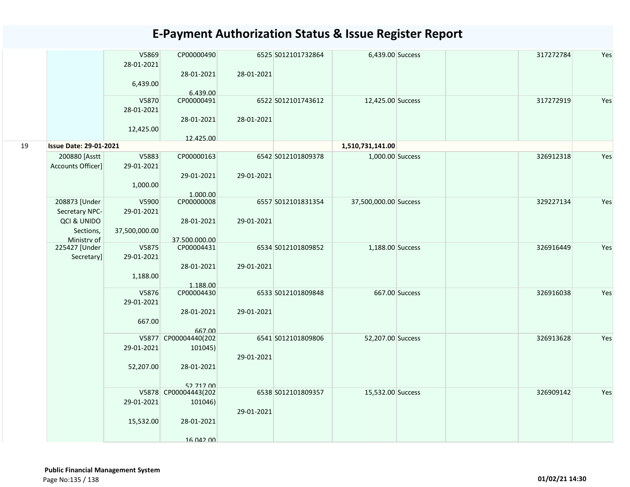| 6,439.00<br>6.439.00<br>V5870<br>317272919<br>CP00000491<br>6522 S012101743612<br>12,425.00 Success<br>28-01-2021<br>28-01-2021<br>28-01-2021 | Yes<br>Yes |
|-----------------------------------------------------------------------------------------------------------------------------------------------|------------|
|                                                                                                                                               |            |
|                                                                                                                                               |            |
| 12,425.00                                                                                                                                     |            |
| 12.425.00<br>19<br><b>Issue Date: 29-01-2021</b><br>1,510,731,141.00                                                                          |            |
| 200880 [Asstt<br>V5883<br>CP00000163<br>6542 S012101809378<br>1,000.00 Success<br>326912318                                                   |            |
| Accounts Officer]<br>29-01-2021                                                                                                               |            |
| 29-01-2021<br>29-01-2021                                                                                                                      |            |
| 1,000.00                                                                                                                                      |            |
| 1.000.00<br>208873 [Under<br>CP00000008<br>6557 S012101831354<br>329227134<br>V5900<br>37,500,000.00 Success                                  | Yes        |
| Secretary NPC-<br>29-01-2021                                                                                                                  |            |
| QCI & UNIDO<br>28-01-2021<br>29-01-2021                                                                                                       |            |
| Sections,<br>37,500,000.00                                                                                                                    |            |
| Ministry of<br>37.500.000.00                                                                                                                  |            |
| 225427 [Under<br>V5875<br>CP00004431<br>6534 S012101809852<br>1,188.00 Success<br>326916449<br>29-01-2021                                     | Yes        |
| Secretary]<br>28-01-2021<br>29-01-2021                                                                                                        |            |
| 1,188.00                                                                                                                                      |            |
| 1.188.00                                                                                                                                      |            |
| V5876<br>CP00004430<br>6533 S012101809848<br>667.00 Success<br>326916038                                                                      | Yes        |
| 29-01-2021                                                                                                                                    |            |
| 28-01-2021<br>29-01-2021<br>667.00                                                                                                            |            |
| 667.00                                                                                                                                        |            |
| V5877 CP00004440(202<br>6541 S012101809806<br>52,207.00 Success<br>326913628                                                                  | Yes        |
| 29-01-2021<br>101045)                                                                                                                         |            |
| 29-01-2021                                                                                                                                    |            |
| 52,207.00<br>28-01-2021                                                                                                                       |            |
| 52 717 00                                                                                                                                     |            |
| V5878 CP00004443(202<br>6538 S012101809357<br>15,532.00 Success<br>326909142                                                                  | Yes        |
| 29-01-2021<br>101046)                                                                                                                         |            |
| 29-01-2021                                                                                                                                    |            |
| 28-01-2021<br>15,532.00                                                                                                                       |            |
| 16 042 00                                                                                                                                     |            |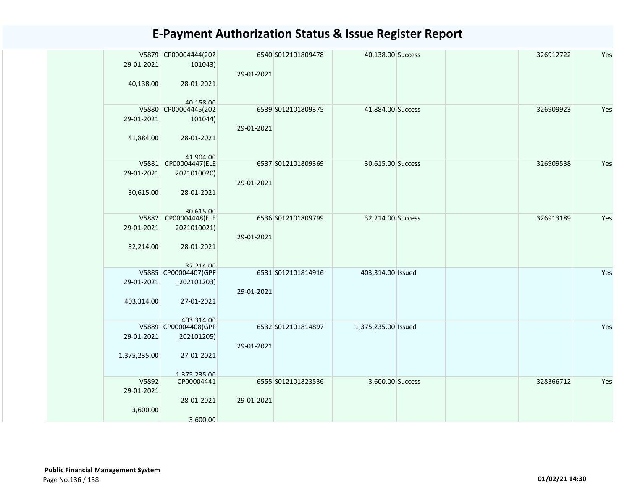| 29-01-2021          | V5879 CP00004444(202<br>101043) | 29-01-2021 | 6540 S012101809478 | 40,138.00 Success   |  | 326912722 | Yes |
|---------------------|---------------------------------|------------|--------------------|---------------------|--|-----------|-----|
| 40,138.00           | 28-01-2021<br>40 158 00         |            |                    |                     |  |           |     |
|                     | V5880 CP00004445(202            |            | 6539 S012101809375 | 41,884.00 Success   |  | 326909923 | Yes |
| 29-01-2021          | 101044)                         | 29-01-2021 |                    |                     |  |           |     |
| 41,884.00           | 28-01-2021<br>41 904 00         |            |                    |                     |  |           |     |
| V5881               | CP00004447(ELE                  |            | 6537 S012101809369 | 30,615.00 Success   |  | 326909538 | Yes |
| 29-01-2021          | 2021010020)                     | 29-01-2021 |                    |                     |  |           |     |
| 30,615.00           | 28-01-2021<br>30 615 00         |            |                    |                     |  |           |     |
|                     | V5882 CP00004448(ELE            |            | 6536 S012101809799 | 32,214.00 Success   |  | 326913189 | Yes |
| 29-01-2021          | 2021010021)                     | 29-01-2021 |                    |                     |  |           |     |
| 32,214.00           | 28-01-2021<br>32 214 00         |            |                    |                     |  |           |     |
|                     | V5885 CP00004407(GPF            |            | 6531 S012101814916 | 403,314.00 Issued   |  |           | Yes |
| 29-01-2021          | $_2$ 02101203)                  | 29-01-2021 |                    |                     |  |           |     |
| 403,314.00          | 27-01-2021<br>403 314 00        |            |                    |                     |  |           |     |
|                     | V5889 CP00004408(GPF            |            | 6532 S012101814897 | 1,375,235.00 Issued |  |           | Yes |
| 29-01-2021          | $_2$ 02101205)                  | 29-01-2021 |                    |                     |  |           |     |
| 1,375,235.00        | 27-01-2021<br>1 275 225 00      |            |                    |                     |  |           |     |
| V5892<br>29-01-2021 | CP00004441                      |            | 6555 S012101823536 | 3,600.00 Success    |  | 328366712 | Yes |
| 3,600.00            | 28-01-2021<br>3.600.00          | 29-01-2021 |                    |                     |  |           |     |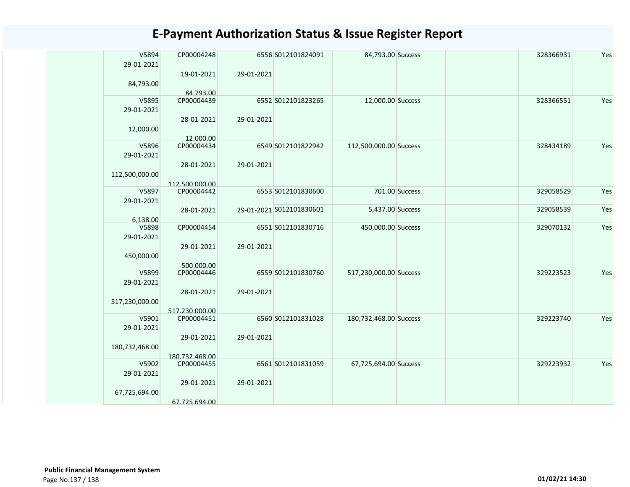| V5894<br>29-01-2021 | CP00004248     |            | 6556 S012101824091       | 84,793.00 Success      |                | 328366931 | Yes |
|---------------------|----------------|------------|--------------------------|------------------------|----------------|-----------|-----|
|                     | 19-01-2021     | 29-01-2021 |                          |                        |                |           |     |
| 84,793.00           | 84.793.00      |            |                          |                        |                |           |     |
| V5895               | CP00004439     |            | 6552 S012101823265       | 12,000.00 Success      |                | 328366551 | Yes |
| 29-01-2021          |                |            |                          |                        |                |           |     |
| 12,000.00           | 28-01-2021     | 29-01-2021 |                          |                        |                |           |     |
|                     | 12.000.00      |            |                          |                        |                |           |     |
| V5896<br>29-01-2021 | CP00004434     |            | 6549 S012101822942       | 112,500,000.00 Success |                | 328434189 | Yes |
|                     | 28-01-2021     | 29-01-2021 |                          |                        |                |           |     |
| 112,500,000.00      |                |            |                          |                        |                |           |     |
|                     | 112.500.000.00 |            |                          |                        |                |           |     |
| V5897<br>29-01-2021 | CP00004442     |            | 6553 S012101830600       |                        | 701.00 Success | 329058529 | Yes |
|                     | 28-01-2021     |            | 29-01-2021 S012101830601 | 5,437.00 Success       |                | 329058539 | Yes |
| 6.138.00            |                |            |                          |                        |                |           |     |
| V5898               | CP00004454     |            | 6551 S012101830716       | 450,000.00 Success     |                | 329070132 | Yes |
| 29-01-2021          |                |            |                          |                        |                |           |     |
|                     | 29-01-2021     | 29-01-2021 |                          |                        |                |           |     |
|                     |                |            |                          |                        |                |           |     |
| 450,000.00          |                |            |                          |                        |                |           |     |
|                     | 500.000.00     |            |                          |                        |                |           |     |
| V5899               | CP00004446     |            | 6559 S012101830760       | 517,230,000.00 Success |                | 329223523 | Yes |
| 29-01-2021          |                |            |                          |                        |                |           |     |
|                     | 28-01-2021     | 29-01-2021 |                          |                        |                |           |     |
| 517,230,000.00      |                |            |                          |                        |                |           |     |
|                     | 517.230.000.00 |            |                          |                        |                |           |     |
| V5901               | CP00004451     |            | 6560 S012101831028       | 180,732,468.00 Success |                | 329223740 | Yes |
| 29-01-2021          |                |            |                          |                        |                |           |     |
|                     |                |            |                          |                        |                |           |     |
|                     | 29-01-2021     | 29-01-2021 |                          |                        |                |           |     |
| 180,732,468.00      |                |            |                          |                        |                |           |     |
|                     | 180.732.468.00 |            |                          |                        |                |           |     |
| V5902               | CP00004455     |            | 6561 S012101831059       | 67,725,694.00 Success  |                | 329223932 | Yes |
| 29-01-2021          |                |            |                          |                        |                |           |     |
|                     | 29-01-2021     | 29-01-2021 |                          |                        |                |           |     |
| 67,725,694.00       |                |            |                          |                        |                |           |     |
|                     | 67.725.694.00  |            |                          |                        |                |           |     |
|                     |                |            |                          |                        |                |           |     |